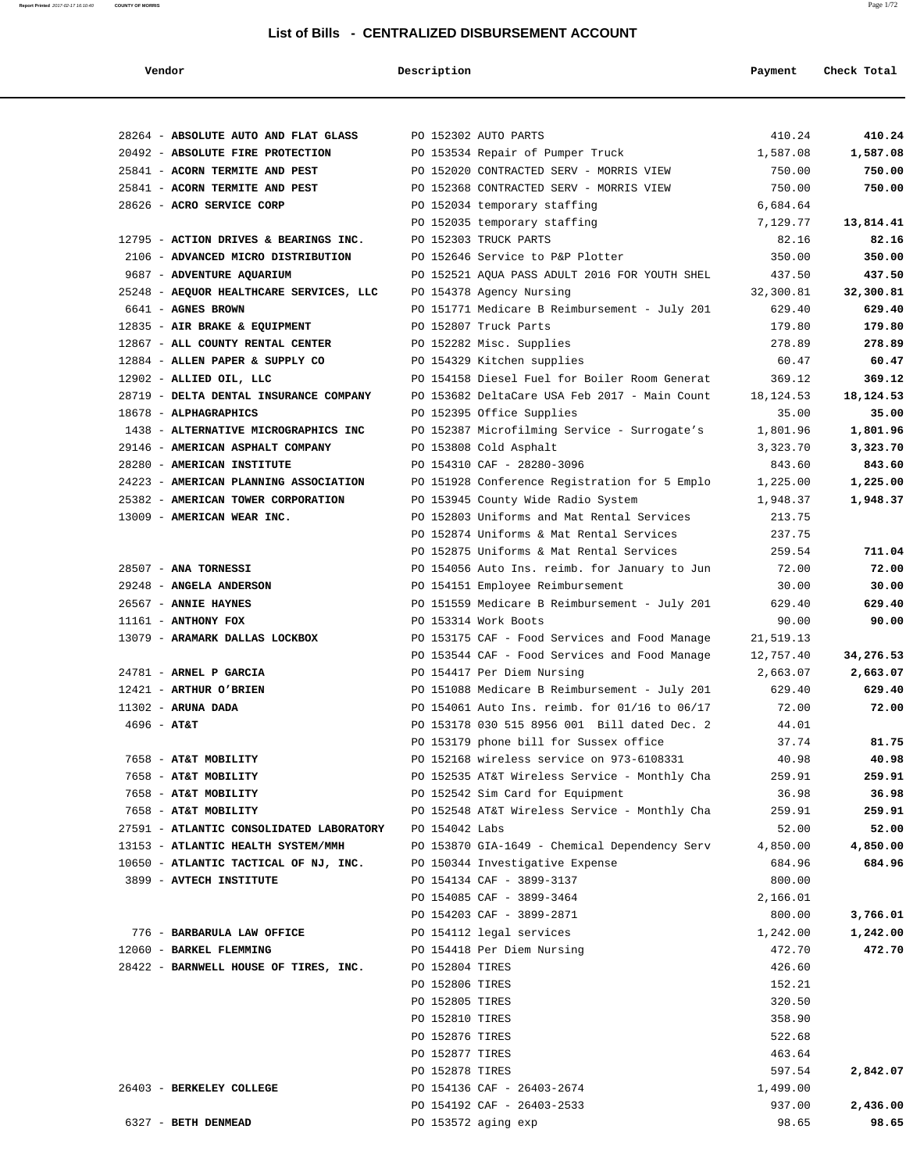**Report Printed** 2017-02-17 16:10:40 **COUNTY OF MORRIS** Page 1/72

| Vendor                                                                      | Description                                                               | Payment             | Check Total         |
|-----------------------------------------------------------------------------|---------------------------------------------------------------------------|---------------------|---------------------|
|                                                                             |                                                                           |                     |                     |
| 28264 - ABSOLUTE AUTO AND FLAT GLASS                                        | PO 152302 AUTO PARTS                                                      | 410.24              | 410.24              |
| 20492 - ABSOLUTE FIRE PROTECTION                                            | PO 153534 Repair of Pumper Truck                                          | 1,587.08            | 1,587.08            |
| 25841 - ACORN TERMITE AND PEST                                              | PO 152020 CONTRACTED SERV - MORRIS VIEW                                   | 750.00              | 750.00              |
| 25841 - ACORN TERMITE AND PEST                                              | PO 152368 CONTRACTED SERV - MORRIS VIEW                                   | 750.00              | 750.00              |
| 28626 - ACRO SERVICE CORP                                                   | PO 152034 temporary staffing                                              | 6,684.64            |                     |
|                                                                             | PO 152035 temporary staffing                                              | 7,129.77            | 13,814.41           |
| 12795 - ACTION DRIVES & BEARINGS INC.<br>2106 - ADVANCED MICRO DISTRIBUTION | PO 152303 TRUCK PARTS<br>PO 152646 Service to P&P Plotter                 | 82.16<br>350.00     | 82.16<br>350.00     |
|                                                                             | PO 152521 AQUA PASS ADULT 2016 FOR YOUTH SHEL                             |                     |                     |
| 9687 - ADVENTURE AQUARIUM                                                   |                                                                           | 437.50              | 437.50<br>32,300.81 |
| 25248 - AEQUOR HEALTHCARE SERVICES, LLC<br>6641 - AGNES BROWN               | PO 154378 Agency Nursing<br>PO 151771 Medicare B Reimbursement - July 201 | 32,300.81<br>629.40 | 629.40              |
| 12835 - AIR BRAKE & EQUIPMENT                                               | PO 152807 Truck Parts                                                     | 179.80              | 179.80              |
| 12867 - ALL COUNTY RENTAL CENTER                                            | PO 152282 Misc. Supplies                                                  | 278.89              | 278.89              |
| 12884 - ALLEN PAPER & SUPPLY CO                                             | PO 154329 Kitchen supplies                                                | 60.47               | 60.47               |
| 12902 - ALLIED OIL, LLC                                                     | PO 154158 Diesel Fuel for Boiler Room Generat                             | 369.12              | 369.12              |
| 28719 - DELTA DENTAL INSURANCE COMPANY                                      | PO 153682 DeltaCare USA Feb 2017 - Main Count                             | 18,124.53           | 18,124.53           |
| 18678 - ALPHAGRAPHICS                                                       | PO 152395 Office Supplies                                                 | 35.00               | 35.00               |
| 1438 - ALTERNATIVE MICROGRAPHICS INC                                        | PO 152387 Microfilming Service - Surrogate's                              | 1,801.96            | 1,801.96            |
| 29146 - AMERICAN ASPHALT COMPANY                                            | PO 153808 Cold Asphalt                                                    | 3,323.70            | 3,323.70            |
| 28280 - AMERICAN INSTITUTE                                                  | PO 154310 CAF - 28280-3096                                                | 843.60              | 843.60              |
| 24223 - AMERICAN PLANNING ASSOCIATION                                       | PO 151928 Conference Registration for 5 Emplo                             | 1,225.00            | 1,225.00            |
| 25382 - AMERICAN TOWER CORPORATION                                          | PO 153945 County Wide Radio System                                        | 1,948.37            | 1,948.37            |
| 13009 - AMERICAN WEAR INC.                                                  | PO 152803 Uniforms and Mat Rental Services                                | 213.75              |                     |
|                                                                             | PO 152874 Uniforms & Mat Rental Services                                  | 237.75              |                     |
|                                                                             | PO 152875 Uniforms & Mat Rental Services                                  | 259.54              | 711.04              |
| 28507 - ANA TORNESSI                                                        | PO 154056 Auto Ins. reimb. for January to Jun                             | 72.00               | 72.00               |
| 29248 - ANGELA ANDERSON                                                     | PO 154151 Employee Reimbursement                                          | 30.00               | 30.00               |
| 26567 - ANNIE HAYNES                                                        | PO 151559 Medicare B Reimbursement - July 201                             | 629.40              | 629.40              |
| $11161$ - ANTHONY FOX                                                       | PO 153314 Work Boots                                                      | 90.00               | 90.00               |
| 13079 - ARAMARK DALLAS LOCKBOX                                              | PO 153175 CAF - Food Services and Food Manage                             | 21,519.13           |                     |
|                                                                             | PO 153544 CAF - Food Services and Food Manage                             | 12,757.40           | 34,276.53           |
| 24781 - ARNEL P GARCIA                                                      | PO 154417 Per Diem Nursing                                                | 2,663.07            | 2,663.07            |
| 12421 - ARTHUR O'BRIEN                                                      | PO 151088 Medicare B Reimbursement - July 201                             | 629.40              | 629.40              |
| $11302$ - ARUNA DADA                                                        | PO 154061 Auto Ins. reimb. for 01/16 to 06/17                             | 72.00               | 72.00               |
| $4696 - AT&T$                                                               | PO 153178 030 515 8956 001 Bill dated Dec. 2                              | 44.01               |                     |
|                                                                             | PO 153179 phone bill for Sussex office                                    | 37.74               | 81.75               |
| 7658 - AT&T MOBILITY                                                        | PO 152168 wireless service on 973-6108331                                 | 40.98               | 40.98               |
| 7658 - AT&T MOBILITY                                                        | PO 152535 AT&T Wireless Service - Monthly Cha                             | 259.91              | 259.91              |
| 7658 - AT&T MOBILITY                                                        | PO 152542 Sim Card for Equipment                                          | 36.98               | 36.98               |
| 7658 - AT&T MOBILITY                                                        | PO 152548 AT&T Wireless Service - Monthly Cha                             | 259.91              | 259.91              |
| 27591 - ATLANTIC CONSOLIDATED LABORATORY                                    | PO 154042 Labs                                                            | 52.00               | 52.00               |
| 13153 - ATLANTIC HEALTH SYSTEM/MMH                                          | PO 153870 GIA-1649 - Chemical Dependency Serv                             | 4,850.00            | 4,850.00            |
| 10650 - ATLANTIC TACTICAL OF NJ, INC.                                       | PO 150344 Investigative Expense                                           | 684.96              | 684.96              |
| 3899 - AVTECH INSTITUTE                                                     | PO 154134 CAF - 3899-3137                                                 | 800.00              |                     |
|                                                                             | PO 154085 CAF - 3899-3464                                                 | 2,166.01            |                     |
|                                                                             | PO 154203 CAF - 3899-2871                                                 | 800.00              | 3,766.01            |
| 776 - BARBARULA LAW OFFICE                                                  | PO 154112 legal services                                                  | 1,242.00            | 1,242.00            |
| 12060 - BARKEL FLEMMING                                                     | PO 154418 Per Diem Nursing                                                | 472.70              | 472.70              |
| 28422 - BARNWELL HOUSE OF TIRES, INC.                                       | PO 152804 TIRES                                                           | 426.60              |                     |
|                                                                             | PO 152806 TIRES                                                           | 152.21              |                     |
|                                                                             | PO 152805 TIRES                                                           | 320.50              |                     |
|                                                                             | PO 152810 TIRES                                                           | 358.90              |                     |
|                                                                             | PO 152876 TIRES                                                           | 522.68              |                     |
|                                                                             | PO 152877 TIRES                                                           | 463.64              |                     |
|                                                                             | PO 152878 TIRES                                                           | 597.54              | 2,842.07            |
| 26403 - BERKELEY COLLEGE                                                    | PO 154136 CAF - 26403-2674                                                | 1,499.00            |                     |
|                                                                             | PO 154192 CAF - 26403-2533                                                | 937.00              | 2,436.00            |
| 6327 - BETH DENMEAD                                                         | PO 153572 aging exp                                                       | 98.65               | 98.65               |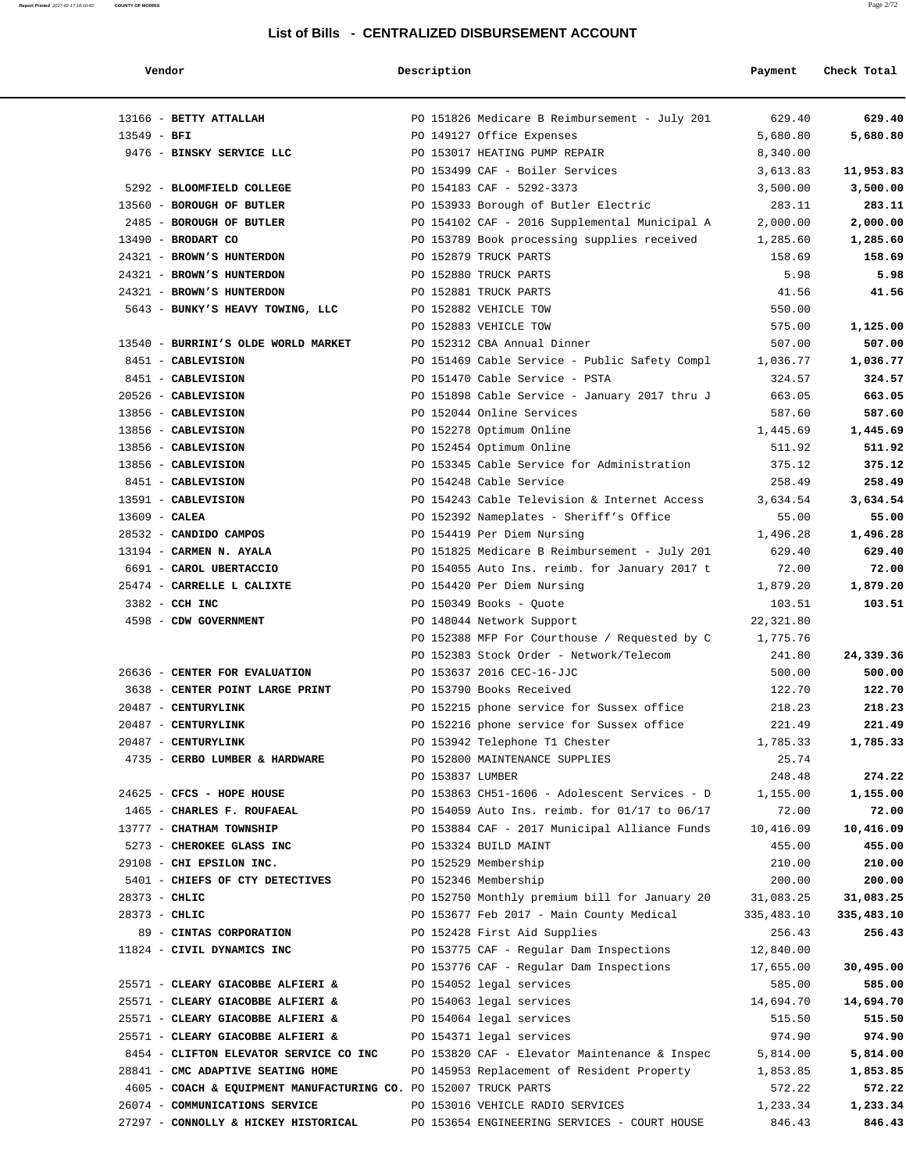| Vendor                                                           | Description      |                                               | Payment    | Check Total |
|------------------------------------------------------------------|------------------|-----------------------------------------------|------------|-------------|
| 13166 - BETTY ATTALLAH                                           |                  | PO 151826 Medicare B Reimbursement - July 201 | 629.40     | 629.40      |
| $13549 - BFI$                                                    |                  | PO 149127 Office Expenses                     | 5,680.80   | 5,680.80    |
| 9476 - BINSKY SERVICE LLC                                        |                  | PO 153017 HEATING PUMP REPAIR                 | 8,340.00   |             |
|                                                                  |                  | PO 153499 CAF - Boiler Services               | 3,613.83   | 11,953.83   |
| 5292 - BLOOMFIELD COLLEGE                                        |                  | PO 154183 CAF - 5292-3373                     | 3,500.00   | 3,500.00    |
| 13560 - BOROUGH OF BUTLER                                        |                  | PO 153933 Borough of Butler Electric          | 283.11     | 283.11      |
| 2485 - BOROUGH OF BUTLER                                         |                  | PO 154102 CAF - 2016 Supplemental Municipal A | 2,000.00   | 2,000.00    |
| $13490$ - BRODART CO                                             |                  | PO 153789 Book processing supplies received   | 1,285.60   | 1,285.60    |
| 24321 - BROWN'S HUNTERDON                                        |                  | PO 152879 TRUCK PARTS                         | 158.69     | 158.69      |
| 24321 - BROWN'S HUNTERDON                                        |                  | PO 152880 TRUCK PARTS                         | 5.98       | 5.98        |
| 24321 - BROWN'S HUNTERDON                                        |                  | PO 152881 TRUCK PARTS                         | 41.56      | 41.56       |
| 5643 - BUNKY'S HEAVY TOWING, LLC                                 |                  | PO 152882 VEHICLE TOW                         | 550.00     |             |
|                                                                  |                  | PO 152883 VEHICLE TOW                         | 575.00     | 1,125.00    |
| 13540 - BURRINI'S OLDE WORLD MARKET                              |                  | PO 152312 CBA Annual Dinner                   | 507.00     | 507.00      |
| 8451 - CABLEVISION                                               |                  | PO 151469 Cable Service - Public Safety Compl | 1,036.77   | 1,036.77    |
| 8451 - CABLEVISION                                               |                  | PO 151470 Cable Service - PSTA                | 324.57     | 324.57      |
| 20526 - CABLEVISION                                              |                  | PO 151898 Cable Service - January 2017 thru J | 663.05     | 663.05      |
| 13856 - CABLEVISION                                              |                  | PO 152044 Online Services                     | 587.60     | 587.60      |
| 13856 - CABLEVISION                                              |                  | PO 152278 Optimum Online                      | 1,445.69   | 1,445.69    |
| 13856 - CABLEVISION                                              |                  | PO 152454 Optimum Online                      | 511.92     | 511.92      |
| 13856 - CABLEVISION                                              |                  | PO 153345 Cable Service for Administration    | 375.12     | 375.12      |
| 8451 - CABLEVISION                                               |                  | PO 154248 Cable Service                       | 258.49     | 258.49      |
| 13591 - CABLEVISION                                              |                  | PO 154243 Cable Television & Internet Access  | 3,634.54   | 3,634.54    |
| $13609$ - CALEA                                                  |                  | PO 152392 Nameplates - Sheriff's Office       | 55.00      | 55.00       |
| 28532 - CANDIDO CAMPOS                                           |                  | PO 154419 Per Diem Nursing                    | 1,496.28   | 1,496.28    |
| 13194 - CARMEN N. AYALA                                          |                  | PO 151825 Medicare B Reimbursement - July 201 | 629.40     | 629.40      |
| 6691 - CAROL UBERTACCIO                                          |                  | PO 154055 Auto Ins. reimb. for January 2017 t | 72.00      | 72.00       |
| 25474 - CARRELLE L CALIXTE                                       |                  | PO 154420 Per Diem Nursing                    | 1,879.20   | 1,879.20    |
| 3382 - CCH INC                                                   |                  | PO 150349 Books - Quote                       | 103.51     | 103.51      |
| 4598 - CDW GOVERNMENT                                            |                  | PO 148044 Network Support                     | 22,321.80  |             |
|                                                                  |                  | PO 152388 MFP For Courthouse / Requested by C | 1,775.76   |             |
|                                                                  |                  | PO 152383 Stock Order - Network/Telecom       | 241.80     | 24,339.36   |
| 26636 - CENTER FOR EVALUATION                                    |                  | PO 153637 2016 CEC-16-JJC                     | 500.00     | 500.00      |
| 3638 - CENTER POINT LARGE PRINT                                  |                  | PO 153790 Books Received                      | 122.70     | 122.70      |
| 20487 - CENTURYLINK                                              |                  | PO 152215 phone service for Sussex office     | 218.23     | 218.23      |
| 20487 - CENTURYLINK                                              |                  | PO 152216 phone service for Sussex office     | 221.49     | 221.49      |
| 20487 - CENTURYLINK                                              |                  | PO 153942 Telephone T1 Chester                | 1,785.33   | 1,785.33    |
| 4735 - CERBO LUMBER & HARDWARE                                   |                  | PO 152800 MAINTENANCE SUPPLIES                | 25.74      |             |
|                                                                  | PO 153837 LUMBER |                                               | 248.48     | 274.22      |
| 24625 - CFCS - HOPE HOUSE                                        |                  | PO 153863 CH51-1606 - Adolescent Services - D | 1,155.00   | 1,155.00    |
| 1465 - CHARLES F. ROUFAEAL                                       |                  | PO 154059 Auto Ins. reimb. for 01/17 to 06/17 | 72.00      | 72.00       |
| 13777 - CHATHAM TOWNSHIP                                         |                  | PO 153884 CAF - 2017 Municipal Alliance Funds | 10,416.09  | 10,416.09   |
| 5273 - CHEROKEE GLASS INC                                        |                  | PO 153324 BUILD MAINT                         | 455.00     | 455.00      |
| 29108 - CHI EPSILON INC.                                         |                  | PO 152529 Membership                          | 210.00     | 210.00      |
| 5401 - CHIEFS OF CTY DETECTIVES                                  |                  | PO 152346 Membership                          | 200.00     | 200.00      |
| $28373 - CHLIC$                                                  |                  | PO 152750 Monthly premium bill for January 20 | 31,083.25  | 31,083.25   |
| 28373 - CHLIC                                                    |                  | PO 153677 Feb 2017 - Main County Medical      | 335,483.10 | 335,483.10  |
| 89 - CINTAS CORPORATION                                          |                  | PO 152428 First Aid Supplies                  | 256.43     | 256.43      |
| 11824 - CIVIL DYNAMICS INC                                       |                  | PO 153775 CAF - Regular Dam Inspections       | 12,840.00  |             |
|                                                                  |                  | PO 153776 CAF - Regular Dam Inspections       | 17,655.00  | 30,495.00   |
| 25571 - CLEARY GIACOBBE ALFIERI &                                |                  | PO 154052 legal services                      | 585.00     | 585.00      |
| 25571 - CLEARY GIACOBBE ALFIERI &                                |                  | PO 154063 legal services                      | 14,694.70  | 14,694.70   |
| 25571 - CLEARY GIACOBBE ALFIERI &                                |                  | PO 154064 legal services                      | 515.50     | 515.50      |
| 25571 - CLEARY GIACOBBE ALFIERI &                                |                  | PO 154371 legal services                      | 974.90     | 974.90      |
| 8454 - CLIFTON ELEVATOR SERVICE CO INC                           |                  | PO 153820 CAF - Elevator Maintenance & Inspec | 5,814.00   | 5,814.00    |
| 28841 - CMC ADAPTIVE SEATING HOME                                |                  | PO 145953 Replacement of Resident Property    | 1,853.85   | 1,853.85    |
| 4605 - COACH & EQUIPMENT MANUFACTURING CO. PO 152007 TRUCK PARTS |                  |                                               | 572.22     | 572.22      |
| 26074 - COMMUNICATIONS SERVICE                                   |                  | PO 153016 VEHICLE RADIO SERVICES              | 1,233.34   | 1,233.34    |
| 27297 - CONNOLLY & HICKEY HISTORICAL                             |                  | PO 153654 ENGINEERING SERVICES - COURT HOUSE  | 846.43     | 846.43      |
|                                                                  |                  |                                               |            |             |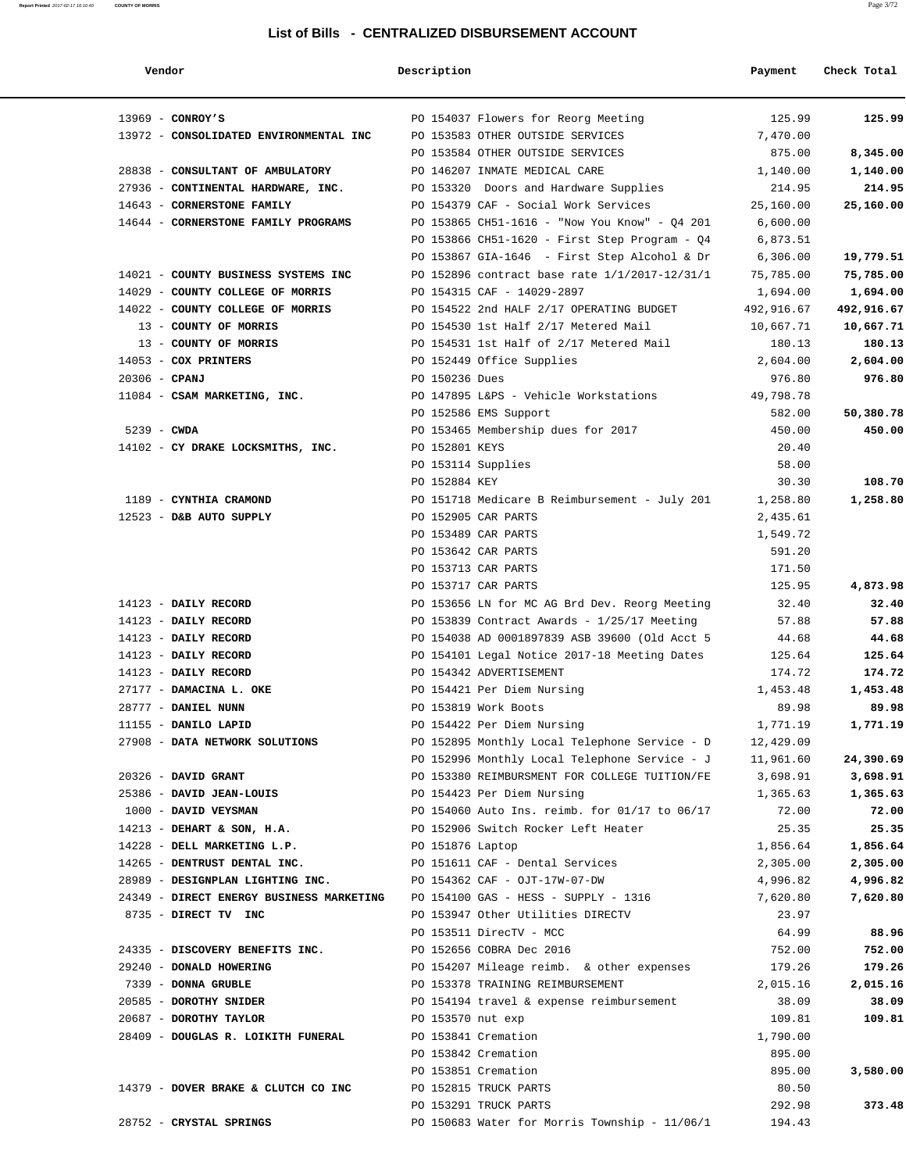| Vendor                                                                        | Description       |                                                                                | Payment            | Check Total        |
|-------------------------------------------------------------------------------|-------------------|--------------------------------------------------------------------------------|--------------------|--------------------|
| $13969$ - CONROY'S                                                            |                   | PO 154037 Flowers for Reorg Meeting                                            | 125.99             | 125.99             |
| 13972 - CONSOLIDATED ENVIRONMENTAL INC                                        |                   | PO 153583 OTHER OUTSIDE SERVICES                                               | 7,470.00           |                    |
|                                                                               |                   | PO 153584 OTHER OUTSIDE SERVICES                                               | 875.00             | 8,345.00           |
| 28838 - CONSULTANT OF AMBULATORY                                              |                   | PO 146207 INMATE MEDICAL CARE                                                  | 1,140.00           | 1,140.00           |
| 27936 - CONTINENTAL HARDWARE, INC.                                            |                   | PO 153320 Doors and Hardware Supplies                                          | 214.95             | 214.95             |
| 14643 - CORNERSTONE FAMILY                                                    |                   | PO 154379 CAF - Social Work Services                                           | 25,160.00          | 25,160.00          |
| 14644 - CORNERSTONE FAMILY PROGRAMS                                           |                   | PO 153865 CH51-1616 - "Now You Know" - Q4 201                                  | 6,600.00           |                    |
|                                                                               |                   | PO 153866 CH51-1620 - First Step Program - Q4                                  | 6,873.51           |                    |
|                                                                               |                   | PO 153867 GIA-1646 - First Step Alcohol & Dr                                   | 6,306.00           | 19,779.51          |
| 14021 - COUNTY BUSINESS SYSTEMS INC                                           |                   | PO 152896 contract base rate $1/1/2017 - 12/31/1$                              | 75,785.00          | 75,785.00          |
| 14029 - COUNTY COLLEGE OF MORRIS                                              |                   | PO 154315 CAF - 14029-2897                                                     | 1,694.00           | 1,694.00           |
| 14022 - COUNTY COLLEGE OF MORRIS                                              |                   | PO 154522 2nd HALF 2/17 OPERATING BUDGET                                       | 492,916.67         | 492,916.67         |
| 13 - COUNTY OF MORRIS                                                         |                   | PO 154530 1st Half 2/17 Metered Mail                                           | 10,667.71          | 10,667.71          |
| 13 - COUNTY OF MORRIS                                                         |                   | PO 154531 1st Half of 2/17 Metered Mail                                        | 180.13             | 180.13             |
| 14053 - COX PRINTERS                                                          |                   | PO 152449 Office Supplies                                                      | 2,604.00           | 2,604.00           |
| $20306$ - CPANJ                                                               | PO 150236 Dues    |                                                                                | 976.80             | 976.80             |
| 11084 - CSAM MARKETING, INC.                                                  |                   | PO 147895 L&PS - Vehicle Workstations                                          | 49,798.78          |                    |
|                                                                               |                   | PO 152586 EMS Support                                                          | 582.00             | 50,380.78          |
| $5239$ - CWDA                                                                 |                   | PO 153465 Membership dues for 2017                                             | 450.00             | 450.00             |
| 14102 - CY DRAKE LOCKSMITHS, INC.                                             | PO 152801 KEYS    |                                                                                | 20.40              |                    |
|                                                                               |                   | PO 153114 Supplies                                                             | 58.00              |                    |
|                                                                               | PO 152884 KEY     |                                                                                | 30.30              | 108.70             |
| 1189 - CYNTHIA CRAMOND                                                        |                   | PO 151718 Medicare B Reimbursement - July 201                                  | 1,258.80           | 1,258.80           |
| 12523 - D&B AUTO SUPPLY                                                       |                   | PO 152905 CAR PARTS                                                            | 2,435.61           |                    |
|                                                                               |                   | PO 153489 CAR PARTS                                                            | 1,549.72           |                    |
|                                                                               |                   | PO 153642 CAR PARTS                                                            | 591.20             |                    |
|                                                                               |                   | PO 153713 CAR PARTS                                                            | 171.50             |                    |
|                                                                               |                   | PO 153717 CAR PARTS                                                            | 125.95             | 4,873.98           |
| 14123 - DAILY RECORD                                                          |                   | PO 153656 LN for MC AG Brd Dev. Reorg Meeting                                  | 32.40              | 32.40              |
| 14123 - DAILY RECORD                                                          |                   | PO 153839 Contract Awards - 1/25/17 Meeting                                    | 57.88              | 57.88              |
| 14123 - DAILY RECORD                                                          |                   | PO 154038 AD 0001897839 ASB 39600 (Old Acct 5                                  | 44.68              | 44.68              |
| 14123 - DAILY RECORD                                                          |                   | PO 154101 Legal Notice 2017-18 Meeting Dates                                   | 125.64             | 125.64             |
| 14123 - DAILY RECORD                                                          |                   | PO 154342 ADVERTISEMENT                                                        | 174.72             | 174.72             |
| 27177 - DAMACINA L. OKE                                                       |                   | PO 154421 Per Diem Nursing                                                     | 1,453.48           | 1,453.48           |
| 28777 - DANIEL NUNN                                                           |                   | PO 153819 Work Boots                                                           | 89.98              | 89.98              |
| 11155 - DANILO LAPID                                                          |                   | PO 154422 Per Diem Nursing                                                     | 1,771.19           | 1,771.19           |
| 27908 - DATA NETWORK SOLUTIONS                                                |                   | PO 152895 Monthly Local Telephone Service - D                                  | 12,429.09          |                    |
|                                                                               |                   | PO 152996 Monthly Local Telephone Service - J $11,961.60$                      |                    | 24,390.69          |
| 20326 - DAVID GRANT                                                           |                   | PO 153380 REIMBURSMENT FOR COLLEGE TUITION/FE                                  | 3,698.91           | 3,698.91           |
| 25386 - DAVID JEAN-LOUIS                                                      |                   | PO 154423 Per Diem Nursing                                                     | 1,365.63           | 1,365.63           |
| 1000 - DAVID VEYSMAN                                                          |                   | PO 154060 Auto Ins. reimb. for 01/17 to 06/17                                  | 72.00              | 72.00              |
| 14213 - DEHART & SON, H.A. PO 152906 Switch Rocker Left Heater                |                   |                                                                                | 25.35              | 25.35              |
| 14228 - DELL MARKETING L.P. PO 151876 Laptop                                  |                   |                                                                                | 1,856.64           | 1,856.64           |
| 14265 - DENTRUST DENTAL INC. PO 151611 CAF - Dental Services                  |                   |                                                                                | 2,305.00           | 2,305.00           |
| $28989$ - DESIGNPLAN LIGHTING INC. $PQ$ 154362 CAF - $QJT-17W-07-DW$          |                   |                                                                                | 4,996.82           | 4,996.82           |
| 24349 - DIRECT ENERGY BUSINESS MARKETING PO 154100 GAS - HESS - SUPPLY - 1316 |                   |                                                                                | 7,620.80           | 7,620.80           |
| 8735 - DIRECT TV INC                                                          |                   | PO 153947 Other Utilities DIRECTV                                              | 23.97              |                    |
| 24335 - DISCOVERY BENEFITS INC.                                               |                   | PO 153511 DirecTV - MCC                                                        | 64.99              | 88.96<br>752.00    |
|                                                                               |                   | PO 152656 COBRA Dec 2016                                                       | 752.00             |                    |
| 29240 - DONALD HOWERING<br>7339 - DONNA GRUBLE                                |                   | PO 154207 Mileage reimb.  & other expenses<br>PO 153378 TRAINING REIMBURSEMENT | 179.26<br>2,015.16 | 179.26<br>2,015.16 |
|                                                                               |                   |                                                                                |                    |                    |
| 20585 - DOROTHY SNIDER<br>20687 - DOROTHY TAYLOR                              | PO 153570 nut exp | PO 154194 travel & expense reimbursement                                       | 38.09<br>109.81    | 38.09<br>109.81    |
|                                                                               |                   |                                                                                |                    |                    |
| 28409 - DOUGLAS R. LOIKITH FUNERAL                                            |                   | PO 153841 Cremation<br>PO 153842 Cremation                                     | 1,790.00<br>895.00 |                    |
|                                                                               |                   | PO 153851 Cremation                                                            | 895.00             |                    |
| 14379 - DOVER BRAKE & CLUTCH CO INC                                           |                   | PO 152815 TRUCK PARTS                                                          | 80.50              | 3,580.00           |
|                                                                               |                   | PO 153291 TRUCK PARTS                                                          | 292.98             | 373.48             |
| 28752 - CRYSTAL SPRINGS                                                       |                   | PO 150683 Water for Morris Township - 11/06/1                                  | 194.43             |                    |
|                                                                               |                   |                                                                                |                    |                    |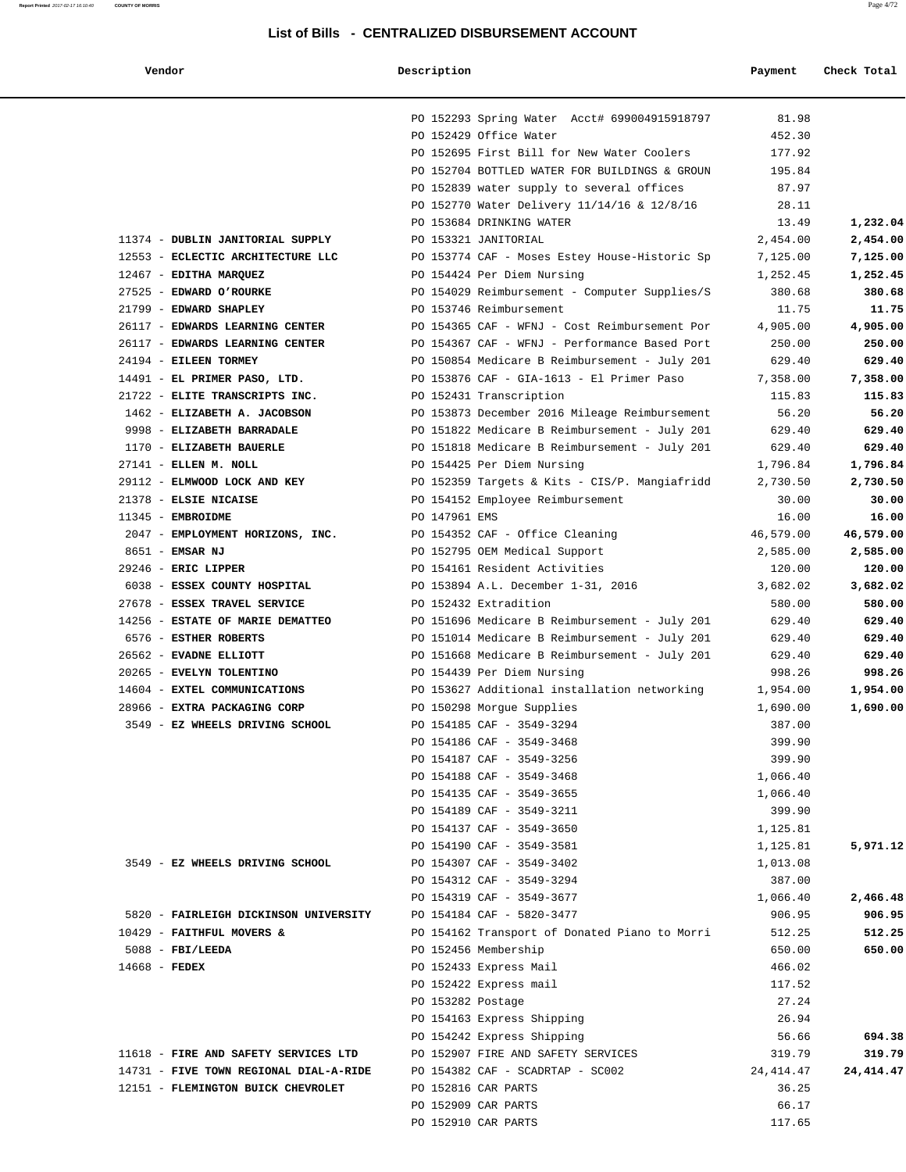| Vendor | Description | Payment | Check Total |
|--------|-------------|---------|-------------|
|        |             |         |             |
|        |             |         |             |

|                                                        | PO 152293 Spring Water Acct# 699004915918797                                                   | 81.98             |                    |
|--------------------------------------------------------|------------------------------------------------------------------------------------------------|-------------------|--------------------|
|                                                        | PO 152429 Office Water                                                                         | 452.30            |                    |
|                                                        | PO 152695 First Bill for New Water Coolers                                                     | 177.92            |                    |
|                                                        | PO 152704 BOTTLED WATER FOR BUILDINGS & GROUN                                                  | 195.84            |                    |
|                                                        | PO 152839 water supply to several offices                                                      | 87.97             |                    |
|                                                        | PO 152770 Water Delivery 11/14/16 & 12/8/16                                                    | 28.11             |                    |
|                                                        | PO 153684 DRINKING WATER                                                                       | 13.49             | 1,232.04           |
| 11374 - DUBLIN JANITORIAL SUPPLY                       | PO 153321 JANITORIAL                                                                           | 2,454.00          | 2,454.00           |
| 12553 - ECLECTIC ARCHITECTURE LLC                      | PO 153774 CAF - Moses Estey House-Historic Sp                                                  | 7,125.00          | 7,125.00           |
| 12467 - EDITHA MARQUEZ                                 | PO 154424 Per Diem Nursing                                                                     | 1,252.45          | 1,252.45           |
| 27525 - EDWARD O'ROURKE                                | PO 154029 Reimbursement - Computer Supplies/S                                                  | 380.68            | 380.68             |
| 21799 - EDWARD SHAPLEY                                 | PO 153746 Reimbursement                                                                        | 11.75             | 11.75              |
| 26117 - EDWARDS LEARNING CENTER                        | PO 154365 CAF - WFNJ - Cost Reimbursement Por                                                  | 4,905.00          | 4,905.00           |
| 26117 - EDWARDS LEARNING CENTER                        | PO 154367 CAF - WFNJ - Performance Based Port                                                  | 250.00            | 250.00             |
| 24194 - EILEEN TORMEY                                  | PO 150854 Medicare B Reimbursement - July 201                                                  | 629.40            | 629.40             |
| 14491 - EL PRIMER PASO, LTD.                           | PO 153876 CAF - GIA-1613 - El Primer Paso                                                      | 7,358.00          | 7,358.00           |
| 21722 - ELITE TRANSCRIPTS INC.                         | PO 152431 Transcription                                                                        | 115.83            | 115.83             |
| 1462 - ELIZABETH A. JACOBSON                           | PO 153873 December 2016 Mileage Reimbursement                                                  | 56.20             | 56.20              |
| 9998 - ELIZABETH BARRADALE<br>1170 - ELIZABETH BAUERLE | PO 151822 Medicare B Reimbursement - July 201<br>PO 151818 Medicare B Reimbursement - July 201 | 629.40            | 629.40             |
| 27141 - ELLEN M. NOLL                                  | PO 154425 Per Diem Nursing                                                                     | 629.40            | 629.40<br>1,796.84 |
| 29112 - ELMWOOD LOCK AND KEY                           |                                                                                                | 1,796.84          | 2,730.50           |
| 21378 - ELSIE NICAISE                                  | PO 152359 Targets & Kits - CIS/P. Mangiafridd<br>PO 154152 Employee Reimbursement              | 2,730.50<br>30.00 | 30.00              |
| 11345 - EMBROIDME                                      | PO 147961 EMS                                                                                  | 16.00             | 16.00              |
| 2047 - EMPLOYMENT HORIZONS, INC.                       | PO 154352 CAF - Office Cleaning                                                                | 46,579.00         | 46,579.00          |
| 8651 - EMSAR NJ                                        | PO 152795 OEM Medical Support                                                                  | 2,585.00          | 2,585.00           |
| 29246 - ERIC LIPPER                                    | PO 154161 Resident Activities                                                                  | 120.00            | 120.00             |
| 6038 - ESSEX COUNTY HOSPITAL                           | PO 153894 A.L. December 1-31, 2016                                                             | 3,682.02          | 3,682.02           |
| 27678 - ESSEX TRAVEL SERVICE                           | PO 152432 Extradition                                                                          | 580.00            | 580.00             |
| 14256 - ESTATE OF MARIE DEMATTEO                       | PO 151696 Medicare B Reimbursement - July 201                                                  | 629.40            | 629.40             |
| 6576 - ESTHER ROBERTS                                  | PO 151014 Medicare B Reimbursement - July 201                                                  | 629.40            | 629.40             |
| 26562 - EVADNE ELLIOTT                                 | PO 151668 Medicare B Reimbursement - July 201                                                  | 629.40            | 629.40             |
| 20265 - EVELYN TOLENTINO                               | PO 154439 Per Diem Nursing                                                                     | 998.26            | 998.26             |
| 14604 - EXTEL COMMUNICATIONS                           | PO 153627 Additional installation networking                                                   | 1,954.00          | 1,954.00           |
| 28966 - EXTRA PACKAGING CORP                           | PO 150298 Morgue Supplies                                                                      | 1,690.00          | 1,690.00           |
| 3549 - EZ WHEELS DRIVING SCHOOL                        | PO 154185 CAF - 3549-3294                                                                      | 387.00            |                    |
|                                                        | PO 154186 CAF - 3549-3468                                                                      | 399.90            |                    |
|                                                        | PO 154187 CAF - 3549-3256                                                                      | 399.90            |                    |
|                                                        | PO 154188 CAF - 3549-3468                                                                      | 1,066.40          |                    |
|                                                        | PO 154135 CAF - 3549-3655                                                                      | 1,066.40          |                    |
|                                                        | PO 154189 CAF - 3549-3211                                                                      | 399.90            |                    |
|                                                        | PO 154137 CAF - 3549-3650                                                                      | 1,125.81          |                    |
|                                                        | PO 154190 CAF - 3549-3581                                                                      | 1,125.81          | 5,971.12           |
| 3549 - EZ WHEELS DRIVING SCHOOL                        | PO 154307 CAF - 3549-3402                                                                      | 1,013.08          |                    |
|                                                        | PO 154312 CAF - 3549-3294                                                                      | 387.00            |                    |
|                                                        | PO 154319 CAF - 3549-3677                                                                      | 1,066.40          | 2,466.48           |
| 5820 - FAIRLEIGH DICKINSON UNIVERSITY                  | PO 154184 CAF - 5820-3477                                                                      | 906.95            | 906.95             |
| 10429 - FAITHFUL MOVERS &                              | PO 154162 Transport of Donated Piano to Morri                                                  | 512.25            | 512.25             |
| $5088$ - FBI/LEEDA                                     | PO 152456 Membership                                                                           | 650.00            | 650.00             |
| $14668$ - FEDEX                                        | PO 152433 Express Mail                                                                         | 466.02            |                    |
|                                                        | PO 152422 Express mail                                                                         | 117.52            |                    |
|                                                        | PO 153282 Postage                                                                              | 27.24             |                    |
|                                                        | PO 154163 Express Shipping                                                                     | 26.94             |                    |
|                                                        | PO 154242 Express Shipping                                                                     | 56.66             | 694.38             |
| 11618 - FIRE AND SAFETY SERVICES LTD                   | PO 152907 FIRE AND SAFETY SERVICES                                                             | 319.79            | 319.79             |
| 14731 - FIVE TOWN REGIONAL DIAL-A-RIDE                 | PO 154382 CAF - SCADRTAP - SC002                                                               | 24, 414.47        | 24, 414. 47        |
| 12151 - FLEMINGTON BUICK CHEVROLET                     | PO 152816 CAR PARTS                                                                            | 36.25             |                    |
|                                                        | PO 152909 CAR PARTS                                                                            | 66.17             |                    |
|                                                        | PO 152910 CAR PARTS                                                                            | 117.65            |                    |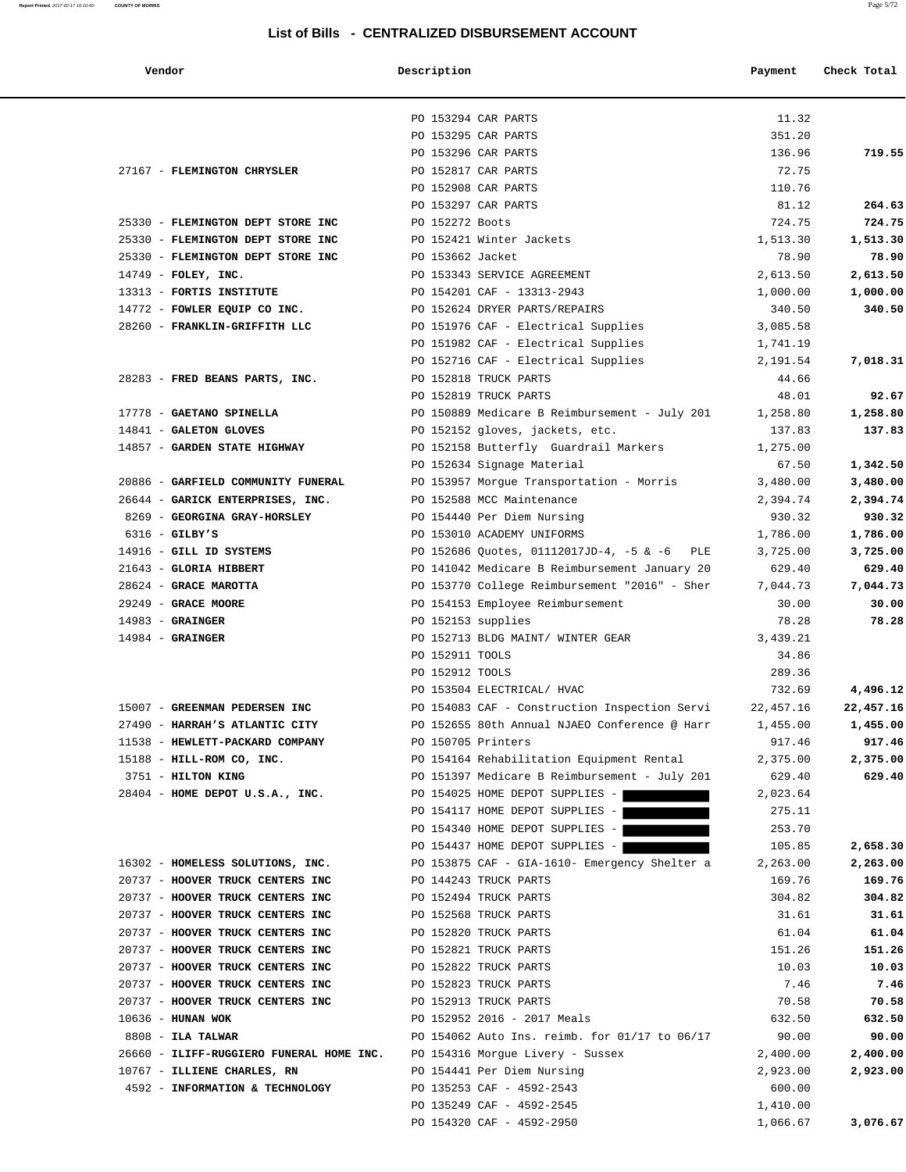#### **Report Printed** 2017-02-17 16:10:40 **COUNTY OF MORRIS** Page 5/72

| Vendor                                                               | Description                |                                               | Payment            | Check Total        |
|----------------------------------------------------------------------|----------------------------|-----------------------------------------------|--------------------|--------------------|
|                                                                      | PO 153294 CAR PARTS        |                                               | 11.32              |                    |
|                                                                      | PO 153295 CAR PARTS        |                                               | 351.20             |                    |
|                                                                      | PO 153296 CAR PARTS        |                                               | 136.96             | 719.55             |
| 27167 - FLEMINGTON CHRYSLER                                          | PO 152817 CAR PARTS        |                                               | 72.75              |                    |
|                                                                      | PO 152908 CAR PARTS        |                                               | 110.76             |                    |
|                                                                      | PO 153297 CAR PARTS        |                                               | 81.12              | 264.63             |
| 25330 - FLEMINGTON DEPT STORE INC                                    | PO 152272 Boots            |                                               | 724.75             | 724.75             |
| 25330 - FLEMINGTON DEPT STORE INC                                    | PO 152421 Winter Jackets   |                                               | 1,513.30           | 1,513.30           |
| 25330 - FLEMINGTON DEPT STORE INC                                    | PO 153662 Jacket           |                                               | 78.90              | 78.90              |
| $14749$ - FOLEY, INC.                                                |                            | PO 153343 SERVICE AGREEMENT                   | 2,613.50           | 2,613.50           |
| 13313 - FORTIS INSTITUTE                                             | PO 154201 CAF - 13313-2943 |                                               | 1,000.00           | 1,000.00           |
| 14772 - FOWLER EQUIP CO INC.                                         |                            | PO 152624 DRYER PARTS/REPAIRS                 | 340.50             | 340.50             |
| 28260 - FRANKLIN-GRIFFITH LLC                                        |                            | PO 151976 CAF - Electrical Supplies           | 3,085.58           |                    |
|                                                                      |                            | PO 151982 CAF - Electrical Supplies           | 1,741.19           |                    |
|                                                                      |                            | PO 152716 CAF - Electrical Supplies           | 2,191.54           | 7,018.31           |
| 28283 - FRED BEANS PARTS, INC.                                       | PO 152818 TRUCK PARTS      |                                               | 44.66              |                    |
|                                                                      | PO 152819 TRUCK PARTS      |                                               | 48.01              | 92.67              |
| 17778 - GAETANO SPINELLA                                             |                            | PO 150889 Medicare B Reimbursement - July 201 | 1,258.80           | 1,258.80           |
| 14841 - GALETON GLOVES                                               |                            | PO 152152 gloves, jackets, etc.               | 137.83             | 137.83             |
| 14857 - GARDEN STATE HIGHWAY                                         |                            | PO 152158 Butterfly Guardrail Markers         | 1,275.00           |                    |
|                                                                      |                            | PO 152634 Signage Material                    | 67.50              | 1,342.50           |
| 20886 - GARFIELD COMMUNITY FUNERAL                                   |                            | PO 153957 Morgue Transportation - Morris      | 3,480.00           | 3,480.00           |
| 26644 - GARICK ENTERPRISES, INC.                                     | PO 152588 MCC Maintenance  |                                               | 2,394.74           | 2,394.74           |
| 8269 - GEORGINA GRAY-HORSLEY                                         |                            | PO 154440 Per Diem Nursing                    | 930.32             | 930.32             |
| $6316$ - GILBY'S                                                     |                            | PO 153010 ACADEMY UNIFORMS                    | 1,786.00           | 1,786.00           |
| 14916 - GILL ID SYSTEMS                                              |                            | PO 152686 Quotes, 01112017JD-4, -5 & -6 PLE   | 3,725.00           | 3,725.00           |
| 21643 - GLORIA HIBBERT                                               |                            | PO 141042 Medicare B Reimbursement January 20 | 629.40             | 629.40             |
| 28624 - GRACE MAROTTA                                                |                            | PO 153770 College Reimbursement "2016" - Sher | 7,044.73           | 7,044.73           |
| 29249 - GRACE MOORE                                                  |                            | PO 154153 Employee Reimbursement              | 30.00              | 30.00              |
| $14983$ - GRAINGER                                                   | PO 152153 supplies         |                                               | 78.28              | 78.28              |
| $14984$ - GRAINGER                                                   |                            | PO 152713 BLDG MAINT/ WINTER GEAR             | 3,439.21           |                    |
|                                                                      | PO 152911 TOOLS            |                                               | 34.86              |                    |
|                                                                      | PO 152912 TOOLS            |                                               | 289.36             |                    |
|                                                                      |                            | PO 153504 ELECTRICAL/ HVAC                    | 732.69             | 4,496.12           |
| 15007 - GREENMAN PEDERSEN INC                                        |                            | PO 154083 CAF - Construction Inspection Servi | 22,457.16          | 22,457.16          |
| 27490 - HARRAH'S ATLANTIC CITY                                       |                            | PO 152655 80th Annual NJAEO Conference @ Harr | 1,455.00           | 1,455.00           |
| 11538 - HEWLETT-PACKARD COMPANY                                      | PO 150705 Printers         |                                               | 917.46             | 917.46             |
| 15188 - HILL-ROM CO, INC.                                            |                            | PO 154164 Rehabilitation Equipment Rental     | 2,375.00           | 2,375.00           |
| 3751 - HILTON KING                                                   |                            | PO 151397 Medicare B Reimbursement - July 201 | 629.40             | 629.40             |
| 28404 - HOME DEPOT U.S.A., INC.                                      |                            | PO 154025 HOME DEPOT SUPPLIES -               | 2,023.64           |                    |
|                                                                      |                            | PO 154117 HOME DEPOT SUPPLIES -               | 275.11             |                    |
|                                                                      |                            | PO 154340 HOME DEPOT SUPPLIES -               | 253.70             |                    |
|                                                                      |                            | PO 154437 HOME DEPOT SUPPLIES -               | 105.85             | 2,658.30           |
| 16302 - HOMELESS SOLUTIONS, INC.<br>20737 - HOOVER TRUCK CENTERS INC | PO 144243 TRUCK PARTS      | PO 153875 CAF - GIA-1610- Emergency Shelter a | 2,263.00<br>169.76 | 2,263.00<br>169.76 |
| 20737 - HOOVER TRUCK CENTERS INC                                     | PO 152494 TRUCK PARTS      |                                               | 304.82             | 304.82             |
| 20737 - HOOVER TRUCK CENTERS INC                                     | PO 152568 TRUCK PARTS      |                                               | 31.61              | 31.61              |
| 20737 - HOOVER TRUCK CENTERS INC                                     | PO 152820 TRUCK PARTS      |                                               | 61.04              | 61.04              |
| 20737 - HOOVER TRUCK CENTERS INC                                     | PO 152821 TRUCK PARTS      |                                               | 151.26             | 151.26             |
| 20737 - HOOVER TRUCK CENTERS INC                                     | PO 152822 TRUCK PARTS      |                                               | 10.03              | 10.03              |
| 20737 - HOOVER TRUCK CENTERS INC                                     | PO 152823 TRUCK PARTS      |                                               | 7.46               | 7.46               |
| 20737 - HOOVER TRUCK CENTERS INC                                     | PO 152913 TRUCK PARTS      |                                               | 70.58              | 70.58              |
| $10636$ - HUNAN WOK                                                  |                            | PO 152952 2016 - 2017 Meals                   | 632.50             | 632.50             |
| $8808$ - ILA TALWAR                                                  |                            | PO 154062 Auto Ins. reimb. for 01/17 to 06/17 | 90.00              | 90.00              |
| 26660 - ILIFF-RUGGIERO FUNERAL HOME INC.                             |                            | PO 154316 Morgue Livery - Sussex              | 2,400.00           | 2,400.00           |
| 10767 - ILLIENE CHARLES, RN                                          |                            | PO 154441 Per Diem Nursing                    | 2,923.00           | 2,923.00           |
| 4592 - INFORMATION & TECHNOLOGY                                      | PO 135253 CAF - 4592-2543  |                                               | 600.00             |                    |
|                                                                      | PO 135249 CAF - 4592-2545  |                                               | 1,410.00           |                    |
|                                                                      | PO 154320 CAF - 4592-2950  |                                               | 1,066.67           | 3,076.67           |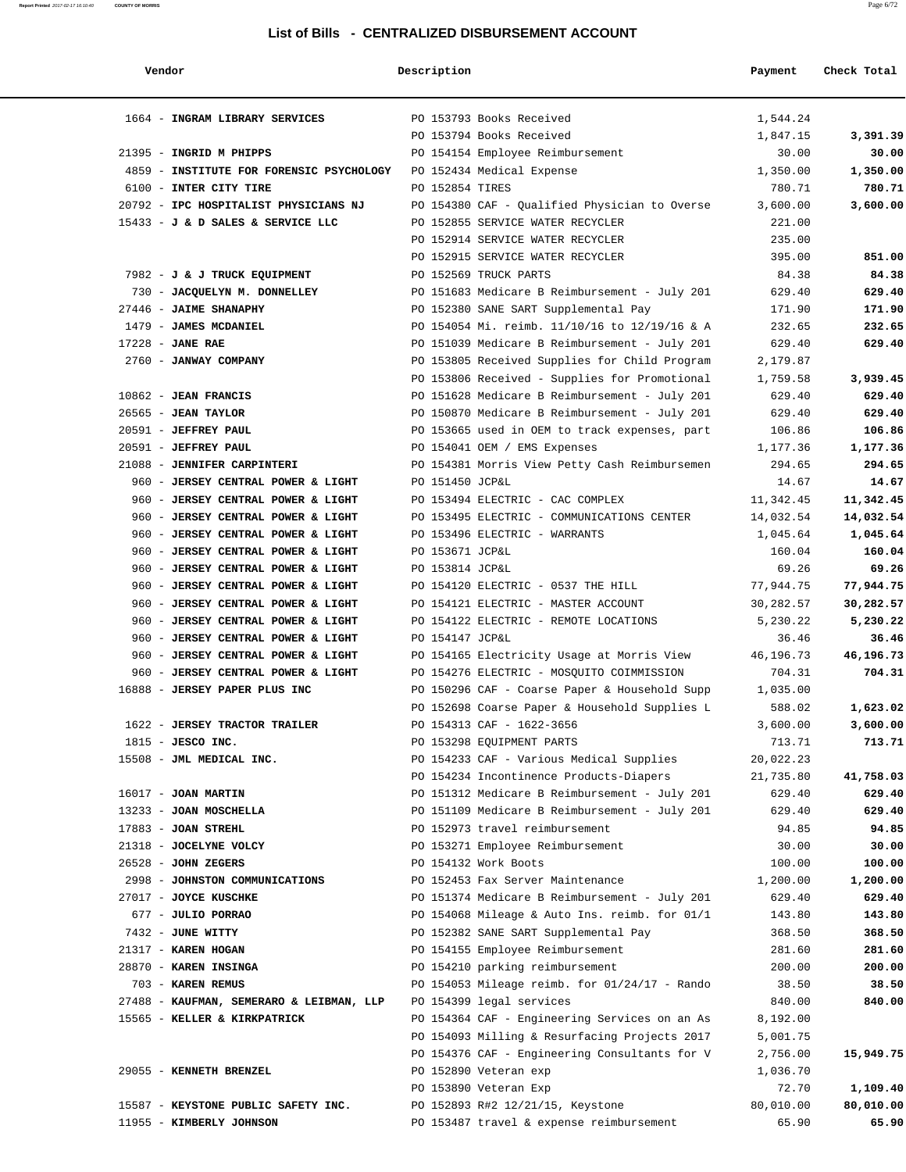| Vendor                                                                     | Description     |                                                 | Payment   | Check Total |
|----------------------------------------------------------------------------|-----------------|-------------------------------------------------|-----------|-------------|
| 1664 - INGRAM LIBRARY SERVICES                                             |                 | PO 153793 Books Received                        | 1,544.24  |             |
|                                                                            |                 | PO 153794 Books Received                        | 1,847.15  | 3,391.39    |
| 21395 - INGRID M PHIPPS                                                    |                 | PO 154154 Employee Reimbursement                | 30.00     | 30.00       |
| 4859 - INSTITUTE FOR FORENSIC PSYCHOLOGY PO 152434 Medical Expense         |                 |                                                 | 1,350.00  | 1,350.00    |
| 6100 - INTER CITY TIRE                                                     | PO 152854 TIRES |                                                 | 780.71    | 780.71      |
| 20792 - IPC HOSPITALIST PHYSICIANS NJ                                      |                 | PO 154380 CAF - Qualified Physician to Overse   | 3,600.00  | 3,600.00    |
| 15433 - J & D SALES & SERVICE LLC                                          |                 | PO 152855 SERVICE WATER RECYCLER                | 221.00    |             |
|                                                                            |                 | PO 152914 SERVICE WATER RECYCLER                | 235.00    |             |
|                                                                            |                 | PO 152915 SERVICE WATER RECYCLER                | 395.00    | 851.00      |
| 7982 - J & J TRUCK EQUIPMENT                                               |                 | PO 152569 TRUCK PARTS                           | 84.38     | 84.38       |
| 730 - JACQUELYN M. DONNELLEY PO 151683 Medicare B Reimbursement - July 201 |                 |                                                 | 629.40    | 629.40      |
| 27446 - JAIME SHANAPHY                                                     |                 | PO 152380 SANE SART Supplemental Pay            | 171.90    | 171.90      |
| 1479 - JAMES MCDANIEL                                                      |                 | PO 154054 Mi. reimb. 11/10/16 to 12/19/16 & A   | 232.65    | 232.65      |
| $17228$ - JANE RAE                                                         |                 | PO 151039 Medicare B Reimbursement - July 201   | 629.40    | 629.40      |
| 2760 - JANWAY COMPANY                                                      |                 | PO 153805 Received Supplies for Child Program   | 2,179.87  |             |
|                                                                            |                 | PO 153806 Received - Supplies for Promotional   | 1,759.58  | 3,939.45    |
| $10862$ - JEAN FRANCIS                                                     |                 | PO 151628 Medicare B Reimbursement - July 201   | 629.40    | 629.40      |
| $26565$ - JEAN TAYLOR                                                      |                 | PO 150870 Medicare B Reimbursement - July 201   | 629.40    | 629.40      |
| 20591 - JEFFREY PAUL                                                       |                 | PO 153665 used in OEM to track expenses, part   | 106.86    | 106.86      |
| 20591 - JEFFREY PAUL                                                       |                 | PO 154041 OEM / EMS Expenses                    | 1,177.36  | 1,177.36    |
| 21088 - JENNIFER CARPINTERI                                                |                 | PO 154381 Morris View Petty Cash Reimbursemen   | 294.65    | 294.65      |
| 960 - JERSEY CENTRAL POWER & LIGHT                                         | PO 151450 JCP&L |                                                 | 14.67     | 14.67       |
| 960 - JERSEY CENTRAL POWER & LIGHT                                         |                 | PO 153494 ELECTRIC - CAC COMPLEX                | 11,342.45 | 11,342.45   |
| 960 - JERSEY CENTRAL POWER & LIGHT                                         |                 | PO 153495 ELECTRIC - COMMUNICATIONS CENTER      | 14,032.54 | 14,032.54   |
| 960 - JERSEY CENTRAL POWER & LIGHT                                         |                 | PO 153496 ELECTRIC - WARRANTS                   | 1,045.64  | 1,045.64    |
| 960 - JERSEY CENTRAL POWER & LIGHT                                         | PO 153671 JCP&L |                                                 | 160.04    | 160.04      |
| 960 - JERSEY CENTRAL POWER & LIGHT                                         | PO 153814 JCP&L |                                                 | 69.26     | 69.26       |
| 960 - JERSEY CENTRAL POWER & LIGHT                                         |                 | PO 154120 ELECTRIC - 0537 THE HILL              | 77,944.75 | 77,944.75   |
| 960 - JERSEY CENTRAL POWER & LIGHT                                         |                 | PO 154121 ELECTRIC - MASTER ACCOUNT             | 30,282.57 | 30,282.57   |
| 960 - JERSEY CENTRAL POWER & LIGHT                                         |                 | PO 154122 ELECTRIC - REMOTE LOCATIONS           | 5,230.22  | 5,230.22    |
| 960 - JERSEY CENTRAL POWER & LIGHT                                         | PO 154147 JCP&L |                                                 | 36.46     | 36.46       |
| 960 - JERSEY CENTRAL POWER & LIGHT                                         |                 | PO 154165 Electricity Usage at Morris View      | 46,196.73 | 46,196.73   |
| 960 - JERSEY CENTRAL POWER & LIGHT                                         |                 | PO 154276 ELECTRIC - MOSQUITO COIMMISSION       | 704.31    | 704.31      |
| 16888 - JERSEY PAPER PLUS INC                                              |                 | PO 150296 CAF - Coarse Paper & Household Supp   | 1,035.00  |             |
|                                                                            |                 | PO 152698 Coarse Paper & Household Supplies L   | 588.02    | 1,623.02    |
| 1622 - JERSEY TRACTOR TRAILER                                              |                 | PO 154313 CAF - 1622-3656                       | 3,600.00  | 3,600.00    |
| $1815$ - JESCO INC.                                                        |                 | PO 153298 EQUIPMENT PARTS                       | 713.71    | 713.71      |
| 15508 - JML MEDICAL INC.                                                   |                 | PO 154233 CAF - Various Medical Supplies        | 20,022.23 |             |
|                                                                            |                 | PO 154234 Incontinence Products-Diapers         | 21,735.80 | 41,758.03   |
| $16017$ - JOAN MARTIN                                                      |                 | PO 151312 Medicare B Reimbursement - July 201   | 629.40    | 629.40      |
| 13233 - JOAN MOSCHELLA                                                     |                 | PO 151109 Medicare B Reimbursement - July 201   | 629.40    | 629.40      |
| $17883$ - JOAN STREHL                                                      |                 | PO 152973 travel reimbursement                  | 94.85     | 94.85       |
| 21318 - JOCELYNE VOLCY                                                     |                 | PO 153271 Employee Reimbursement                | 30.00     | 30.00       |
| $26528$ - JOHN ZEGERS                                                      |                 | PO 154132 Work Boots                            | 100.00    | 100.00      |
| 2998 - JOHNSTON COMMUNICATIONS                                             |                 | PO 152453 Fax Server Maintenance                | 1,200.00  | 1,200.00    |
| 27017 - JOYCE KUSCHKE                                                      |                 | PO 151374 Medicare B Reimbursement - July 201   | 629.40    | 629.40      |
| 677 - JULIO PORRAO                                                         |                 | PO 154068 Mileage & Auto Ins. reimb. for 01/1   | 143.80    | 143.80      |
| 7432 - JUNE WITTY                                                          |                 | PO 152382 SANE SART Supplemental Pay            | 368.50    | 368.50      |
| 21317 - KAREN HOGAN                                                        |                 | PO 154155 Employee Reimbursement                | 281.60    | 281.60      |
| 28870 - KAREN INSINGA                                                      |                 | PO 154210 parking reimbursement                 | 200.00    | 200.00      |
| 703 - KAREN REMUS                                                          |                 | PO 154053 Mileage reimb. for $01/24/17$ - Rando | 38.50     | 38.50       |
| 27488 - KAUFMAN, SEMERARO & LEIBMAN, LLP                                   |                 | PO 154399 legal services                        | 840.00    | 840.00      |
| 15565 - KELLER & KIRKPATRICK                                               |                 | PO 154364 CAF - Engineering Services on an As   | 8,192.00  |             |
|                                                                            |                 | PO 154093 Milling & Resurfacing Projects 2017   | 5,001.75  |             |
|                                                                            |                 | PO 154376 CAF - Engineering Consultants for V   | 2,756.00  | 15,949.75   |
| 29055 - KENNETH BRENZEL                                                    |                 | PO 152890 Veteran exp                           | 1,036.70  |             |
|                                                                            |                 | PO 153890 Veteran Exp                           | 72.70     | 1,109.40    |
| 15587 - KEYSTONE PUBLIC SAFETY INC.                                        |                 | PO 152893 R#2 12/21/15, Keystone                | 80,010.00 | 80,010.00   |
| 11955 - KIMBERLY JOHNSON                                                   |                 | PO 153487 travel & expense reimbursement        | 65.90     | 65.90       |
|                                                                            |                 |                                                 |           |             |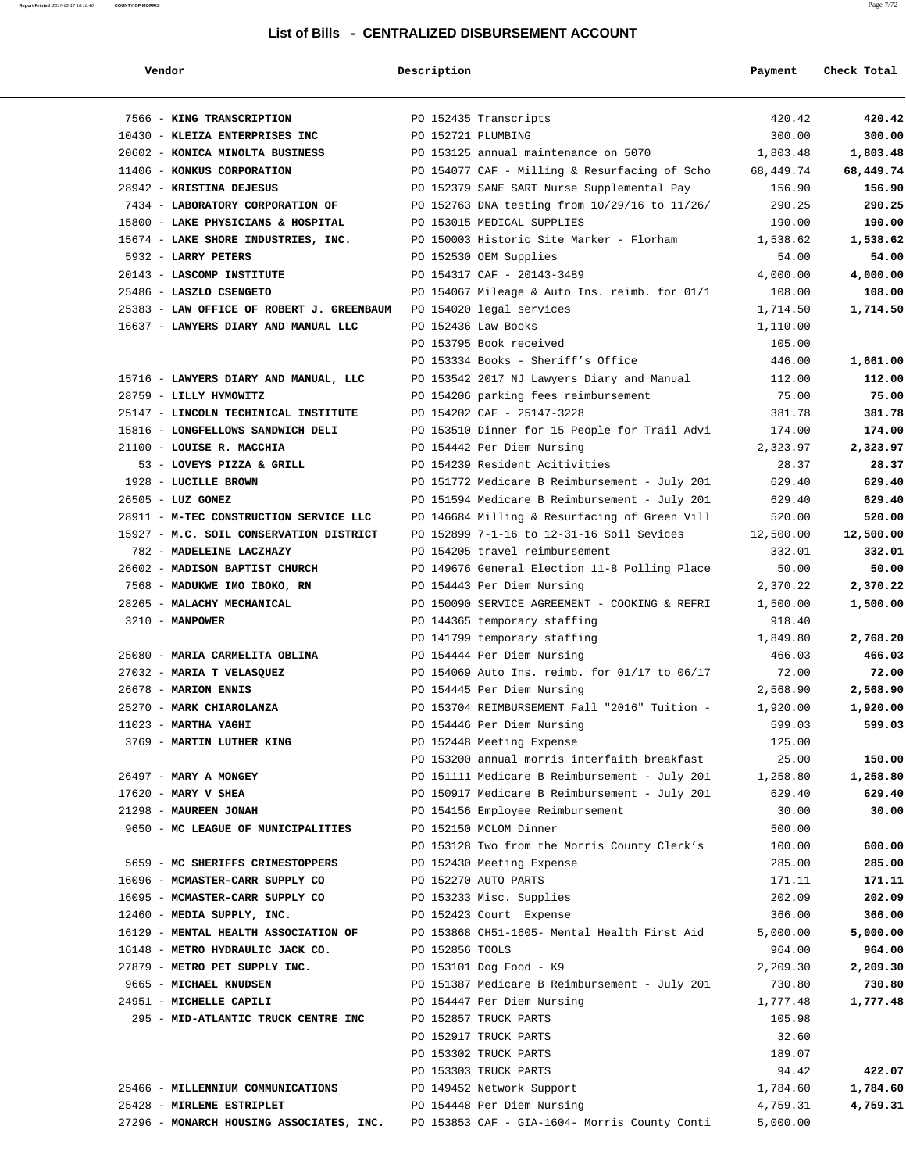# **Report Printed** 2017-02-17 16:10:40 **COUNTY OF MORRIS** Page 7/72

| Vendor                                                             | Description        |                                               | Payment   | Check Total |
|--------------------------------------------------------------------|--------------------|-----------------------------------------------|-----------|-------------|
| 7566 - KING TRANSCRIPTION                                          |                    | PO 152435 Transcripts                         | 420.42    | 420.42      |
| 10430 - KLEIZA ENTERPRISES INC                                     | PO 152721 PLUMBING |                                               | 300.00    | 300.00      |
| 20602 - KONICA MINOLTA BUSINESS                                    |                    | PO 153125 annual maintenance on 5070          | 1,803.48  | 1,803.48    |
| 11406 - KONKUS CORPORATION                                         |                    | PO 154077 CAF - Milling & Resurfacing of Scho | 68,449.74 | 68,449.74   |
| 28942 - KRISTINA DEJESUS                                           |                    | PO 152379 SANE SART Nurse Supplemental Pay    | 156.90    | 156.90      |
| 7434 - LABORATORY CORPORATION OF                                   |                    | PO 152763 DNA testing from 10/29/16 to 11/26/ | 290.25    | 290.25      |
| 15800 - LAKE PHYSICIANS & HOSPITAL                                 |                    | PO 153015 MEDICAL SUPPLIES                    | 190.00    | 190.00      |
| 15674 - LAKE SHORE INDUSTRIES, INC.                                |                    | PO 150003 Historic Site Marker - Florham      | 1,538.62  | 1,538.62    |
| 5932 - LARRY PETERS                                                |                    | PO 152530 OEM Supplies                        | 54.00     | 54.00       |
| 20143 - LASCOMP INSTITUTE                                          |                    | PO 154317 CAF - 20143-3489                    | 4,000.00  | 4,000.00    |
| 25486 - LASZLO CSENGETO                                            |                    | PO 154067 Mileage & Auto Ins. reimb. for 01/1 | 108.00    | 108.00      |
| 25383 - LAW OFFICE OF ROBERT J. GREENBAUM PO 154020 legal services |                    |                                               | 1,714.50  | 1,714.50    |
| 16637 - LAWYERS DIARY AND MANUAL LLC                               |                    | PO 152436 Law Books                           | 1,110.00  |             |
|                                                                    |                    | PO 153795 Book received                       | 105.00    |             |
|                                                                    |                    | PO 153334 Books - Sheriff's Office            | 446.00    | 1,661.00    |
| 15716 - LAWYERS DIARY AND MANUAL, LLC                              |                    | PO 153542 2017 NJ Lawyers Diary and Manual    | 112.00    | 112.00      |
| 28759 - LILLY HYMOWITZ                                             |                    | PO 154206 parking fees reimbursement          | 75.00     | 75.00       |
| 25147 - LINCOLN TECHINICAL INSTITUTE                               |                    | PO 154202 CAF - 25147-3228                    | 381.78    | 381.78      |
| 15816 - LONGFELLOWS SANDWICH DELI                                  |                    | PO 153510 Dinner for 15 People for Trail Advi | 174.00    | 174.00      |
| 21100 - LOUISE R. MACCHIA                                          |                    | PO 154442 Per Diem Nursing                    | 2,323.97  | 2,323.97    |
| 53 - LOVEYS PIZZA & GRILL                                          |                    | PO 154239 Resident Acitivities                | 28.37     | 28.37       |
| 1928 - LUCILLE BROWN                                               |                    | PO 151772 Medicare B Reimbursement - July 201 | 629.40    | 629.40      |
| 26505 - LUZ GOMEZ                                                  |                    | PO 151594 Medicare B Reimbursement - July 201 | 629.40    | 629.40      |
| 28911 - M-TEC CONSTRUCTION SERVICE LLC                             |                    | PO 146684 Milling & Resurfacing of Green Vill | 520.00    | 520.00      |
| 15927 - M.C. SOIL CONSERVATION DISTRICT                            |                    | PO 152899 7-1-16 to 12-31-16 Soil Sevices     | 12,500.00 | 12,500.00   |
|                                                                    |                    |                                               |           |             |
| 782 - MADELEINE LACZHAZY                                           |                    | PO 154205 travel reimbursement                | 332.01    | 332.01      |
| 26602 - MADISON BAPTIST CHURCH                                     |                    | PO 149676 General Election 11-8 Polling Place | 50.00     | 50.00       |
| 7568 - MADUKWE IMO IBOKO, RN                                       |                    | PO 154443 Per Diem Nursing                    | 2,370.22  | 2,370.22    |
| 28265 - MALACHY MECHANICAL                                         |                    | PO 150090 SERVICE AGREEMENT - COOKING & REFRI | 1,500.00  | 1,500.00    |
| 3210 - MANPOWER                                                    |                    | PO 144365 temporary staffing                  | 918.40    |             |
|                                                                    |                    | PO 141799 temporary staffing                  | 1,849.80  | 2,768.20    |
| 25080 - MARIA CARMELITA OBLINA                                     |                    | PO 154444 Per Diem Nursing                    | 466.03    | 466.03      |
| 27032 - MARIA T VELASQUEZ                                          |                    | PO 154069 Auto Ins. reimb. for 01/17 to 06/17 | 72.00     | 72.00       |
| 26678 - MARION ENNIS                                               |                    | PO 154445 Per Diem Nursing                    | 2,568.90  | 2,568.90    |
| 25270 - MARK CHIAROLANZA                                           |                    | PO 153704 REIMBURSEMENT Fall "2016" Tuition - | 1,920.00  | 1,920.00    |
| 11023 - MARTHA YAGHI                                               |                    | PO 154446 Per Diem Nursing                    | 599.03    | 599.03      |
| 3769 - MARTIN LUTHER KING                                          |                    | PO 152448 Meeting Expense                     | 125.00    |             |
|                                                                    |                    | PO 153200 annual morris interfaith breakfast  | 25.00     | 150.00      |
| 26497 - MARY A MONGEY                                              |                    | PO 151111 Medicare B Reimbursement - July 201 | 1,258.80  | 1,258.80    |
| $17620$ - MARY V SHEA                                              |                    | PO 150917 Medicare B Reimbursement - July 201 | 629.40    | 629.40      |
| 21298 - MAUREEN JONAH                                              |                    | PO 154156 Employee Reimbursement              | 30.00     | 30.00       |
| 9650 - MC LEAGUE OF MUNICIPALITIES                                 |                    | PO 152150 MCLOM Dinner                        | 500.00    |             |
|                                                                    |                    | PO 153128 Two from the Morris County Clerk's  | 100.00    | 600.00      |
| 5659 - MC SHERIFFS CRIMESTOPPERS                                   |                    | PO 152430 Meeting Expense                     | 285.00    | 285.00      |
| 16096 - MCMASTER-CARR SUPPLY CO                                    |                    | PO 152270 AUTO PARTS                          | 171.11    | 171.11      |
| 16095 - MCMASTER-CARR SUPPLY CO                                    |                    | PO 153233 Misc. Supplies                      | 202.09    | 202.09      |
| 12460 - MEDIA SUPPLY, INC.                                         |                    | PO 152423 Court Expense                       | 366.00    | 366.00      |
| 16129 - MENTAL HEALTH ASSOCIATION OF                               |                    | PO 153868 CH51-1605- Mental Health First Aid  | 5,000.00  | 5,000.00    |
| 16148 - METRO HYDRAULIC JACK CO.                                   | PO 152856 TOOLS    |                                               | 964.00    | 964.00      |
| 27879 - METRO PET SUPPLY INC.                                      |                    | PO 153101 Dog Food - K9                       | 2,209.30  | 2,209.30    |
| 9665 - MICHAEL KNUDSEN                                             |                    | PO 151387 Medicare B Reimbursement - July 201 | 730.80    | 730.80      |
| 24951 - MICHELLE CAPILI                                            |                    | PO 154447 Per Diem Nursing                    | 1,777.48  | 1,777.48    |
| 295 - MID-ATLANTIC TRUCK CENTRE INC                                |                    | PO 152857 TRUCK PARTS                         | 105.98    |             |
|                                                                    |                    | PO 152917 TRUCK PARTS                         | 32.60     |             |
|                                                                    |                    | PO 153302 TRUCK PARTS                         | 189.07    |             |
|                                                                    |                    | PO 153303 TRUCK PARTS                         | 94.42     | 422.07      |
| 25466 - MILLENNIUM COMMUNICATIONS                                  |                    | PO 149452 Network Support                     | 1,784.60  | 1,784.60    |
| 25428 - MIRLENE ESTRIPLET                                          |                    | PO 154448 Per Diem Nursing                    | 4,759.31  | 4,759.31    |
| 27296 - MONARCH HOUSING ASSOCIATES, INC.                           |                    | PO 153853 CAF - GIA-1604- Morris County Conti | 5,000.00  |             |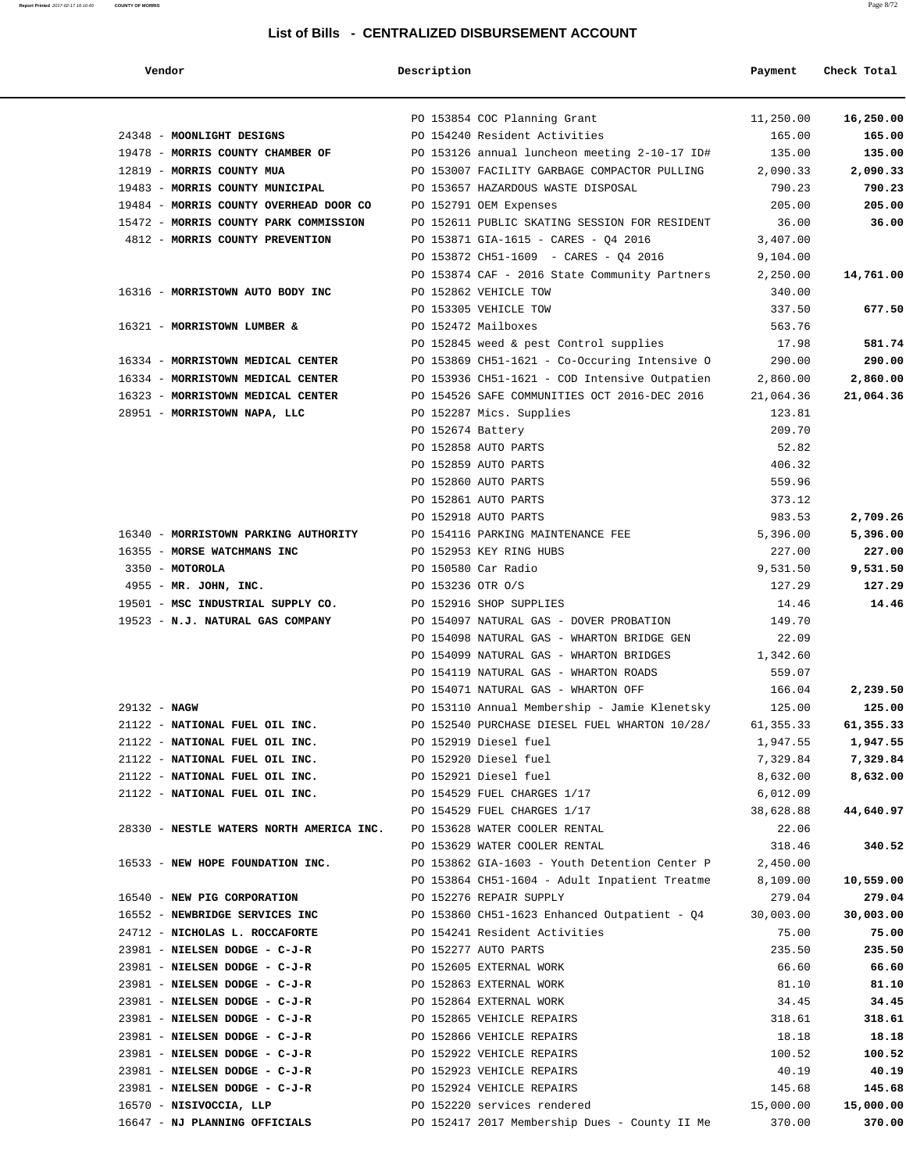| Vendor                                                                 | Description          |                                                            | Payment         | Check Total |
|------------------------------------------------------------------------|----------------------|------------------------------------------------------------|-----------------|-------------|
|                                                                        |                      | PO 153854 COC Planning Grant                               | 11,250.00       | 16,250.00   |
| 24348 - MOONLIGHT DESIGNS                                              |                      | PO 154240 Resident Activities                              | 165.00          | 165.00      |
| 19478 - MORRIS COUNTY CHAMBER OF                                       |                      | PO 153126 annual luncheon meeting 2-10-17 ID#              | 135.00          | 135.00      |
| 12819 - MORRIS COUNTY MUA                                              |                      | PO 153007 FACILITY GARBAGE COMPACTOR PULLING               | 2,090.33        | 2,090.33    |
| 19483 - MORRIS COUNTY MUNICIPAL                                        |                      | PO 153657 HAZARDOUS WASTE DISPOSAL                         | 790.23          | 790.23      |
| 19484 - MORRIS COUNTY OVERHEAD DOOR CO                                 |                      | PO 152791 OEM Expenses                                     | 205.00          | 205.00      |
| 15472 - MORRIS COUNTY PARK COMMISSION                                  |                      | PO 152611 PUBLIC SKATING SESSION FOR RESIDENT              | 36.00           | 36.00       |
| 4812 - MORRIS COUNTY PREVENTION                                        |                      | PO 153871 GIA-1615 - CARES - Q4 2016                       | 3,407.00        |             |
|                                                                        |                      | PO 153872 CH51-1609 - CARES - Q4 2016                      | 9,104.00        |             |
|                                                                        |                      | PO 153874 CAF - 2016 State Community Partners              | 2,250.00        | 14,761.00   |
| 16316 - MORRISTOWN AUTO BODY INC                                       |                      | PO 152862 VEHICLE TOW                                      | 340.00          |             |
|                                                                        |                      | PO 153305 VEHICLE TOW                                      | 337.50          | 677.50      |
| 16321 - MORRISTOWN LUMBER &                                            |                      | PO 152472 Mailboxes                                        | 563.76          |             |
|                                                                        |                      | PO 152845 weed & pest Control supplies                     | 17.98           | 581.74      |
| 16334 - MORRISTOWN MEDICAL CENTER                                      |                      | PO 153869 CH51-1621 - Co-Occuring Intensive O              | 290.00          | 290.00      |
| 16334 - MORRISTOWN MEDICAL CENTER                                      |                      | PO 153936 CH51-1621 - COD Intensive Outpatien              | 2,860.00        | 2,860.00    |
| 16323 - MORRISTOWN MEDICAL CENTER                                      |                      | PO 154526 SAFE COMMUNITIES OCT 2016-DEC 2016               | 21,064.36       | 21,064.36   |
| 28951 - MORRISTOWN NAPA, LLC                                           |                      | PO 152287 Mics. Supplies                                   | 123.81          |             |
|                                                                        | PO 152674 Battery    | PO 152858 AUTO PARTS                                       | 209.70          |             |
|                                                                        |                      | PO 152859 AUTO PARTS                                       | 52.82<br>406.32 |             |
|                                                                        |                      | PO 152860 AUTO PARTS                                       | 559.96          |             |
|                                                                        |                      | PO 152861 AUTO PARTS                                       | 373.12          |             |
|                                                                        |                      | PO 152918 AUTO PARTS                                       | 983.53          | 2,709.26    |
| 16340 - MORRISTOWN PARKING AUTHORITY                                   |                      | PO 154116 PARKING MAINTENANCE FEE                          | 5,396.00        | 5,396.00    |
| 16355 - MORSE WATCHMANS INC                                            |                      | PO 152953 KEY RING HUBS                                    | 227.00          | 227.00      |
| 3350 - MOTOROLA                                                        |                      | PO 150580 Car Radio                                        | 9,531.50        | 9,531.50    |
| 4955 - MR. JOHN, INC.                                                  | PO 153236 OTR O/S    |                                                            | 127.29          | 127.29      |
| 19501 - MSC INDUSTRIAL SUPPLY CO.                                      |                      | PO 152916 SHOP SUPPLIES                                    | 14.46           | 14.46       |
| 19523 - N.J. NATURAL GAS COMPANY                                       |                      | PO 154097 NATURAL GAS - DOVER PROBATION                    | 149.70          |             |
|                                                                        |                      | PO 154098 NATURAL GAS - WHARTON BRIDGE GEN                 | 22.09           |             |
|                                                                        |                      | PO 154099 NATURAL GAS - WHARTON BRIDGES                    | 1,342.60        |             |
|                                                                        |                      | PO 154119 NATURAL GAS - WHARTON ROADS                      | 559.07          |             |
|                                                                        |                      | PO 154071 NATURAL GAS - WHARTON OFF                        | 166.04          | 2,239.50    |
| 29132 - NAGW                                                           |                      | PO 153110 Annual Membership - Jamie Klenetsky              | 125.00          | 125.00      |
| 21122 - NATIONAL FUEL OIL INC.                                         |                      | PO 152540 PURCHASE DIESEL FUEL WHARTON 10/28/              | 61,355.33       | 61,355.33   |
| 21122 - NATIONAL FUEL OIL INC. PO 152919 Diesel fuel                   |                      |                                                            | 1,947.55        | 1,947.55    |
| 21122 - NATIONAL FUEL OIL INC. PO 152920 Diesel fuel                   |                      |                                                            | 7,329.84        | 7,329.84    |
| 21122 - NATIONAL FUEL OIL INC.                                         |                      | PO 152921 Diesel fuel                                      | 8,632.00        | 8,632.00    |
| 21122 - NATIONAL FUEL OIL INC.                                         |                      | PO 154529 FUEL CHARGES 1/17                                | 6,012.09        |             |
|                                                                        |                      | PO 154529 FUEL CHARGES 1/17                                | 38,628.88       | 44,640.97   |
| 28330 - NESTLE WATERS NORTH AMERICA INC. PO 153628 WATER COOLER RENTAL |                      |                                                            | 22.06           |             |
|                                                                        |                      | PO 153629 WATER COOLER RENTAL                              | 318.46          | 340.52      |
| 16533 - NEW HOPE FOUNDATION INC.                                       |                      | PO $153862$ GIA-1603 - Youth Detention Center P $2,450.00$ |                 |             |
|                                                                        |                      | PO 153864 CH51-1604 - Adult Inpatient Treatme              | 8,109.00        | 10,559.00   |
| 16540 - NEW PIG CORPORATION                                            |                      | PO 152276 REPAIR SUPPLY                                    | 279.04          | 279.04      |
| 16552 - NEWBRIDGE SERVICES INC                                         |                      | PO 153860 CH51-1623 Enhanced Outpatient - Q4               | 30,003.00       | 30,003.00   |
| 24712 - NICHOLAS L. ROCCAFORTE                                         |                      | PO 154241 Resident Activities                              | 75.00           | 75.00       |
| 23981 - NIELSEN DODGE - C-J-R                                          | PO 152277 AUTO PARTS |                                                            | 235.50          | 235.50      |
| 23981 - NIELSEN DODGE - C-J-R                                          |                      | PO 152605 EXTERNAL WORK                                    | 66.60           | 66.60       |
| 23981 - NIELSEN DODGE - C-J-R                                          |                      | PO 152863 EXTERNAL WORK                                    | 81.10           | 81.10       |
| 23981 - NIELSEN DODGE - C-J-R                                          |                      | PO 152864 EXTERNAL WORK                                    | 34.45           | 34.45       |
| 23981 - NIELSEN DODGE - C-J-R                                          |                      | PO 152865 VEHICLE REPAIRS                                  | 318.61          | 318.61      |
| 23981 - NIELSEN DODGE - C-J-R                                          |                      | PO 152866 VEHICLE REPAIRS                                  | 18.18           | 18.18       |
| 23981 - NIELSEN DODGE - C-J-R<br>PO 152922 VEHICLE REPAIRS             |                      |                                                            | 100.52          | 100.52      |
| 23981 - NIELSEN DODGE - C-J-R<br>PO 152923 VEHICLE REPAIRS             |                      |                                                            | 40.19           | 40.19       |
| 23981 - NIELSEN DODGE - C-J-R<br>PO 152924 VEHICLE REPAIRS             |                      |                                                            | 145.68          | 145.68      |
| 16570 - NISIVOCCIA, LLP                                                |                      | PO 152220 services rendered                                | 15,000.00       | 15,000.00   |
| 16647 - NJ PLANNING OFFICIALS                                          |                      | PO 152417 2017 Membership Dues - County II Me              | 370.00          | 370.00      |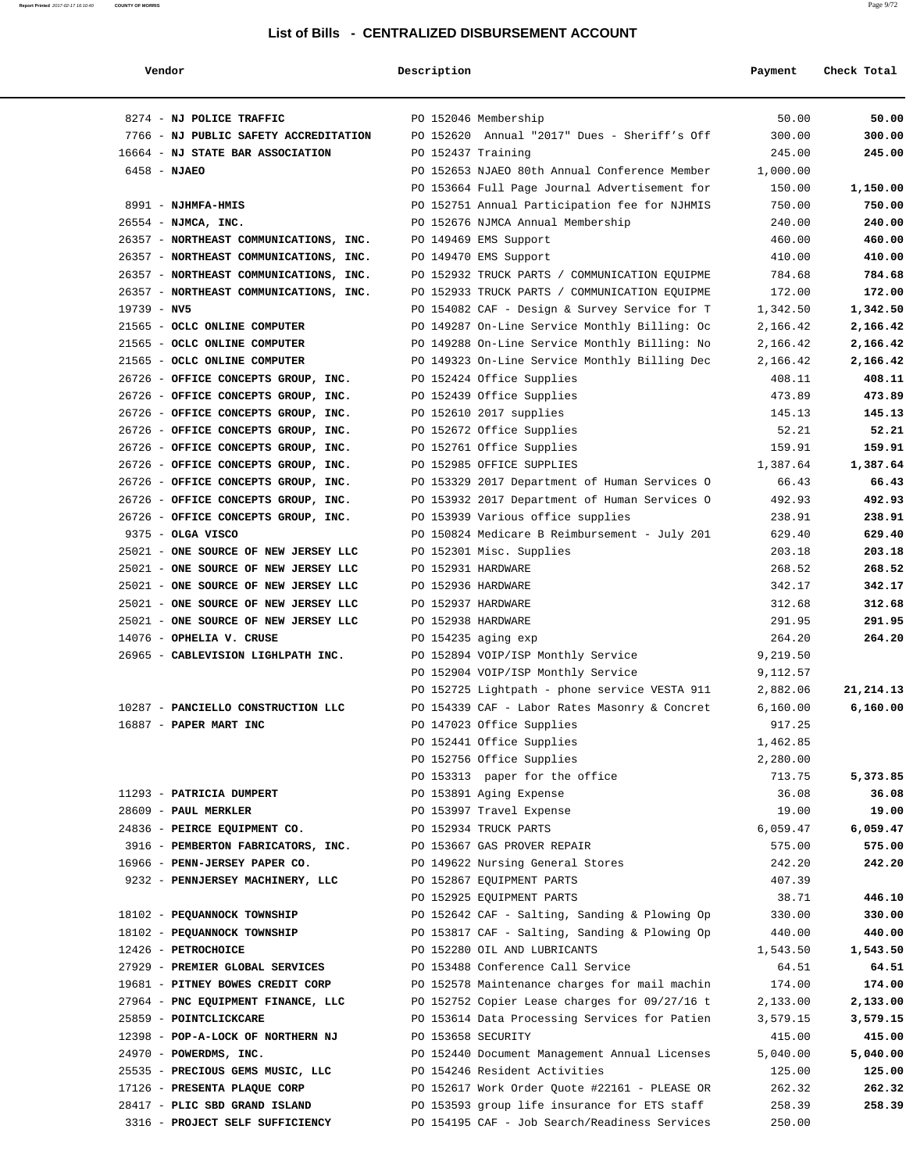| Vendor                                 | Description        |                                               | Payment  | Check Total |
|----------------------------------------|--------------------|-----------------------------------------------|----------|-------------|
| 8274 - NJ POLICE TRAFFIC               |                    | PO 152046 Membership                          | 50.00    | 50.00       |
| 7766 - NJ PUBLIC SAFETY ACCREDITATION  |                    | PO 152620 Annual "2017" Dues - Sheriff's Off  | 300.00   | 300.00      |
| 16664 - NJ STATE BAR ASSOCIATION       | PO 152437 Training |                                               | 245.00   | 245.00      |
| $6458 - NJAEO$                         |                    | PO 152653 NJAEO 80th Annual Conference Member | 1,000.00 |             |
|                                        |                    | PO 153664 Full Page Journal Advertisement for | 150.00   | 1,150.00    |
| 8991 - NJHMFA-HMIS                     |                    | PO 152751 Annual Participation fee for NJHMIS | 750.00   | 750.00      |
| 26554 - NJMCA, INC.                    |                    | PO 152676 NJMCA Annual Membership             | 240.00   | 240.00      |
| 26357 - NORTHEAST COMMUNICATIONS, INC. |                    | PO 149469 EMS Support                         | 460.00   | 460.00      |
| 26357 - NORTHEAST COMMUNICATIONS, INC. |                    | PO 149470 EMS Support                         | 410.00   | 410.00      |
| 26357 - NORTHEAST COMMUNICATIONS, INC. |                    | PO 152932 TRUCK PARTS / COMMUNICATION EQUIPME | 784.68   | 784.68      |
| 26357 - NORTHEAST COMMUNICATIONS, INC. |                    | PO 152933 TRUCK PARTS / COMMUNICATION EQUIPME | 172.00   | 172.00      |
| $19739 - NV5$                          |                    | PO 154082 CAF - Design & Survey Service for T | 1,342.50 | 1,342.50    |
| 21565 - OCLC ONLINE COMPUTER           |                    | PO 149287 On-Line Service Monthly Billing: Oc | 2,166.42 | 2,166.42    |
| 21565 - OCLC ONLINE COMPUTER           |                    | PO 149288 On-Line Service Monthly Billing: No | 2,166.42 | 2,166.42    |
| 21565 - OCLC ONLINE COMPUTER           |                    | PO 149323 On-Line Service Monthly Billing Dec | 2,166.42 | 2,166.42    |
| 26726 - OFFICE CONCEPTS GROUP, INC.    |                    |                                               |          | 408.11      |
|                                        |                    | PO 152424 Office Supplies                     | 408.11   |             |
| 26726 - OFFICE CONCEPTS GROUP, INC.    |                    | PO 152439 Office Supplies                     | 473.89   | 473.89      |
| 26726 - OFFICE CONCEPTS GROUP, INC.    |                    | PO 152610 2017 supplies                       | 145.13   | 145.13      |
| 26726 - OFFICE CONCEPTS GROUP, INC.    |                    | PO 152672 Office Supplies                     | 52.21    | 52.21       |
| 26726 - OFFICE CONCEPTS GROUP, INC.    |                    | PO 152761 Office Supplies                     | 159.91   | 159.91      |
| 26726 - OFFICE CONCEPTS GROUP, INC.    |                    | PO 152985 OFFICE SUPPLIES                     | 1,387.64 | 1,387.64    |
| 26726 - OFFICE CONCEPTS GROUP, INC.    |                    | PO 153329 2017 Department of Human Services O | 66.43    | 66.43       |
| 26726 - OFFICE CONCEPTS GROUP, INC.    |                    | PO 153932 2017 Department of Human Services O | 492.93   | 492.93      |
| 26726 - OFFICE CONCEPTS GROUP, INC.    |                    | PO 153939 Various office supplies             | 238.91   | 238.91      |
| 9375 - OLGA VISCO                      |                    | PO 150824 Medicare B Reimbursement - July 201 | 629.40   | 629.40      |
| 25021 - ONE SOURCE OF NEW JERSEY LLC   |                    | PO 152301 Misc. Supplies                      | 203.18   | 203.18      |
| 25021 - ONE SOURCE OF NEW JERSEY LLC   | PO 152931 HARDWARE |                                               | 268.52   | 268.52      |
| 25021 - ONE SOURCE OF NEW JERSEY LLC   |                    | PO 152936 HARDWARE                            | 342.17   | 342.17      |
| 25021 - ONE SOURCE OF NEW JERSEY LLC   |                    | PO 152937 HARDWARE                            | 312.68   | 312.68      |
| 25021 - ONE SOURCE OF NEW JERSEY LLC   |                    | PO 152938 HARDWARE                            | 291.95   | 291.95      |
| 14076 - OPHELIA V. CRUSE               |                    | PO 154235 aging exp                           | 264.20   | 264.20      |
| 26965 - CABLEVISION LIGHLPATH INC.     |                    | PO 152894 VOIP/ISP Monthly Service            | 9,219.50 |             |
|                                        |                    | PO 152904 VOIP/ISP Monthly Service            | 9,112.57 |             |
|                                        |                    | PO 152725 Lightpath - phone service VESTA 911 | 2,882.06 | 21, 214. 13 |
| 10287 - PANCIELLO CONSTRUCTION LLC     |                    | PO 154339 CAF - Labor Rates Masonry & Concret | 6,160.00 | 6,160.00    |
| $16887$ - PAPER MART INC               |                    | PO 147023 Office Supplies                     | 917.25   |             |
|                                        |                    | PO 152441 Office Supplies                     | 1,462.85 |             |
|                                        |                    | PO 152756 Office Supplies                     | 2,280.00 |             |
|                                        |                    | PO 153313 paper for the office                | 713.75   | 5,373.85    |
| 11293 - PATRICIA DUMPERT               |                    | PO 153891 Aging Expense                       | 36.08    | 36.08       |
| 28609 - PAUL MERKLER                   |                    | PO 153997 Travel Expense                      | 19.00    | 19.00       |
| 24836 - PEIRCE EQUIPMENT CO.           |                    | PO 152934 TRUCK PARTS                         | 6,059.47 | 6,059.47    |
| 3916 - PEMBERTON FABRICATORS, INC.     |                    | PO 153667 GAS PROVER REPAIR                   | 575.00   | 575.00      |
| 16966 - PENN-JERSEY PAPER CO.          |                    | PO 149622 Nursing General Stores              | 242.20   | 242.20      |
| 9232 - PENNJERSEY MACHINERY, LLC       |                    | PO 152867 EQUIPMENT PARTS                     | 407.39   |             |
|                                        |                    | PO 152925 EQUIPMENT PARTS                     | 38.71    | 446.10      |
| 18102 - PEQUANNOCK TOWNSHIP            |                    | PO 152642 CAF - Salting, Sanding & Plowing Op | 330.00   | 330.00      |
| 18102 - PEQUANNOCK TOWNSHIP            |                    | PO 153817 CAF - Salting, Sanding & Plowing Op |          |             |
|                                        |                    |                                               | 440.00   | 440.00      |
| 12426 - PETROCHOICE                    |                    | PO 152280 OIL AND LUBRICANTS                  | 1,543.50 | 1,543.50    |
| 27929 - PREMIER GLOBAL SERVICES        |                    | PO 153488 Conference Call Service             | 64.51    | 64.51       |
| 19681 - PITNEY BOWES CREDIT CORP       |                    | PO 152578 Maintenance charges for mail machin | 174.00   | 174.00      |
| 27964 - PNC EQUIPMENT FINANCE, LLC     |                    | PO 152752 Copier Lease charges for 09/27/16 t | 2,133.00 | 2,133.00    |
| 25859 - POINTCLICKCARE                 |                    | PO 153614 Data Processing Services for Patien | 3,579.15 | 3,579.15    |
| 12398 - POP-A-LOCK OF NORTHERN NJ      | PO 153658 SECURITY |                                               | 415.00   | 415.00      |
| 24970 - POWERDMS, INC.                 |                    | PO 152440 Document Management Annual Licenses | 5,040.00 | 5,040.00    |
| 25535 - PRECIOUS GEMS MUSIC, LLC       |                    | PO 154246 Resident Activities                 | 125.00   | 125.00      |
| 17126 - PRESENTA PLAQUE CORP           |                    | PO 152617 Work Order Quote #22161 - PLEASE OR | 262.32   | 262.32      |
| 28417 - PLIC SBD GRAND ISLAND          |                    | PO 153593 group life insurance for ETS staff  | 258.39   | 258.39      |
| 3316 - PROJECT SELF SUFFICIENCY        |                    | PO 154195 CAF - Job Search/Readiness Services | 250.00   |             |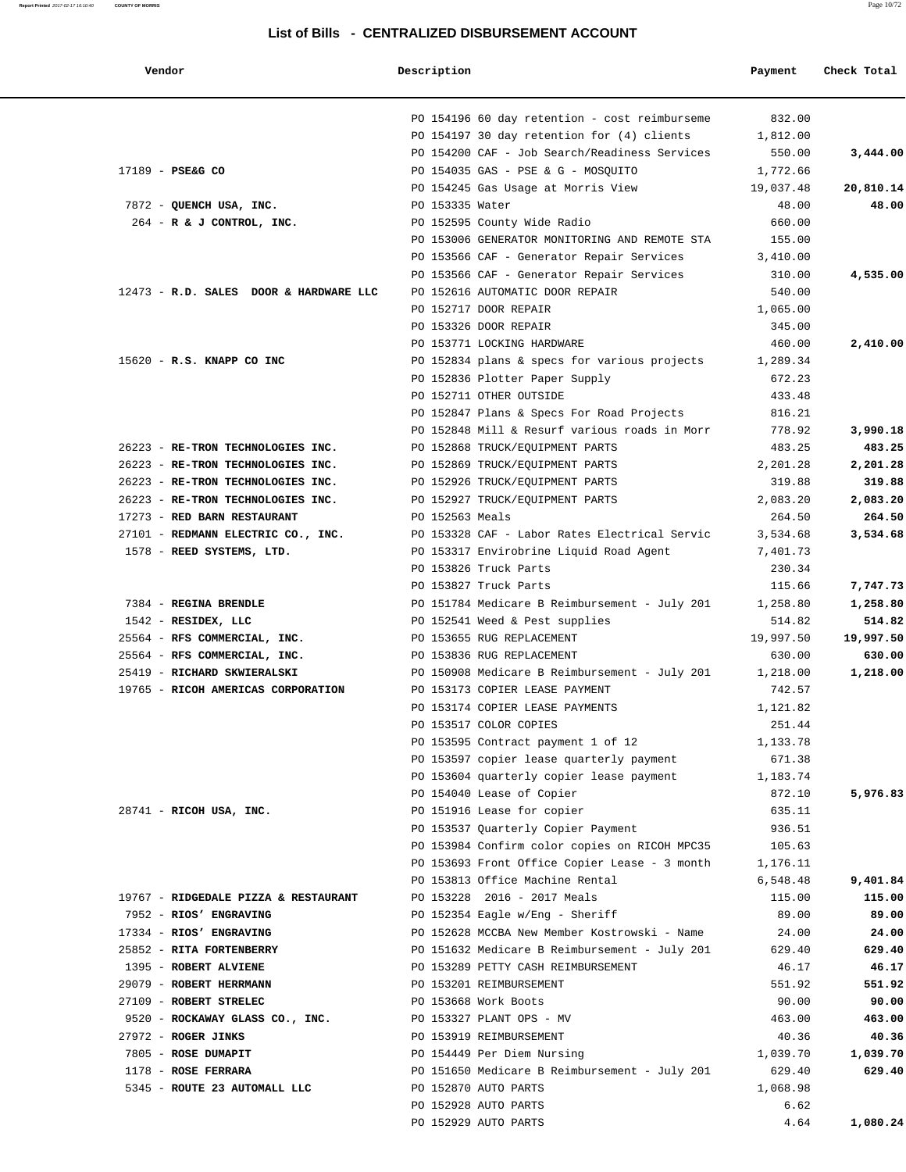| Vendor                                 | Description     |                                                         | Payment          | Check Total |
|----------------------------------------|-----------------|---------------------------------------------------------|------------------|-------------|
|                                        |                 | PO 154196 60 day retention - cost reimburseme           | 832.00           |             |
|                                        |                 | PO 154197 30 day retention for (4) clients              | 1,812.00         |             |
|                                        |                 | PO 154200 CAF - Job Search/Readiness Services           | 550.00           | 3,444.00    |
| 17189 - PSE&G CO                       |                 | PO 154035 GAS - PSE & G - MOSOUITO                      | 1,772.66         |             |
|                                        |                 | PO 154245 Gas Usage at Morris View                      | 19,037.48        | 20,810.14   |
| 7872 - QUENCH USA, INC.                | PO 153335 Water |                                                         | 48.00            | 48.00       |
| $264$ - R & J CONTROL, INC.            |                 | PO 152595 County Wide Radio                             | 660.00           |             |
|                                        |                 | PO 153006 GENERATOR MONITORING AND REMOTE STA           | 155.00           |             |
|                                        |                 | PO 153566 CAF - Generator Repair Services               | 3,410.00         |             |
|                                        |                 | PO 153566 CAF - Generator Repair Services               | 310.00           | 4,535.00    |
| 12473 - R.D. SALES DOOR & HARDWARE LLC |                 | PO 152616 AUTOMATIC DOOR REPAIR                         | 540.00           |             |
|                                        |                 | PO 152717 DOOR REPAIR                                   | 1,065.00         |             |
|                                        |                 | PO 153326 DOOR REPAIR                                   | 345.00           |             |
|                                        |                 | PO 153771 LOCKING HARDWARE                              | 460.00           | 2,410.00    |
| 15620 - R.S. KNAPP CO INC              |                 | PO 152834 plans & specs for various projects            | 1,289.34         |             |
|                                        |                 | PO 152836 Plotter Paper Supply                          | 672.23           |             |
|                                        |                 | PO 152711 OTHER OUTSIDE                                 | 433.48           |             |
|                                        |                 | PO 152847 Plans & Specs For Road Projects               | 816.21           |             |
|                                        |                 | PO 152848 Mill & Resurf various roads in Morr           | 778.92           | 3,990.18    |
| 26223 - RE-TRON TECHNOLOGIES INC.      |                 | PO 152868 TRUCK/EQUIPMENT PARTS                         | 483.25           | 483.25      |
| 26223 - RE-TRON TECHNOLOGIES INC.      |                 | PO 152869 TRUCK/EQUIPMENT PARTS                         | 2,201.28         | 2,201.28    |
| 26223 - RE-TRON TECHNOLOGIES INC.      |                 | PO 152926 TRUCK/EQUIPMENT PARTS                         | 319.88           | 319.88      |
| 26223 - RE-TRON TECHNOLOGIES INC.      |                 | PO 152927 TRUCK/EQUIPMENT PARTS                         | 2,083.20         | 2,083.20    |
| 17273 - RED BARN RESTAURANT            | PO 152563 Meals |                                                         | 264.50           | 264.50      |
| 27101 - REDMANN ELECTRIC CO., INC.     |                 | PO 153328 CAF - Labor Rates Electrical Servic           | 3,534.68         | 3,534.68    |
| 1578 - REED SYSTEMS, LTD.              |                 | PO 153317 Envirobrine Liquid Road Agent                 | 7,401.73         |             |
|                                        |                 | PO 153826 Truck Parts                                   | 230.34           |             |
|                                        |                 | PO 153827 Truck Parts                                   | 115.66           | 7,747.73    |
| 7384 - REGINA BRENDLE                  |                 | PO 151784 Medicare B Reimbursement - July 201           | 1,258.80         | 1,258.80    |
| $1542$ - RESIDEX, LLC                  |                 | PO 152541 Weed & Pest supplies                          | 514.82           | 514.82      |
| 25564 - RFS COMMERCIAL, INC.           |                 | PO 153655 RUG REPLACEMENT                               | 19,997.50        | 19,997.50   |
| 25564 - RFS COMMERCIAL, INC.           |                 | PO 153836 RUG REPLACEMENT                               | 630.00           | 630.00      |
| 25419 - RICHARD SKWIERALSKI            |                 | PO 150908 Medicare B Reimbursement - July 201           | 1,218.00         | 1,218.00    |
| 19765 - RICOH AMERICAS CORPORATION     |                 | PO 153173 COPIER LEASE PAYMENT                          | 742.57           |             |
|                                        |                 | PO 153174 COPIER LEASE PAYMENTS                         | 1,121.82         |             |
|                                        |                 | PO 153517 COLOR COPIES                                  | 251.44           |             |
|                                        |                 | PO 153595 Contract payment 1 of 12                      | 1,133.78         |             |
|                                        |                 | PO 153597 copier lease quarterly payment                | 671.38           |             |
|                                        |                 | PO 153604 quarterly copier lease payment                | 1,183.74         | 5,976.83    |
|                                        |                 | PO 154040 Lease of Copier<br>PO 151916 Lease for copier | 872.10           |             |
| 28741 - RICOH USA, INC.                |                 | PO 153537 Quarterly Copier Payment                      | 635.11<br>936.51 |             |
|                                        |                 | PO 153984 Confirm color copies on RICOH MPC35           | 105.63           |             |
|                                        |                 | PO 153693 Front Office Copier Lease - 3 month           | 1,176.11         |             |
|                                        |                 | PO 153813 Office Machine Rental                         | 6,548.48         | 9,401.84    |
| 19767 - RIDGEDALE PIZZA & RESTAURANT   |                 | PO 153228 2016 - 2017 Meals                             | 115.00           | 115.00      |
| 7952 - RIOS' ENGRAVING                 |                 | PO 152354 Eagle w/Eng - Sheriff                         | 89.00            | 89.00       |
| 17334 - RIOS' ENGRAVING                |                 | PO 152628 MCCBA New Member Kostrowski - Name            | 24.00            | 24.00       |
| 25852 - RITA FORTENBERRY               |                 | PO 151632 Medicare B Reimbursement - July 201           | 629.40           | 629.40      |
| 1395 - ROBERT ALVIENE                  |                 | PO 153289 PETTY CASH REIMBURSEMENT                      | 46.17            | 46.17       |
| 29079 - ROBERT HERRMANN                |                 | PO 153201 REIMBURSEMENT                                 | 551.92           | 551.92      |
| 27109 - ROBERT STRELEC                 |                 | PO 153668 Work Boots                                    | 90.00            | 90.00       |
| 9520 - ROCKAWAY GLASS CO., INC.        |                 | PO 153327 PLANT OPS - MV                                | 463.00           | 463.00      |
| 27972 - ROGER JINKS                    |                 | PO 153919 REIMBURSEMENT                                 | 40.36            | 40.36       |
| 7805 - ROSE DUMAPIT                    |                 | PO 154449 Per Diem Nursing                              | 1,039.70         | 1,039.70    |
| 1178 - ROSE FERRARA                    |                 | PO 151650 Medicare B Reimbursement - July 201           | 629.40           | 629.40      |
| 5345 - ROUTE 23 AUTOMALL LLC           |                 | PO 152870 AUTO PARTS                                    | 1,068.98         |             |
|                                        |                 | PO 152928 AUTO PARTS                                    | 6.62             |             |
|                                        |                 | PO 152929 AUTO PARTS                                    | 4.64             | 1,080.24    |
|                                        |                 |                                                         |                  |             |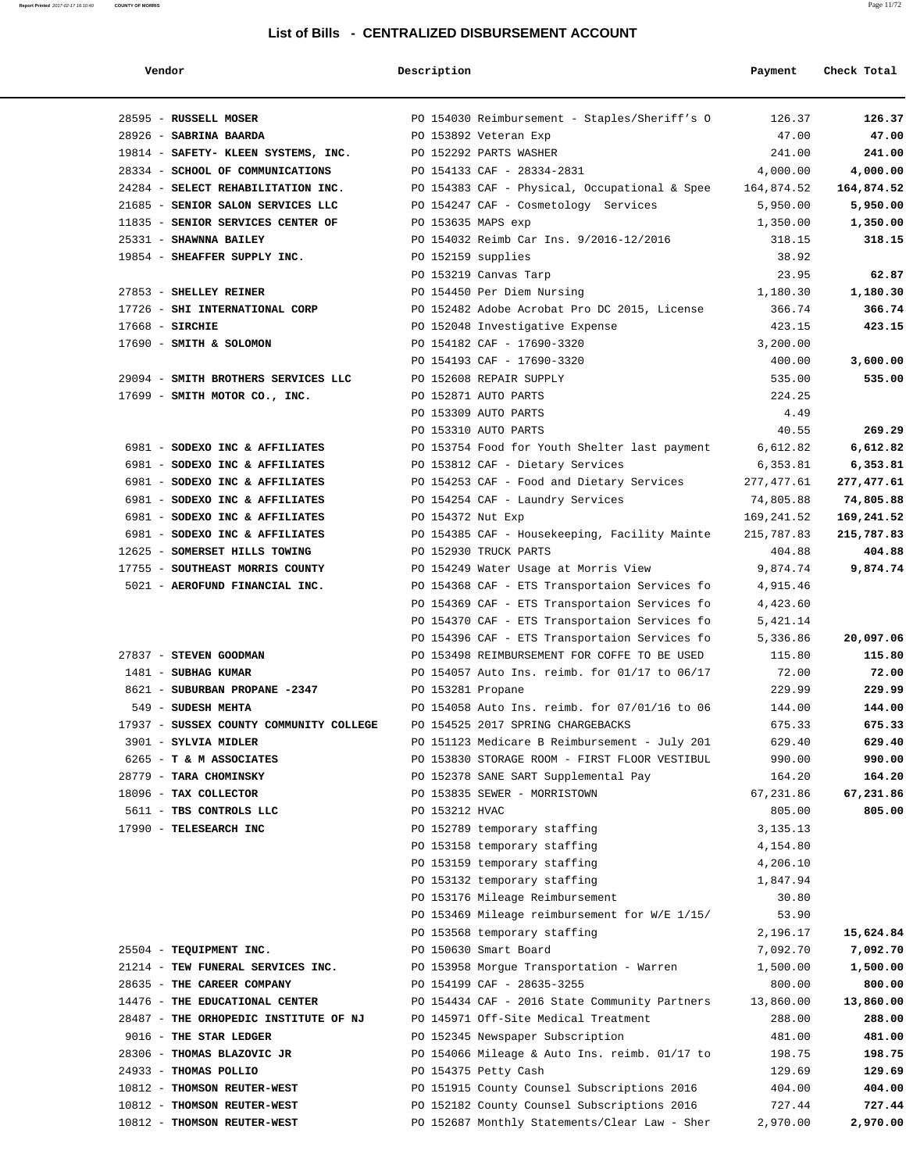| Vendor                                  | Description                                                  | Payment              | Check Total |
|-----------------------------------------|--------------------------------------------------------------|----------------------|-------------|
| 28595 - RUSSELL MOSER                   | PO 154030 Reimbursement - Staples/Sheriff's O                | 126.37               | 126.37      |
| 28926 - SABRINA BAARDA                  | PO 153892 Veteran Exp                                        | 47.00                | 47.00       |
| 19814 - SAFETY- KLEEN SYSTEMS, INC.     | PO 152292 PARTS WASHER                                       | 241.00               | 241.00      |
| 28334 - SCHOOL OF COMMUNICATIONS        | PO 154133 CAF - 28334-2831                                   | 4,000.00             | 4,000.00    |
| 24284 - SELECT REHABILITATION INC.      | PO 154383 CAF - Physical, Occupational & Spee $164,874.52$   |                      | 164,874.52  |
| 21685 - SENIOR SALON SERVICES LLC       | PO 154247 CAF - Cosmetology Services                         | 5,950.00             | 5,950.00    |
| 11835 - SENIOR SERVICES CENTER OF       | PO 153635 MAPS exp                                           | 1,350.00             | 1,350.00    |
| 25331 - SHAWNNA BAILEY                  | PO 154032 Reimb Car Ins. 9/2016-12/2016                      | 318.15               | 318.15      |
| 19854 - SHEAFFER SUPPLY INC.            | PO 152159 supplies                                           | 38.92                |             |
|                                         | PO 153219 Canvas Tarp                                        | 23.95                | 62.87       |
| 27853 - SHELLEY REINER                  | PO 154450 Per Diem Nursing                                   | 1,180.30             | 1,180.30    |
| 17726 - SHI INTERNATIONAL CORP          | PO 152482 Adobe Acrobat Pro DC 2015, License                 | 366.74               | 366.74      |
| $17668$ - SIRCHIE                       | PO 152048 Investigative Expense                              | 423.15               | 423.15      |
| 17690 - SMITH & SOLOMON                 | PO 154182 CAF - 17690-3320                                   | 3,200.00             |             |
|                                         | PO 154193 CAF - 17690-3320                                   | 400.00               | 3,600.00    |
| 29094 - SMITH BROTHERS SERVICES LLC     | PO 152608 REPAIR SUPPLY                                      | 535.00               | 535.00      |
| 17699 - SMITH MOTOR CO., INC.           | PO 152871 AUTO PARTS                                         | 224.25               |             |
|                                         | PO 153309 AUTO PARTS                                         | 4.49                 |             |
|                                         | PO 153310 AUTO PARTS                                         | 40.55                | 269.29      |
| 6981 - SODEXO INC & AFFILIATES          | PO 153754 Food for Youth Shelter last payment                | 6,612.82             | 6,612.82    |
| 6981 - SODEXO INC & AFFILIATES          | PO 153812 CAF - Dietary Services                             | 6,353.81             | 6,353.81    |
| 6981 - SODEXO INC & AFFILIATES          | PO 154253 CAF - Food and Dietary Services                    | 277,477.61           | 277,477.61  |
| 6981 - SODEXO INC & AFFILIATES          | PO 154254 CAF - Laundry Services                             | 74,805.88            | 74,805.88   |
| 6981 - SODEXO INC & AFFILIATES          | PO 154372 Nut Exp                                            | 169,241.52           | 169,241.52  |
| 6981 - SODEXO INC & AFFILIATES          | PO 154385 CAF - Housekeeping, Facility Mainte                | 215,787.83           | 215,787.83  |
| 12625 - SOMERSET HILLS TOWING           | PO 152930 TRUCK PARTS                                        | 404.88               | 404.88      |
| 17755 - SOUTHEAST MORRIS COUNTY         | PO 154249 Water Usage at Morris View                         | 9,874.74             | 9,874.74    |
| 5021 - AEROFUND FINANCIAL INC.          | PO 154368 CAF - ETS Transportaion Services fo                | 4,915.46             |             |
|                                         | PO 154369 CAF - ETS Transportaion Services fo                | 4,423.60             |             |
|                                         | PO 154370 CAF - ETS Transportaion Services fo                | 5,421.14             |             |
|                                         | PO 154396 CAF - ETS Transportaion Services fo                | 5,336.86             | 20,097.06   |
| 27837 - STEVEN GOODMAN                  | PO 153498 REIMBURSEMENT FOR COFFE TO BE USED                 | 115.80               | 115.80      |
| 1481 - SUBHAG KUMAR                     | PO 154057 Auto Ins. reimb. for 01/17 to 06/17                | 72.00                | 72.00       |
| 8621 - SUBURBAN PROPANE -2347           | PO 153281 Propane                                            | 229.99               | 229.99      |
| 549 - SUDESH MEHTA                      | PO 154058 Auto Ins. reimb. for 07/01/16 to 06                | 144.00               | 144.00      |
| 17937 - SUSSEX COUNTY COMMUNITY COLLEGE | PO 154525 2017 SPRING CHARGEBACKS                            | 675.33               | 675.33      |
| 3901 - SYLVIA MIDLER                    | PO 151123 Medicare B Reimbursement - July 201                | 629.40               | 629.40      |
| 6265 - T & M ASSOCIATES                 | PO 153830 STORAGE ROOM - FIRST FLOOR VESTIBUL                | 990.00               | 990.00      |
| 28779 - TARA CHOMINSKY                  | PO 152378 SANE SART Supplemental Pay                         | 164.20               | 164.20      |
| 18096 - TAX COLLECTOR                   | PO 153835 SEWER - MORRISTOWN                                 | 67,231.86            | 67,231.86   |
| 5611 - TBS CONTROLS LLC                 | PO 153212 HVAC                                               | 805.00               | 805.00      |
| 17990 - TELESEARCH INC                  | PO 152789 temporary staffing                                 | 3, 135. 13           |             |
|                                         | PO 153158 temporary staffing<br>PO 153159 temporary staffing | 4,154.80<br>4,206.10 |             |
|                                         | PO 153132 temporary staffing                                 | 1,847.94             |             |
|                                         | PO 153176 Mileage Reimbursement                              | 30.80                |             |
|                                         | PO 153469 Mileage reimbursement for W/E 1/15/                | 53.90                |             |
|                                         | PO 153568 temporary staffing                                 | 2,196.17             | 15,624.84   |
| 25504 - TEQUIPMENT INC.                 | PO 150630 Smart Board                                        | 7,092.70             | 7,092.70    |
| 21214 - TEW FUNERAL SERVICES INC.       | PO 153958 Morgue Transportation - Warren                     | 1,500.00             | 1,500.00    |
| 28635 - THE CAREER COMPANY              | PO 154199 CAF - 28635-3255                                   | 800.00               | 800.00      |
| 14476 - THE EDUCATIONAL CENTER          | PO 154434 CAF - 2016 State Community Partners                | 13,860.00            | 13,860.00   |
| 28487 - THE ORHOPEDIC INSTITUTE OF NJ   | PO 145971 Off-Site Medical Treatment                         | 288.00               | 288.00      |
| 9016 - THE STAR LEDGER                  | PO 152345 Newspaper Subscription                             | 481.00               | 481.00      |
| 28306 - THOMAS BLAZOVIC JR              | PO 154066 Mileage & Auto Ins. reimb. 01/17 to                | 198.75               | 198.75      |
| 24933 - THOMAS POLLIO                   | PO 154375 Petty Cash                                         | 129.69               | 129.69      |
| 10812 - THOMSON REUTER-WEST             | PO 151915 County Counsel Subscriptions 2016                  | 404.00               | 404.00      |
| 10812 - THOMSON REUTER-WEST             | PO 152182 County Counsel Subscriptions 2016                  | 727.44               | 727.44      |
| 10812 - THOMSON REUTER-WEST             | PO 152687 Monthly Statements/Clear Law - Sher                | 2,970.00             | 2,970.00    |
|                                         |                                                              |                      |             |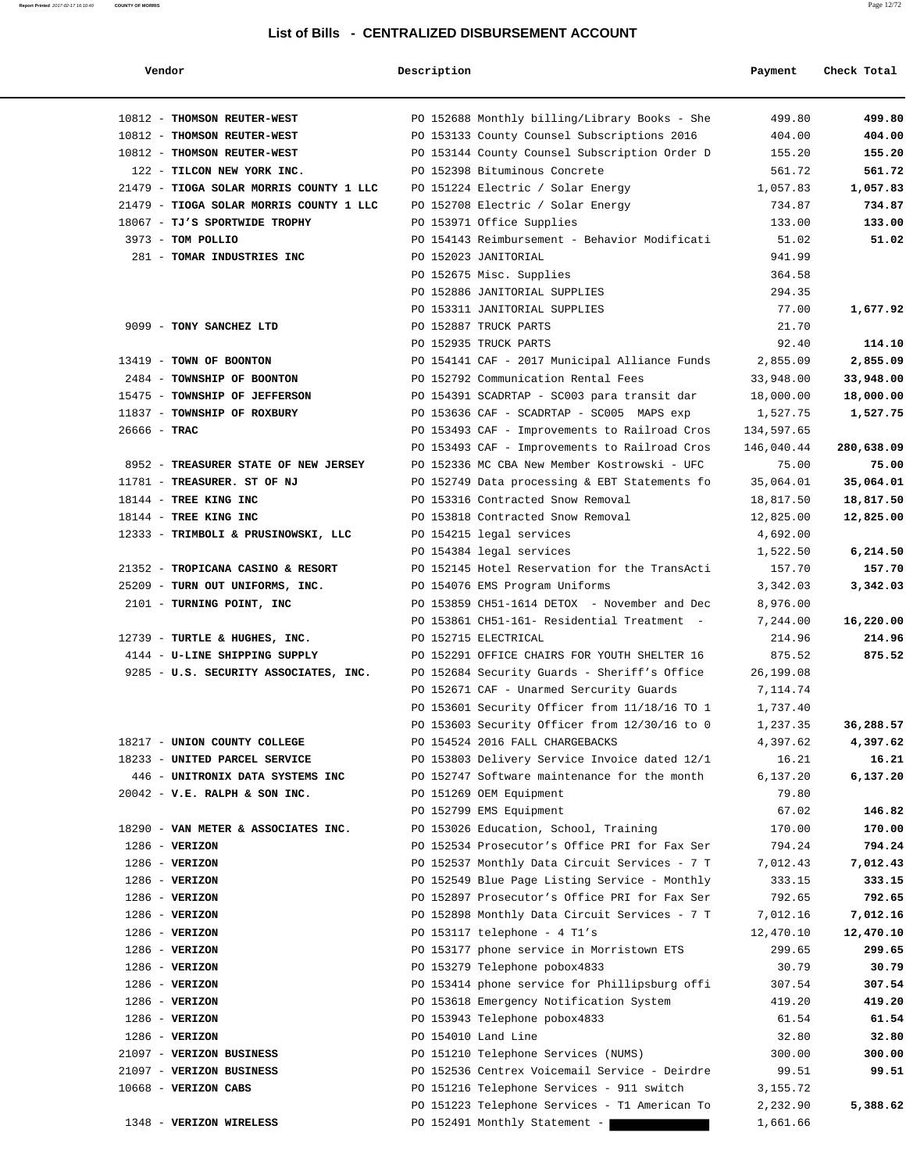| Vendor                                  | Description                                                               | Payment            | Check Total        |
|-----------------------------------------|---------------------------------------------------------------------------|--------------------|--------------------|
| 10812 - THOMSON REUTER-WEST             | PO 152688 Monthly billing/Library Books - She                             | 499.80             | 499.80             |
| 10812 - THOMSON REUTER-WEST             | PO 153133 County Counsel Subscriptions 2016                               | 404.00             | 404.00             |
| 10812 - THOMSON REUTER-WEST             | PO 153144 County Counsel Subscription Order D                             | 155.20             | 155.20             |
| 122 - TILCON NEW YORK INC.              | PO 152398 Bituminous Concrete                                             | 561.72             | 561.72             |
| 21479 - TIOGA SOLAR MORRIS COUNTY 1 LLC | PO 151224 Electric / Solar Energy                                         | 1,057.83           | 1,057.83           |
| 21479 - TIOGA SOLAR MORRIS COUNTY 1 LLC | PO 152708 Electric / Solar Energy                                         | 734.87             | 734.87             |
| 18067 - TJ'S SPORTWIDE TROPHY           | PO 153971 Office Supplies                                                 | 133.00             | 133.00             |
| 3973 - TOM POLLIO                       | PO 154143 Reimbursement - Behavior Modificati                             | 51.02              | 51.02              |
| 281 - TOMAR INDUSTRIES INC              | PO 152023 JANITORIAL                                                      | 941.99             |                    |
|                                         | PO 152675 Misc. Supplies                                                  | 364.58             |                    |
|                                         | PO 152886 JANITORIAL SUPPLIES                                             | 294.35             |                    |
|                                         | PO 153311 JANITORIAL SUPPLIES                                             | 77.00              | 1,677.92           |
| 9099 - TONY SANCHEZ LTD                 | PO 152887 TRUCK PARTS                                                     | 21.70              |                    |
|                                         | PO 152935 TRUCK PARTS                                                     | 92.40              | 114.10             |
| 13419 - TOWN OF BOONTON                 | PO 154141 CAF - 2017 Municipal Alliance Funds                             | 2,855.09           | 2,855.09           |
| 2484 - TOWNSHIP OF BOONTON              | PO 152792 Communication Rental Fees                                       | 33,948.00          | 33,948.00          |
| 15475 - TOWNSHIP OF JEFFERSON           | PO 154391 SCADRTAP - SC003 para transit dar                               | 18,000.00          | 18,000.00          |
| 11837 - TOWNSHIP OF ROXBURY             | PO 153636 CAF - SCADRTAP - SC005 MAPS exp                                 | 1,527.75           | 1,527.75           |
| $26666 - TRAC$                          | PO 153493 CAF - Improvements to Railroad Cros                             | 134,597.65         |                    |
|                                         | PO 153493 CAF - Improvements to Railroad Cros                             | 146,040.44         | 280,638.09         |
| 8952 - TREASURER STATE OF NEW JERSEY    | PO 152336 MC CBA New Member Kostrowski - UFC                              | 75.00              | 75.00              |
| 11781 - TREASURER. ST OF NJ             | PO 152749 Data processing & EBT Statements fo                             | 35,064.01          | 35,064.01          |
| 18144 - TREE KING INC                   | PO 153316 Contracted Snow Removal                                         | 18,817.50          | 18,817.50          |
| 18144 - TREE KING INC                   | PO 153818 Contracted Snow Removal                                         | 12,825.00          | 12,825.00          |
| 12333 - TRIMBOLI & PRUSINOWSKI, LLC     | PO 154215 legal services                                                  | 4,692.00           |                    |
| 21352 - TROPICANA CASINO & RESORT       | PO 154384 legal services<br>PO 152145 Hotel Reservation for the TransActi | 1,522.50<br>157.70 | 6,214.50<br>157.70 |
| 25209 - TURN OUT UNIFORMS, INC.         | PO 154076 EMS Program Uniforms                                            | 3,342.03           | 3,342.03           |
| 2101 - TURNING POINT, INC               | PO 153859 CH51-1614 DETOX - November and Dec                              | 8,976.00           |                    |
|                                         | PO 153861 CH51-161- Residential Treatment -                               | 7,244.00           | 16,220.00          |
| 12739 - TURTLE & HUGHES, INC.           | PO 152715 ELECTRICAL                                                      | 214.96             | 214.96             |
| 4144 - U-LINE SHIPPING SUPPLY           | PO 152291 OFFICE CHAIRS FOR YOUTH SHELTER 16                              | 875.52             | 875.52             |
| 9285 - U.S. SECURITY ASSOCIATES, INC.   | PO 152684 Security Guards - Sheriff's Office                              | 26,199.08          |                    |
|                                         | PO 152671 CAF - Unarmed Sercurity Guards                                  | 7,114.74           |                    |
|                                         | PO 153601 Security Officer from 11/18/16 TO 1                             | 1,737.40           |                    |
|                                         | PO 153603 Security Officer from 12/30/16 to 0                             | 1,237.35           | 36,288.57          |
| 18217 - UNION COUNTY COLLEGE            | PO 154524 2016 FALL CHARGEBACKS                                           | 4,397.62           | 4,397.62           |
| 18233 - UNITED PARCEL SERVICE           | PO 153803 Delivery Service Invoice dated 12/1                             | 16.21              | 16.21              |
| 446 - UNITRONIX DATA SYSTEMS INC        | PO 152747 Software maintenance for the month                              | 6,137.20           | 6,137.20           |
| $20042$ - V.E. RALPH & SON INC.         | PO 151269 OEM Equipment                                                   | 79.80              |                    |
|                                         | PO 152799 EMS Equipment                                                   | 67.02              | 146.82             |
| 18290 - VAN METER & ASSOCIATES INC.     | PO 153026 Education, School, Training                                     | 170.00             | 170.00             |
| $1286$ - VERIZON                        | PO 152534 Prosecutor's Office PRI for Fax Ser                             | 794.24             | 794.24             |
| $1286 - VERIZON$                        | PO 152537 Monthly Data Circuit Services - 7 T                             | 7,012.43           | 7,012.43           |
| $1286$ - VERIZON                        | PO 152549 Blue Page Listing Service - Monthly                             | 333.15             | 333.15             |
| $1286$ - VERIZON                        | PO 152897 Prosecutor's Office PRI for Fax Ser                             | 792.65             | 792.65             |
| $1286$ - VERIZON                        | PO 152898 Monthly Data Circuit Services - 7 T                             | 7,012.16           | 7,012.16           |
| $1286$ - VERIZON                        | PO 153117 telephone - $4$ Tl's                                            | 12,470.10          | 12,470.10          |
| $1286$ - VERIZON                        | PO 153177 phone service in Morristown ETS                                 | 299.65             | 299.65             |
| $1286$ - VERIZON                        | PO 153279 Telephone pobox4833                                             | 30.79              | 30.79              |
| $1286$ - VERIZON                        | PO 153414 phone service for Phillipsburg offi                             | 307.54             | 307.54             |
| $1286 - VERIZON$                        | PO 153618 Emergency Notification System                                   | 419.20             | 419.20             |
| $1286 - VERIZON$                        | PO 153943 Telephone pobox4833                                             | 61.54              | 61.54              |
| $1286$ - VERIZON                        | PO 154010 Land Line                                                       | 32.80              | 32.80              |
| 21097 - VERIZON BUSINESS                | PO 151210 Telephone Services (NUMS)                                       | 300.00             | 300.00             |
| 21097 - VERIZON BUSINESS                | PO 152536 Centrex Voicemail Service - Deirdre                             | 99.51              | 99.51              |
| $10668$ - VERIZON CABS                  | PO 151216 Telephone Services - 911 switch                                 | 3,155.72           |                    |
|                                         | PO 151223 Telephone Services - T1 American To                             | 2,232.90           | 5,388.62           |
| 1348 - VERIZON WIRELESS                 | PO 152491 Monthly Statement -                                             | 1,661.66           |                    |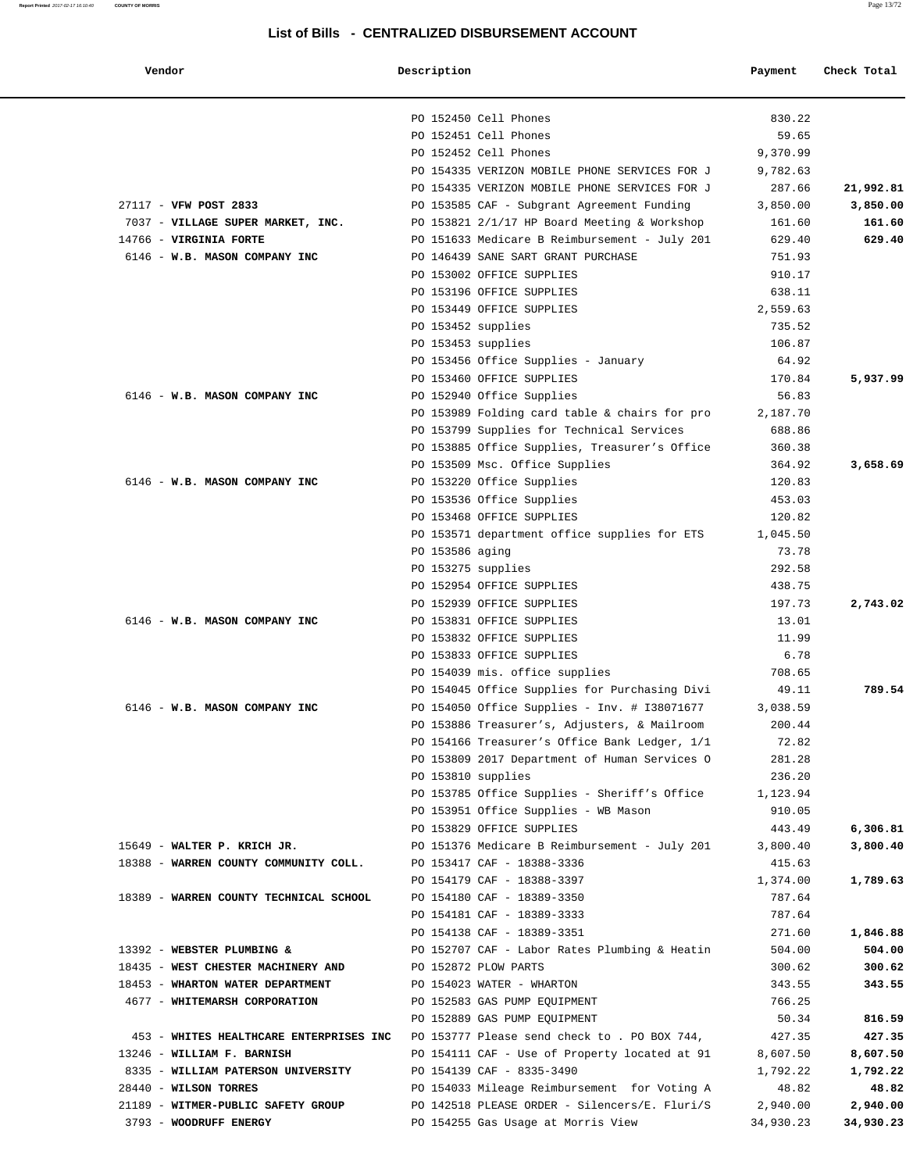| Vendor                                                                               | Description     |                                               | Payment   | Check Total |
|--------------------------------------------------------------------------------------|-----------------|-----------------------------------------------|-----------|-------------|
|                                                                                      |                 | PO 152450 Cell Phones                         | 830.22    |             |
|                                                                                      |                 | PO 152451 Cell Phones                         | 59.65     |             |
|                                                                                      |                 | PO 152452 Cell Phones                         | 9,370.99  |             |
|                                                                                      |                 | PO 154335 VERIZON MOBILE PHONE SERVICES FOR J | 9,782.63  |             |
|                                                                                      |                 | PO 154335 VERIZON MOBILE PHONE SERVICES FOR J | 287.66    | 21,992.81   |
| 27117 - VFW POST 2833                                                                |                 | PO 153585 CAF - Subgrant Agreement Funding    | 3,850.00  | 3,850.00    |
| 7037 - VILLAGE SUPER MARKET, INC.                                                    |                 | PO 153821 2/1/17 HP Board Meeting & Workshop  | 161.60    | 161.60      |
| 14766 - VIRGINIA FORTE                                                               |                 | PO 151633 Medicare B Reimbursement - July 201 | 629.40    | 629.40      |
| 6146 - W.B. MASON COMPANY INC                                                        |                 | PO 146439 SANE SART GRANT PURCHASE            | 751.93    |             |
|                                                                                      |                 | PO 153002 OFFICE SUPPLIES                     | 910.17    |             |
|                                                                                      |                 | PO 153196 OFFICE SUPPLIES                     | 638.11    |             |
|                                                                                      |                 | PO 153449 OFFICE SUPPLIES                     | 2,559.63  |             |
|                                                                                      |                 | PO 153452 supplies                            | 735.52    |             |
|                                                                                      |                 | PO 153453 supplies                            | 106.87    |             |
|                                                                                      |                 | PO 153456 Office Supplies - January           | 64.92     |             |
|                                                                                      |                 | PO 153460 OFFICE SUPPLIES                     | 170.84    | 5,937.99    |
| 6146 - W.B. MASON COMPANY INC                                                        |                 | PO 152940 Office Supplies                     | 56.83     |             |
|                                                                                      |                 | PO 153989 Folding card table & chairs for pro | 2,187.70  |             |
|                                                                                      |                 | PO 153799 Supplies for Technical Services     | 688.86    |             |
|                                                                                      |                 | PO 153885 Office Supplies, Treasurer's Office | 360.38    |             |
|                                                                                      |                 | PO 153509 Msc. Office Supplies                | 364.92    | 3,658.69    |
| 6146 - W.B. MASON COMPANY INC                                                        |                 | PO 153220 Office Supplies                     | 120.83    |             |
|                                                                                      |                 | PO 153536 Office Supplies                     | 453.03    |             |
|                                                                                      |                 | PO 153468 OFFICE SUPPLIES                     | 120.82    |             |
|                                                                                      |                 | PO 153571 department office supplies for ETS  | 1,045.50  |             |
|                                                                                      | PO 153586 aging |                                               | 73.78     |             |
|                                                                                      |                 | PO 153275 supplies                            | 292.58    |             |
|                                                                                      |                 | PO 152954 OFFICE SUPPLIES                     | 438.75    |             |
|                                                                                      |                 | PO 152939 OFFICE SUPPLIES                     | 197.73    | 2,743.02    |
| 6146 - W.B. MASON COMPANY INC                                                        |                 | PO 153831 OFFICE SUPPLIES                     | 13.01     |             |
|                                                                                      |                 | PO 153832 OFFICE SUPPLIES                     | 11.99     |             |
|                                                                                      |                 | PO 153833 OFFICE SUPPLIES                     | 6.78      |             |
|                                                                                      |                 | PO 154039 mis. office supplies                | 708.65    |             |
|                                                                                      |                 | PO 154045 Office Supplies for Purchasing Divi | 49.11     | 789.54      |
| 6146 - W.B. MASON COMPANY INC                                                        |                 | PO 154050 Office Supplies - Inv. # I38071677  | 3,038.59  |             |
|                                                                                      |                 | PO 153886 Treasurer's, Adjusters, & Mailroom  | 200.44    |             |
|                                                                                      |                 | PO 154166 Treasurer's Office Bank Ledger, 1/1 | 72.82     |             |
|                                                                                      |                 | PO 153809 2017 Department of Human Services O | 281.28    |             |
|                                                                                      |                 | PO 153810 supplies                            | 236.20    |             |
|                                                                                      |                 | PO 153785 Office Supplies - Sheriff's Office  | 1,123.94  |             |
|                                                                                      |                 | PO 153951 Office Supplies - WB Mason          | 910.05    |             |
|                                                                                      |                 | PO 153829 OFFICE SUPPLIES                     | 443.49    | 6,306.81    |
| 15649 - WALTER P. KRICH JR.                                                          |                 | PO 151376 Medicare B Reimbursement - July 201 | 3,800.40  | 3,800.40    |
| 18388 - WARREN COUNTY COMMUNITY COLL.                                                |                 | PO 153417 CAF - 18388-3336                    | 415.63    |             |
|                                                                                      |                 | PO 154179 CAF - 18388-3397                    | 1,374.00  | 1,789.63    |
| 18389 - WARREN COUNTY TECHNICAL SCHOOL                                               |                 | PO 154180 CAF - 18389-3350                    | 787.64    |             |
|                                                                                      |                 | PO 154181 CAF - 18389-3333                    | 787.64    |             |
|                                                                                      |                 | PO 154138 CAF - 18389-3351                    | 271.60    | 1,846.88    |
| 13392 - WEBSTER PLUMBING &                                                           |                 | PO 152707 CAF - Labor Rates Plumbing & Heatin | 504.00    | 504.00      |
| 18435 - WEST CHESTER MACHINERY AND                                                   |                 | PO 152872 PLOW PARTS                          | 300.62    | 300.62      |
| 18453 - WHARTON WATER DEPARTMENT                                                     |                 | PO 154023 WATER - WHARTON                     | 343.55    | 343.55      |
| 4677 - WHITEMARSH CORPORATION                                                        |                 | PO 152583 GAS PUMP EQUIPMENT                  | 766.25    |             |
|                                                                                      |                 | PO 152889 GAS PUMP EQUIPMENT                  | 50.34     | 816.59      |
| 453 - WHITES HEALTHCARE ENTERPRISES INC PO 153777 Please send check to . PO BOX 744, |                 |                                               | 427.35    | 427.35      |
| 13246 - WILLIAM F. BARNISH                                                           |                 | PO 154111 CAF - Use of Property located at 91 | 8,607.50  | 8,607.50    |
| 8335 - WILLIAM PATERSON UNIVERSITY                                                   |                 | PO 154139 CAF - 8335-3490                     | 1,792.22  | 1,792.22    |
| 28440 - WILSON TORRES                                                                |                 | PO 154033 Mileage Reimbursement for Voting A  | 48.82     | 48.82       |
| 21189 - WITMER-PUBLIC SAFETY GROUP                                                   |                 | PO 142518 PLEASE ORDER - Silencers/E. Fluri/S | 2,940.00  | 2,940.00    |
| 3793 - WOODRUFF ENERGY                                                               |                 | PO 154255 Gas Usage at Morris View            | 34,930.23 | 34,930.23   |
|                                                                                      |                 |                                               |           |             |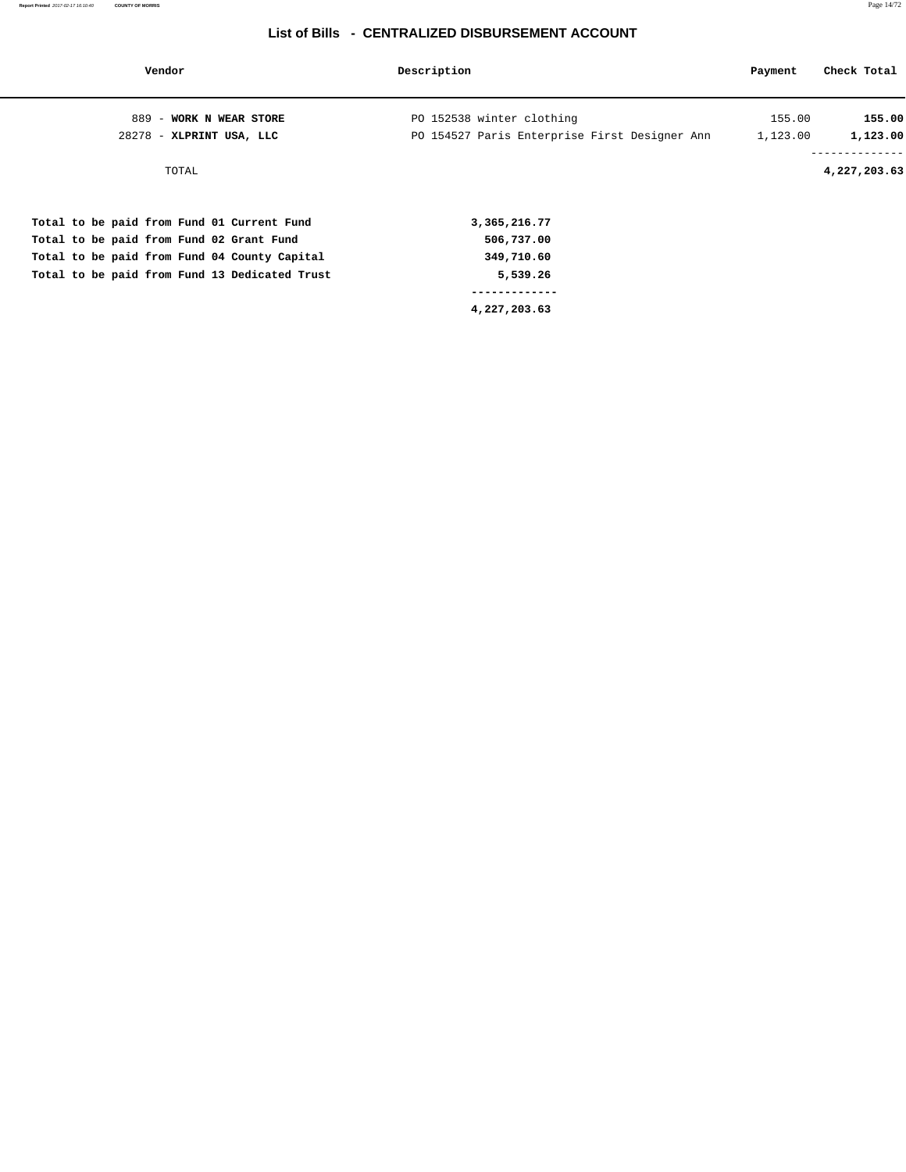| Vendor                                        | Description                                   | Payment  | Check Total  |
|-----------------------------------------------|-----------------------------------------------|----------|--------------|
| 889 - WORK N WEAR STORE                       | PO 152538 winter clothing                     | 155.00   | 155.00       |
| 28278 - XLPRINT USA, LLC                      | PO 154527 Paris Enterprise First Designer Ann | 1,123.00 | 1,123.00     |
| TOTAL                                         |                                               |          | 4,227,203.63 |
| Total to be paid from Fund 01 Current Fund    | 3,365,216.77                                  |          |              |
| Total to be paid from Fund 02 Grant Fund      | 506,737.00                                    |          |              |
| Total to be paid from Fund 04 County Capital  | 349,710.60                                    |          |              |
| Total to be paid from Fund 13 Dedicated Trust | 5,539.26                                      |          |              |
|                                               |                                               |          |              |
|                                               | 4,227,203.63                                  |          |              |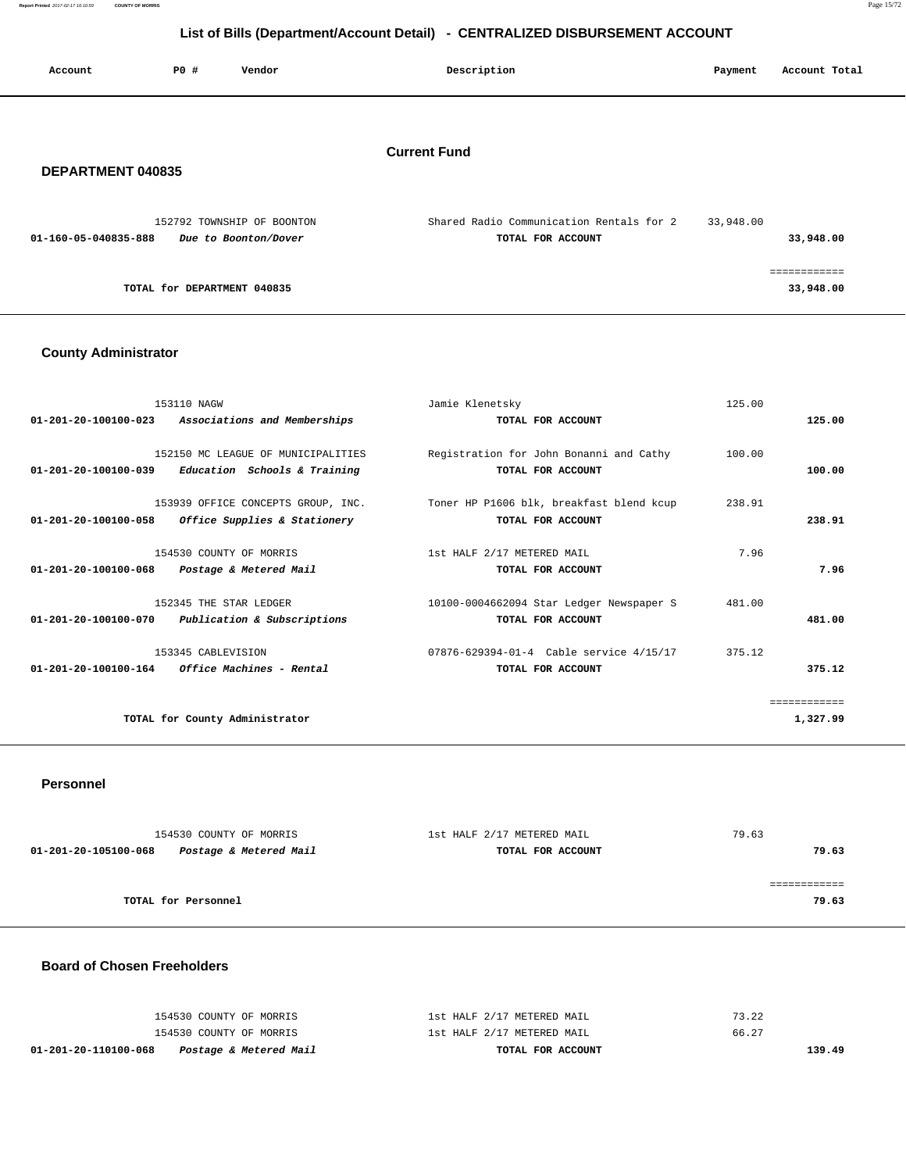**Report Printed** 2017-02-17 16:10:59 **COUNTY OF MORRIS** Page 15/72

# **List of Bills (Department/Account Detail) - CENTRALIZED DISBURSEMENT ACCOUNT**

| Account              | PO# | Vendor                                             | Description                                                   | Payment   | Account Total |
|----------------------|-----|----------------------------------------------------|---------------------------------------------------------------|-----------|---------------|
|                      |     |                                                    | <b>Current Fund</b>                                           |           |               |
| DEPARTMENT 040835    |     |                                                    |                                                               |           |               |
| 01-160-05-040835-888 |     | 152792 TOWNSHIP OF BOONTON<br>Due to Boonton/Dover | Shared Radio Communication Rentals for 2<br>TOTAL FOR ACCOUNT | 33,948.00 | 33,948.00     |
|                      |     |                                                    |                                                               |           | ============  |

**TOTAL for DEPARTMENT 040835 33,948.00**

# **County Administrator**

| 153110 NAGW          |                                                         | Jamie Klenetsky                                                             | 125.00 |              |
|----------------------|---------------------------------------------------------|-----------------------------------------------------------------------------|--------|--------------|
|                      | 01-201-20-100100-023 Associations and Memberships       | TOTAL FOR ACCOUNT                                                           |        | 125.00       |
|                      |                                                         |                                                                             |        |              |
|                      | 152150 MC LEAGUE OF MUNICIPALITIES                      | Registration for John Bonanni and Cathy                                     | 100.00 |              |
|                      | $01-201-20-100100-039$ Education Schools & Training     | TOTAL FOR ACCOUNT                                                           |        | 100.00       |
|                      |                                                         | 153939 OFFICE CONCEPTS GROUP, INC. Toner HP P1606 blk, breakfast blend kcup | 238.91 |              |
| 01-201-20-100100-058 | Office Supplies & Stationery                            | TOTAL FOR ACCOUNT                                                           |        | 238.91       |
|                      |                                                         |                                                                             |        |              |
|                      | 154530 COUNTY OF MORRIS                                 | 1st HALF 2/17 METERED MAIL                                                  | 7.96   |              |
| 01-201-20-100100-068 | Postage & Metered Mail                                  | TOTAL FOR ACCOUNT                                                           |        | 7.96         |
|                      | 152345 THE STAR LEDGER                                  | 10100-0004662094 Star Ledger Newspaper S                                    | 481.00 |              |
|                      | 01-201-20-100100-070 Publication & Subscriptions        | TOTAL FOR ACCOUNT                                                           |        | 481.00       |
|                      |                                                         |                                                                             |        |              |
|                      | 153345 CABLEVISION                                      | 07876-629394-01-4 Cable service 4/15/17                                     | 375.12 |              |
|                      | $01 - 201 - 20 - 100100 - 164$ Office Machines - Rental | TOTAL FOR ACCOUNT                                                           |        | 375.12       |
|                      |                                                         |                                                                             |        |              |
|                      |                                                         |                                                                             |        | ============ |
|                      | TOTAL for County Administrator                          |                                                                             |        | 1,327.99     |
|                      |                                                         |                                                                             |        |              |

### **Personnel**

| 154530 COUNTY OF MORRIS |                        | 1st HALF 2/17 METERED MAIL | 79.63 |
|-------------------------|------------------------|----------------------------|-------|
| 01-201-20-105100-068    | Postage & Metered Mail | TOTAL FOR ACCOUNT          | 79.63 |
|                         |                        |                            |       |
|                         |                        |                            |       |
|                         | TOTAL for Personnel    |                            | 79.63 |
|                         |                        |                            |       |

### **Board of Chosen Freeholders**

| 01-201-20-110100-068<br>Postage & Metered Mail | TOTAL FOR ACCOUNT          | 139.49 |
|------------------------------------------------|----------------------------|--------|
| 154530 COUNTY OF MORRIS                        | 1st HALF 2/17 METERED MAIL | 66.27  |
| 154530 COUNTY OF MORRIS                        | 1st HALF 2/17 METERED MAIL | 73.22  |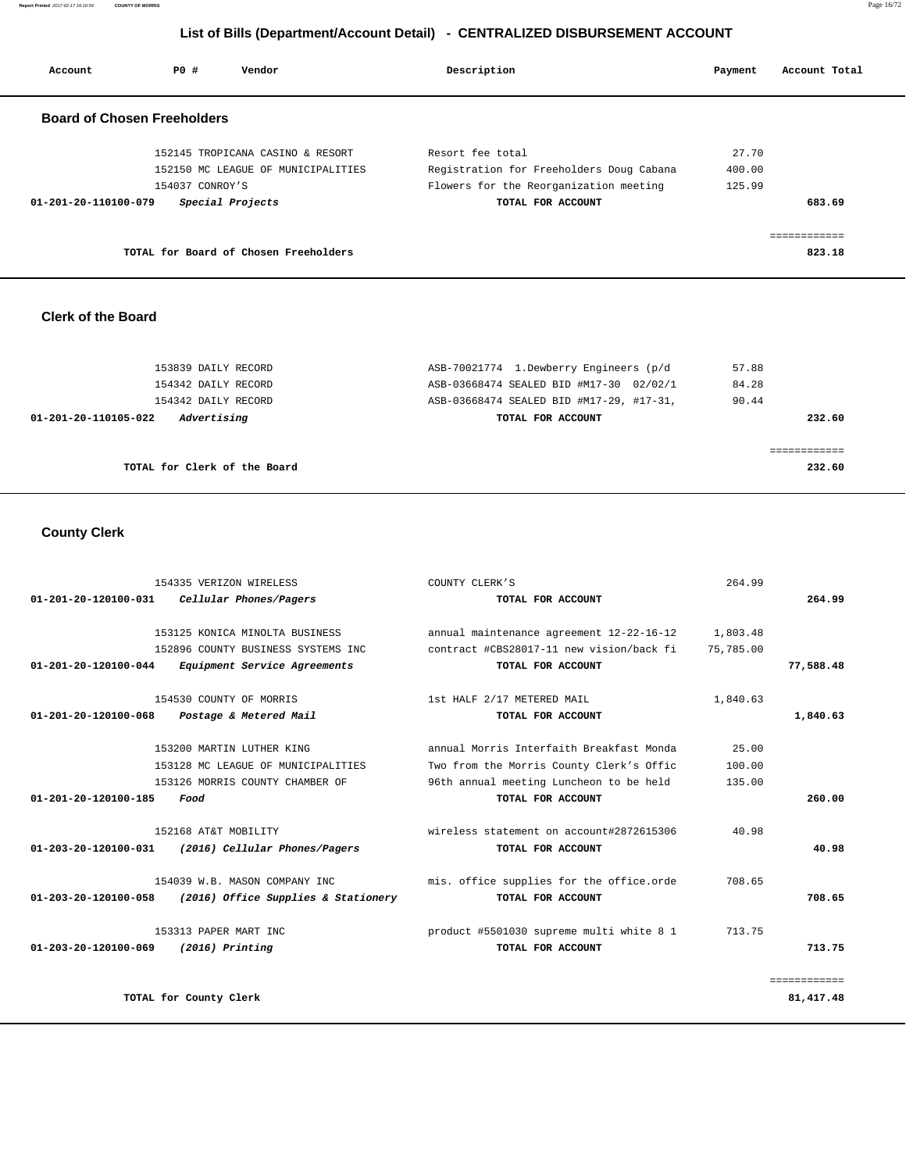**Report Printed** 2017-02-17 16:10:59 **COUNTY OF MORRIS** Page 16/72

# **List of Bills (Department/Account Detail) - CENTRALIZED DISBURSEMENT ACCOUNT**

| Account              | PO#                                | Vendor                                | Description                              | Payment | Account Total |
|----------------------|------------------------------------|---------------------------------------|------------------------------------------|---------|---------------|
|                      | <b>Board of Chosen Freeholders</b> |                                       |                                          |         |               |
|                      |                                    | 152145 TROPICANA CASINO & RESORT      | Resort fee total                         | 27.70   |               |
|                      |                                    | 152150 MC LEAGUE OF MUNICIPALITIES    | Registration for Freeholders Doug Cabana | 400.00  |               |
|                      | 154037 CONROY'S                    |                                       | Flowers for the Reorganization meeting   | 125.99  |               |
| 01-201-20-110100-079 |                                    | Special Projects                      | TOTAL FOR ACCOUNT                        |         | 683.69        |
|                      |                                    |                                       |                                          |         | eeeeeeeee     |
|                      |                                    | TOTAL for Board of Chosen Freeholders |                                          |         | 823.18        |

### **Clerk of the Board**

| 153839 DAILY RECORD                 | ASB-70021774 1.Dewberry Engineers (p/d   | 57.88  |
|-------------------------------------|------------------------------------------|--------|
| 154342 DAILY RECORD                 | ASB-03668474 SEALED BID #M17-30 02/02/1  | 84.28  |
| 154342 DAILY RECORD                 | ASB-03668474 SEALED BID #M17-29, #17-31, | 90.44  |
| Advertising<br>01-201-20-110105-022 | TOTAL FOR ACCOUNT                        | 232.60 |
|                                     |                                          |        |
|                                     |                                          |        |
| TOTAL for Clerk of the Board        |                                          | 232.60 |

# **County Clerk**

| $01 - 201 - 20 - 120100 - 031$         | 154335 VERIZON WIRELESS<br>Cellular Phones/Pagers                                                    | COUNTY CLERK'S<br>TOTAL FOR ACCOUNT                                                                                                                  | 264.99                    | 264.99                      |
|----------------------------------------|------------------------------------------------------------------------------------------------------|------------------------------------------------------------------------------------------------------------------------------------------------------|---------------------------|-----------------------------|
| 01-201-20-120100-044                   | 153125 KONICA MINOLTA BUSINESS<br>152896 COUNTY BUSINESS SYSTEMS INC<br>Equipment Service Agreements | annual maintenance agreement 12-22-16-12<br>contract #CBS28017-11 new vision/back fi<br>TOTAL FOR ACCOUNT                                            | 1,803.48<br>75,785.00     | 77,588.48                   |
| $01 - 201 - 20 - 120100 - 068$         | 154530 COUNTY OF MORRIS<br>Postage & Metered Mail                                                    | 1st HALF 2/17 METERED MAIL<br>TOTAL FOR ACCOUNT                                                                                                      | 1,840.63                  | 1,840.63                    |
| $01 - 201 - 20 - 120100 - 185$<br>Food | 153200 MARTIN LUTHER KING<br>153128 MC LEAGUE OF MUNICIPALITIES<br>153126 MORRIS COUNTY CHAMBER OF   | annual Morris Interfaith Breakfast Monda<br>Two from the Morris County Clerk's Offic<br>96th annual meeting Luncheon to be held<br>TOTAL FOR ACCOUNT | 25.00<br>100.00<br>135.00 | 260.00                      |
| $01 - 203 - 20 - 120100 - 031$         | 152168 AT&T MOBILITY<br>(2016) Cellular Phones/Pagers                                                | wireless statement on account#2872615306<br>TOTAL FOR ACCOUNT                                                                                        | 40.98                     | 40.98                       |
| 01-203-20-120100-058                   | 154039 W.B. MASON COMPANY INC<br>(2016) Office Supplies & Stationery                                 | mis. office supplies for the office.orde<br>TOTAL FOR ACCOUNT                                                                                        | 708.65                    | 708.65                      |
| $01 - 203 - 20 - 120100 - 069$         | 153313 PAPER MART INC<br>$(2016)$ Printing                                                           | product #5501030 supreme multi white 8 1<br>TOTAL FOR ACCOUNT                                                                                        | 713.75                    | 713.75                      |
| TOTAL for County Clerk                 |                                                                                                      |                                                                                                                                                      |                           | ============<br>81, 417. 48 |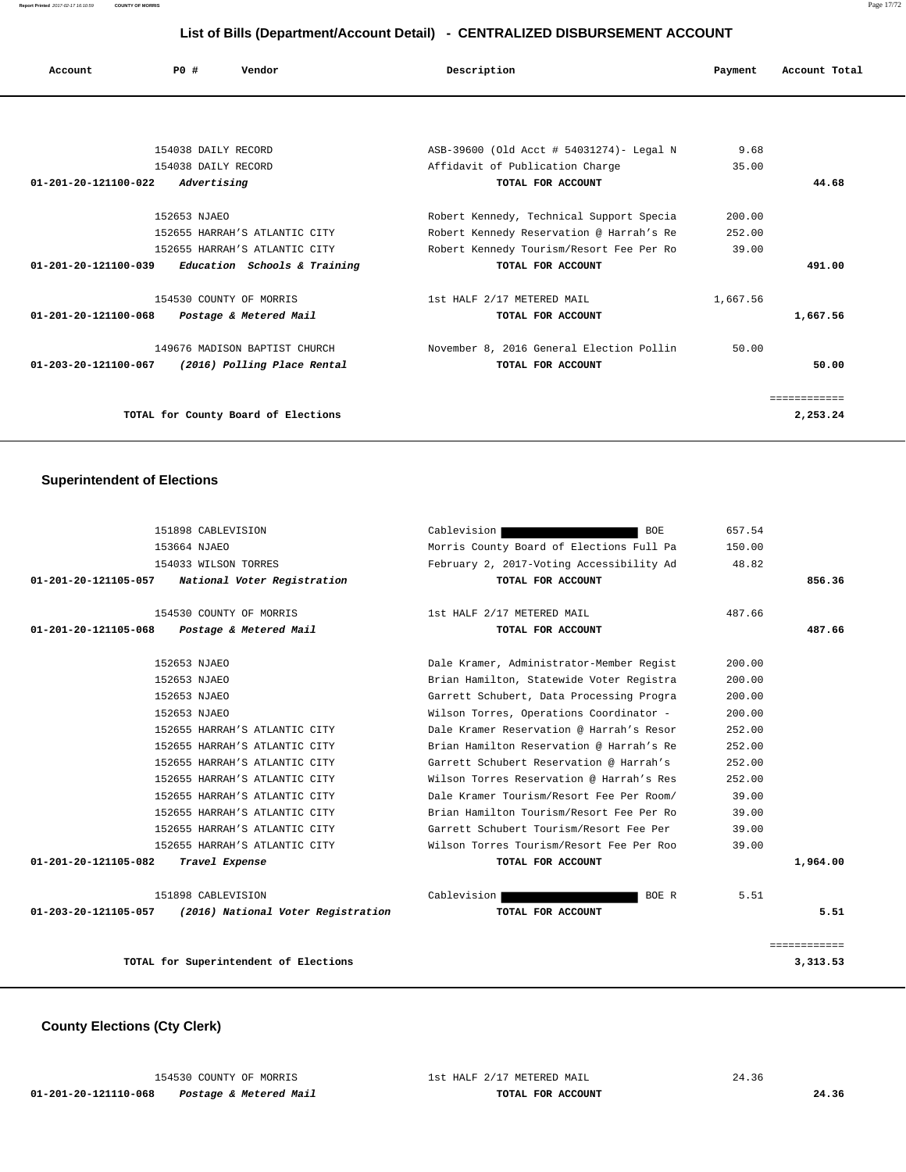## **List of Bills (Department/Account Detail) - CENTRALIZED DISBURSEMENT ACCOUNT**

| Account              | PO#                     | Vendor                              | Description                              | Payment  | Account Total |
|----------------------|-------------------------|-------------------------------------|------------------------------------------|----------|---------------|
|                      |                         |                                     |                                          |          |               |
|                      | 154038 DAILY RECORD     |                                     | ASB-39600 (Old Acct # 54031274)- Legal N | 9.68     |               |
|                      | 154038 DAILY RECORD     |                                     | Affidavit of Publication Charge          | 35.00    |               |
| 01-201-20-121100-022 | Advertising             |                                     | TOTAL FOR ACCOUNT                        |          | 44.68         |
|                      | 152653 NJAEO            |                                     | Robert Kennedy, Technical Support Specia | 200.00   |               |
|                      |                         | 152655 HARRAH'S ATLANTIC CITY       | Robert Kennedy Reservation @ Harrah's Re | 252.00   |               |
|                      |                         | 152655 HARRAH'S ATLANTIC CITY       | Robert Kennedy Tourism/Resort Fee Per Ro | 39.00    |               |
| 01-201-20-121100-039 |                         | Education Schools & Training        | TOTAL FOR ACCOUNT                        |          | 491.00        |
|                      | 154530 COUNTY OF MORRIS |                                     | 1st HALF 2/17 METERED MAIL               | 1,667.56 |               |
| 01-201-20-121100-068 |                         | Postage & Metered Mail              | TOTAL FOR ACCOUNT                        |          | 1,667.56      |
|                      |                         | 149676 MADISON BAPTIST CHURCH       | November 8, 2016 General Election Pollin | 50.00    |               |
| 01-203-20-121100-067 |                         | (2016) Polling Place Rental         | TOTAL FOR ACCOUNT                        |          | 50.00         |
|                      |                         |                                     |                                          |          | ============  |
|                      |                         | TOTAL for County Board of Elections |                                          |          | 2,253.24      |

# **Superintendent of Elections**

| 151898 CABLEVISION                                         | <b>BOE</b><br>Cablevision                | 657.54 |              |
|------------------------------------------------------------|------------------------------------------|--------|--------------|
| 153664 NJAEO                                               | Morris County Board of Elections Full Pa | 150.00 |              |
| 154033 WILSON TORRES                                       | February 2, 2017-Voting Accessibility Ad | 48.82  |              |
| National Voter Registration<br>01-201-20-121105-057        | TOTAL FOR ACCOUNT                        |        | 856.36       |
| 154530 COUNTY OF MORRIS                                    | 1st HALF 2/17 METERED MAIL               | 487.66 |              |
| 01-201-20-121105-068<br>Postage & Metered Mail             | TOTAL FOR ACCOUNT                        |        | 487.66       |
| 152653 NJAEO                                               | Dale Kramer, Administrator-Member Regist | 200.00 |              |
| 152653 NJAEO                                               | Brian Hamilton, Statewide Voter Registra | 200.00 |              |
| 152653 NJAEO                                               | Garrett Schubert, Data Processing Progra | 200.00 |              |
| 152653 NJAEO                                               | Wilson Torres, Operations Coordinator -  | 200.00 |              |
| 152655 HARRAH'S ATLANTIC CITY                              | Dale Kramer Reservation @ Harrah's Resor | 252.00 |              |
| 152655 HARRAH'S ATLANTIC CITY                              | Brian Hamilton Reservation @ Harrah's Re | 252.00 |              |
| 152655 HARRAH'S ATLANTIC CITY                              | Garrett Schubert Reservation @ Harrah's  | 252.00 |              |
| 152655 HARRAH'S ATLANTIC CITY                              | Wilson Torres Reservation @ Harrah's Res | 252.00 |              |
| 152655 HARRAH'S ATLANTIC CITY                              | Dale Kramer Tourism/Resort Fee Per Room/ | 39.00  |              |
| 152655 HARRAH'S ATLANTIC CITY                              | Brian Hamilton Tourism/Resort Fee Per Ro | 39.00  |              |
| 152655 HARRAH'S ATLANTIC CITY                              | Garrett Schubert Tourism/Resort Fee Per  | 39.00  |              |
| 152655 HARRAH'S ATLANTIC CITY                              | Wilson Torres Tourism/Resort Fee Per Roo | 39.00  |              |
| 01-201-20-121105-082<br>Travel Expense                     | TOTAL FOR ACCOUNT                        |        | 1,964.00     |
| 151898 CABLEVISION                                         | Cablevision<br>BOE R                     | 5.51   |              |
| 01-203-20-121105-057<br>(2016) National Voter Registration | TOTAL FOR ACCOUNT                        |        | 5.51         |
|                                                            |                                          |        | ============ |
| TOTAL for Superintendent of Elections                      |                                          |        | 3,313.53     |

# **County Elections (Cty Clerk)**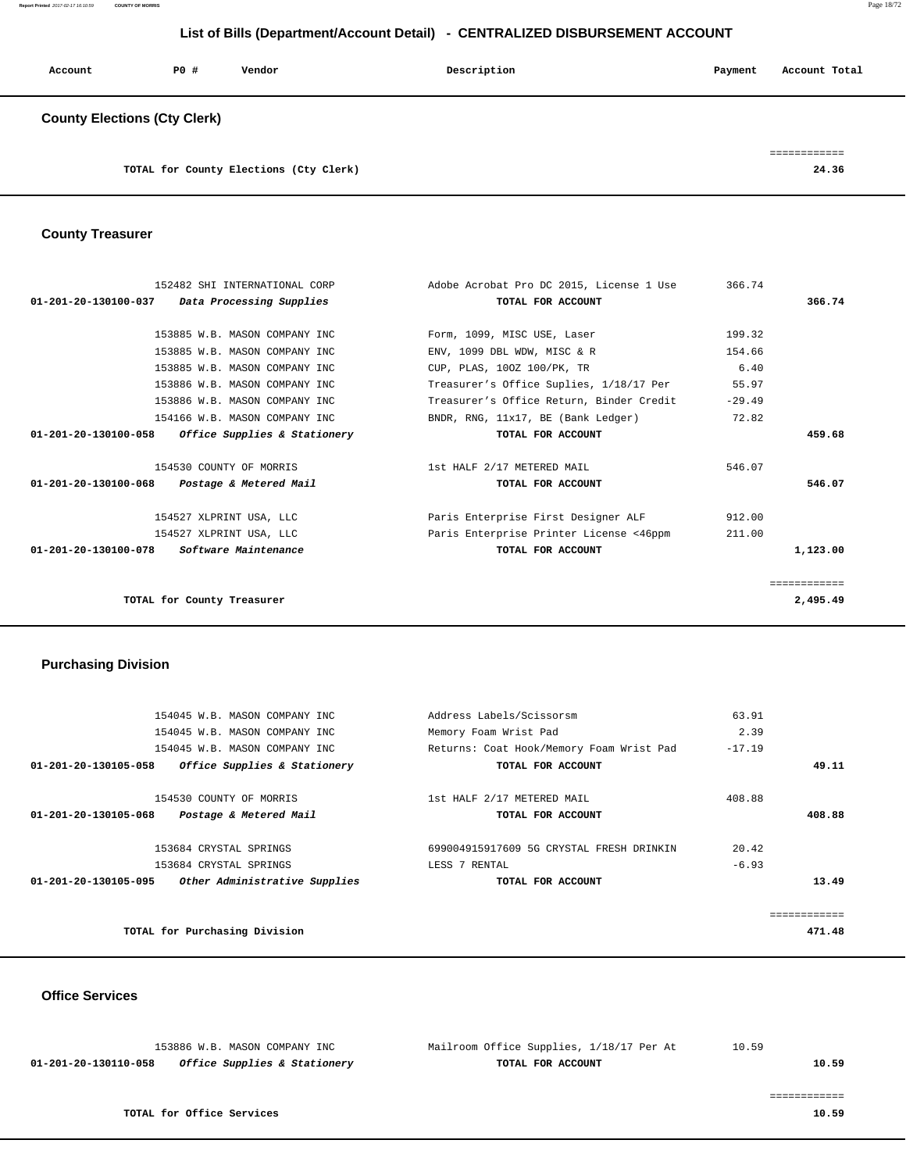**Report Printed** 2017-02-17 16:10:59 **COUNTY OF MORRIS** Page 18/72

# **List of Bills (Department/Account Detail) - CENTRALIZED DISBURSEMENT ACCOUNT**

| Account                             | PO# | Vendor                                 | Description | Payment | Account Total |
|-------------------------------------|-----|----------------------------------------|-------------|---------|---------------|
| <b>County Elections (Cty Clerk)</b> |     |                                        |             |         |               |
|                                     |     |                                        |             |         |               |
|                                     |     | TOTAL for County Elections (Cty Clerk) |             |         | 24.36         |

# **County Treasurer**

| 152482 SHI INTERNATIONAL CORP                     | Adobe Acrobat Pro DC 2015, License 1 Use | 366.74       |
|---------------------------------------------------|------------------------------------------|--------------|
| 01-201-20-130100-037 Data Processing Supplies     | TOTAL FOR ACCOUNT                        | 366.74       |
|                                                   |                                          |              |
| 153885 W.B. MASON COMPANY INC                     | Form, 1099, MISC USE, Laser              | 199.32       |
| 153885 W.B. MASON COMPANY INC                     | ENV, 1099 DBL WDW, MISC & R              | 154.66       |
| 153885 W.B. MASON COMPANY INC                     | CUP, PLAS, 100Z 100/PK, TR               | 6.40         |
| 153886 W.B. MASON COMPANY INC                     | Treasurer's Office Suplies, 1/18/17 Per  | 55.97        |
| 153886 W.B. MASON COMPANY INC                     | Treasurer's Office Return, Binder Credit | $-29.49$     |
| 154166 W.B. MASON COMPANY INC                     | BNDR, RNG, 11x17, BE (Bank Ledger)       | 72.82        |
| 01-201-20-130100-058 Office Supplies & Stationery | TOTAL FOR ACCOUNT                        | 459.68       |
| 154530 COUNTY OF MORRIS                           | 1st HALF 2/17 METERED MAIL               | 546.07       |
| 01-201-20-130100-068<br>Postage & Metered Mail    | TOTAL FOR ACCOUNT                        | 546.07       |
| 154527 XLPRINT USA, LLC                           | Paris Enterprise First Designer ALF      | 912.00       |
| 154527 XLPRINT USA, LLC                           | Paris Enterprise Printer License <46ppm  | 211.00       |
| 01-201-20-130100-078 Software Maintenance         | TOTAL FOR ACCOUNT                        | 1,123.00     |
|                                                   |                                          | ============ |
| TOTAL for County Treasurer                        |                                          | 2,495.49     |
|                                                   |                                          |              |

# **Purchasing Division**

|                      | 154045 W.B. MASON COMPANY INC | Address Labels/Scissorsm                 | 63.91    |        |
|----------------------|-------------------------------|------------------------------------------|----------|--------|
|                      | 154045 W.B. MASON COMPANY INC | Memory Foam Wrist Pad                    | 2.39     |        |
|                      | 154045 W.B. MASON COMPANY INC | Returns: Coat Hook/Memory Foam Wrist Pad | $-17.19$ |        |
| 01-201-20-130105-058 | Office Supplies & Stationery  | TOTAL FOR ACCOUNT                        |          | 49.11  |
|                      |                               |                                          |          |        |
|                      | 154530 COUNTY OF MORRIS       | 1st HALF 2/17 METERED MAIL               | 408.88   |        |
| 01-201-20-130105-068 | Postage & Metered Mail        | TOTAL FOR ACCOUNT                        |          | 408.88 |
|                      |                               |                                          |          |        |
|                      | 153684 CRYSTAL SPRINGS        | 699004915917609 5G CRYSTAL FRESH DRINKIN | 20.42    |        |
|                      | 153684 CRYSTAL SPRINGS        | LESS 7 RENTAL                            | $-6.93$  |        |
| 01-201-20-130105-095 | Other Administrative Supplies | TOTAL FOR ACCOUNT                        |          | 13.49  |
|                      |                               |                                          |          |        |
|                      |                               |                                          |          |        |
|                      | TOTAL for Purchasing Division |                                          |          | 471.48 |
|                      |                               |                                          |          |        |

### **Office Services**

|                                                                 | 153886 W.B. MASON COMPANY INC | Mailroom Office Supplies, 1/18/17 Per At | 10.59 |
|-----------------------------------------------------------------|-------------------------------|------------------------------------------|-------|
| <i>Office Supplies &amp; Stationery</i><br>01-201-20-130110-058 |                               | TOTAL FOR ACCOUNT                        | 10.59 |
|                                                                 |                               |                                          |       |
|                                                                 |                               |                                          |       |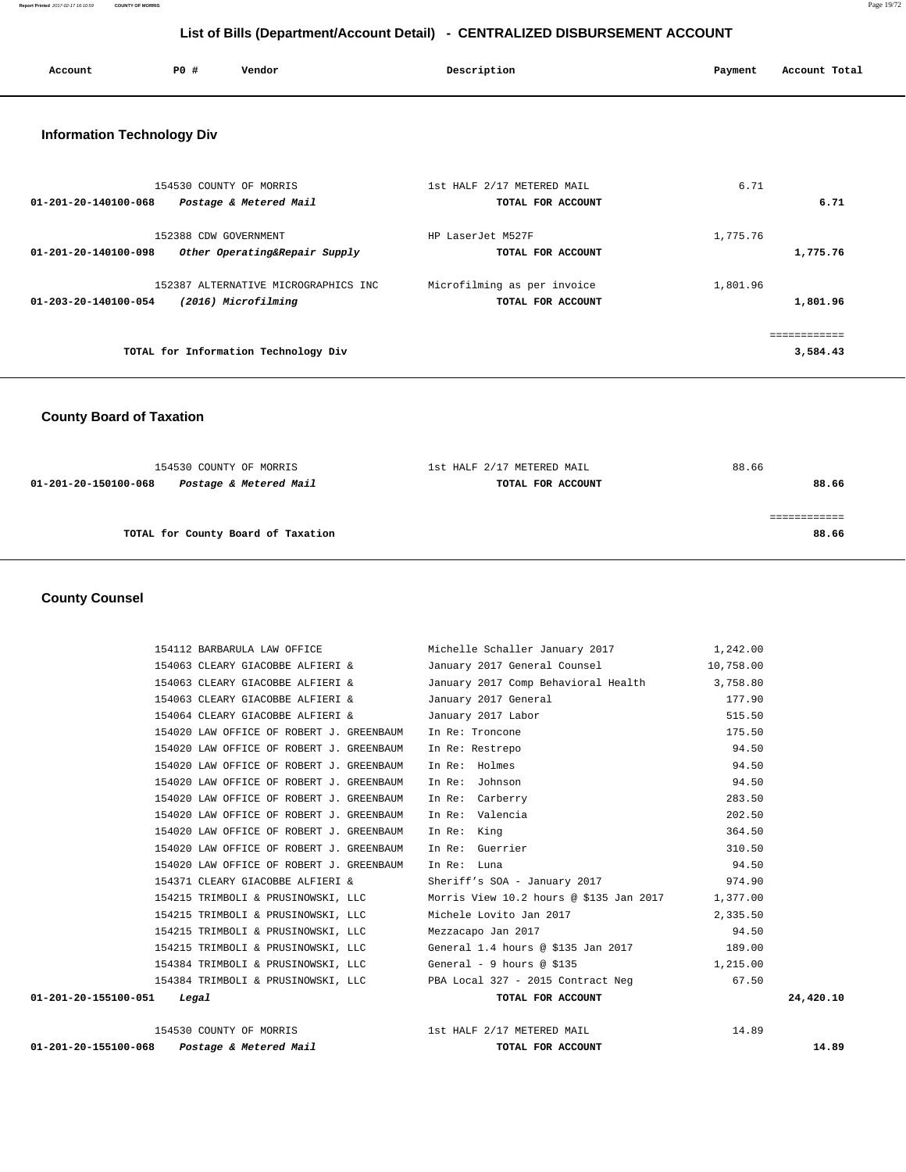**Report Printed** 2017-02-17 16:10:59 **COUNTY OF MORRIS** Page 19/72

# **List of Bills (Department/Account Detail) - CENTRALIZED DISBURSEMENT ACCOUNT**

| Account                           | P0 #<br>Vendor                       | Description                 | Account Total<br>Payment |
|-----------------------------------|--------------------------------------|-----------------------------|--------------------------|
| <b>Information Technology Div</b> |                                      |                             |                          |
|                                   | 154530 COUNTY OF MORRIS              | 1st HALF 2/17 METERED MAIL  | 6.71                     |
| $01 - 201 - 20 - 140100 - 068$    | Postage & Metered Mail               | TOTAL FOR ACCOUNT           | 6.71                     |
|                                   | 152388 CDW GOVERNMENT                | HP LaserJet M527F           | 1,775.76                 |
| $01 - 201 - 20 - 140100 - 098$    | Other Operating&Repair Supply        | TOTAL FOR ACCOUNT           | 1,775.76                 |
|                                   | 152387 ALTERNATIVE MICROGRAPHICS INC | Microfilming as per invoice | 1,801.96                 |
| $01 - 203 - 20 - 140100 - 054$    | (2016) Microfilming                  | TOTAL FOR ACCOUNT           | 1,801.96                 |
|                                   |                                      |                             | ------------             |
|                                   | TOTAL for Information Technology Div |                             | 3,584.43                 |
|                                   |                                      |                             |                          |

# **County Board of Taxation**

| 154530 COUNTY OF MORRIS                        | 1st HALF 2/17 METERED MAIL | 88.66 |
|------------------------------------------------|----------------------------|-------|
| Postage & Metered Mail<br>01-201-20-150100-068 | TOTAL FOR ACCOUNT          | 88.66 |
|                                                |                            |       |
|                                                |                            |       |
| TOTAL for County Board of Taxation             |                            | 88.66 |
|                                                |                            |       |

# **County Counsel**

| $01 - 201 - 20 - 155100 - 068$<br>Postage & Metered Mail | TOTAL FOR ACCOUNT                                                    |          | 14.89     |
|----------------------------------------------------------|----------------------------------------------------------------------|----------|-----------|
| 154530 COUNTY OF MORRIS                                  | 1st HALF 2/17 METERED MAIL                                           | 14.89    |           |
| 01-201-20-155100-051<br>Legal                            | TOTAL FOR ACCOUNT                                                    |          | 24,420.10 |
|                                                          | 154384 TRIMBOLI & PRUSINOWSKI, LLC PBA Local 327 - 2015 Contract Neg | 67.50    |           |
|                                                          | 154384 TRIMBOLI & PRUSINOWSKI, LLC (General - 9 hours @ \$135        | 1,215.00 |           |
| 154215 TRIMBOLI & PRUSINOWSKI, LLC                       | General 1.4 hours @ \$135 Jan 2017 189.00                            |          |           |
| 154215 TRIMBOLI & PRUSINOWSKI, LLC                       | Mezzacapo Jan 2017                                                   | 94.50    |           |
| 154215 TRIMBOLI & PRUSINOWSKI, LLC                       | Michele Lovito Jan 2017                                              | 2,335.50 |           |
| 154215 TRIMBOLI & PRUSINOWSKI, LLC                       | Morris View 10.2 hours @ \$135 Jan 2017 1,377.00                     |          |           |
| 154371 CLEARY GIACOBBE ALFIERI &                         | Sheriff's SOA - January 2017                                         | 974.90   |           |
| 154020 LAW OFFICE OF ROBERT J. GREENBAUM                 | In Re: Luna                                                          | 94.50    |           |
| 154020 LAW OFFICE OF ROBERT J. GREENBAUM                 | In Re: Guerrier                                                      | 310.50   |           |
| 154020 LAW OFFICE OF ROBERT J. GREENBAUM                 | In Re:<br>King                                                       | 364.50   |           |
| 154020 LAW OFFICE OF ROBERT J. GREENBAUM                 | In Re: Valencia                                                      | 202.50   |           |
| 154020 LAW OFFICE OF ROBERT J. GREENBAUM                 | In Re: Carberry                                                      | 283.50   |           |
| 154020 LAW OFFICE OF ROBERT J. GREENBAUM                 | In Re:<br>Johnson                                                    | 94.50    |           |
| 154020 LAW OFFICE OF ROBERT J. GREENBAUM                 | In Re: Holmes                                                        | 94.50    |           |
| 154020 LAW OFFICE OF ROBERT J. GREENBAUM                 | In Re: Restrepo                                                      | 94.50    |           |
| 154020 LAW OFFICE OF ROBERT J. GREENBAUM                 | In Re: Troncone                                                      | 175.50   |           |
| 154064 CLEARY GIACOBBE ALFIERI &                         | January 2017 Labor                                                   | 515.50   |           |
| 154063 CLEARY GIACOBBE ALFIERI &                         | January 2017 General                                                 | 177.90   |           |
| 154063 CLEARY GIACOBBE ALFIERI &                         | January 2017 Comp Behavioral Health 3,758.80                         |          |           |
| 154063 CLEARY GIACOBBE ALFIERI &                         | January 2017 General Counsel 10,758.00                               |          |           |
| 154112 BARBARULA LAW OFFICE                              | Michelle Schaller January 2017 1,242.00                              |          |           |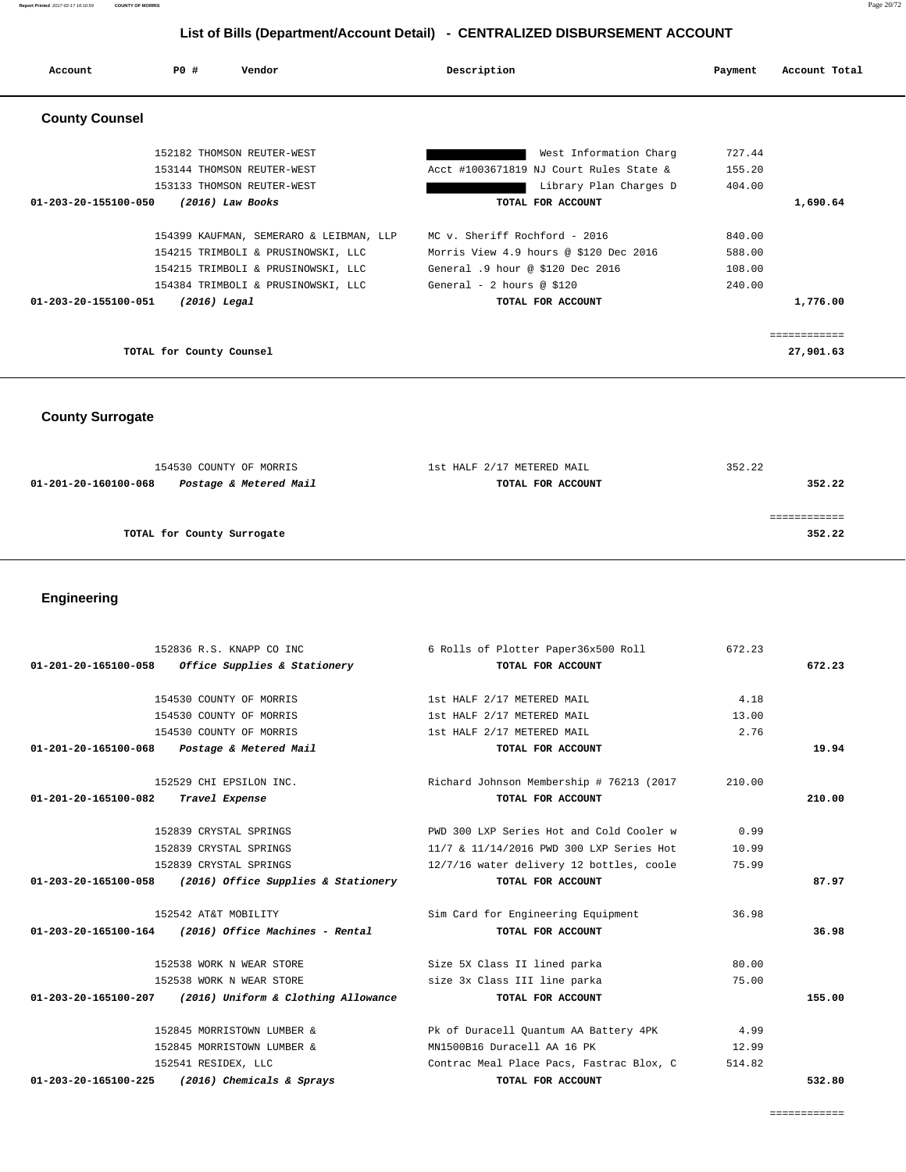# **List of Bills (Department/Account Detail) - CENTRALIZED DISBURSEMENT ACCOUNT**

| Account               | PO#                      | Vendor                                  | Description                      |                                         | Payment | Account Total |
|-----------------------|--------------------------|-----------------------------------------|----------------------------------|-----------------------------------------|---------|---------------|
| <b>County Counsel</b> |                          |                                         |                                  |                                         |         |               |
|                       |                          | 152182 THOMSON REUTER-WEST              |                                  | West Information Charg                  | 727.44  |               |
|                       |                          | 153144 THOMSON REUTER-WEST              |                                  | Acct #1003671819 NJ Court Rules State & | 155.20  |               |
|                       |                          | 153133 THOMSON REUTER-WEST              |                                  | Library Plan Charges D                  | 404.00  |               |
| 01-203-20-155100-050  |                          | $(2016)$ Law Books                      |                                  | TOTAL FOR ACCOUNT                       |         | 1,690.64      |
|                       |                          | 154399 KAUFMAN, SEMERARO & LEIBMAN, LLP | MC v. Sheriff Rochford - 2016    |                                         | 840.00  |               |
|                       |                          | 154215 TRIMBOLI & PRUSINOWSKI, LLC      |                                  | Morris View 4.9 hours @ \$120 Dec 2016  | 588.00  |               |
|                       |                          | 154215 TRIMBOLI & PRUSINOWSKI, LLC      | General .9 hour @ \$120 Dec 2016 |                                         | 108.00  |               |
|                       |                          | 154384 TRIMBOLI & PRUSINOWSKI, LLC      | General - 2 hours @ \$120        |                                         | 240.00  |               |
| 01-203-20-155100-051  | $(2016)$ Legal           |                                         |                                  | TOTAL FOR ACCOUNT                       |         | 1,776.00      |
|                       |                          |                                         |                                  |                                         |         | ============  |
|                       | TOTAL for County Counsel |                                         |                                  |                                         |         | 27,901.63     |

# **County Surrogate**

| 154530 COUNTY OF MORRIS    |                        | 1st HALF 2/17 METERED MAIL | 352.22 |
|----------------------------|------------------------|----------------------------|--------|
| 01-201-20-160100-068       | Postage & Metered Mail | TOTAL FOR ACCOUNT          | 352.22 |
|                            |                        |                            |        |
|                            |                        |                            |        |
| TOTAL for County Surrogate |                        |                            | 352.22 |
|                            |                        |                            |        |

# **Engineering**

| 152836 R.S. KNAPP CO INC                                    | 6 Rolls of Plotter Paper36x500 Roll      | 672.23 |        |
|-------------------------------------------------------------|------------------------------------------|--------|--------|
| $01-201-20-165100-058$ Office Supplies & Stationery         | TOTAL FOR ACCOUNT                        |        | 672.23 |
| 154530 COUNTY OF MORRIS                                     | 1st HALF 2/17 METERED MAIL               | 4.18   |        |
| 154530 COUNTY OF MORRIS                                     | 1st HALF 2/17 METERED MAIL               | 13.00  |        |
| 154530 COUNTY OF MORRIS                                     | 1st HALF 2/17 METERED MAIL               | 2.76   |        |
| 01-201-20-165100-068 Postage & Metered Mail                 | TOTAL FOR ACCOUNT                        |        | 19.94  |
| 152529 CHI EPSILON INC.                                     | Richard Johnson Membership # 76213 (2017 | 210.00 |        |
| 01-201-20-165100-082<br>Travel Expense                      | TOTAL FOR ACCOUNT                        |        | 210.00 |
| 152839 CRYSTAL SPRINGS                                      | PWD 300 LXP Series Hot and Cold Cooler w | 0.99   |        |
| 152839 CRYSTAL SPRINGS                                      | 11/7 & 11/14/2016 PWD 300 LXP Series Hot | 10.99  |        |
| 152839 CRYSTAL SPRINGS                                      | 12/7/16 water delivery 12 bottles, coole | 75.99  |        |
| 01-203-20-165100-058<br>(2016) Office Supplies & Stationery | TOTAL FOR ACCOUNT                        |        | 87.97  |
| 152542 AT&T MOBILITY                                        | Sim Card for Engineering Equipment       | 36.98  |        |
| $01-203-20-165100-164$ (2016) Office Machines - Rental      | TOTAL FOR ACCOUNT                        |        | 36.98  |
| 152538 WORK N WEAR STORE                                    | Size 5X Class II lined parka             | 80.00  |        |
| 152538 WORK N WEAR STORE                                    | size 3x Class III line parka             | 75.00  |        |
| 01-203-20-165100-207 (2016) Uniform & Clothing Allowance    | TOTAL FOR ACCOUNT                        |        | 155.00 |
| 152845 MORRISTOWN LUMBER &                                  | Pk of Duracell Quantum AA Battery 4PK    | 4.99   |        |
| 152845 MORRISTOWN LUMBER &                                  | MN1500B16 Duracell AA 16 PK              | 12.99  |        |
| 152541 RESIDEX, LLC                                         | Contrac Meal Place Pacs, Fastrac Blox, C | 514.82 |        |
| 01-203-20-165100-225<br>(2016) Chemicals & Sprays           | TOTAL FOR ACCOUNT                        |        | 532.80 |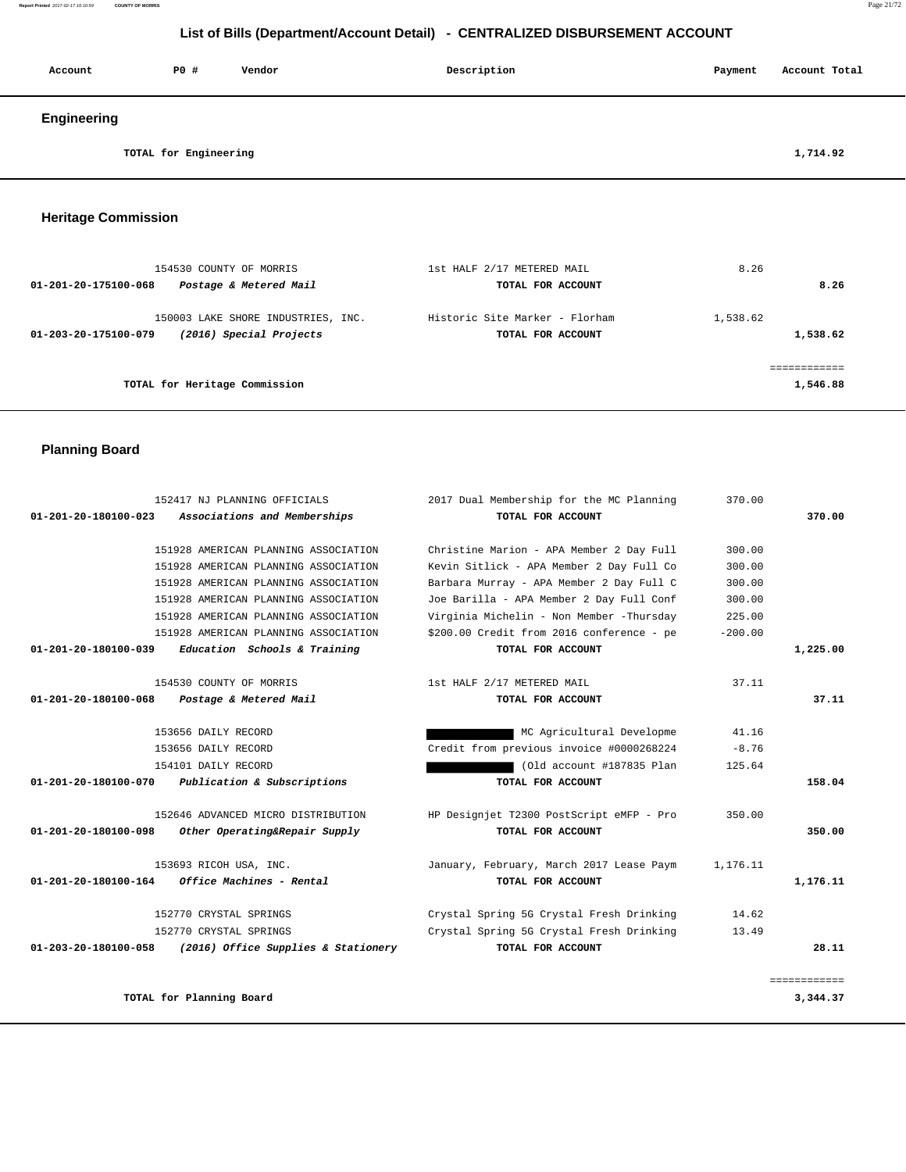#### **Report Printed** 2017-02-17 16:10:59 **COUNTY OF MORRIS** Page 21/72

# **List of Bills (Department/Account Detail) - CENTRALIZED DISBURSEMENT ACCOUNT**

| Account     | P0 #                  | Vendor | Description | Payment | Account Total |
|-------------|-----------------------|--------|-------------|---------|---------------|
| Engineering |                       |        |             |         |               |
|             | TOTAL for Engineering |        |             |         | 1,714.92      |

# **Heritage Commission**

| 154530 COUNTY OF MORRIS<br>Postage & Metered Mail<br>01-201-20-175100-068             | 1st HALF 2/17 METERED MAIL<br>TOTAL FOR ACCOUNT     | 8.26<br>8.26             |  |
|---------------------------------------------------------------------------------------|-----------------------------------------------------|--------------------------|--|
| 150003 LAKE SHORE INDUSTRIES, INC.<br>(2016) Special Projects<br>01-203-20-175100-079 | Historic Site Marker - Florham<br>TOTAL FOR ACCOUNT | 1,538.62<br>1,538.62     |  |
| TOTAL for Heritage Commission                                                         |                                                     | ============<br>1,546.88 |  |

# **Planning Board**

|              | 370.00    | 2017 Dual Membership for the MC Planning  | 152417 NJ PLANNING OFFICIALS         |                                |
|--------------|-----------|-------------------------------------------|--------------------------------------|--------------------------------|
| 370.00       |           | TOTAL FOR ACCOUNT                         | Associations and Memberships         | 01-201-20-180100-023           |
|              | 300.00    | Christine Marion - APA Member 2 Day Full  | 151928 AMERICAN PLANNING ASSOCIATION |                                |
|              | 300.00    | Kevin Sitlick - APA Member 2 Day Full Co  | 151928 AMERICAN PLANNING ASSOCIATION |                                |
|              | 300.00    | Barbara Murray - APA Member 2 Day Full C  | 151928 AMERICAN PLANNING ASSOCIATION |                                |
|              | 300.00    | Joe Barilla - APA Member 2 Day Full Conf  | 151928 AMERICAN PLANNING ASSOCIATION |                                |
|              | 225.00    | Virginia Michelin - Non Member -Thursday  | 151928 AMERICAN PLANNING ASSOCIATION |                                |
|              | $-200.00$ | \$200.00 Credit from 2016 conference - pe | 151928 AMERICAN PLANNING ASSOCIATION |                                |
| 1,225.00     |           | TOTAL FOR ACCOUNT                         | Education Schools & Training         | 01-201-20-180100-039           |
|              | 37.11     | 1st HALF 2/17 METERED MAIL                | 154530 COUNTY OF MORRIS              |                                |
| 37.11        |           | TOTAL FOR ACCOUNT                         | Postage & Metered Mail               | 01-201-20-180100-068           |
|              | 41.16     | MC Agricultural Developme                 | 153656 DAILY RECORD                  |                                |
|              | $-8.76$   | Credit from previous invoice #0000268224  | 153656 DAILY RECORD                  |                                |
|              | 125.64    | (Old account #187835 Plan                 | 154101 DAILY RECORD                  |                                |
| 158.04       |           | TOTAL FOR ACCOUNT                         | Publication & Subscriptions          | $01 - 201 - 20 - 180100 - 070$ |
|              | 350.00    | HP Designjet T2300 PostScript eMFP - Pro  | 152646 ADVANCED MICRO DISTRIBUTION   |                                |
| 350.00       |           | TOTAL FOR ACCOUNT                         | Other Operating&Repair Supply        | 01-201-20-180100-098           |
|              | 1,176.11  | January, February, March 2017 Lease Paym  | 153693 RICOH USA, INC.               |                                |
| 1,176.11     |           | TOTAL FOR ACCOUNT                         | Office Machines - Rental             | 01-201-20-180100-164           |
|              | 14.62     | Crystal Spring 5G Crystal Fresh Drinking  | 152770 CRYSTAL SPRINGS               |                                |
|              | 13.49     | Crystal Spring 5G Crystal Fresh Drinking  | 152770 CRYSTAL SPRINGS               |                                |
| 28.11        |           | TOTAL FOR ACCOUNT                         | (2016) Office Supplies & Stationery  | $01 - 203 - 20 - 180100 - 058$ |
| ============ |           |                                           |                                      |                                |
| 3,344.37     |           |                                           | TOTAL for Planning Board             |                                |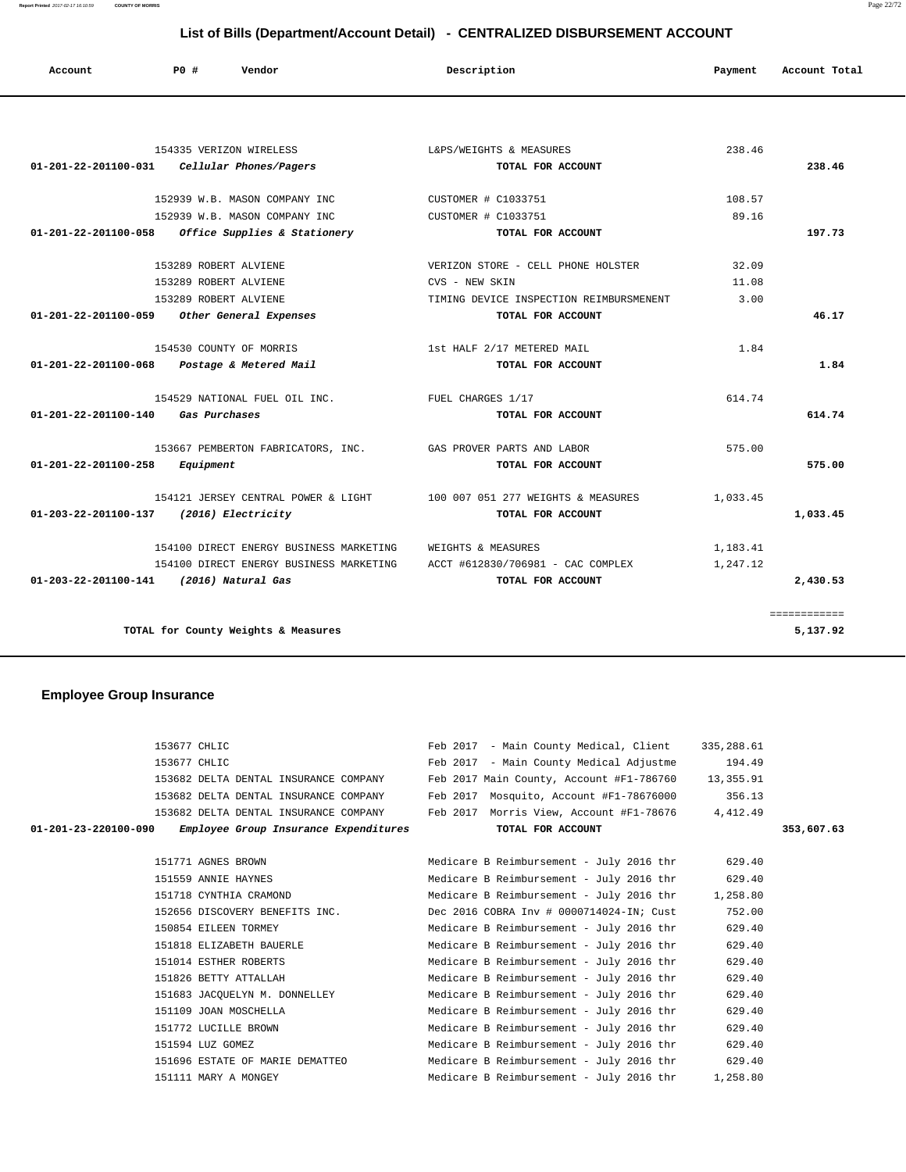**List of Bills (Department/Account Detail) - CENTRALIZED DISBURSEMENT ACCOUNT**

| Account                        | PO#<br>Vendor                           | Description                             | Payment  | Account Total |
|--------------------------------|-----------------------------------------|-----------------------------------------|----------|---------------|
|                                |                                         |                                         |          |               |
|                                | 154335 VERIZON WIRELESS                 | L&PS/WEIGHTS & MEASURES                 | 238.46   |               |
| $01 - 201 - 22 - 201100 - 031$ | Cellular Phones/Pagers                  | TOTAL FOR ACCOUNT                       |          | 238.46        |
|                                | 152939 W.B. MASON COMPANY INC           | CUSTOMER # C1033751                     | 108.57   |               |
|                                | 152939 W.B. MASON COMPANY INC           | CUSTOMER # C1033751                     | 89.16    |               |
| 01-201-22-201100-058           | <i>Office Supplies &amp; Stationery</i> | TOTAL FOR ACCOUNT                       |          | 197.73        |
|                                | 153289 ROBERT ALVIENE                   | VERIZON STORE - CELL PHONE HOLSTER      | 32.09    |               |
|                                | 153289 ROBERT ALVIENE                   | CVS - NEW SKIN                          | 11.08    |               |
|                                | 153289 ROBERT ALVIENE                   | TIMING DEVICE INSPECTION REIMBURSMENENT | 3.00     |               |
| 01-201-22-201100-059           | Other General Expenses                  | TOTAL FOR ACCOUNT                       |          | 46.17         |
|                                | 154530 COUNTY OF MORRIS                 | 1st HALF 2/17 METERED MAIL              | 1.84     |               |
| 01-201-22-201100-068           | Postage & Metered Mail                  | TOTAL FOR ACCOUNT                       |          | 1.84          |
|                                | 154529 NATIONAL FUEL OIL INC.           | FUEL CHARGES 1/17                       | 614.74   |               |
| 01-201-22-201100-140           | Gas Purchases                           | TOTAL FOR ACCOUNT                       |          | 614.74        |
|                                | 153667 PEMBERTON FABRICATORS, INC.      | GAS PROVER PARTS AND LABOR              | 575.00   |               |
| 01-201-22-201100-258           | Equipment                               | TOTAL FOR ACCOUNT                       |          | 575.00        |
|                                | 154121 JERSEY CENTRAL POWER & LIGHT     | 100 007 051 277 WEIGHTS & MEASURES      | 1,033.45 |               |
| 01-203-22-201100-137           | (2016) Electricity                      | TOTAL FOR ACCOUNT                       |          | 1,033.45      |
|                                | 154100 DIRECT ENERGY BUSINESS MARKETING | WEIGHTS & MEASURES                      | 1,183.41 |               |
|                                | 154100 DIRECT ENERGY BUSINESS MARKETING | ACCT #612830/706981 - CAC COMPLEX       | 1,247.12 |               |
| 01-203-22-201100-141           | (2016) Natural Gas                      | TOTAL FOR ACCOUNT                       |          | 2,430.53      |

 **Employee Group Insurance** 

 ============ **TOTAL for County Weights & Measures 5,137.92**

### 153677 CHLIC Feb 2017 - Main County Medical, Client 335,288.61 153677 CHLIC Feb 2017 - Main County Medical Adjustme 194.49 153682 DELTA DENTAL INSURANCE COMPANY Feb 2017 Main County, Account #F1-786760 13,355.91 153682 DELTA DENTAL INSURANCE COMPANY Feb 2017 Mosquito, Account #F1-78676000 356.13 153682 DELTA DENTAL INSURANCE COMPANY Feb 2017 Morris View, Account #F1-78676 4,412.49  **01-201-23-220100-090 Employee Group Insurance Expenditures TOTAL FOR ACCOUNT 353,607.63** 151771 AGNES BROWN Medicare B Reimbursement - July 2016 thr 629.40 151559 ANNIE HAYNES Medicare B Reimbursement - July 2016 thr 629.40 151718 CYNTHIA CRAMOND Medicare B Reimbursement - July 2016 thr 1,258.80 152656 DISCOVERY BENEFITS INC. Dec 2016 COBRA Inv # 0000714024-IN; Cust 752.00 150854 EILEEN TORMEY Medicare B Reimbursement - July 2016 thr 629.40 151818 ELIZABETH BAUERLE Medicare B Reimbursement - July 2016 thr 629.40 151014 ESTHER ROBERTS Medicare B Reimbursement - July 2016 thr 629.40 151826 BETTY ATTALLAH Medicare B Reimbursement - July 2016 thr 629.40 151683 JACQUELYN M. DONNELLEY Medicare B Reimbursement - July 2016 thr 629.40 151109 JOAN MOSCHELLA Medicare B Reimbursement - July 2016 thr 629.40 151772 LUCILLE BROWN Medicare B Reimbursement - July 2016 thr 629.40 151594 LUZ GOMEZ Medicare B Reimbursement - July 2016 thr 629.40 151696 ESTATE OF MARIE DEMATTEO Medicare B Reimbursement - July 2016 thr 629.40 151111 MARY A MONGEY Medicare B Reimbursement - July 2016 thr 1,258.80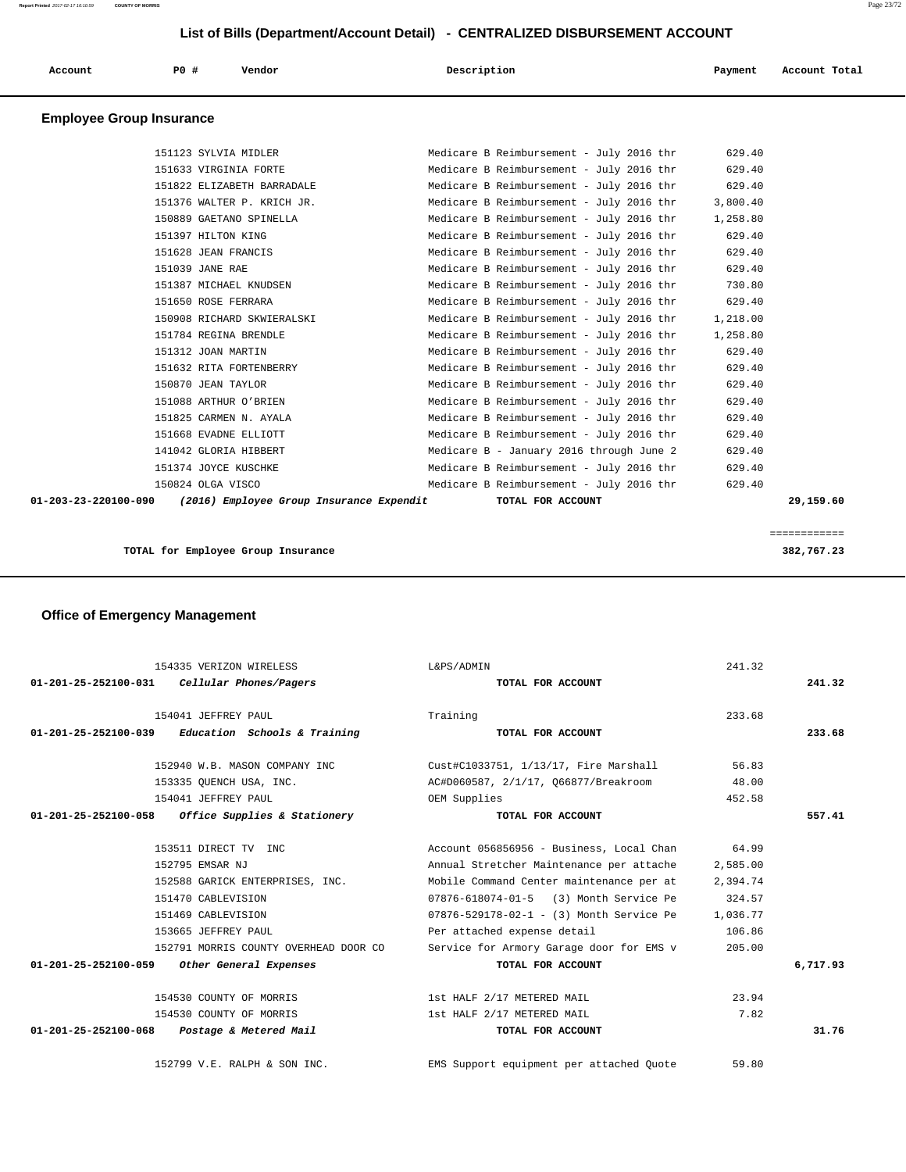| List of Bills (Department/Account Detail) - CENTRALIZED DISBURSEMENT ACCOUNT |                                 |                            |                                          |          |               |
|------------------------------------------------------------------------------|---------------------------------|----------------------------|------------------------------------------|----------|---------------|
| Account                                                                      | P0 #                            | Vendor                     | Description                              | Payment  | Account Total |
|                                                                              | <b>Employee Group Insurance</b> |                            |                                          |          |               |
|                                                                              | 151123 SYLVIA MIDLER            |                            | Medicare B Reimbursement - July 2016 thr | 629.40   |               |
|                                                                              | 151633 VIRGINIA FORTE           |                            | Medicare B Reimbursement - July 2016 thr | 629.40   |               |
|                                                                              |                                 | 151822 ELIZABETH BARRADALE | Medicare B Reimbursement - July 2016 thr | 629.40   |               |
|                                                                              |                                 | 151376 WALTER P. KRICH JR. | Medicare B Reimbursement - July 2016 thr | 3,800.40 |               |
|                                                                              |                                 | 150889 GAETANO SPINELLA    | Medicare B Reimbursement - July 2016 thr | 1,258.80 |               |
|                                                                              | 151397 HILTON KING              |                            | Medicare B Reimbursement - July 2016 thr | 629.40   |               |
|                                                                              | 151628 JEAN FRANCIS             |                            | Medicare B Reimbursement - July 2016 thr | 629.40   |               |
|                                                                              | 151039 JANE RAE                 |                            | Medicare B Reimbursement - July 2016 thr | 629.40   |               |
|                                                                              |                                 | 151387 MICHAEL KNUDSEN     | Medicare B Reimbursement - July 2016 thr | 730.80   |               |
|                                                                              | 151650 ROSE FERRARA             |                            | Medicare B Reimbursement - July 2016 thr | 629.40   |               |
|                                                                              |                                 | 150908 RICHARD SKWIERALSKI | Medicare B Reimbursement - July 2016 thr | 1,218.00 |               |
|                                                                              | 151784 REGINA BRENDLE           |                            | Medicare B Reimbursement - July 2016 thr | 1,258.80 |               |
|                                                                              | 151312 JOAN MARTIN              |                            | Medicare B Reimbursement - July 2016 thr | 629.40   |               |
|                                                                              |                                 | 151632 RITA FORTENBERRY    | Medicare B Reimbursement - July 2016 thr | 629.40   |               |
|                                                                              | 150870 JEAN TAYLOR              |                            | Medicare B Reimbursement - July 2016 thr | 629.40   |               |
|                                                                              | 151088 ARTHUR O'BRIEN           |                            | Medicare B Reimbursement - July 2016 thr | 629.40   |               |
|                                                                              |                                 | 151825 CARMEN N. AYALA     | Medicare B Reimbursement - July 2016 thr | 629.40   |               |
|                                                                              | 151668 EVADNE ELLIOTT           |                            | Medicare B Reimbursement - July 2016 thr | 629.40   |               |
|                                                                              | 141042 GLORIA HIBBERT           |                            | Medicare B - January 2016 through June 2 | 629.40   |               |
|                                                                              | 151374 JOYCE KUSCHKE            |                            | Medicare B Reimbursement - July 2016 thr | 629.40   |               |
|                                                                              | 150824 OLGA VISCO               |                            | Medicare B Reimbursement - July 2016 thr | 629.40   |               |

 **01-203-23-220100-090 (2016) Employee Group Insurance Expendit TOTAL FOR ACCOUNT 29,159.60**

```
 ============
     TOTAL for Employee Group Insurance 382,767.23
```
# **Office of Emergency Management**

| 154335 VERIZON WIRELESS                             | L&PS/ADMIN                               | 241.32   |          |
|-----------------------------------------------------|------------------------------------------|----------|----------|
| 01-201-25-252100-031<br>Cellular Phones/Pagers      | TOTAL FOR ACCOUNT                        |          | 241.32   |
| 154041 JEFFREY PAUL                                 | Training                                 | 233.68   |          |
| $01-201-25-252100-039$ Education Schools & Training | TOTAL FOR ACCOUNT                        |          | 233.68   |
| 152940 W.B. MASON COMPANY INC                       | Cust#C1033751, 1/13/17, Fire Marshall    | 56.83    |          |
| 153335 OUENCH USA, INC.                             | AC#D060587, 2/1/17, 066877/Breakroom     | 48.00    |          |
| 154041 JEFFREY PAUL                                 | OEM Supplies                             | 452.58   |          |
| $01-201-25-252100-058$ Office Supplies & Stationery | TOTAL FOR ACCOUNT                        |          | 557.41   |
| 153511 DIRECT TV INC                                | Account 056856956 - Business, Local Chan | 64.99    |          |
| 152795 EMSAR NJ                                     | Annual Stretcher Maintenance per attache | 2,585.00 |          |
| 152588 GARICK ENTERPRISES, INC.                     | Mobile Command Center maintenance per at | 2,394.74 |          |
| 151470 CABLEVISION                                  | 07876-618074-01-5 (3) Month Service Pe   | 324.57   |          |
| 151469 CABLEVISION                                  | 07876-529178-02-1 - (3) Month Service Pe | 1,036.77 |          |
| 153665 JEFFREY PAUL                                 | Per attached expense detail              | 106.86   |          |
| 152791 MORRIS COUNTY OVERHEAD DOOR CO               | Service for Armory Garage door for EMS v | 205.00   |          |
| 01-201-25-252100-059 Other General Expenses         | TOTAL FOR ACCOUNT                        |          | 6,717.93 |
| 154530 COUNTY OF MORRIS                             | 1st HALF 2/17 METERED MAIL               | 23.94    |          |
| 154530 COUNTY OF MORRIS                             | 1st HALF 2/17 METERED MAIL               | 7.82     |          |
| 01-201-25-252100-068 Postage & Metered Mail         | TOTAL FOR ACCOUNT                        |          | 31.76    |
| 152799 V.E. RALPH & SON INC.                        | EMS Support equipment per attached Ouote | 59.80    |          |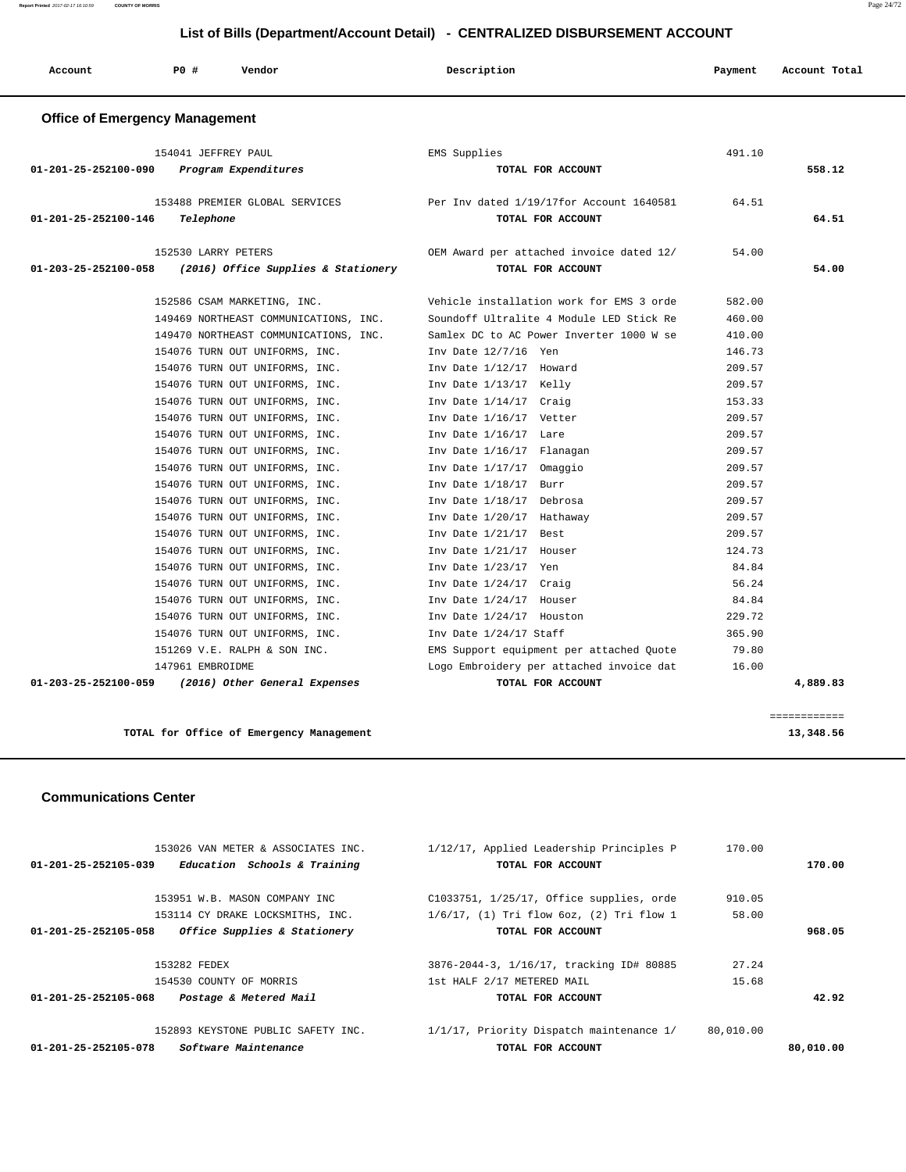| Account                               | P0 #<br>Vendor                              | Description                                                   | Payment | Account Total |
|---------------------------------------|---------------------------------------------|---------------------------------------------------------------|---------|---------------|
| <b>Office of Emergency Management</b> |                                             |                                                               |         |               |
| 01-201-25-252100-090                  | 154041 JEFFREY PAUL<br>Program Expenditures | EMS Supplies<br>TOTAL FOR ACCOUNT                             | 491.10  | 558.12        |
| 01-201-25-252100-146                  | 153488 PREMIER GLOBAL SERVICES<br>Telephone | Per Inv dated 1/19/17for Account 1640581<br>TOTAL FOR ACCOUNT | 64.51   | 64.51         |
|                                       | 152530 LARRY PETERS                         | OEM Award per attached invoice dated 12/                      | 54.00   |               |
| 01-203-25-252100-058                  | (2016) Office Supplies & Stationery         | TOTAL FOR ACCOUNT                                             |         | 54.00         |
|                                       | 152586 CSAM MARKETING, INC.                 | Vehicle installation work for EMS 3 orde                      | 582.00  |               |
|                                       | 149469 NORTHEAST COMMUNICATIONS, INC.       | Soundoff Ultralite 4 Module LED Stick Re                      | 460.00  |               |
|                                       | 149470 NORTHEAST COMMUNICATIONS, INC.       | Samlex DC to AC Power Inverter 1000 W se                      | 410.00  |               |
|                                       | 154076 TURN OUT UNIFORMS, INC.              | Inv Date 12/7/16 Yen                                          | 146.73  |               |
|                                       | 154076 TURN OUT UNIFORMS, INC.              | Inv Date 1/12/17 Howard                                       | 209.57  |               |
|                                       | 154076 TURN OUT UNIFORMS, INC.              | Inv Date 1/13/17 Kelly                                        | 209.57  |               |
|                                       | 154076 TURN OUT UNIFORMS, INC.              | Inv Date 1/14/17 Craig                                        | 153.33  |               |
|                                       | 154076 TURN OUT UNIFORMS, INC.              | Inv Date 1/16/17 Vetter                                       | 209.57  |               |
|                                       | 154076 TURN OUT UNIFORMS, INC.              | Inv Date 1/16/17 Lare                                         | 209.57  |               |
|                                       | 154076 TURN OUT UNIFORMS, INC.              | Inv Date 1/16/17 Flanagan                                     | 209.57  |               |
|                                       | 154076 TURN OUT UNIFORMS, INC.              | Inv Date 1/17/17 Omaggio                                      | 209.57  |               |
|                                       | 154076 TURN OUT UNIFORMS, INC.              | Inv Date 1/18/17<br>Burr                                      | 209.57  |               |
|                                       | 154076 TURN OUT UNIFORMS, INC.              | Inv Date 1/18/17 Debrosa                                      | 209.57  |               |
|                                       | 154076 TURN OUT UNIFORMS, INC.              | Inv Date 1/20/17 Hathaway                                     | 209.57  |               |
|                                       | 154076 TURN OUT UNIFORMS, INC.              | Inv Date 1/21/17 Best                                         | 209.57  |               |
|                                       | 154076 TURN OUT UNIFORMS, INC.              | Inv Date 1/21/17 Houser                                       | 124.73  |               |
|                                       | 154076 TURN OUT UNIFORMS, INC.              | Inv Date 1/23/17 Yen                                          | 84.84   |               |
|                                       | 154076 TURN OUT UNIFORMS, INC.              | Inv Date 1/24/17 Craig                                        | 56.24   |               |
|                                       | 154076 TURN OUT UNIFORMS, INC.              | Inv Date 1/24/17 Houser                                       | 84.84   |               |
|                                       | 154076 TURN OUT UNIFORMS, INC.              | Inv Date 1/24/17 Houston                                      | 229.72  |               |
|                                       | 154076 TURN OUT UNIFORMS, INC.              | Inv Date 1/24/17 Staff                                        | 365.90  |               |
|                                       | 151269 V.E. RALPH & SON INC.                | EMS Support equipment per attached Quote                      | 79.80   |               |
|                                       | 147961 EMBROIDME                            | Logo Embroidery per attached invoice dat                      | 16.00   |               |

**TOTAL for Office of Emergency Management 13,348.56**

 **Communications Center** 

| Software Maintenance<br>01-201-25-252105-078                   | TOTAL FOR ACCOUNT                              |           | 80,010.00 |
|----------------------------------------------------------------|------------------------------------------------|-----------|-----------|
| 152893 KEYSTONE PUBLIC SAFETY INC.                             | 1/1/17, Priority Dispatch maintenance 1/       | 80,010.00 |           |
| Postage & Metered Mail<br>01-201-25-252105-068                 | TOTAL FOR ACCOUNT                              |           | 42.92     |
| 154530 COUNTY OF MORRIS                                        | 1st HALF 2/17 METERED MAIL                     | 15.68     |           |
| 153282 FEDEX                                                   | 3876-2044-3, 1/16/17, tracking ID# 80885       | 27.24     |           |
| Office Supplies & Stationery<br>01-201-25-252105-058           | TOTAL FOR ACCOUNT                              |           | 968.05    |
| 153114 CY DRAKE LOCKSMITHS, INC.                               | $1/6/17$ , (1) Tri flow $60z$ , (2) Tri flow 1 | 58.00     |           |
| 153951 W.B. MASON COMPANY INC                                  | C1033751, 1/25/17, Office supplies, orde       | 910.05    |           |
| Education Schools & Training<br>$01 - 201 - 25 - 252105 - 039$ | TOTAL FOR ACCOUNT                              |           | 170.00    |
| 153026 VAN METER & ASSOCIATES INC.                             | 1/12/17, Applied Leadership Principles P       | 170.00    |           |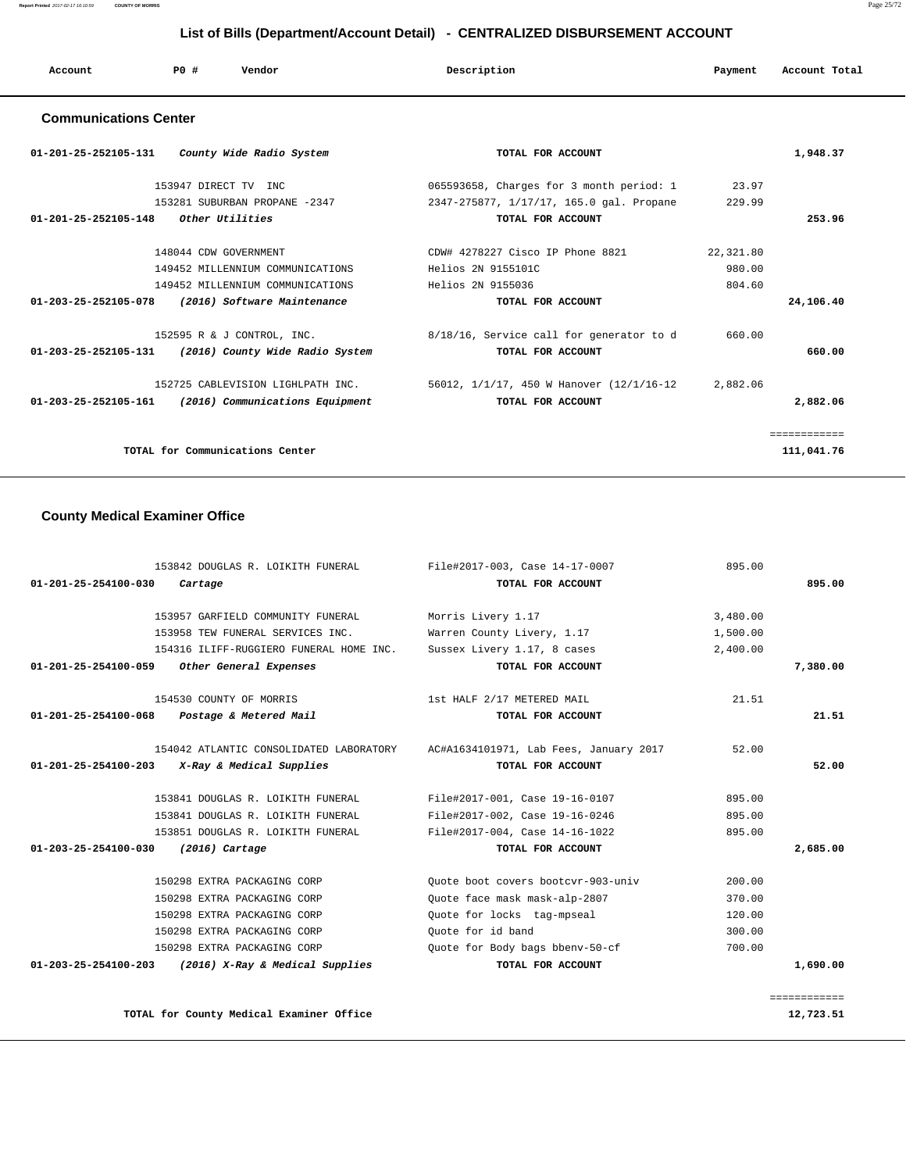# **List of Bills (Department/Account Detail) - CENTRALIZED DISBURSEMENT ACCOUNT**

| Account | <b>PO#</b> | Vendor | Description | Payment | Account Total |
|---------|------------|--------|-------------|---------|---------------|
|         |            |        |             |         |               |

# **Communications Center**

| 01-201-25-252105-131<br>County Wide Radio System                  | TOTAL FOR ACCOUNT                        |           | 1,948.37    |
|-------------------------------------------------------------------|------------------------------------------|-----------|-------------|
| 153947 DIRECT TV INC                                              | 065593658, Charges for 3 month period: 1 | 23.97     |             |
| 153281 SUBURBAN PROPANE -2347                                     | 2347-275877, 1/17/17, 165.0 gal. Propane | 229.99    |             |
| <i>Other Utilities</i><br>01-201-25-252105-148                    | TOTAL FOR ACCOUNT                        |           | 253.96      |
| 148044 CDW GOVERNMENT                                             | CDW# 4278227 Cisco IP Phone 8821         | 22,321.80 |             |
| 149452 MILLENNIUM COMMUNICATIONS                                  | Helios 2N 9155101C                       | 980.00    |             |
| 149452 MILLENNIUM COMMUNICATIONS                                  | Helios 2N 9155036                        | 804.60    |             |
| 01-203-25-252105-078<br>(2016) Software Maintenance               | TOTAL FOR ACCOUNT                        |           | 24,106.40   |
| 152595 R & J CONTROL, INC.                                        | 8/18/16, Service call for generator to d | 660.00    |             |
| 01-203-25-252105-131<br>(2016) County Wide Radio System           | TOTAL FOR ACCOUNT                        |           | 660.00      |
| 152725 CABLEVISION LIGHLPATH INC.                                 | 56012, 1/1/17, 450 W Hanover (12/1/16-12 | 2,882.06  |             |
| $01 - 203 - 25 - 252105 - 161$<br>(2016) Communications Equipment | TOTAL FOR ACCOUNT                        |           | 2,882.06    |
|                                                                   |                                          |           | =========== |
| TOTAL for Communications Center                                   |                                          |           | 111,041.76  |

# **County Medical Examiner Office**

| 153842 DOUGLAS R. LOIKITH FUNERAL                          | File#2017-003, Case 14-17-0007         | 895.00   |              |
|------------------------------------------------------------|----------------------------------------|----------|--------------|
| 01-201-25-254100-030<br>Cartage                            | TOTAL FOR ACCOUNT                      |          | 895.00       |
| 153957 GARFIELD COMMUNITY FUNERAL                          | Morris Livery 1.17                     | 3,480.00 |              |
| 153958 TEW FUNERAL SERVICES INC.                           | Warren County Livery, 1.17             | 1,500.00 |              |
| 154316 ILIFF-RUGGIERO FUNERAL HOME INC.                    | Sussex Livery 1.17, 8 cases            | 2,400.00 |              |
| 01-201-25-254100-059<br>Other General Expenses             | TOTAL FOR ACCOUNT                      |          | 7,380.00     |
| 154530 COUNTY OF MORRIS                                    | 1st HALF 2/17 METERED MAIL             | 21.51    |              |
| 01-201-25-254100-068 Postage & Metered Mail                | TOTAL FOR ACCOUNT                      |          | 21.51        |
| 154042 ATLANTIC CONSOLIDATED LABORATORY                    | AC#A1634101971, Lab Fees, January 2017 | 52.00    |              |
| X-Ray & Medical Supplies<br>$01 - 201 - 25 - 254100 - 203$ | TOTAL FOR ACCOUNT                      |          | 52.00        |
| 153841 DOUGLAS R. LOIKITH FUNERAL                          | File#2017-001, Case 19-16-0107         | 895.00   |              |
| 153841 DOUGLAS R. LOIKITH FUNERAL                          | File#2017-002, Case 19-16-0246         | 895.00   |              |
| 153851 DOUGLAS R. LOIKITH FUNERAL                          | File#2017-004, Case 14-16-1022         | 895.00   |              |
| 01-203-25-254100-030<br>$(2016)$ Cartage                   | TOTAL FOR ACCOUNT                      |          | 2,685.00     |
| 150298 EXTRA PACKAGING CORP                                | Ouote boot covers bootcyr-903-univ     | 200.00   |              |
| 150298 EXTRA PACKAGING CORP                                | Quote face mask mask-alp-2807          | 370.00   |              |
| 150298 EXTRA PACKAGING CORP                                | Quote for locks tag-mpseal             | 120.00   |              |
| 150298 EXTRA PACKAGING CORP                                | Ouote for id band                      | 300.00   |              |
| 150298 EXTRA PACKAGING CORP                                | Ouote for Body bags bbenv-50-cf        | 700.00   |              |
| 01-203-25-254100-203<br>(2016) X-Ray & Medical Supplies    | TOTAL FOR ACCOUNT                      |          | 1,690.00     |
|                                                            |                                        |          | ============ |

TOTAL for County Medical Examiner Office 12,723.51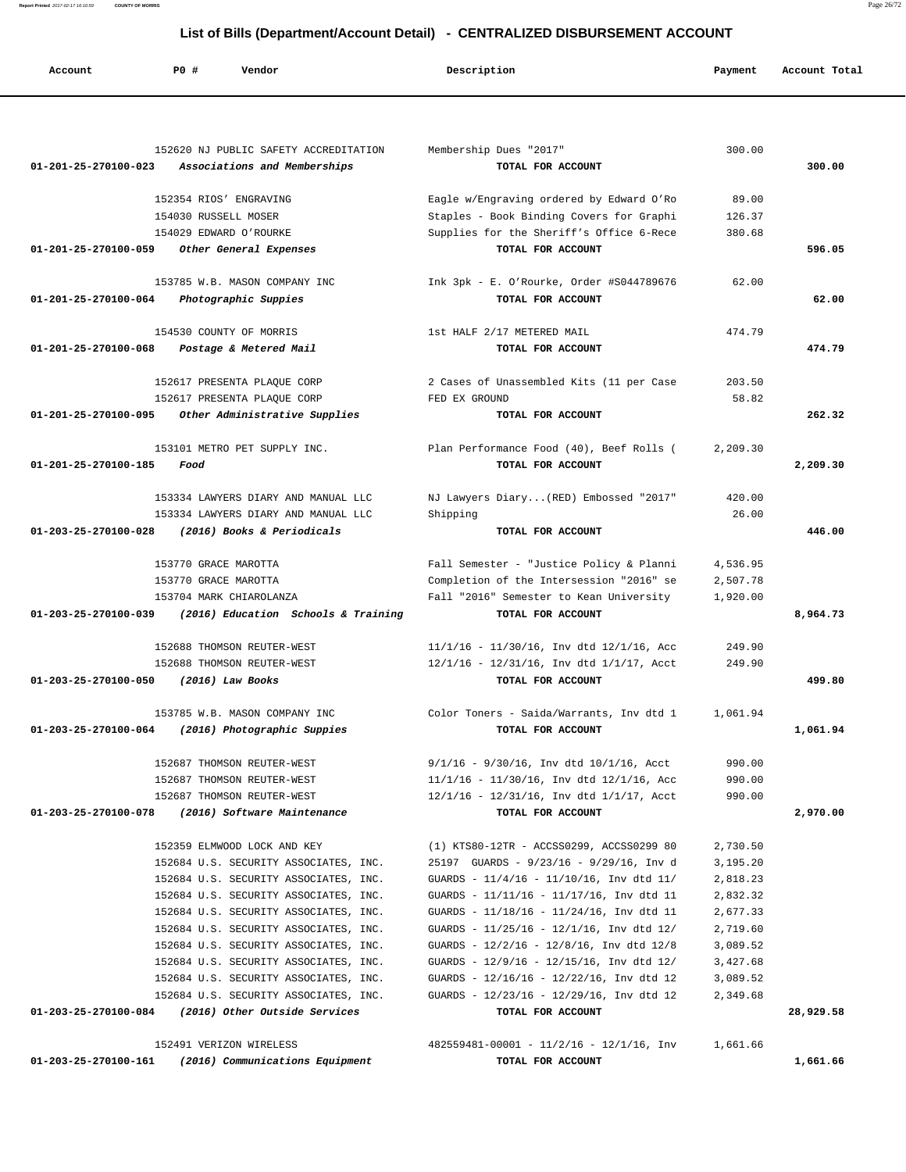**Account P0 # Vendor Description Payment Account Total** 152620 NJ PUBLIC SAFETY ACCREDITATION Membership Dues "2017" 300.00  **01-201-25-270100-023 Associations and Memberships TOTAL FOR ACCOUNT 300.00** 152354 RIOS' ENGRAVING Eagle w/Engraving ordered by Edward O'Ro 89.00 154030 RUSSELL MOSER Staples - Book Binding Covers for Graphi 126.37 154029 EDWARD O'ROURKE Supplies for the Sheriff's Office 6-Rece 380.68  **01-201-25-270100-059 Other General Expenses TOTAL FOR ACCOUNT 596.05** 153785 W.B. MASON COMPANY INC Ink 3pk - E. O'Rourke, Order #S044789676 62.00  **01-201-25-270100-064 Photographic Suppies TOTAL FOR ACCOUNT 62.00** 154530 COUNTY OF MORRIS 1st HALF 2/17 METERED MAIL 474.79  **01-201-25-270100-068 Postage & Metered Mail TOTAL FOR ACCOUNT 474.79** 152617 PRESENTA PLAQUE CORP 2 Cases of Unassembled Kits (11 per Case 203.50 152617 PRESENTA PLAQUE CORP FED EX GROUND 58.82  **01-201-25-270100-095 Other Administrative Supplies TOTAL FOR ACCOUNT 262.32** 153101 METRO PET SUPPLY INC. Plan Performance Food (40), Beef Rolls ( 2,209.30  **01-201-25-270100-185 Food TOTAL FOR ACCOUNT 2,209.30** 153334 LAWYERS DIARY AND MANUAL LLC NJ Lawyers Diary...(RED) Embossed "2017" 420.00 153334 LAWYERS DIARY AND MANUAL LLC Shipping 26.00  **01-203-25-270100-028 (2016) Books & Periodicals TOTAL FOR ACCOUNT 446.00** 153770 GRACE MAROTTA Fall Semester - "Justice Policy & Planni 4,536.95 153770 GRACE MAROTTA Completion of the Intersession "2016" se 2,507.78 153704 MARK CHIAROLANZA Fall "2016" Semester to Kean University 1,920.00  **01-203-25-270100-039 (2016) Education Schools & Training TOTAL FOR ACCOUNT 8,964.73** 152688 THOMSON REUTER-WEST 11/1/16 - 11/30/16, Inv dtd 12/1/16, Acc 249.90 152688 THOMSON REUTER-WEST 12/1/16 - 12/31/16, Inv dtd 1/1/17, Acct 249.90  **01-203-25-270100-050 (2016) Law Books TOTAL FOR ACCOUNT 499.80** 153785 W.B. MASON COMPANY INC Color Toners - Saida/Warrants, Inv dtd 1 1,061.94  **01-203-25-270100-064 (2016) Photographic Suppies TOTAL FOR ACCOUNT 1,061.94** 152687 THOMSON REUTER-WEST 9/1/16 - 9/30/16, Inv dtd 10/1/16, Acct 990.00 152687 THOMSON REUTER-WEST 11/1/16 - 11/30/16, Inv dtd 12/1/16, Acc 990.00 152687 THOMSON REUTER-WEST 12/1/16 - 12/31/16, Inv dtd 1/1/17, Acct 990.00  **01-203-25-270100-078 (2016) Software Maintenance TOTAL FOR ACCOUNT 2,970.00** 152359 ELMWOOD LOCK AND KEY (1) KTS80-12TR - ACCSS0299, ACCSS0299 80 2,730.50 152684 U.S. SECURITY ASSOCIATES, INC. 25197 GUARDS - 9/23/16 - 9/29/16, Inv d 3,195.20 152684 U.S. SECURITY ASSOCIATES, INC. GUARDS - 11/4/16 - 11/10/16, Inv dtd 11/ 2,818.23 152684 U.S. SECURITY ASSOCIATES, INC. GUARDS - 11/11/16 - 11/17/16, Inv dtd 11 2,832.32 152684 U.S. SECURITY ASSOCIATES, INC. GUARDS - 11/18/16 - 11/24/16, Inv dtd 11 2,677.33 152684 U.S. SECURITY ASSOCIATES, INC. GUARDS - 11/25/16 - 12/1/16, Inv dtd 12/ 2,719.60 152684 U.S. SECURITY ASSOCIATES, INC. GUARDS - 12/2/16 - 12/8/16, Inv dtd 12/8 3,089.52 152684 U.S. SECURITY ASSOCIATES, INC. GUARDS - 12/9/16 - 12/15/16, Inv dtd 12/ 3,427.68 152684 U.S. SECURITY ASSOCIATES, INC. GUARDS - 12/16/16 - 12/22/16, Inv dtd 12 3,089.52 152684 U.S. SECURITY ASSOCIATES, INC. GUARDS - 12/23/16 - 12/29/16, Inv dtd 12 2,349.68  **01-203-25-270100-084 (2016) Other Outside Services TOTAL FOR ACCOUNT 28,929.58** 152491 VERIZON WIRELESS 482559481-00001 - 11/2/16 - 12/1/16, Inv 1,661.66

 **01-203-25-270100-161 (2016) Communications Equipment TOTAL FOR ACCOUNT 1,661.66**

# **List of Bills (Department/Account Detail) - CENTRALIZED DISBURSEMENT ACCOUNT**

**Report Printed** 2017-02-17 16:10:59 **COUNTY OF MORRIS** Page 26/72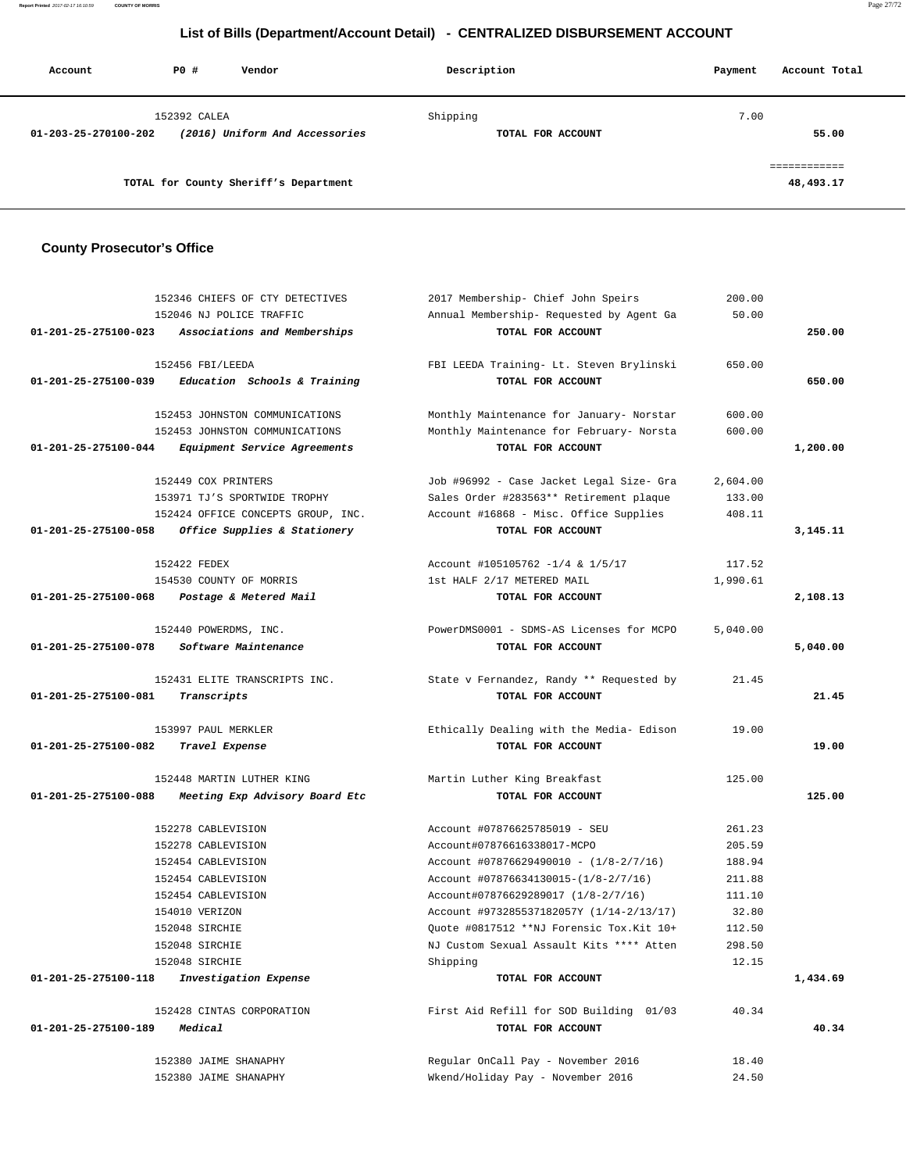**Report Printed** 2017-02-17 16:10:59 **COUNTY OF MORRIS** Page 27/72

# **List of Bills (Department/Account Detail) - CENTRALIZED DISBURSEMENT ACCOUNT**

| Account              | PO#          | Vendor                                | Description                   | Account Total<br>Payment  |
|----------------------|--------------|---------------------------------------|-------------------------------|---------------------------|
| 01-203-25-270100-202 | 152392 CALEA | (2016) Uniform And Accessories        | Shipping<br>TOTAL FOR ACCOUNT | 7.00<br>55.00             |
|                      |              | TOTAL for County Sheriff's Department |                               | ============<br>48,493.17 |

# **County Prosecutor's Office**

| 152346 CHIEFS OF CTY DETECTIVES                                | 2017 Membership- Chief John Speirs<br>200.00         |          |
|----------------------------------------------------------------|------------------------------------------------------|----------|
| 152046 NJ POLICE TRAFFIC                                       | Annual Membership- Requested by Agent Ga<br>50.00    |          |
| 01-201-25-275100-023 Associations and Memberships              | TOTAL FOR ACCOUNT                                    | 250.00   |
|                                                                |                                                      |          |
| 152456 FBI/LEEDA                                               | FBI LEEDA Training- Lt. Steven Brylinski<br>650.00   |          |
| Education Schools & Training<br>$01 - 201 - 25 - 275100 - 039$ | TOTAL FOR ACCOUNT                                    | 650.00   |
| 152453 JOHNSTON COMMUNICATIONS                                 | Monthly Maintenance for January- Norstar<br>600.00   |          |
| 152453 JOHNSTON COMMUNICATIONS                                 | Monthly Maintenance for February- Norsta<br>600.00   |          |
| 01-201-25-275100-044<br>Equipment Service Agreements           | TOTAL FOR ACCOUNT                                    | 1,200.00 |
|                                                                |                                                      |          |
| 152449 COX PRINTERS                                            | Job #96992 - Case Jacket Legal Size- Gra<br>2,604.00 |          |
| 153971 TJ'S SPORTWIDE TROPHY                                   | Sales Order #283563** Retirement plaque<br>133.00    |          |
| 152424 OFFICE CONCEPTS GROUP, INC.                             | Account #16868 - Misc. Office Supplies<br>408.11     |          |
| Office Supplies & Stationery<br>01-201-25-275100-058           | TOTAL FOR ACCOUNT                                    | 3,145.11 |
| 152422 FEDEX                                                   | Account #105105762 -1/4 & 1/5/17<br>117.52           |          |
| 154530 COUNTY OF MORRIS                                        | 1st HALF 2/17 METERED MAIL<br>1,990.61               |          |
| 01-201-25-275100-068<br>Postage & Metered Mail                 | TOTAL FOR ACCOUNT                                    | 2,108.13 |
| 152440 POWERDMS, INC.                                          | PowerDMS0001 - SDMS-AS Licenses for MCPO<br>5,040.00 |          |
| Software Maintenance<br>01-201-25-275100-078                   | TOTAL FOR ACCOUNT                                    | 5,040.00 |
|                                                                |                                                      |          |
| 152431 ELITE TRANSCRIPTS INC.                                  | State v Fernandez, Randy ** Requested by<br>21.45    |          |
| 01-201-25-275100-081<br>Transcripts                            | TOTAL FOR ACCOUNT                                    | 21.45    |
|                                                                |                                                      |          |
| 153997 PAUL MERKLER                                            | Ethically Dealing with the Media- Edison<br>19.00    |          |
| 01-201-25-275100-082<br>Travel Expense                         | TOTAL FOR ACCOUNT                                    | 19.00    |
| 152448 MARTIN LUTHER KING                                      | Martin Luther King Breakfast<br>125.00               |          |
| 01-201-25-275100-088<br>Meeting Exp Advisory Board Etc         | TOTAL FOR ACCOUNT                                    | 125.00   |
| 152278 CABLEVISION                                             | Account #07876625785019 - SEU<br>261.23              |          |
| 152278 CABLEVISION                                             | 205.59<br>Account#07876616338017-MCPO                |          |
| 152454 CABLEVISION                                             | Account #07876629490010 - $(1/8-2/7/16)$<br>188.94   |          |
| 152454 CABLEVISION                                             | Account #07876634130015-(1/8-2/7/16)<br>211.88       |          |
| 152454 CABLEVISION                                             | Account#07876629289017 (1/8-2/7/16)<br>111.10        |          |
| 154010 VERIZON                                                 | Account #973285537182057Y (1/14-2/13/17)<br>32.80    |          |
| 152048 SIRCHIE                                                 | Quote #0817512 **NJ Forensic Tox. Kit 10+<br>112.50  |          |
| 152048 SIRCHIE                                                 | NJ Custom Sexual Assault Kits **** Atten<br>298.50   |          |
|                                                                |                                                      |          |
| 152048 SIRCHIE<br>01-201-25-275100-118                         | Shipping<br>12.15<br>TOTAL FOR ACCOUNT               |          |
| Investigation Expense                                          |                                                      | 1,434.69 |
| 152428 CINTAS CORPORATION                                      | First Aid Refill for SOD Building 01/03<br>40.34     |          |
| 01-201-25-275100-189<br>Medical                                | TOTAL FOR ACCOUNT                                    | 40.34    |
| 152380 JAIME SHANAPHY                                          | Regular OnCall Pay - November 2016<br>18.40          |          |
| 152380 JAIME SHANAPHY                                          | Wkend/Holiday Pay - November 2016<br>24.50           |          |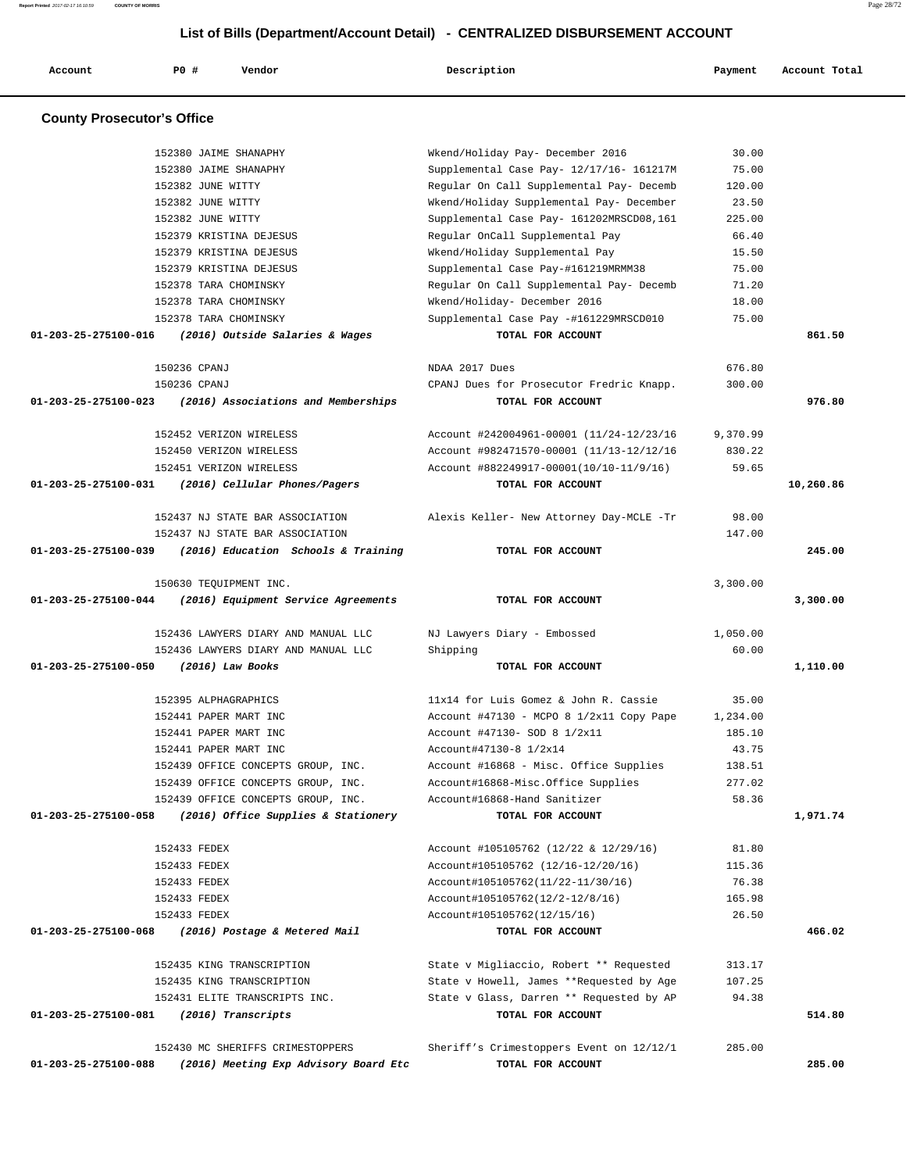**Account P0 # Vendor Description Payment Account Total**

 **County Prosecutor's Office** 152380 JAIME SHANAPHY Wkend/Holiday Pay- December 2016 30.00 152380 JAIME SHANAPHY Supplemental Case Pay- 12/17/16- 161217M 75.00 152382 JUNE WITTY Regular On Call Supplemental Pay- Decemb 120.00 152382 JUNE WITTY Wkend/Holiday Supplemental Pay- December 23.50 152382 JUNE WITTY Supplemental Case Pay- 161202MRSCD08,161 225.00 152379 KRISTINA DEJESUS Regular OnCall Supplemental Pay 66.40 152379 KRISTINA DEJESUS Wkend/Holiday Supplemental Pay 15.50 152379 KRISTINA DEJESUS Supplemental Case Pay-#161219MRMM38 75.00 152378 TARA CHOMINSKY Regular On Call Supplemental Pay- Decemb 71.20 152378 TARA CHOMINSKY Wkend/Holiday- December 2016 18.00 152378 TARA CHOMINSKY Supplemental Case Pay -#161229MRSCD010 75.00  **01-203-25-275100-016 (2016) Outside Salaries & Wages TOTAL FOR ACCOUNT 861.50** 150236 CPANJ NDAA 2017 Dues 676.80 150236 CPANJ CPANJ Dues for Prosecutor Fredric Knapp. 300.00  **01-203-25-275100-023 (2016) Associations and Memberships TOTAL FOR ACCOUNT 976.80** 152452 VERIZON WIRELESS Account #242004961-00001 (11/24-12/23/16 9,370.99 152450 VERIZON WIRELESS Account #982471570-00001 (11/13-12/12/16 830.22 152451 VERIZON WIRELESS Account #882249917-00001(10/10-11/9/16) 59.65  **01-203-25-275100-031 (2016) Cellular Phones/Pagers TOTAL FOR ACCOUNT 10,260.86** 152437 NJ STATE BAR ASSOCIATION Alexis Keller- New Attorney Day-MCLE -Tr 98.00 152437 NJ STATE BAR ASSOCIATION 147.00  **01-203-25-275100-039 (2016) Education Schools & Training TOTAL FOR ACCOUNT 245.00** 150630 TEQUIPMENT INC. 3,300.00  **01-203-25-275100-044 (2016) Equipment Service Agreements TOTAL FOR ACCOUNT 3,300.00** 152436 LAWYERS DIARY AND MANUAL LLC NJ Lawyers Diary - Embossed 1,050.00 152436 LAWYERS DIARY AND MANUAL LLC Shipping 60.00  **01-203-25-275100-050 (2016) Law Books TOTAL FOR ACCOUNT 1,110.00** 152395 ALPHAGRAPHICS 11x14 for Luis Gomez & John R. Cassie 35.00 152441 PAPER MART INC Account #47130 - MCPO 8 1/2x11 Copy Pape 1,234.00 152441 PAPER MART INC Account #47130- SOD 8 1/2x11 185.10 152441 PAPER MART INC  $\text{Account}447130-8$   $1/2x14$  43.75 152439 OFFICE CONCEPTS GROUP, INC. Account #16868 - Misc. Office Supplies 138.51 152439 OFFICE CONCEPTS GROUP, INC. Account#16868-Misc.Office Supplies 277.02 152439 OFFICE CONCEPTS GROUP, INC. Account#16868-Hand Sanitizer 58.36  **01-203-25-275100-058 (2016) Office Supplies & Stationery TOTAL FOR ACCOUNT 1,971.74** 152433 FEDEX Account #105105762 (12/22 & 12/29/16) 81.80 152433 FEDEX Account#105105762 (12/16-12/20/16) 115.36 152433 FEDEX Account#105105762(11/22-11/30/16) 76.38 152433 FEDEX Account#105105762(12/2-12/8/16) 165.98 152433 FEDEX Account#105105762(12/15/16) 26.50  **01-203-25-275100-068 (2016) Postage & Metered Mail TOTAL FOR ACCOUNT 466.02** 152435 KING TRANSCRIPTION State v Migliaccio, Robert \*\* Requested 313.17 152435 KING TRANSCRIPTION State v Howell, James \*\*Requested by Age 107.25 152431 ELITE TRANSCRIPTS INC. State v Glass, Darren \*\* Requested by AP 94.38  **01-203-25-275100-081 (2016) Transcripts TOTAL FOR ACCOUNT 514.80**

 **List of Bills (Department/Account Detail) - CENTRALIZED DISBURSEMENT ACCOUNT**

**Report Printed** 2017-02-17 16:10:59 **COUNTY OF MORRIS** Page 28/72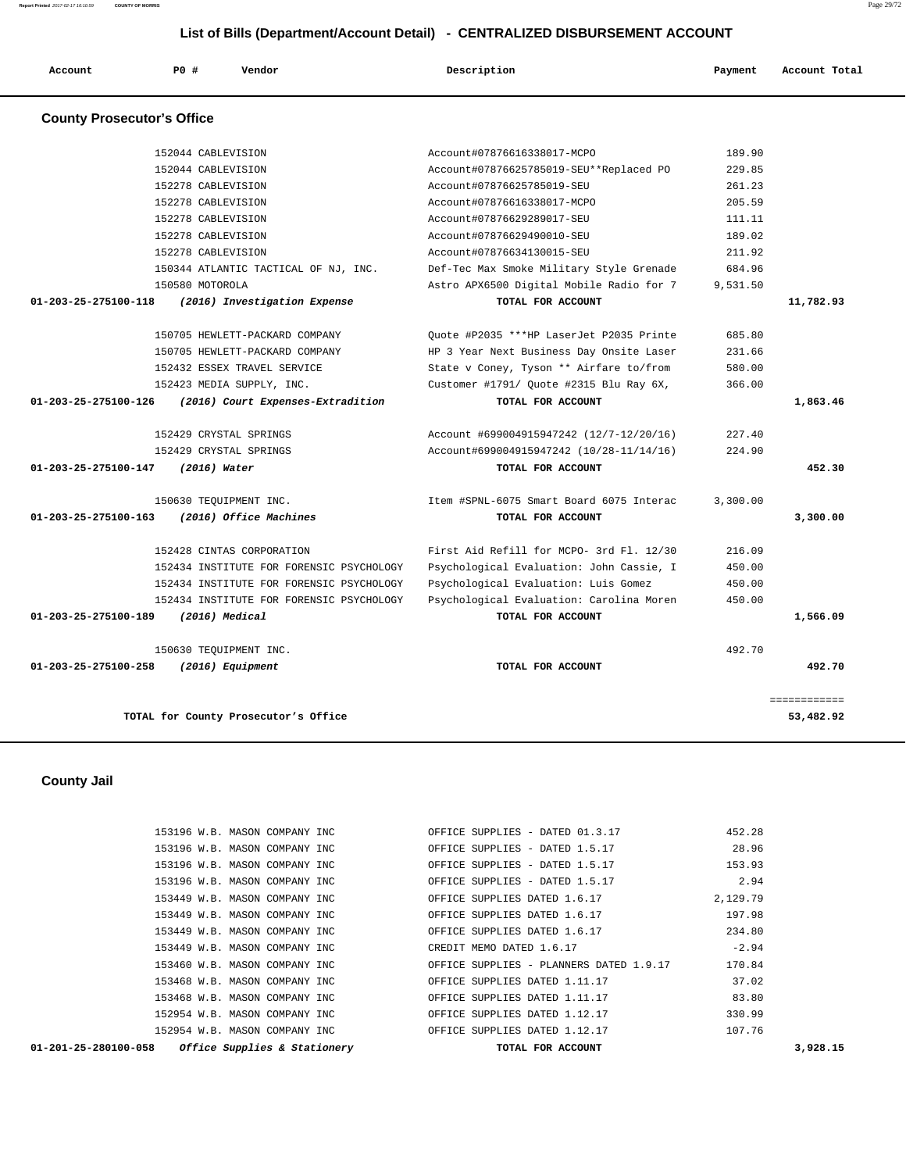**Report Printed** 2017-02-17 16:10:59 **COUNTY OF MORRIS** Page 29/72

# **List of Bills (Department/Account Detail) - CENTRALIZED DISBURSEMENT ACCOUNT**

| Account                           | PO#                | Vendor | Description                              | Payment | Account Total |
|-----------------------------------|--------------------|--------|------------------------------------------|---------|---------------|
| <b>County Prosecutor's Office</b> |                    |        |                                          |         |               |
|                                   | 152044 CABLEVISION |        | Account#07876616338017-MCPO              | 189.90  |               |
|                                   |                    |        | Aggount#07076695705010 CEUtthpoplaged BO | 220 OF  |               |

|                      | 152044 CABLEVISION                       | Account#07876625785019-SEU**Replaced PO  | 229.85   |              |
|----------------------|------------------------------------------|------------------------------------------|----------|--------------|
|                      | 152278 CABLEVISION                       | Account#07876625785019-SEU               | 261.23   |              |
|                      | 152278 CABLEVISION                       | Account#07876616338017-MCPO              | 205.59   |              |
|                      | 152278 CABLEVISION                       | Account#07876629289017-SEU               | 111.11   |              |
|                      | 152278 CABLEVISION                       | Account#07876629490010-SEU               | 189.02   |              |
|                      | 152278 CABLEVISION                       | Account#07876634130015-SEU               | 211.92   |              |
|                      | 150344 ATLANTIC TACTICAL OF NJ, INC.     | Def-Tec Max Smoke Military Style Grenade | 684.96   |              |
|                      | 150580 MOTOROLA                          | Astro APX6500 Digital Mobile Radio for 7 | 9,531.50 |              |
| 01-203-25-275100-118 | (2016) Investigation Expense             | TOTAL FOR ACCOUNT                        |          | 11,782.93    |
|                      | 150705 HEWLETT-PACKARD COMPANY           | Quote #P2035 ***HP LaserJet P2035 Printe | 685.80   |              |
|                      | 150705 HEWLETT-PACKARD COMPANY           | HP 3 Year Next Business Day Onsite Laser | 231.66   |              |
|                      | 152432 ESSEX TRAVEL SERVICE              | State v Coney, Tyson ** Airfare to/from  | 580.00   |              |
|                      | 152423 MEDIA SUPPLY, INC.                | Customer #1791/ Quote #2315 Blu Ray 6X,  | 366.00   |              |
| 01-203-25-275100-126 | (2016) Court Expenses-Extradition        | TOTAL FOR ACCOUNT                        |          | 1,863.46     |
|                      | 152429 CRYSTAL SPRINGS                   | Account #699004915947242 (12/7-12/20/16) | 227.40   |              |
|                      | 152429 CRYSTAL SPRINGS                   | Account#699004915947242 (10/28-11/14/16) | 224.90   |              |
| 01-203-25-275100-147 | (2016) Water                             | TOTAL FOR ACCOUNT                        |          | 452.30       |
|                      | 150630 TEOUIPMENT INC.                   | Item #SPNL-6075 Smart Board 6075 Interac | 3,300.00 |              |
| 01-203-25-275100-163 | (2016) Office Machines                   | TOTAL FOR ACCOUNT                        |          | 3,300.00     |
|                      | 152428 CINTAS CORPORATION                | First Aid Refill for MCPO- 3rd Fl. 12/30 | 216.09   |              |
|                      | 152434 INSTITUTE FOR FORENSIC PSYCHOLOGY | Psychological Evaluation: John Cassie, I | 450.00   |              |
|                      | 152434 INSTITUTE FOR FORENSIC PSYCHOLOGY | Psychological Evaluation: Luis Gomez     | 450.00   |              |
|                      | 152434 INSTITUTE FOR FORENSIC PSYCHOLOGY | Psychological Evaluation: Carolina Moren | 450.00   |              |
| 01-203-25-275100-189 | $(2016)$ Medical                         | TOTAL FOR ACCOUNT                        |          | 1,566.09     |
|                      | 150630 TEOUIPMENT INC.                   |                                          | 492.70   |              |
| 01-203-25-275100-258 | $(2016)$ Equipment                       | TOTAL FOR ACCOUNT                        |          | 492.70       |
|                      |                                          |                                          |          | ============ |
|                      | TOTAL for County Prosecutor's Office     |                                          |          | 53,482.92    |

 **County Jail** 

| $01-201-25-280100-058$ Office Supplies & Stationery    | TOTAL FOR ACCOUNT                                                | 3,928.15 |
|--------------------------------------------------------|------------------------------------------------------------------|----------|
|                                                        | 152954 W.B. MASON COMPANY INC OFFICE SUPPLIES DATED 1.12.17      | 107.76   |
| 152954 W.B. MASON COMPANY INC                          | OFFICE SUPPLIES DATED 1.12.17                                    | 330.99   |
| 153468 W.B. MASON COMPANY INC                          | OFFICE SUPPLIES DATED 1.11.17                                    | 83.80    |
| 153468 W.B. MASON COMPANY INC                          | OFFICE SUPPLIES DATED 1.11.17                                    | 37.02    |
| 153460 W.B. MASON COMPANY INC                          | OFFICE SUPPLIES - PLANNERS DATED 1.9.17                          | 170.84   |
| 153449 W.B. MASON COMPANY INC CREDIT MEMO DATED 1.6.17 |                                                                  | $-2.94$  |
| 153449 W.B. MASON COMPANY INC                          | OFFICE SUPPLIES DATED 1.6.17                                     | 234.80   |
|                                                        | 153449 W.B. MASON COMPANY INC THE OFFICE SUPPLIES DATED 1.6.17   | 197.98   |
| 153449 W.B. MASON COMPANY INC                          | OFFICE SUPPLIES DATED 1.6.17                                     | 2,129.79 |
| 153196 W.B. MASON COMPANY INC                          | OFFICE SUPPLIES - DATED 1.5.17                                   | 2.94     |
| 153196 W.B. MASON COMPANY INC                          | OFFICE SUPPLIES - DATED 1.5.17                                   | 153.93   |
|                                                        | 153196 W.B. MASON COMPANY INC 6. OFFICE SUPPLIES - DATED 1.5.17  |          |
|                                                        | 153196 W.B. MASON COMPANY INC    QFFICE SUPPLIES - DATED 01.3.17 | 452.28   |
|                                                        |                                                                  |          |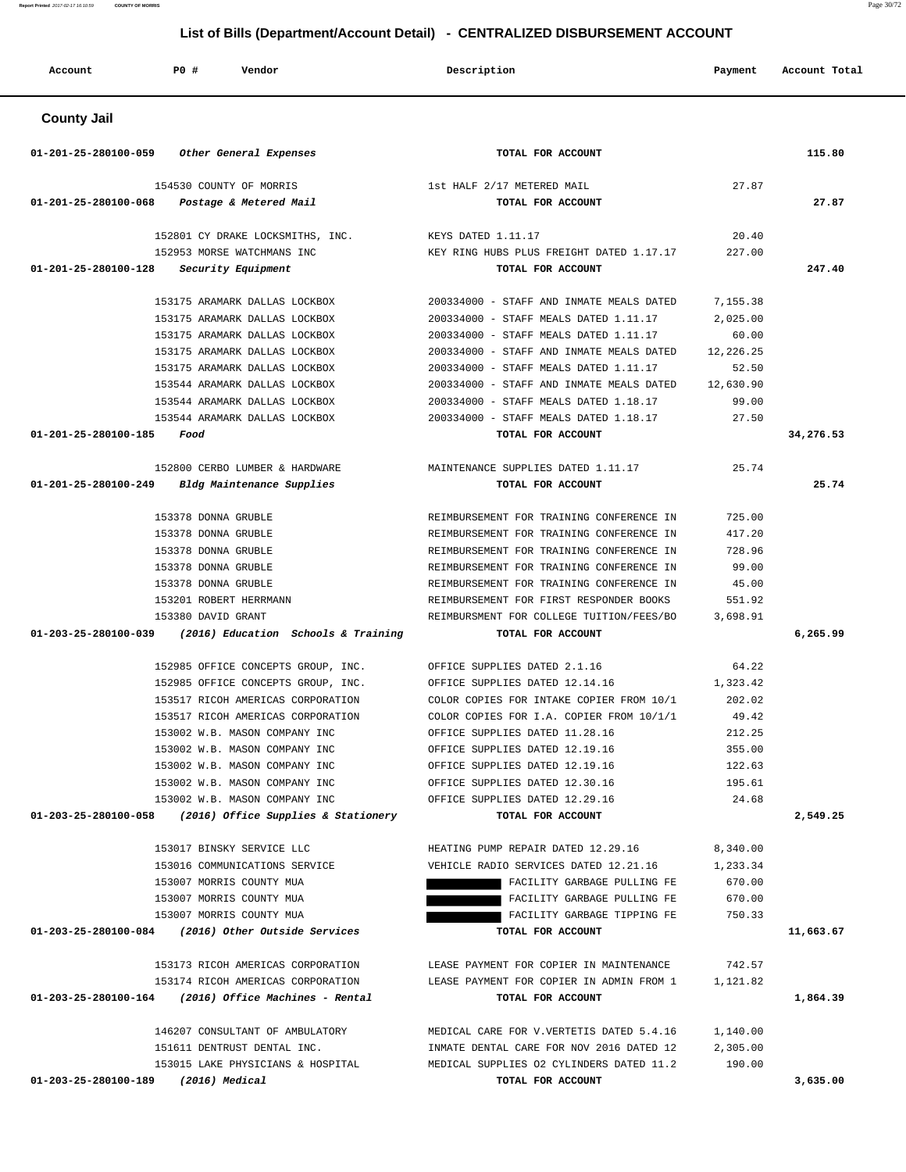| <b>PO #</b><br>Description<br>Account<br>Vendor                                                                                                         | Payment              | Account Total |
|---------------------------------------------------------------------------------------------------------------------------------------------------------|----------------------|---------------|
| <b>County Jail</b>                                                                                                                                      |                      |               |
| 01-201-25-280100-059<br>Other General Expenses<br>TOTAL FOR ACCOUNT                                                                                     |                      | 115.80        |
| 154530 COUNTY OF MORRIS<br>1st HALF 2/17 METERED MAIL                                                                                                   | 27.87                |               |
| 01-201-25-280100-068<br>Postage & Metered Mail<br>TOTAL FOR ACCOUNT                                                                                     |                      | 27.87         |
| 152801 CY DRAKE LOCKSMITHS, INC.<br>KEYS DATED 1.11.17                                                                                                  | 20.40                |               |
| 152953 MORSE WATCHMANS INC<br>KEY RING HUBS PLUS FREIGHT DATED 1.17.17                                                                                  | 227.00               |               |
| 01-201-25-280100-128<br>Security Equipment<br>TOTAL FOR ACCOUNT                                                                                         |                      | 247.40        |
| 153175 ARAMARK DALLAS LOCKBOX<br>200334000 - STAFF AND INMATE MEALS DATED                                                                               | 7,155.38             |               |
| 153175 ARAMARK DALLAS LOCKBOX<br>200334000 - STAFF MEALS DATED 1.11.17                                                                                  | 2,025.00             |               |
| 153175 ARAMARK DALLAS LOCKBOX<br>200334000 - STAFF MEALS DATED 1.11.17                                                                                  | 60.00                |               |
| 153175 ARAMARK DALLAS LOCKBOX<br>200334000 - STAFF AND INMATE MEALS DATED                                                                               | 12,226.25            |               |
| 153175 ARAMARK DALLAS LOCKBOX<br>200334000 - STAFF MEALS DATED 1.11.17                                                                                  | 52.50                |               |
| 153544 ARAMARK DALLAS LOCKBOX<br>200334000 - STAFF AND INMATE MEALS DATED                                                                               | 12,630.90            |               |
| 200334000 - STAFF MEALS DATED 1.18.17<br>153544 ARAMARK DALLAS LOCKBOX                                                                                  | 99.00                |               |
| 153544 ARAMARK DALLAS LOCKBOX<br>200334000 - STAFF MEALS DATED 1.18.17                                                                                  | 27.50                |               |
| 01-201-25-280100-185<br>Food<br>TOTAL FOR ACCOUNT                                                                                                       |                      | 34,276.53     |
| 152800 CERBO LUMBER & HARDWARE<br>MAINTENANCE SUPPLIES DATED 1.11.17                                                                                    | 25.74                |               |
| 01-201-25-280100-249<br>Bldg Maintenance Supplies<br>TOTAL FOR ACCOUNT                                                                                  |                      | 25.74         |
|                                                                                                                                                         |                      |               |
| 153378 DONNA GRUBLE<br>REIMBURSEMENT FOR TRAINING CONFERENCE IN                                                                                         | 725.00               |               |
| 153378 DONNA GRUBLE<br>REIMBURSEMENT FOR TRAINING CONFERENCE IN                                                                                         | 417.20               |               |
| 153378 DONNA GRUBLE<br>REIMBURSEMENT FOR TRAINING CONFERENCE IN                                                                                         | 728.96               |               |
| 153378 DONNA GRUBLE<br>REIMBURSEMENT FOR TRAINING CONFERENCE IN                                                                                         | 99.00                |               |
| 153378 DONNA GRUBLE<br>REIMBURSEMENT FOR TRAINING CONFERENCE IN                                                                                         | 45.00                |               |
| 153201 ROBERT HERRMANN<br>REIMBURSEMENT FOR FIRST RESPONDER BOOKS<br>153380 DAVID GRANT<br>REIMBURSMENT FOR COLLEGE TUITION/FEES/BO                     | 551.92<br>3,698.91   |               |
| 01-203-25-280100-039<br>(2016) Education Schools & Training<br>TOTAL FOR ACCOUNT                                                                        |                      | 6,265.99      |
|                                                                                                                                                         |                      |               |
| 152985 OFFICE CONCEPTS GROUP, INC.<br>OFFICE SUPPLIES DATED 2.1.16                                                                                      | 64.22                |               |
| 152985 OFFICE CONCEPTS GROUP, INC.<br>OFFICE SUPPLIES DATED 12.14.16                                                                                    | 1,323.42             |               |
| 153517 RICOH AMERICAS CORPORATION<br>COLOR COPIES FOR INTAKE COPIER FROM 10/1                                                                           | 202.02               |               |
| 153517 RICOH AMERICAS CORPORATION<br>COLOR COPIES FOR I.A. COPIER FROM 10/1/1                                                                           | 49.42                |               |
| 153002 W.B. MASON COMPANY INC<br>OFFICE SUPPLIES DATED 11.28.16                                                                                         | 212.25               |               |
| 153002 W.B. MASON COMPANY INC<br>OFFICE SUPPLIES DATED 12.19.16                                                                                         | 355.00               |               |
| 153002 W.B. MASON COMPANY INC<br>OFFICE SUPPLIES DATED 12.19.16                                                                                         | 122.63<br>195.61     |               |
| 153002 W.B. MASON COMPANY INC<br>OFFICE SUPPLIES DATED 12.30.16<br>153002 W.B. MASON COMPANY INC<br>OFFICE SUPPLIES DATED 12.29.16                      | 24.68                |               |
| 01-203-25-280100-058<br>(2016) Office Supplies & Stationery<br>TOTAL FOR ACCOUNT                                                                        |                      | 2,549.25      |
|                                                                                                                                                         |                      |               |
| 153017 BINSKY SERVICE LLC<br>HEATING PUMP REPAIR DATED 12.29.16                                                                                         | 8,340.00             |               |
| 153016 COMMUNICATIONS SERVICE<br>VEHICLE RADIO SERVICES DATED 12.21.16                                                                                  | 1,233.34             |               |
| 153007 MORRIS COUNTY MUA<br>FACILITY GARBAGE PULLING FE                                                                                                 | 670.00               |               |
| FACILITY GARBAGE PULLING FE<br>153007 MORRIS COUNTY MUA                                                                                                 | 670.00               |               |
| 153007 MORRIS COUNTY MUA<br>FACILITY GARBAGE TIPPING FE<br>01-203-25-280100-084 (2016) Other Outside Services<br>TOTAL FOR ACCOUNT                      | 750.33               | 11,663.67     |
|                                                                                                                                                         |                      |               |
| 153173 RICOH AMERICAS CORPORATION<br>LEASE PAYMENT FOR COPIER IN MAINTENANCE                                                                            | 742.57               |               |
| 153174 RICOH AMERICAS CORPORATION<br>LEASE PAYMENT FOR COPIER IN ADMIN FROM 1                                                                           | 1,121.82             |               |
| $01-203-25-280100-164$ (2016) Office Machines - Rental<br>TOTAL FOR ACCOUNT                                                                             |                      | 1,864.39      |
|                                                                                                                                                         |                      |               |
| 146207 CONSULTANT OF AMBULATORY<br>MEDICAL CARE FOR V. VERTETIS DATED 5.4.16<br>151611 DENTRUST DENTAL INC.<br>INMATE DENTAL CARE FOR NOV 2016 DATED 12 | 1,140.00<br>2,305.00 |               |
| 153015 LAKE PHYSICIANS & HOSPITAL<br>MEDICAL SUPPLIES 02 CYLINDERS DATED 11.2                                                                           | 190.00               |               |
| 01-203-25-280100-189 (2016) Medical<br>TOTAL FOR ACCOUNT                                                                                                |                      | 3,635.00      |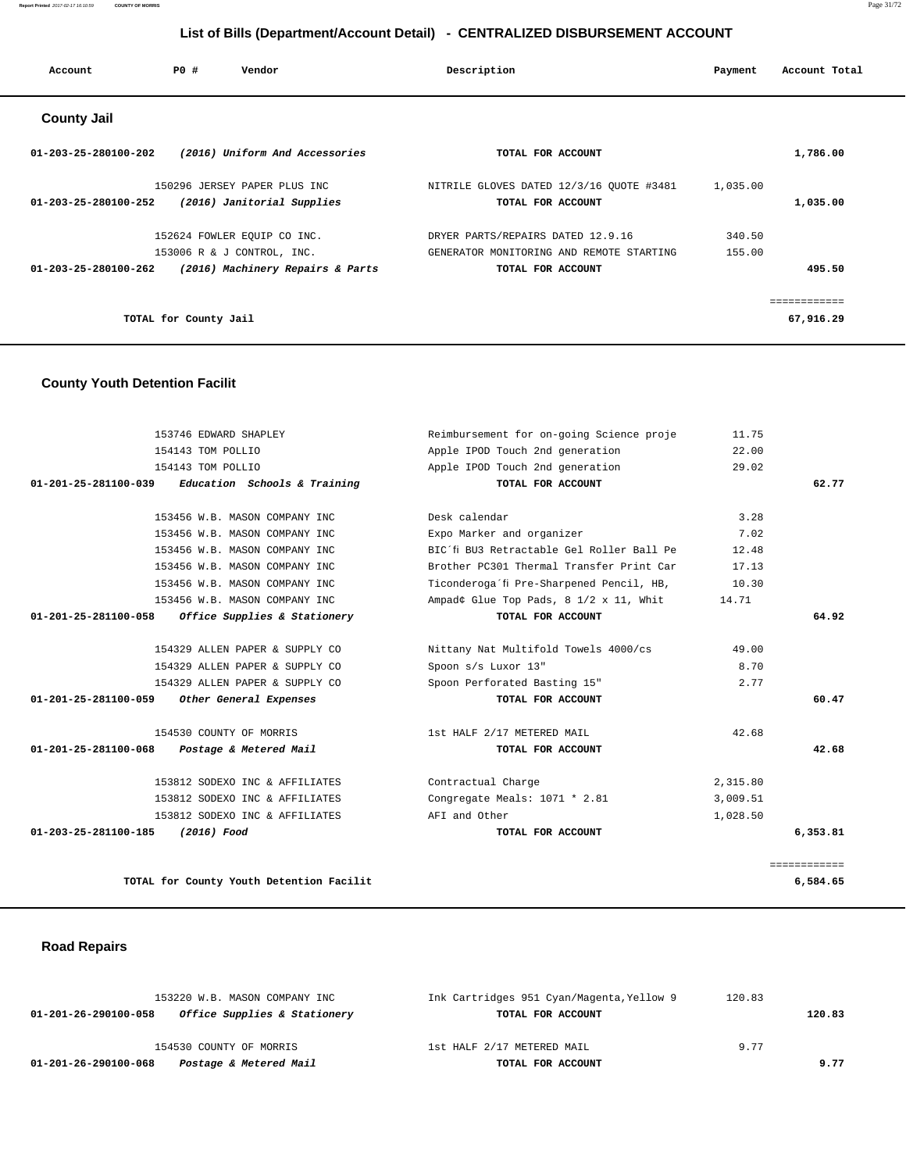#### **Report Printed** 2017-02-17 16:10:59 **COUNTY OF MORRIS** Page 31/72

# **List of Bills (Department/Account Detail) - CENTRALIZED DISBURSEMENT ACCOUNT**

| Account                        | <b>PO #</b>           | Vendor                           | Description                              | Payment  | Account Total |
|--------------------------------|-----------------------|----------------------------------|------------------------------------------|----------|---------------|
| <b>County Jail</b>             |                       |                                  |                                          |          |               |
| 01-203-25-280100-202           |                       | (2016) Uniform And Accessories   | TOTAL FOR ACCOUNT                        |          | 1,786.00      |
|                                |                       | 150296 JERSEY PAPER PLUS INC     | NITRILE GLOVES DATED 12/3/16 QUOTE #3481 | 1,035.00 |               |
| 01-203-25-280100-252           |                       | (2016) Janitorial Supplies       | TOTAL FOR ACCOUNT                        |          | 1,035.00      |
|                                |                       | 152624 FOWLER EOUIP CO INC.      | DRYER PARTS/REPAIRS DATED 12.9.16        | 340.50   |               |
|                                |                       | 153006 R & J CONTROL, INC.       | GENERATOR MONITORING AND REMOTE STARTING | 155.00   |               |
| $01 - 203 - 25 - 280100 - 262$ |                       | (2016) Machinery Repairs & Parts | TOTAL FOR ACCOUNT                        |          | 495.50        |
|                                |                       |                                  |                                          |          | ============  |
|                                | TOTAL for County Jail |                                  |                                          |          | 67,916.29     |

# **County Youth Detention Facilit**

| 153746 EDWARD SHAPLEY                                | Reimbursement for on-going Science proje  | 11.75    |              |
|------------------------------------------------------|-------------------------------------------|----------|--------------|
| 154143 TOM POLLIO                                    | Apple IPOD Touch 2nd generation           | 22.00    |              |
| 154143 TOM POLLIO                                    | Apple IPOD Touch 2nd generation           | 29.02    |              |
| $01-201-25-281100-039$ Education Schools & Training  | TOTAL FOR ACCOUNT                         |          | 62.77        |
|                                                      |                                           |          |              |
| 153456 W.B. MASON COMPANY INC                        | Desk calendar                             | 3.28     |              |
| 153456 W.B. MASON COMPANY INC                        | Expo Marker and organizer                 | 7.02     |              |
| 153456 W.B. MASON COMPANY INC                        | BIC'fi BU3 Retractable Gel Roller Ball Pe | 12.48    |              |
| 153456 W.B. MASON COMPANY INC                        | Brother PC301 Thermal Transfer Print Car  | 17.13    |              |
| 153456 W.B. MASON COMPANY INC                        | Ticonderoga'fi Pre-Sharpened Pencil, HB,  | 10.30    |              |
| 153456 W.B. MASON COMPANY INC                        | Ampadâ ¢ Glue Top Pads, 8 1/2 x 11, Whit  | 14.71    |              |
| Office Supplies & Stationery<br>01-201-25-281100-058 | TOTAL FOR ACCOUNT                         |          | 64.92        |
|                                                      |                                           |          |              |
| 154329 ALLEN PAPER & SUPPLY CO                       | Nittany Nat Multifold Towels 4000/cs      | 49.00    |              |
| 154329 ALLEN PAPER & SUPPLY CO                       | Spoon s/s Luxor 13"                       | 8.70     |              |
| 154329 ALLEN PAPER & SUPPLY CO                       | Spoon Perforated Basting 15"              | 2.77     |              |
| 01-201-25-281100-059<br>Other General Expenses       | TOTAL FOR ACCOUNT                         |          | 60.47        |
|                                                      |                                           |          |              |
| 154530 COUNTY OF MORRIS                              | 1st HALF 2/17 METERED MAIL                | 42.68    |              |
| Postage & Metered Mail<br>01-201-25-281100-068       | TOTAL FOR ACCOUNT                         |          | 42.68        |
| 153812 SODEXO INC & AFFILIATES                       | Contractual Charge                        | 2,315.80 |              |
| 153812 SODEXO INC & AFFILIATES                       | Congregate Meals: 1071 * 2.81             | 3,009.51 |              |
| 153812 SODEXO INC & AFFILIATES                       | AFI and Other                             | 1,028.50 |              |
| 01-203-25-281100-185<br>(2016) Food                  | TOTAL FOR ACCOUNT                         |          | 6,353.81     |
|                                                      |                                           |          |              |
|                                                      |                                           |          | ============ |
| TOTAL for County Youth Detention Facilit             |                                           |          | 6,584.65     |
|                                                      |                                           |          |              |

# **Road Repairs**

| 153220 W.B. MASON COMPANY INC                        | Ink Cartridges 951 Cyan/Magenta, Yellow 9 | 120.83 |        |
|------------------------------------------------------|-------------------------------------------|--------|--------|
| Office Supplies & Stationery<br>01-201-26-290100-058 | TOTAL FOR ACCOUNT                         |        | 120.83 |
| 154530 COUNTY OF MORRIS                              | 1st HALF 2/17 METERED MAIL                | 9.77   |        |
|                                                      |                                           |        |        |
| Postage & Metered Mail<br>01-201-26-290100-068       | TOTAL FOR ACCOUNT                         |        | 9.77   |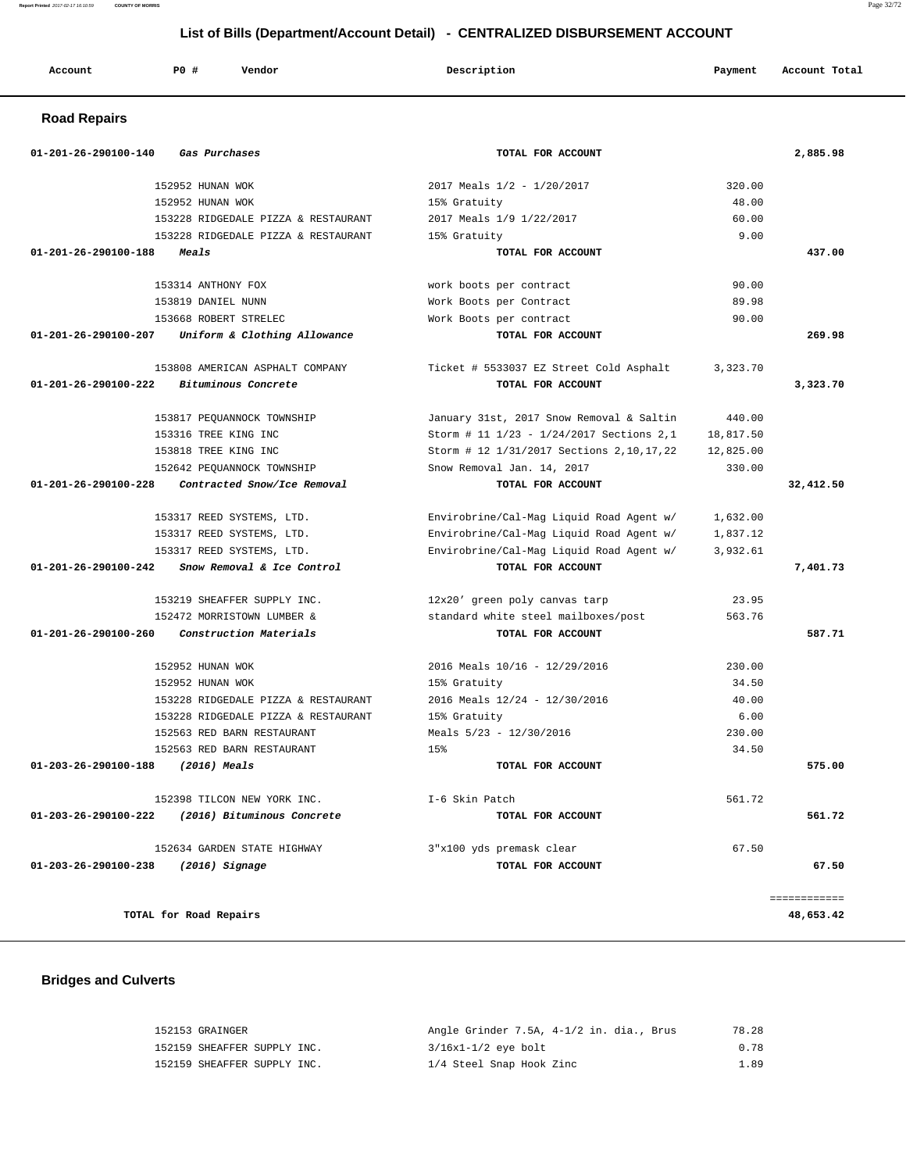| Report Printed 2017-02-17 16:10:59<br><b>COUNTY OF MORRIS</b> |                                     |                                                                              |           |               |
|---------------------------------------------------------------|-------------------------------------|------------------------------------------------------------------------------|-----------|---------------|
|                                                               |                                     | List of Bills (Department/Account Detail) - CENTRALIZED DISBURSEMENT ACCOUNT |           |               |
|                                                               |                                     |                                                                              |           |               |
| Account                                                       | <b>PO #</b><br>Vendor               | Description                                                                  | Payment   | Account Total |
| <b>Road Repairs</b>                                           |                                     |                                                                              |           |               |
| 01-201-26-290100-140                                          | Gas Purchases                       | TOTAL FOR ACCOUNT                                                            |           | 2,885.98      |
|                                                               | 152952 HUNAN WOK                    | 2017 Meals 1/2 - 1/20/2017                                                   | 320.00    |               |
|                                                               | 152952 HUNAN WOK                    | 15% Gratuity                                                                 | 48.00     |               |
|                                                               | 153228 RIDGEDALE PIZZA & RESTAURANT | 2017 Meals 1/9 1/22/2017                                                     | 60.00     |               |
|                                                               | 153228 RIDGEDALE PIZZA & RESTAURANT | 15% Gratuity                                                                 | 9.00      |               |
| 01-201-26-290100-188                                          | Meals                               | TOTAL FOR ACCOUNT                                                            |           | 437.00        |
|                                                               | 153314 ANTHONY FOX                  | work boots per contract                                                      | 90.00     |               |
|                                                               | 153819 DANIEL NUNN                  | Work Boots per Contract                                                      | 89.98     |               |
|                                                               | 153668 ROBERT STRELEC               | Work Boots per contract                                                      | 90.00     |               |
| 01-201-26-290100-207                                          | Uniform & Clothing Allowance        | TOTAL FOR ACCOUNT                                                            |           | 269.98        |
|                                                               | 153808 AMERICAN ASPHALT COMPANY     | Ticket # 5533037 EZ Street Cold Asphalt                                      | 3,323.70  |               |
| 01-201-26-290100-222                                          | Bituminous Concrete                 | TOTAL FOR ACCOUNT                                                            |           | 3,323.70      |
|                                                               | 153817 PEQUANNOCK TOWNSHIP          | January 31st, 2017 Snow Removal & Saltin                                     | 440.00    |               |
|                                                               | 153316 TREE KING INC                | Storm # 11 1/23 - 1/24/2017 Sections 2,1                                     | 18,817.50 |               |
|                                                               | 153818 TREE KING INC                | Storm # 12 1/31/2017 Sections 2, 10, 17, 22                                  | 12,825.00 |               |
|                                                               | 152642 PEOUANNOCK TOWNSHIP          | Snow Removal Jan. 14, 2017                                                   | 330.00    |               |
| 01-201-26-290100-228                                          | Contracted Snow/Ice Removal         | TOTAL FOR ACCOUNT                                                            |           | 32,412.50     |
|                                                               | 153317 REED SYSTEMS, LTD.           | Envirobrine/Cal-Mag Liquid Road Agent w/                                     | 1,632.00  |               |
|                                                               | 153317 REED SYSTEMS, LTD.           | Envirobrine/Cal-Mag Liquid Road Agent w/                                     | 1,837.12  |               |
|                                                               | 153317 REED SYSTEMS, LTD.           | Envirobrine/Cal-Mag Liquid Road Agent w/                                     | 3,932.61  |               |
| 01-201-26-290100-242                                          | Snow Removal & Ice Control          | TOTAL FOR ACCOUNT                                                            |           | 7,401.73      |
|                                                               | 153219 SHEAFFER SUPPLY INC.         | 12x20' green poly canvas tarp                                                | 23.95     |               |
|                                                               | 152472 MORRISTOWN LUMBER &          | standard white steel mailboxes/post                                          | 563.76    |               |
| 01-201-26-290100-260                                          | Construction Materials              | TOTAL FOR ACCOUNT                                                            |           | 587.71        |
|                                                               | 152952 HUNAN WOK                    | 2016 Meals 10/16 - 12/29/2016                                                | 230.00    |               |
|                                                               |                                     |                                                                              |           |               |

 152952 HUNAN WOK 15% Gratuity 34.50 153228 RIDGEDALE PIZZA & RESTAURANT 2016 Meals 12/24 - 12/30/2016 40.00 153228 RIDGEDALE PIZZA & RESTAURANT 15% Gratuity 6.00 152563 RED BARN RESTAURANT Meals 5/23 - 12/30/2016 230.00 152563 RED BARN RESTAURANT 15% 34.50

 **01-203-26-290100-188 (2016) Meals TOTAL FOR ACCOUNT 575.00** 152398 TILCON NEW YORK INC. <br>
1-6 Skin Patch 1-6 Skin Patch 561.72  **01-203-26-290100-222 (2016) Bituminous Concrete TOTAL FOR ACCOUNT 561.72** 152634 GARDEN STATE HIGHWAY 3"x100 yds premask clear 67.50  **01-203-26-290100-238 (2016) Signage TOTAL FOR ACCOUNT 67.50**

 ============ **TOTAL for Road Repairs** 48,653.42

#### **Bridges and Culverts**

| 152153 GRAINGER             | Angle Grinder 7.5A, 4-1/2 in. dia., Brus | 78.28 |
|-----------------------------|------------------------------------------|-------|
| 152159 SHEAFFER SUPPLY INC. | 3/16x1-1/2 eye bolt                      | 0.78  |
| 152159 SHEAFFER SUPPLY INC. | 1/4 Steel Snap Hook Zinc                 | 1.89  |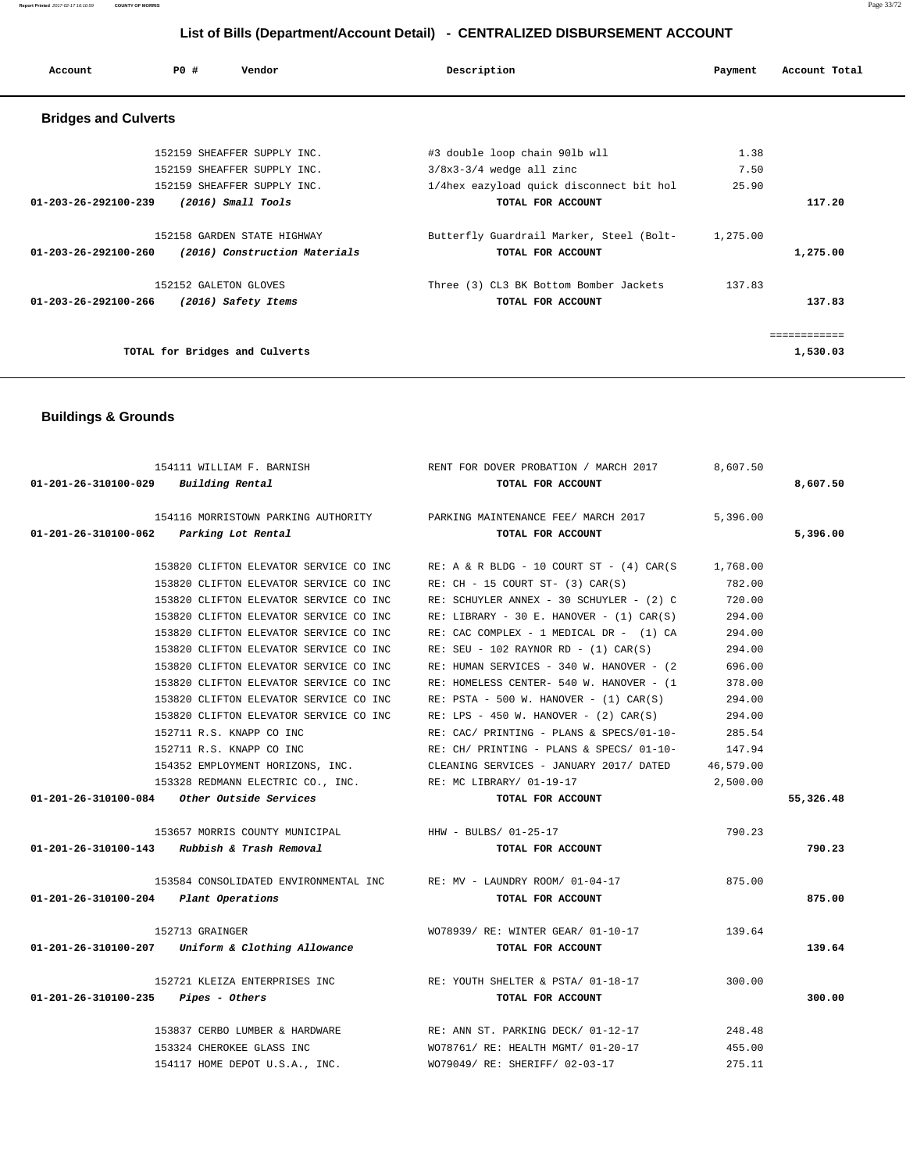**Report Printed** 2017-02-17 16:10:59 **COUNTY OF MORRIS** Page 33/72

# **List of Bills (Department/Account Detail) - CENTRALIZED DISBURSEMENT ACCOUNT**

| Account                        | PO# | Vendor                         | Description                              | Payment  | Account Total |
|--------------------------------|-----|--------------------------------|------------------------------------------|----------|---------------|
| <b>Bridges and Culverts</b>    |     |                                |                                          |          |               |
|                                |     | 152159 SHEAFFER SUPPLY INC.    | #3 double loop chain 90lb wll            | 1.38     |               |
|                                |     | 152159 SHEAFFER SUPPLY INC.    | $3/8x3-3/4$ wedge all zinc               | 7.50     |               |
|                                |     | 152159 SHEAFFER SUPPLY INC.    | 1/4hex eazyload quick disconnect bit hol | 25.90    |               |
| $01 - 203 - 26 - 292100 - 239$ |     | $(2016)$ Small Tools           | TOTAL FOR ACCOUNT                        |          | 117.20        |
|                                |     | 152158 GARDEN STATE HIGHWAY    | Butterfly Guardrail Marker, Steel (Bolt- | 1,275.00 |               |
| 01-203-26-292100-260           |     | (2016) Construction Materials  | TOTAL FOR ACCOUNT                        |          | 1,275.00      |
|                                |     | 152152 GALETON GLOVES          | Three (3) CL3 BK Bottom Bomber Jackets   | 137.83   |               |
| 01-203-26-292100-266           |     | (2016) Safety Items            | TOTAL FOR ACCOUNT                        |          | 137.83        |
|                                |     |                                |                                          |          | ============  |
|                                |     | TOTAL for Bridges and Culverts |                                          |          | 1,530.03      |

# **Buildings & Grounds**

|                                               | 154111 WILLIAM F. BARNISH                                            | RENT FOR DOVER PROBATION / MARCH 2017                                                    | 8,607.50  |           |
|-----------------------------------------------|----------------------------------------------------------------------|------------------------------------------------------------------------------------------|-----------|-----------|
| 01-201-26-310100-029 Building Rental          |                                                                      | TOTAL FOR ACCOUNT                                                                        |           | 8,607.50  |
|                                               |                                                                      | 154116 MORRISTOWN PARKING AUTHORITY <b>PARKING MAINTENANCE FEE</b> / MARCH 2017 5,396.00 |           |           |
| 01-201-26-310100-062 Parking Lot Rental       |                                                                      | TOTAL FOR ACCOUNT                                                                        |           | 5,396.00  |
|                                               |                                                                      |                                                                                          |           |           |
|                                               | 153820 CLIFTON ELEVATOR SERVICE CO INC                               | RE: A & R BLDG - 10 COURT ST - $(4)$ CAR $(S$ 1,768.00                                   |           |           |
|                                               | 153820 CLIFTON ELEVATOR SERVICE CO INC                               | $RE: CH - 15 COURT ST- (3) CAR(S)$                                                       | 782.00    |           |
|                                               | 153820 CLIFTON ELEVATOR SERVICE CO INC                               | RE: SCHUYLER ANNEX - 30 SCHUYLER - (2) C                                                 | 720.00    |           |
|                                               | 153820 CLIFTON ELEVATOR SERVICE CO INC                               | RE: LIBRARY - 30 E. HANOVER - $(1)$ CAR $(S)$                                            | 294.00    |           |
|                                               | 153820 CLIFTON ELEVATOR SERVICE CO INC                               | RE: CAC COMPLEX - 1 MEDICAL DR - (1) CA                                                  | 294.00    |           |
|                                               | 153820 CLIFTON ELEVATOR SERVICE CO INC                               | RE: SEU - 102 RAYNOR RD - $(1)$ CAR $(S)$                                                | 294.00    |           |
|                                               | 153820 CLIFTON ELEVATOR SERVICE CO INC                               | RE: HUMAN SERVICES - 340 W. HANOVER - (2)                                                | 696.00    |           |
|                                               | 153820 CLIFTON ELEVATOR SERVICE CO INC                               | RE: HOMELESS CENTER- 540 W. HANOVER - (1                                                 | 378.00    |           |
|                                               | 153820 CLIFTON ELEVATOR SERVICE CO INC                               | $RE: PSTA - 500 W. HANOVER - (1) CAR(S)$                                                 | 294.00    |           |
|                                               | 153820 CLIFTON ELEVATOR SERVICE CO INC                               | RE: LPS - 450 W. HANOVER - $(2)$ CAR $(S)$                                               | 294.00    |           |
|                                               | 152711 R.S. KNAPP CO INC                                             | RE: CAC/ PRINTING - PLANS & SPECS/01-10-                                                 | 285.54    |           |
|                                               | 152711 R.S. KNAPP CO INC                                             | RE: CH/ PRINTING - PLANS & SPECS/ 01-10-                                                 | 147.94    |           |
|                                               |                                                                      | 154352 EMPLOYMENT HORIZONS, INC. CLEANING SERVICES - JANUARY 2017/ DATED                 | 46,579.00 |           |
|                                               | 153328 REDMANN ELECTRIC CO., INC. RE: MC LIBRARY/ 01-19-17           |                                                                                          | 2,500.00  |           |
|                                               | 01-201-26-310100-084 Other Outside Services                          | TOTAL FOR ACCOUNT                                                                        |           | 55,326.48 |
|                                               | 153657 MORRIS COUNTY MUNICIPAL THE HHW - BULBS/ 01-25-17             |                                                                                          | 790.23    |           |
|                                               | $01 - 201 - 26 - 310100 - 143$ Rubbish & Trash Removal               | TOTAL FOR ACCOUNT                                                                        |           | 790.23    |
|                                               | 153584 CONSOLIDATED ENVIRONMENTAL INC RE: MV - LAUNDRY ROOM/01-04-17 |                                                                                          | 875.00    |           |
| 01-201-26-310100-204 Plant Operations         |                                                                      | TOTAL FOR ACCOUNT                                                                        |           | 875.00    |
|                                               | 152713 GRAINGER                                                      | WO78939/ RE: WINTER GEAR/ 01-10-17                                                       | 139.64    |           |
|                                               | $01-201-26-310100-207$ Uniform & Clothing Allowance                  | TOTAL FOR ACCOUNT                                                                        |           | 139.64    |
|                                               |                                                                      |                                                                                          |           |           |
|                                               |                                                                      | 152721 KLEIZA ENTERPRISES INC THE RE: YOUTH SHELTER & PSTA/01-18-17                      | 300.00    |           |
| $01 - 201 - 26 - 310100 - 235$ Pipes - Others |                                                                      | TOTAL FOR ACCOUNT                                                                        |           | 300.00    |
|                                               | 153837 CERBO LUMBER & HARDWARE                                       | RE: ANN ST. PARKING DECK/ 01-12-17                                                       | 248.48    |           |
|                                               | 153324 CHEROKEE GLASS INC                                            | WO78761/ RE: HEALTH MGMT/ 01-20-17                                                       | 455.00    |           |
|                                               | 154117 HOME DEPOT U.S.A., INC.                                       | WO79049/ RE: SHERIFF/ 02-03-17                                                           | 275.11    |           |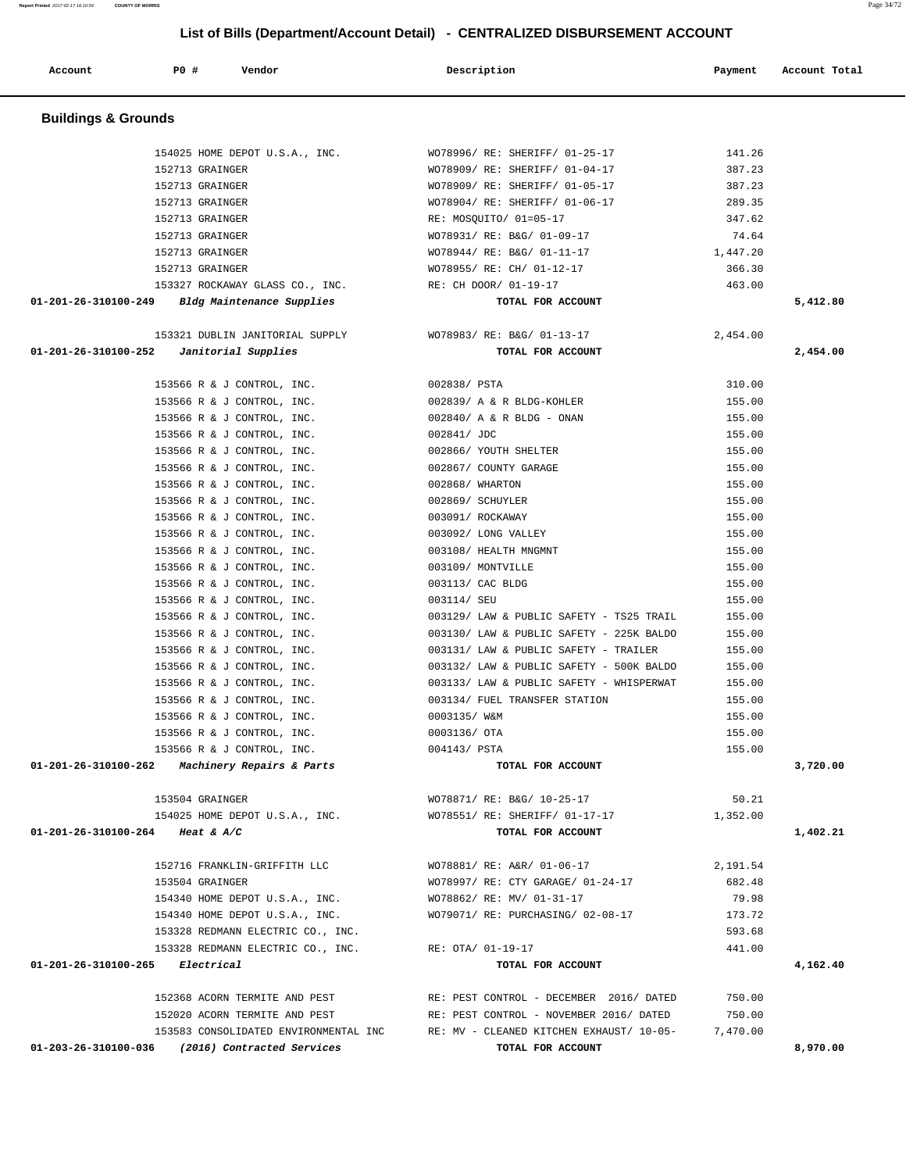| Account                        | P0 #<br>Vendor                                                    | Description                                                                    | Payment  | Account Total |
|--------------------------------|-------------------------------------------------------------------|--------------------------------------------------------------------------------|----------|---------------|
| <b>Buildings &amp; Grounds</b> |                                                                   |                                                                                |          |               |
|                                | 154025 HOME DEPOT U.S.A., INC.                                    | WO78996/ RE: SHERIFF/ 01-25-17                                                 | 141.26   |               |
|                                | 152713 GRAINGER                                                   | WO78909/ RE: SHERIFF/ 01-04-17                                                 | 387.23   |               |
|                                | 152713 GRAINGER                                                   | WO78909/ RE: SHERIFF/ 01-05-17                                                 | 387.23   |               |
|                                | 152713 GRAINGER                                                   | WO78904/ RE: SHERIFF/ 01-06-17                                                 | 289.35   |               |
|                                | 152713 GRAINGER                                                   | RE: MOSQUITO/ 01=05-17                                                         | 347.62   |               |
|                                | 152713 GRAINGER                                                   | WO78931/ RE: B&G/ 01-09-17                                                     | 74.64    |               |
|                                | 152713 GRAINGER                                                   | WO78944/ RE: B&G/ 01-11-17                                                     | 1,447.20 |               |
|                                | 152713 GRAINGER                                                   | WO78955/ RE: CH/ 01-12-17                                                      | 366.30   |               |
|                                | 153327 ROCKAWAY GLASS CO., INC.                                   | RE: CH DOOR/ 01-19-17                                                          | 463.00   |               |
|                                | $01-201-26-310100-249$ Bldg Maintenance Supplies                  | TOTAL FOR ACCOUNT                                                              |          | 5,412.80      |
|                                | 153321 DUBLIN JANITORIAL SUPPLY                                   | WO78983/ RE: B&G/ 01-13-17                                                     | 2,454.00 |               |
| 01-201-26-310100-252           | Janitorial Supplies                                               | TOTAL FOR ACCOUNT                                                              |          | 2,454.00      |
|                                | 153566 R & J CONTROL, INC.                                        | 002838/ PSTA                                                                   | 310.00   |               |
|                                | 153566 R & J CONTROL, INC.                                        | 002839/ A & R BLDG-KOHLER                                                      | 155.00   |               |
|                                | 153566 R & J CONTROL, INC.                                        | 002840/ A & R BLDG - ONAN                                                      | 155.00   |               |
|                                | 153566 R & J CONTROL, INC.                                        | 002841/ JDC                                                                    | 155.00   |               |
|                                | 153566 R & J CONTROL, INC.                                        | 002866/ YOUTH SHELTER                                                          | 155.00   |               |
|                                | 153566 R & J CONTROL, INC.                                        | 002867/ COUNTY GARAGE                                                          | 155.00   |               |
|                                | 153566 R & J CONTROL, INC.                                        | 002868/ WHARTON                                                                | 155.00   |               |
|                                | 153566 R & J CONTROL, INC.                                        | 002869/ SCHUYLER                                                               | 155.00   |               |
|                                | 153566 R & J CONTROL, INC.                                        | 003091/ ROCKAWAY                                                               | 155.00   |               |
|                                | 153566 R & J CONTROL, INC.                                        | 003092/ LONG VALLEY                                                            | 155.00   |               |
|                                | 153566 R & J CONTROL, INC.                                        | 003108/ HEALTH MNGMNT                                                          | 155.00   |               |
|                                | 153566 R & J CONTROL, INC.                                        | 003109/ MONTVILLE                                                              | 155.00   |               |
|                                | 153566 R & J CONTROL, INC.                                        | 003113/ CAC BLDG                                                               | 155.00   |               |
|                                | 153566 R & J CONTROL, INC.                                        | 003114/ SEU                                                                    | 155.00   |               |
|                                | 153566 R & J CONTROL, INC.                                        | 003129/ LAW & PUBLIC SAFETY - TS25 TRAIL                                       | 155.00   |               |
|                                | 153566 R & J CONTROL, INC.                                        | 003130/ LAW & PUBLIC SAFETY - 225K BALDO                                       | 155.00   |               |
|                                | 153566 R & J CONTROL, INC.                                        | 003131/ LAW & PUBLIC SAFETY - TRAILER                                          | 155.00   |               |
|                                | 153566 R & J CONTROL, INC.                                        | 003132/ LAW & PUBLIC SAFETY - 500K BALDO                                       | 155.00   |               |
|                                | 153566 R & J CONTROL, INC.                                        | 003133/ LAW & PUBLIC SAFETY - WHISPERWAT                                       | 155.00   |               |
|                                | 153566 R & J CONTROL, INC.                                        | 003134/ FUEL TRANSFER STATION                                                  | 155.00   |               |
|                                | 153566 R & J CONTROL, INC.                                        | 0003135/ W&M                                                                   | 155.00   |               |
|                                | 153566 R & J CONTROL, INC.                                        | 0003136/ OTA                                                                   | 155.00   |               |
|                                | 153566 R & J CONTROL, INC.                                        | 004143/ PSTA                                                                   | 155.00   |               |
|                                | 01-201-26-310100-262 Machinery Repairs & Parts                    | TOTAL FOR ACCOUNT                                                              |          | 3,720.00      |
|                                | 153504 GRAINGER                                                   | WO78871/ RE: B&G/ 10-25-17                                                     | 50.21    |               |
|                                | 154025 HOME DEPOT U.S.A., INC.<br>01-201-26-310100-264 Heat & A/C | WO78551/ RE: SHERIFF/ 01-17-17<br>TOTAL FOR ACCOUNT                            | 1,352.00 | 1,402.21      |
|                                |                                                                   |                                                                                |          |               |
|                                | 152716 FRANKLIN-GRIFFITH LLC                                      | WO78881/ RE: A&R/ 01-06-17                                                     | 2,191.54 |               |
|                                | 153504 GRAINGER                                                   | WO78997/ RE: CTY GARAGE/ 01-24-17                                              | 682.48   |               |
|                                | 154340 HOME DEPOT U.S.A., INC.                                    | WO78862/ RE: MV/ 01-31-17                                                      | 79.98    |               |
|                                | 154340 HOME DEPOT U.S.A., INC.                                    | WO79071/ RE: PURCHASING/ 02-08-17                                              | 173.72   |               |
|                                | 153328 REDMANN ELECTRIC CO., INC.                                 |                                                                                | 593.68   |               |
|                                | 153328 REDMANN ELECTRIC CO., INC.                                 | RE: OTA/ 01-19-17                                                              | 441.00   |               |
|                                | $01 - 201 - 26 - 310100 - 265$ Electrical                         | TOTAL FOR ACCOUNT                                                              |          | 4,162.40      |
|                                | 152368 ACORN TERMITE AND PEST                                     | RE: PEST CONTROL - DECEMBER 2016/DATED                                         | 750.00   |               |
|                                | 152020 ACORN TERMITE AND PEST                                     | RE: PEST CONTROL - NOVEMBER 2016/ DATED                                        | 750.00   |               |
|                                |                                                                   | 153583 CONSOLIDATED ENVIRONMENTAL INC RE: MV - CLEANED KITCHEN EXHAUST/ 10-05- | 7,470.00 |               |
|                                | 01-203-26-310100-036 (2016) Contracted Services                   | TOTAL FOR ACCOUNT                                                              |          | 8,970.00      |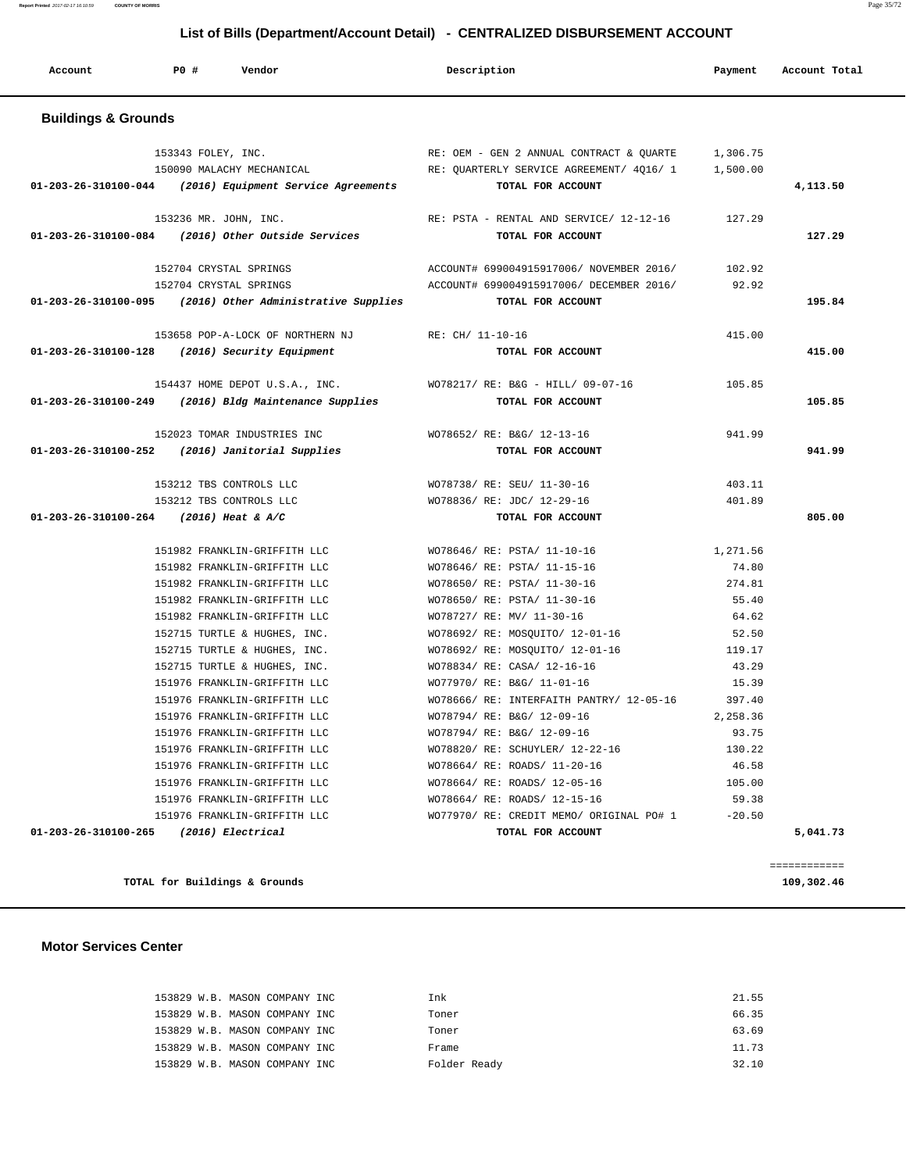# **List of Bills (Department/Account Detail) - CENTRALIZED DISBURSEMENT ACCOUNT**

| Account                        | P0 #<br>Vendor                                                                          | Description                                                                          | Payment              | Account Total |  |  |  |  |  |
|--------------------------------|-----------------------------------------------------------------------------------------|--------------------------------------------------------------------------------------|----------------------|---------------|--|--|--|--|--|
| <b>Buildings &amp; Grounds</b> |                                                                                         |                                                                                      |                      |               |  |  |  |  |  |
|                                | 153343 FOLEY, INC.<br>150090 MALACHY MECHANICAL                                         | RE: OEM - GEN 2 ANNUAL CONTRACT & QUARTE<br>RE: QUARTERLY SERVICE AGREEMENT/ 4Q16/ 1 | 1,306.75<br>1,500.00 |               |  |  |  |  |  |
|                                | $01-203-26-310100-044$ (2016) Equipment Service Agreements                              | TOTAL FOR ACCOUNT                                                                    |                      | 4,113.50      |  |  |  |  |  |
|                                | 153236 MR. JOHN, INC.<br>01-203-26-310100-084 (2016) Other Outside Services             | RE: PSTA - RENTAL AND SERVICE/ 12-12-16<br>TOTAL FOR ACCOUNT                         | 127.29               | 127.29        |  |  |  |  |  |
|                                | 152704 CRYSTAL SPRINGS<br>152704 CRYSTAL SPRINGS                                        | ACCOUNT# 699004915917006/ NOVEMBER 2016/<br>ACCOUNT# 699004915917006/ DECEMBER 2016/ | 102.92<br>92.92      |               |  |  |  |  |  |
|                                | $01-203-26-310100-095$ (2016) Other Administrative Supplies                             | TOTAL FOR ACCOUNT                                                                    |                      | 195.84        |  |  |  |  |  |
|                                | 153658 POP-A-LOCK OF NORTHERN NJ<br>01-203-26-310100-128 (2016) Security Equipment      | RE: CH/ 11-10-16<br>TOTAL FOR ACCOUNT                                                | 415.00               | 415.00        |  |  |  |  |  |
|                                | 154437 HOME DEPOT U.S.A., INC.<br>01-203-26-310100-249 (2016) Bldg Maintenance Supplies | WO78217/ RE: B&G - HILL/ 09-07-16<br>TOTAL FOR ACCOUNT                               | 105.85               | 105.85        |  |  |  |  |  |
|                                | 152023 TOMAR INDUSTRIES INC<br>01-203-26-310100-252 (2016) Janitorial Supplies          | WO78652/ RE: B&G/ 12-13-16<br>TOTAL FOR ACCOUNT                                      | 941.99               | 941.99        |  |  |  |  |  |
|                                | 153212 TBS CONTROLS LLC                                                                 | WO78738/ RE: SEU/ 11-30-16                                                           | 403.11               |               |  |  |  |  |  |
|                                | 153212 TBS CONTROLS LLC<br>01-203-26-310100-264 (2016) Heat & A/C                       | WO78836/ RE: JDC/ 12-29-16<br>TOTAL FOR ACCOUNT                                      | 401.89               | 805.00        |  |  |  |  |  |
|                                | 151982 FRANKLIN-GRIFFITH LLC                                                            | WO78646/ RE: PSTA/ 11-10-16                                                          | 1,271.56             |               |  |  |  |  |  |
|                                | 151982 FRANKLIN-GRIFFITH LLC                                                            | WO78646/ RE: PSTA/ 11-15-16                                                          | 74.80                |               |  |  |  |  |  |
|                                | 151982 FRANKLIN-GRIFFITH LLC                                                            | WO78650/ RE: PSTA/ 11-30-16                                                          | 274.81               |               |  |  |  |  |  |
|                                | 151982 FRANKLIN-GRIFFITH LLC                                                            | WO78650/ RE: PSTA/ 11-30-16                                                          | 55.40                |               |  |  |  |  |  |
|                                | 151982 FRANKLIN-GRIFFITH LLC                                                            | WO78727/ RE: MV/ 11-30-16                                                            | 64.62                |               |  |  |  |  |  |
|                                | 152715 TURTLE & HUGHES, INC.                                                            | WO78692/ RE: MOSQUITO/ 12-01-16                                                      | 52.50                |               |  |  |  |  |  |
|                                | 152715 TURTLE & HUGHES, INC.                                                            | WO78692/ RE: MOSQUITO/ 12-01-16                                                      | 119.17               |               |  |  |  |  |  |
|                                | 152715 TURTLE & HUGHES, INC.                                                            | WO78834/ RE: CASA/ 12-16-16                                                          | 43.29                |               |  |  |  |  |  |
|                                | 151976 FRANKLIN-GRIFFITH LLC                                                            | WO77970/ RE: B&G/ 11-01-16                                                           | 15.39                |               |  |  |  |  |  |
|                                | 151976 FRANKLIN-GRIFFITH LLC                                                            | WO78666/ RE: INTERFAITH PANTRY/ 12-05-16                                             | 397.40               |               |  |  |  |  |  |
|                                | 151976 FRANKLIN-GRIFFITH LLC                                                            | WO78794/ RE: B&G/ 12-09-16                                                           | 2,258.36             |               |  |  |  |  |  |
|                                | 151976 FRANKLIN-GRIFFITH LLC                                                            | WO78794/ RE: B&G/ 12-09-16                                                           | 93.75                |               |  |  |  |  |  |
|                                | 151976 FRANKLIN-GRIFFITH LLC                                                            | WO78820/ RE: SCHUYLER/ 12-22-16                                                      | 130.22               |               |  |  |  |  |  |
|                                | 151976 FRANKLIN-GRIFFITH LLC<br>151976 FRANKLIN-GRIFFITH LLC                            | WO78664/ RE: ROADS/ 11-20-16<br>WO78664/ RE: ROADS/ 12-05-16                         | 46.58<br>105.00      |               |  |  |  |  |  |
|                                | 151976 FRANKLIN-GRIFFITH LLC                                                            | WO78664/ RE: ROADS/ 12-15-16                                                         | 59.38                |               |  |  |  |  |  |
|                                | 151976 FRANKLIN-GRIFFITH LLC                                                            | WO77970/ RE: CREDIT MEMO/ ORIGINAL PO# 1                                             | $-20.50$             |               |  |  |  |  |  |
|                                | 01-203-26-310100-265 (2016) Electrical                                                  | TOTAL FOR ACCOUNT                                                                    |                      | 5,041.73      |  |  |  |  |  |
|                                |                                                                                         |                                                                                      |                      | ============  |  |  |  |  |  |

**TOTAL for Buildings & Grounds 109,302.46**

### **Motor Services Center**

| 153829 W.B. MASON COMPANY INC | Ink          | 21.55 |
|-------------------------------|--------------|-------|
| 153829 W.B. MASON COMPANY INC | Toner        | 66.35 |
| 153829 W.B. MASON COMPANY INC | Toner        | 63.69 |
| 153829 W.B. MASON COMPANY INC | Frame        | 11.73 |
| 153829 W.B. MASON COMPANY INC | Folder Ready | 32.10 |

**Report Printed** 2017-02-17 16:10:59 **COUNTY OF MORRIS** Page 35/72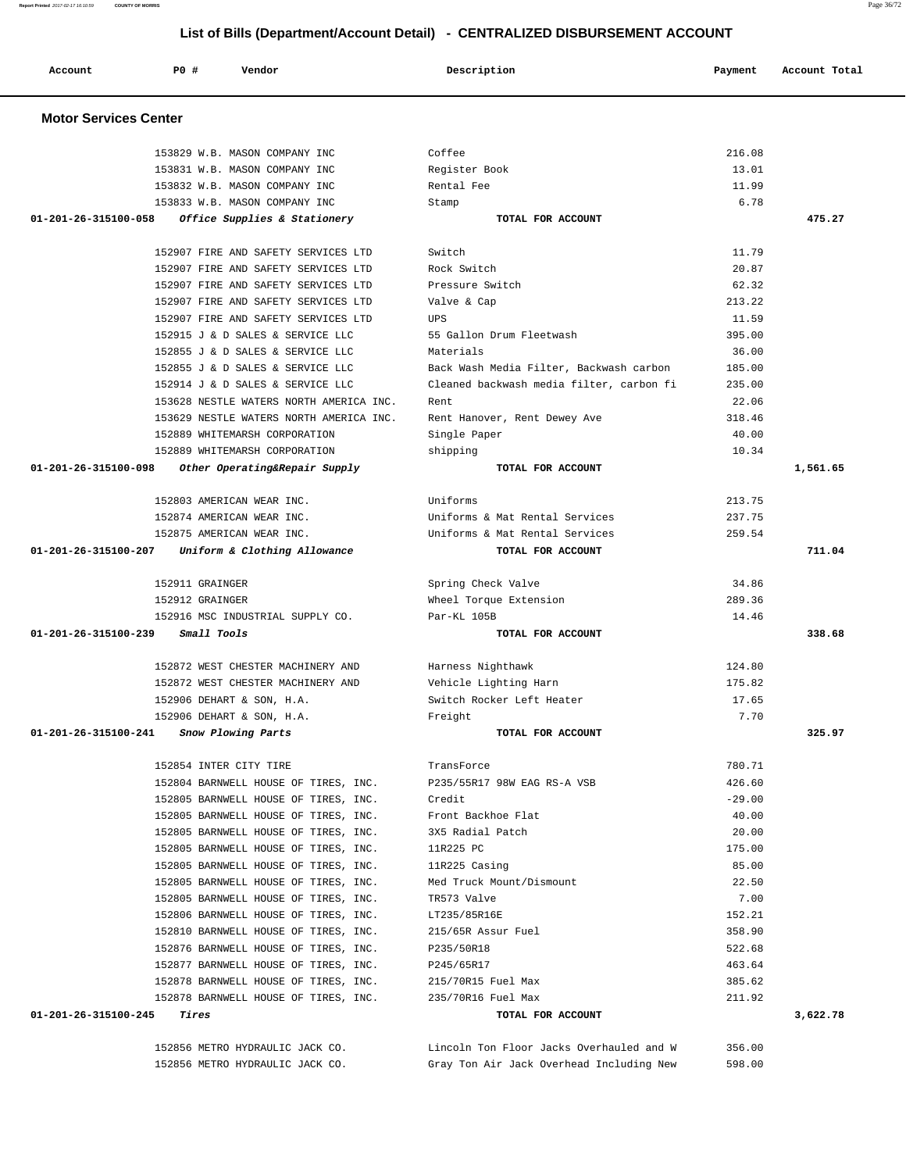# **List of Bills (Department/Account Detail) - CENTRALIZED DISBURSEMENT ACCOUNT**

| Account                                              | PO#             | Vendor                                  | Description                              | Payment  | Account Total |  |  |  |  |
|------------------------------------------------------|-----------------|-----------------------------------------|------------------------------------------|----------|---------------|--|--|--|--|
| <b>Motor Services Center</b>                         |                 |                                         |                                          |          |               |  |  |  |  |
|                                                      |                 | 153829 W.B. MASON COMPANY INC           | Coffee                                   | 216.08   |               |  |  |  |  |
|                                                      |                 | 153831 W.B. MASON COMPANY INC           | Register Book                            | 13.01    |               |  |  |  |  |
|                                                      |                 | 153832 W.B. MASON COMPANY INC           | Rental Fee                               | 11.99    |               |  |  |  |  |
|                                                      |                 | 153833 W.B. MASON COMPANY INC           | Stamp                                    | 6.78     |               |  |  |  |  |
| 01-201-26-315100-058<br>Office Supplies & Stationery |                 |                                         | TOTAL FOR ACCOUNT                        |          | 475.27        |  |  |  |  |
|                                                      |                 | 152907 FIRE AND SAFETY SERVICES LTD     | Switch                                   | 11.79    |               |  |  |  |  |
|                                                      |                 | 152907 FIRE AND SAFETY SERVICES LTD     | Rock Switch                              | 20.87    |               |  |  |  |  |
|                                                      |                 | 152907 FIRE AND SAFETY SERVICES LTD     | Pressure Switch                          | 62.32    |               |  |  |  |  |
|                                                      |                 | 152907 FIRE AND SAFETY SERVICES LTD     | Valve & Cap                              | 213.22   |               |  |  |  |  |
|                                                      |                 | 152907 FIRE AND SAFETY SERVICES LTD     | UPS                                      | 11.59    |               |  |  |  |  |
|                                                      |                 | 152915 J & D SALES & SERVICE LLC        | 55 Gallon Drum Fleetwash                 | 395.00   |               |  |  |  |  |
|                                                      |                 | 152855 J & D SALES & SERVICE LLC        | Materials                                | 36.00    |               |  |  |  |  |
|                                                      |                 | 152855 J & D SALES & SERVICE LLC        | Back Wash Media Filter, Backwash carbon  | 185.00   |               |  |  |  |  |
|                                                      |                 | 152914 J & D SALES & SERVICE LLC        | Cleaned backwash media filter, carbon fi | 235.00   |               |  |  |  |  |
|                                                      |                 | 153628 NESTLE WATERS NORTH AMERICA INC. | Rent                                     | 22.06    |               |  |  |  |  |
|                                                      |                 | 153629 NESTLE WATERS NORTH AMERICA INC. | Rent Hanover, Rent Dewey Ave             | 318.46   |               |  |  |  |  |
|                                                      |                 | 152889 WHITEMARSH CORPORATION           | Single Paper                             | 40.00    |               |  |  |  |  |
|                                                      |                 | 152889 WHITEMARSH CORPORATION           | shipping                                 | 10.34    |               |  |  |  |  |
| 01-201-26-315100-098                                 |                 | Other Operating&Repair Supply           | TOTAL FOR ACCOUNT                        |          | 1,561.65      |  |  |  |  |
|                                                      |                 | 152803 AMERICAN WEAR INC.               | Uniforms                                 | 213.75   |               |  |  |  |  |
|                                                      |                 | 152874 AMERICAN WEAR INC.               | Uniforms & Mat Rental Services           | 237.75   |               |  |  |  |  |
|                                                      |                 | 152875 AMERICAN WEAR INC.               | Uniforms & Mat Rental Services           | 259.54   |               |  |  |  |  |
| 01-201-26-315100-207                                 |                 | Uniform & Clothing Allowance            | TOTAL FOR ACCOUNT                        |          | 711.04        |  |  |  |  |
|                                                      | 152911 GRAINGER |                                         | Spring Check Valve                       | 34.86    |               |  |  |  |  |
|                                                      | 152912 GRAINGER |                                         | Wheel Torque Extension                   | 289.36   |               |  |  |  |  |
|                                                      |                 | 152916 MSC INDUSTRIAL SUPPLY CO.        | Par-KL 105B                              | 14.46    |               |  |  |  |  |
| 01-201-26-315100-239                                 | Small Tools     |                                         | TOTAL FOR ACCOUNT                        |          | 338.68        |  |  |  |  |
|                                                      |                 | 152872 WEST CHESTER MACHINERY AND       | Harness Nighthawk                        | 124.80   |               |  |  |  |  |
|                                                      |                 | 152872 WEST CHESTER MACHINERY AND       | Vehicle Lighting Harn                    | 175.82   |               |  |  |  |  |
|                                                      |                 | 152906 DEHART & SON, H.A.               | Switch Rocker Left Heater                | 17.65    |               |  |  |  |  |
|                                                      |                 | 152906 DEHART & SON, H.A.               | Freight                                  | 7.70     |               |  |  |  |  |
| 01-201-26-315100-241 Snow Plowing Parts              |                 |                                         | TOTAL FOR ACCOUNT                        |          | 325.97        |  |  |  |  |
|                                                      |                 | 152854 INTER CITY TIRE                  | TransForce                               | 780.71   |               |  |  |  |  |
|                                                      |                 | 152804 BARNWELL HOUSE OF TIRES, INC.    | P235/55R17 98W EAG RS-A VSB              | 426.60   |               |  |  |  |  |
|                                                      |                 | 152805 BARNWELL HOUSE OF TIRES, INC.    | Credit                                   | $-29.00$ |               |  |  |  |  |
|                                                      |                 | 152805 BARNWELL HOUSE OF TIRES, INC.    | Front Backhoe Flat                       | 40.00    |               |  |  |  |  |
|                                                      |                 | 152805 BARNWELL HOUSE OF TIRES, INC.    | 3X5 Radial Patch                         | 20.00    |               |  |  |  |  |
|                                                      |                 | 152805 BARNWELL HOUSE OF TIRES, INC.    | 11R225 PC                                | 175.00   |               |  |  |  |  |
|                                                      |                 | 152805 BARNWELL HOUSE OF TIRES, INC.    | 11R225 Casing                            | 85.00    |               |  |  |  |  |
|                                                      |                 | 152805 BARNWELL HOUSE OF TIRES, INC.    | Med Truck Mount/Dismount                 | 22.50    |               |  |  |  |  |
|                                                      |                 | 152805 BARNWELL HOUSE OF TIRES, INC.    | TR573 Valve                              | 7.00     |               |  |  |  |  |
|                                                      |                 | 152806 BARNWELL HOUSE OF TIRES, INC.    | LT235/85R16E                             | 152.21   |               |  |  |  |  |
|                                                      |                 | 152810 BARNWELL HOUSE OF TIRES, INC.    | 215/65R Assur Fuel                       | 358.90   |               |  |  |  |  |
|                                                      |                 | 152876 BARNWELL HOUSE OF TIRES, INC.    | P235/50R18                               | 522.68   |               |  |  |  |  |
|                                                      |                 | 152877 BARNWELL HOUSE OF TIRES, INC.    | P245/65R17                               | 463.64   |               |  |  |  |  |
|                                                      |                 | 152878 BARNWELL HOUSE OF TIRES, INC.    | 215/70R15 Fuel Max                       | 385.62   |               |  |  |  |  |
| $01 - 201 - 26 - 315100 - 245$ Tires                 |                 | 152878 BARNWELL HOUSE OF TIRES, INC.    | 235/70R16 Fuel Max<br>TOTAL FOR ACCOUNT  | 211.92   | 3,622.78      |  |  |  |  |
|                                                      |                 |                                         |                                          |          |               |  |  |  |  |

 152856 METRO HYDRAULIC JACK CO. Lincoln Ton Floor Jacks Overhauled and W 356.00 152856 METRO HYDRAULIC JACK CO. Gray Ton Air Jack Overhead Including New 598.00

**Report Printed** 2017-02-17 16:10:59 **COUNTY OF MORRIS** Page 36/72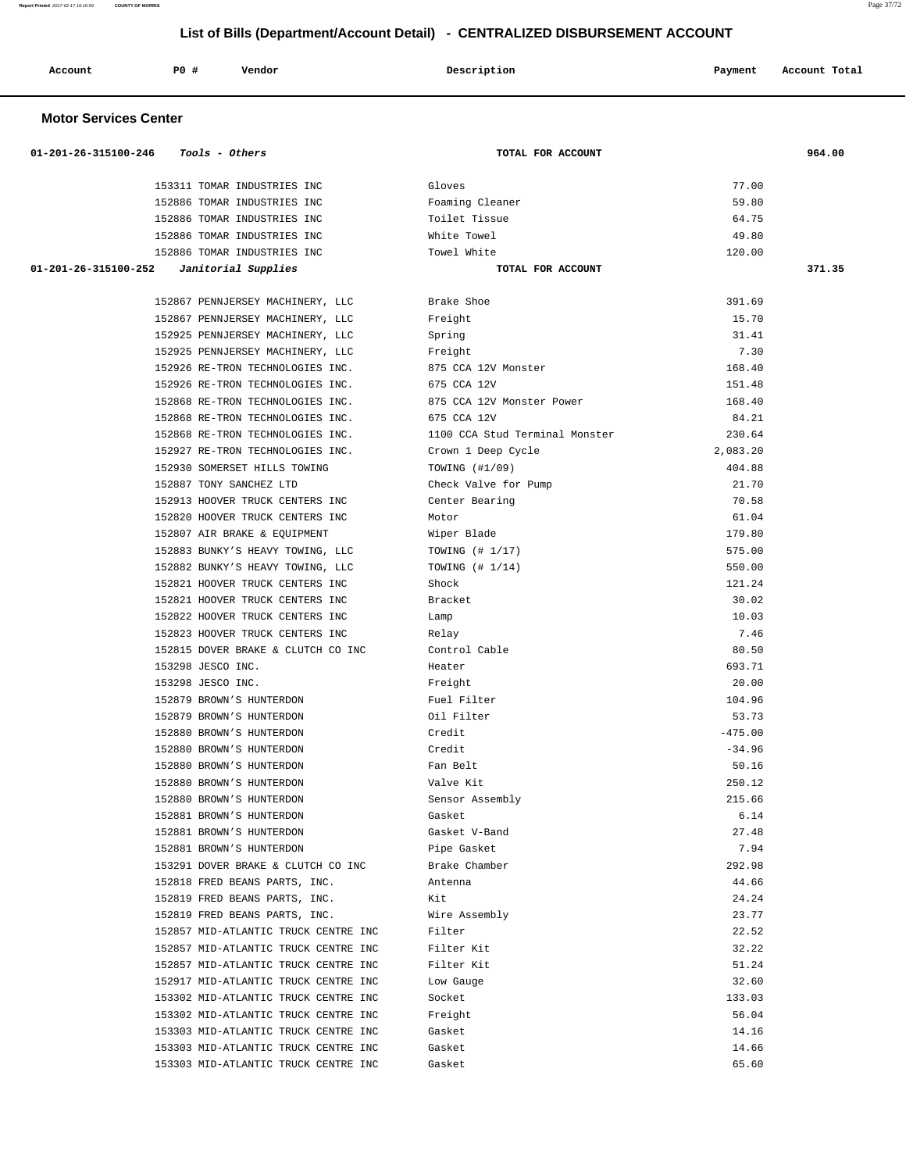| Account<br>. | <b>PO #</b> | Vendor | Description<br>$\sim$ $\sim$ | Payment | Account Total<br>. |
|--------------|-------------|--------|------------------------------|---------|--------------------|
|              |             |        |                              |         |                    |

### **Motor Services Center**

| 01-201-26-315100-246<br>Tools - Others               | TOTAL FOR ACCOUNT              |                    | 964.00 |
|------------------------------------------------------|--------------------------------|--------------------|--------|
| 153311 TOMAR INDUSTRIES INC                          | Gloves                         | 77.00              |        |
| 152886 TOMAR INDUSTRIES INC                          | Foaming Cleaner                | 59.80              |        |
| 152886 TOMAR INDUSTRIES INC                          | Toilet Tissue                  | 64.75              |        |
| 152886 TOMAR INDUSTRIES INC                          | White Towel                    | 49.80              |        |
| 152886 TOMAR INDUSTRIES INC                          | Towel White                    | 120.00             |        |
| 01-201-26-315100-252<br>Janitorial Supplies          | TOTAL FOR ACCOUNT              |                    | 371.35 |
|                                                      |                                |                    |        |
| 152867 PENNJERSEY MACHINERY, LLC                     | Brake Shoe                     | 391.69             |        |
| 152867 PENNJERSEY MACHINERY, LLC                     | Freight                        | 15.70              |        |
| 152925 PENNJERSEY MACHINERY, LLC                     | Spring                         | 31.41              |        |
| 152925 PENNJERSEY MACHINERY, LLC                     | Freight                        | 7.30               |        |
| 152926 RE-TRON TECHNOLOGIES INC.                     | 875 CCA 12V Monster            | 168.40             |        |
| 152926 RE-TRON TECHNOLOGIES INC.                     | 675 CCA 12V                    | 151.48             |        |
| 152868 RE-TRON TECHNOLOGIES INC.                     | 875 CCA 12V Monster Power      | 168.40             |        |
| 152868 RE-TRON TECHNOLOGIES INC.                     | 675 CCA 12V                    | 84.21              |        |
| 152868 RE-TRON TECHNOLOGIES INC.                     | 1100 CCA Stud Terminal Monster | 230.64             |        |
| 152927 RE-TRON TECHNOLOGIES INC.                     | Crown 1 Deep Cycle             | 2,083.20           |        |
| 152930 SOMERSET HILLS TOWING                         | TOWING (#1/09)                 | 404.88             |        |
| 152887 TONY SANCHEZ LTD                              | Check Valve for Pump           | 21.70              |        |
| 152913 HOOVER TRUCK CENTERS INC                      | Center Bearing                 | 70.58              |        |
| 152820 HOOVER TRUCK CENTERS INC                      | Motor                          | 61.04              |        |
| 152807 AIR BRAKE & EQUIPMENT                         | Wiper Blade                    | 179.80             |        |
| 152883 BUNKY'S HEAVY TOWING, LLC                     | TOWING $(# 1/17)$              | 575.00             |        |
| 152882 BUNKY'S HEAVY TOWING, LLC                     | TOWING $(+ 1/14)$              | 550.00             |        |
| 152821 HOOVER TRUCK CENTERS INC                      | Shock                          | 121.24             |        |
| 152821 HOOVER TRUCK CENTERS INC                      | Bracket                        | 30.02              |        |
| 152822 HOOVER TRUCK CENTERS INC                      | Lamp                           | 10.03              |        |
| 152823 HOOVER TRUCK CENTERS INC                      | Relay                          | 7.46               |        |
| 152815 DOVER BRAKE & CLUTCH CO INC                   | Control Cable                  | 80.50              |        |
| 153298 JESCO INC.                                    | Heater                         | 693.71             |        |
| 153298 JESCO INC.                                    | Freight                        | 20.00              |        |
| 152879 BROWN'S HUNTERDON                             | Fuel Filter                    | 104.96             |        |
| 152879 BROWN'S HUNTERDON                             | Oil Filter                     | 53.73<br>$-475.00$ |        |
| 152880 BROWN'S HUNTERDON<br>152880 BROWN'S HUNTERDON | Credit<br>Credit               | $-34.96$           |        |
| 152880 BROWN'S HUNTERDON                             | Fan Belt                       | 50.16              |        |
| 152880 BROWN'S HUNTERDON                             | Valve Kit                      | 250.12             |        |
| 152880 BROWN'S HUNTERDON                             | Sensor Assembly                | 215.66             |        |
| 152881 BROWN'S HUNTERDON                             | Gasket                         | 6.14               |        |
| 152881 BROWN'S HUNTERDON                             | Gasket V-Band                  | 27.48              |        |
| 152881 BROWN'S HUNTERDON                             | Pipe Gasket                    | 7.94               |        |
| 153291 DOVER BRAKE & CLUTCH CO INC                   | Brake Chamber                  | 292.98             |        |
| 152818 FRED BEANS PARTS, INC.                        | Antenna                        | 44.66              |        |
| 152819 FRED BEANS PARTS, INC.                        | Kit                            | 24.24              |        |
| 152819 FRED BEANS PARTS, INC.                        | Wire Assembly                  | 23.77              |        |
| 152857 MID-ATLANTIC TRUCK CENTRE INC                 | Filter                         | 22.52              |        |
| 152857 MID-ATLANTIC TRUCK CENTRE INC                 | Filter Kit                     | 32.22              |        |
| 152857 MID-ATLANTIC TRUCK CENTRE INC                 | Filter Kit                     | 51.24              |        |
| 152917 MID-ATLANTIC TRUCK CENTRE INC                 | Low Gauge                      | 32.60              |        |
| 153302 MID-ATLANTIC TRUCK CENTRE INC                 | Socket                         | 133.03             |        |
| 153302 MID-ATLANTIC TRUCK CENTRE INC                 | Freight                        | 56.04              |        |
| 153303 MID-ATLANTIC TRUCK CENTRE INC                 | Gasket                         | 14.16              |        |
| 153303 MID-ATLANTIC TRUCK CENTRE INC                 | Gasket                         | 14.66              |        |
| 153303 MID-ATLANTIC TRUCK CENTRE INC                 | Gasket                         | 65.60              |        |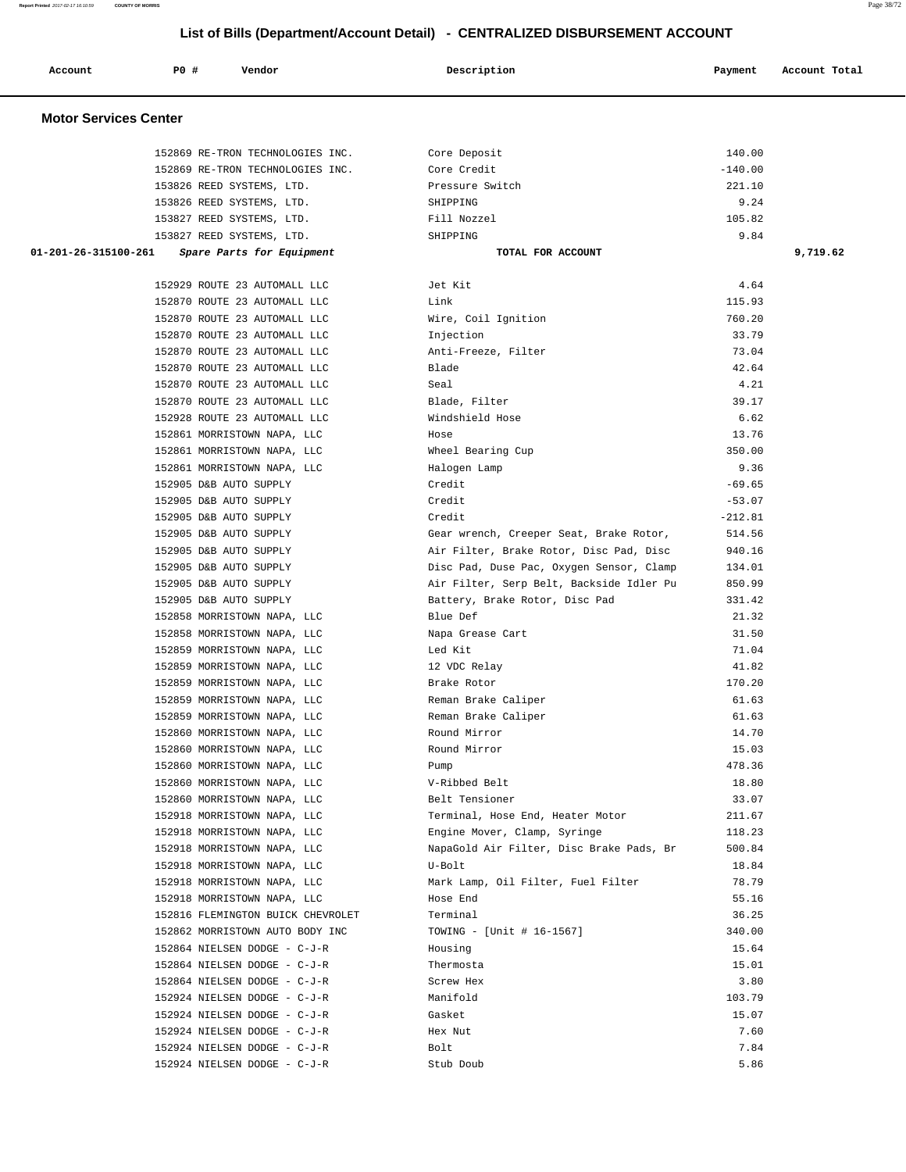| Report Printed 2017-02-17 16:10:59 | <b>COUNTY OF MORRIS</b>          |                                                                              |           | Page 38/72    |
|------------------------------------|----------------------------------|------------------------------------------------------------------------------|-----------|---------------|
|                                    |                                  | List of Bills (Department/Account Detail) - CENTRALIZED DISBURSEMENT ACCOUNT |           |               |
|                                    |                                  |                                                                              |           |               |
| Account                            | P0 #<br>Vendor                   | Description                                                                  | Payment   | Account Total |
| <b>Motor Services Center</b>       |                                  |                                                                              |           |               |
|                                    |                                  |                                                                              |           |               |
|                                    | 152869 RE-TRON TECHNOLOGIES INC. | Core Deposit                                                                 | 140.00    |               |
|                                    | 152869 RE-TRON TECHNOLOGIES INC. | Core Credit                                                                  | $-140.00$ |               |
|                                    | 153826 REED SYSTEMS, LTD.        | Pressure Switch                                                              | 221.10    |               |
|                                    | 153826 REED SYSTEMS, LTD.        | SHIPPING                                                                     | 9.24      |               |
|                                    | 153827 REED SYSTEMS, LTD.        | Fill Nozzel                                                                  | 105.82    |               |
|                                    | 153827 REED SYSTEMS, LTD.        | SHIPPING                                                                     | 9.84      |               |
| 01-201-26-315100-261               | Spare Parts for Equipment        | TOTAL FOR ACCOUNT                                                            |           | 9,719.62      |
|                                    | 152929 ROUTE 23 AUTOMALL LLC     | Jet Kit                                                                      | 4.64      |               |
|                                    | 152870 ROUTE 23 AUTOMALL LLC     | Link                                                                         | 115.93    |               |
|                                    | 152870 ROUTE 23 AUTOMALL LLC     | Wire, Coil Ignition                                                          | 760.20    |               |
|                                    | 152870 ROUTE 23 AUTOMALL LLC     | Injection                                                                    | 33.79     |               |
|                                    | 152870 ROUTE 23 AUTOMALL LLC     | Anti-Freeze, Filter                                                          | 73.04     |               |
|                                    | 152870 ROUTE 23 AUTOMALL LLC     | Blade                                                                        | 42.64     |               |
|                                    | 152870 ROUTE 23 AUTOMALL LLC     | Seal                                                                         | 4.21      |               |
|                                    | 152870 ROUTE 23 AUTOMALL LLC     | Blade, Filter                                                                | 39.17     |               |
|                                    | 152928 ROUTE 23 AUTOMALL LLC     | Windshield Hose                                                              | 6.62      |               |
|                                    | 152861 MORRISTOWN NAPA, LLC      | Hose                                                                         | 13.76     |               |
|                                    | 152861 MORRISTOWN NAPA, LLC      | Wheel Bearing Cup                                                            | 350.00    |               |
|                                    | 152861 MORRISTOWN NAPA, LLC      | Halogen Lamp                                                                 | 9.36      |               |
|                                    | 152905 D&B AUTO SUPPLY           | Credit                                                                       | $-69.65$  |               |
|                                    | 152905 D&B AUTO SUPPLY           | Credit                                                                       | $-53.07$  |               |
|                                    | 152905 D&B AUTO SUPPLY           | Credit                                                                       | $-212.81$ |               |
|                                    | 152905 D&B AUTO SUPPLY           | Gear wrench, Creeper Seat, Brake Rotor,                                      | 514.56    |               |
|                                    | 152905 D&B AUTO SUPPLY           | Air Filter, Brake Rotor, Disc Pad, Disc                                      | 940.16    |               |
|                                    | 152905 D&B AUTO SUPPLY           | Disc Pad, Duse Pac, Oxygen Sensor, Clamp                                     | 134.01    |               |
|                                    | 152905 D&B AUTO SUPPLY           | Air Filter, Serp Belt, Backside Idler Pu                                     | 850.99    |               |
|                                    | 152905 D&B AUTO SUPPLY           | Battery, Brake Rotor, Disc Pad                                               | 331.42    |               |
|                                    | 152858 MORRISTOWN NAPA, LLC      | Blue Def                                                                     | 21.32     |               |
|                                    | 152858 MORRISTOWN NAPA, LLC      | Napa Grease Cart                                                             | 31.50     |               |
|                                    | 152859 MORRISTOWN NAPA, LLC      | Led Kit                                                                      | 71.04     |               |
|                                    | 152859 MORRISTOWN NAPA, LLC      | 12 VDC Relay                                                                 | 41.82     |               |
|                                    |                                  |                                                                              |           |               |

| 152905 | D&B AUTO SUPPLY              |       |     |
|--------|------------------------------|-------|-----|
|        | 152905 D&B AUTO SUPPLY       |       |     |
| 152905 | D&B AUTO SUPPLY              |       |     |
| 152905 | D&B AUTO SUPPLY              |       |     |
| 152905 | D&B AUTO SUPPLY              |       |     |
|        | 152905 D&B AUTO SUPPLY       |       |     |
|        | 152905 D&B AUTO SUPPLY       |       |     |
|        | 152905 D&B AUTO SUPPLY       |       |     |
|        | 152858 MORRISTOWN NAPA,      |       | LLC |
|        | 152858 MORRISTOWN NAPA, LLC  |       |     |
|        | 152859 MORRISTOWN NAPA,      |       | LLC |
|        | 152859 MORRISTOWN NAPA,      |       | LLC |
|        | 152859 MORRISTOWN NAPA,      |       | LLC |
|        | 152859 MORRISTOWN NAPA,      |       | LLC |
|        | 152859 MORRISTOWN NAPA,      |       | LLC |
|        | 152860 MORRISTOWN            | NAPA, | LLC |
|        | 152860 MORRISTOWN NAPA, LLC  |       |     |
|        | 152860 MORRISTOWN NAPA, LLC  |       |     |
|        | 152860 MORRISTOWN NAPA,      |       | LLC |
|        | 152860 MORRISTOWN NAPA,      |       | LLC |
|        | 152918 MORRISTOWN NAPA, LLC  |       |     |
|        | 152918 MORRISTOWN NAPA, LLC  |       |     |
|        | 152918 MORRISTOWN            | NAPA, | LLC |
|        | 152918 MORRISTOWN NAPA, LLC  |       |     |
|        | 152918 MORRISTOWN NAPA, LLC  |       |     |
|        | 152918 MORRISTOWN NAPA, LLC  |       |     |
|        | 152816 FLEMINGTON BUICK CHEV |       |     |
|        | 152862 MORRISTOWN AUTO BODY  |       |     |
|        | 152864 NIELSEN DODGE - C-J-1 |       |     |
|        | 152864 NIELSEN DODGE - C-J-1 |       |     |

| 152870 ROUTE 23 AUTOMALL LLC      | Wire, Coil Ignition                      | 760.20    |
|-----------------------------------|------------------------------------------|-----------|
| 152870 ROUTE 23 AUTOMALL LLC      | Injection                                | 33.79     |
| 152870 ROUTE 23 AUTOMALL LLC      | Anti-Freeze, Filter                      | 73.04     |
| 152870 ROUTE 23 AUTOMALL LLC      | Blade                                    | 42.64     |
| 152870 ROUTE 23 AUTOMALL LLC      | Seal                                     | 4.21      |
| 152870 ROUTE 23 AUTOMALL LLC      | Blade, Filter                            | 39.17     |
| 152928 ROUTE 23 AUTOMALL LLC      | Windshield Hose                          | 6.62      |
| 152861 MORRISTOWN NAPA, LLC       | Hose                                     | 13.76     |
| 152861 MORRISTOWN NAPA, LLC       | Wheel Bearing Cup                        | 350.00    |
| 152861 MORRISTOWN NAPA, LLC       | Halogen Lamp                             | 9.36      |
| 152905 D&B AUTO SUPPLY            | Credit                                   | $-69.65$  |
| 152905 D&B AUTO SUPPLY            | Credit                                   | $-53.07$  |
| 152905 D&B AUTO SUPPLY            | Credit                                   | $-212.81$ |
| 152905 D&B AUTO SUPPLY            | Gear wrench, Creeper Seat, Brake Rotor,  | 514.56    |
| 152905 D&B AUTO SUPPLY            | Air Filter, Brake Rotor, Disc Pad, Disc  | 940.16    |
| 152905 D&B AUTO SUPPLY            | Disc Pad, Duse Pac, Oxygen Sensor, Clamp | 134.01    |
| 152905 D&B AUTO SUPPLY            | Air Filter, Serp Belt, Backside Idler Pu | 850.99    |
| 152905 D&B AUTO SUPPLY            | Battery, Brake Rotor, Disc Pad           | 331.42    |
| 152858 MORRISTOWN NAPA, LLC       | Blue Def                                 | 21.32     |
| 152858 MORRISTOWN NAPA, LLC       | Napa Grease Cart                         | 31.50     |
| 152859 MORRISTOWN NAPA, LLC       | Led Kit                                  | 71.04     |
| 152859 MORRISTOWN NAPA, LLC       | 12 VDC Relay                             | 41.82     |
| 152859 MORRISTOWN NAPA, LLC       | Brake Rotor                              | 170.20    |
| 152859 MORRISTOWN NAPA, LLC       | Reman Brake Caliper                      | 61.63     |
| 152859 MORRISTOWN NAPA, LLC       | Reman Brake Caliper                      | 61.63     |
| 152860 MORRISTOWN NAPA, LLC       | Round Mirror                             | 14.70     |
| 152860 MORRISTOWN NAPA, LLC       | Round Mirror                             | 15.03     |
| 152860 MORRISTOWN NAPA, LLC       | Pump                                     | 478.36    |
| 152860 MORRISTOWN NAPA, LLC       | V-Ribbed Belt                            | 18.80     |
| 152860 MORRISTOWN NAPA, LLC       | Belt Tensioner                           | 33.07     |
| 152918 MORRISTOWN NAPA, LLC       | Terminal, Hose End, Heater Motor         | 211.67    |
| 152918 MORRISTOWN NAPA, LLC       | Engine Mover, Clamp, Syringe             | 118.23    |
| 152918 MORRISTOWN NAPA, LLC       | NapaGold Air Filter, Disc Brake Pads, Br | 500.84    |
| 152918 MORRISTOWN NAPA, LLC       | U-Bolt                                   | 18.84     |
| 152918 MORRISTOWN NAPA, LLC       | Mark Lamp, Oil Filter, Fuel Filter       | 78.79     |
| 152918 MORRISTOWN NAPA, LLC       | Hose End                                 | 55.16     |
| 152816 FLEMINGTON BUICK CHEVROLET | Terminal                                 | 36.25     |
| 152862 MORRISTOWN AUTO BODY INC   | TOWING - [Unit # 16-1567]                | 340.00    |
| 152864 NIELSEN DODGE - C-J-R      | Housing                                  | 15.64     |
| 152864 NIELSEN DODGE - C-J-R      | Thermosta                                | 15.01     |
| 152864 NIELSEN DODGE - C-J-R      | Screw Hex                                | 3.80      |
| 152924 NIELSEN DODGE - C-J-R      | Manifold                                 | 103.79    |
| 152924 NIELSEN DODGE - C-J-R      | Gasket                                   | 15.07     |
| 152924 NIELSEN DODGE - C-J-R      | Hex Nut                                  | 7.60      |
| 152924 NIELSEN DODGE - C-J-R      | Bolt                                     | 7.84      |
| 152924 NIELSEN DODGE - C-J-R      | Stub Doub                                | 5.86      |
|                                   |                                          |           |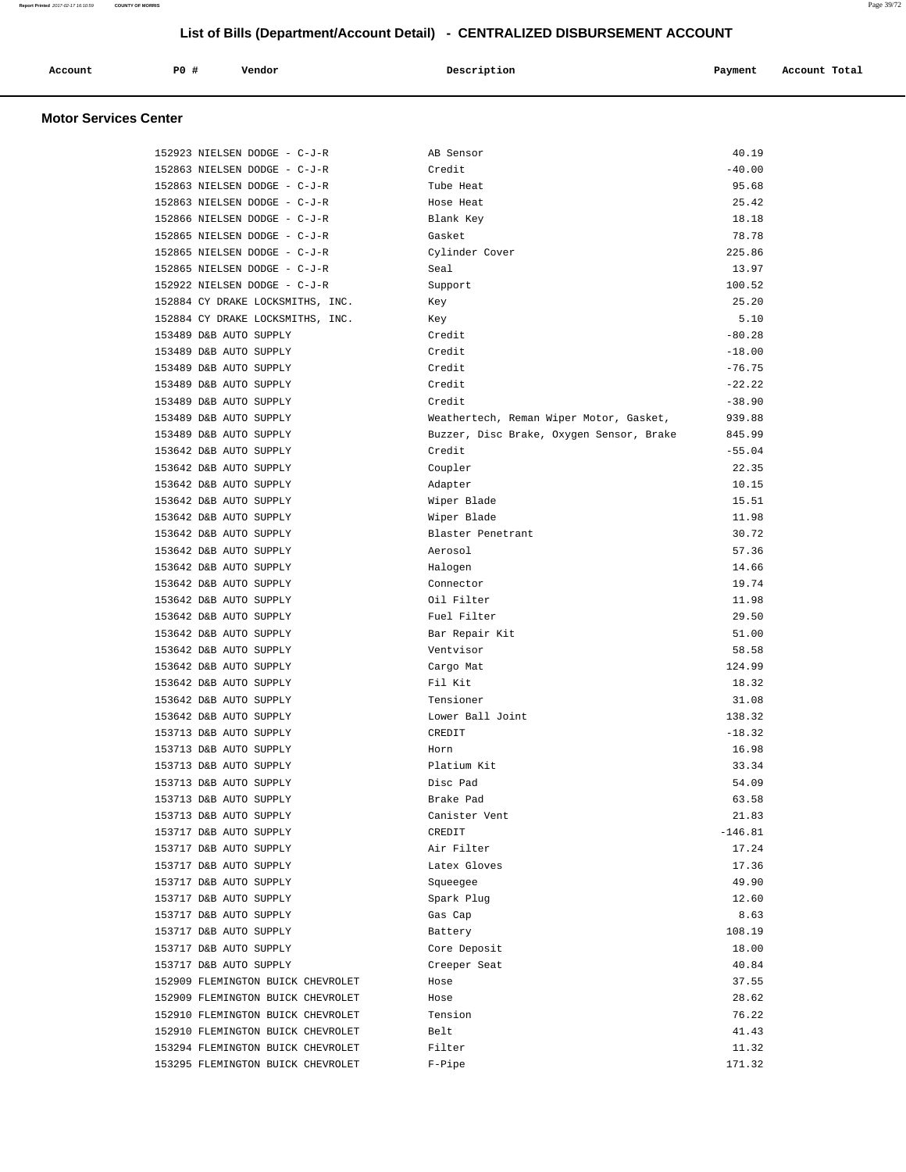| Account                      | PO# | Vendor | Description | Payment | Account Total |
|------------------------------|-----|--------|-------------|---------|---------------|
| <b>Motor Services Center</b> |     |        |             |         |               |

| 152923 NIELSEN DODGE - C-J-R      | AB Sensor                                | 40.19     |
|-----------------------------------|------------------------------------------|-----------|
| 152863 NIELSEN DODGE - C-J-R      | Credit                                   | $-40.00$  |
| 152863 NIELSEN DODGE - C-J-R      | Tube Heat                                | 95.68     |
| 152863 NIELSEN DODGE - C-J-R      | Hose Heat                                | 25.42     |
| 152866 NIELSEN DODGE - C-J-R      | Blank Key                                | 18.18     |
| 152865 NIELSEN DODGE - C-J-R      | Gasket                                   | 78.78     |
| 152865 NIELSEN DODGE - C-J-R      | Cylinder Cover                           | 225.86    |
| 152865 NIELSEN DODGE - C-J-R      | Seal                                     | 13.97     |
| 152922 NIELSEN DODGE - C-J-R      | Support                                  | 100.52    |
| 152884 CY DRAKE LOCKSMITHS, INC.  | Key                                      | 25.20     |
| 152884 CY DRAKE LOCKSMITHS, INC.  | Key                                      | 5.10      |
| 153489 D&B AUTO SUPPLY            | Credit                                   | $-80.28$  |
| 153489 D&B AUTO SUPPLY            | Credit                                   | $-18.00$  |
| 153489 D&B AUTO SUPPLY            | Credit                                   | $-76.75$  |
| 153489 D&B AUTO SUPPLY            | Credit                                   | $-22.22$  |
| 153489 D&B AUTO SUPPLY            | Credit                                   | $-38.90$  |
| 153489 D&B AUTO SUPPLY            | Weathertech, Reman Wiper Motor, Gasket,  | 939.88    |
| 153489 D&B AUTO SUPPLY            | Buzzer, Disc Brake, Oxygen Sensor, Brake | 845.99    |
| 153642 D&B AUTO SUPPLY            | Credit                                   | $-55.04$  |
| 153642 D&B AUTO SUPPLY            | Coupler                                  | 22.35     |
| 153642 D&B AUTO SUPPLY            | Adapter                                  | 10.15     |
| 153642 D&B AUTO SUPPLY            | Wiper Blade                              | 15.51     |
| 153642 D&B AUTO SUPPLY            | Wiper Blade                              | 11.98     |
| 153642 D&B AUTO SUPPLY            | Blaster Penetrant                        | 30.72     |
| 153642 D&B AUTO SUPPLY            | Aerosol                                  | 57.36     |
| 153642 D&B AUTO SUPPLY            | Halogen                                  | 14.66     |
| 153642 D&B AUTO SUPPLY            | Connector                                | 19.74     |
| 153642 D&B AUTO SUPPLY            | Oil Filter                               | 11.98     |
| 153642 D&B AUTO SUPPLY            | Fuel Filter                              | 29.50     |
| 153642 D&B AUTO SUPPLY            | Bar Repair Kit                           | 51.00     |
| 153642 D&B AUTO SUPPLY            | Ventvisor                                | 58.58     |
| 153642 D&B AUTO SUPPLY            | Cargo Mat                                | 124.99    |
| 153642 D&B AUTO SUPPLY            | Fil Kit                                  | 18.32     |
| 153642 D&B AUTO SUPPLY            | Tensioner                                | 31.08     |
| 153642 D&B AUTO SUPPLY            | Lower Ball Joint                         | 138.32    |
| 153713 D&B AUTO SUPPLY            | CREDIT                                   | $-18.32$  |
| 153713 D&B AUTO SUPPLY            | Horn                                     | 16.98     |
| 153713 D&B AUTO SUPPLY            | Platium Kit                              | 33.34     |
| 153713 D&B AUTO SUPPLY            | Disc Pad                                 | 54.09     |
| 153713 D&B AUTO SUPPLY            | Brake Pad                                | 63.58     |
| 153713 D&B AUTO SUPPLY            | Canister Vent                            | 21.83     |
| 153717 D&B AUTO SUPPLY            | CREDIT                                   | $-146.81$ |
| 153717 D&B AUTO SUPPLY            | Air Filter                               | 17.24     |
| 153717 D&B AUTO SUPPLY            | Latex Gloves                             | 17.36     |
| 153717 D&B AUTO SUPPLY            | Squeegee                                 | 49.90     |
| 153717 D&B AUTO SUPPLY            | Spark Plug                               | 12.60     |
| 153717 D&B AUTO SUPPLY            | Gas Cap                                  | 8.63      |
| 153717 D&B AUTO SUPPLY            | Battery                                  | 108.19    |
| 153717 D&B AUTO SUPPLY            | Core Deposit                             | 18.00     |
| 153717 D&B AUTO SUPPLY            | Creeper Seat                             | 40.84     |
| 152909 FLEMINGTON BUICK CHEVROLET | Hose                                     | 37.55     |
| 152909 FLEMINGTON BUICK CHEVROLET | Hose                                     | 28.62     |
| 152910 FLEMINGTON BUICK CHEVROLET | Tension                                  | 76.22     |
| 152910 FLEMINGTON BUICK CHEVROLET |                                          | 41.43     |
|                                   | Belt                                     |           |
| 153294 FLEMINGTON BUICK CHEVROLET | Filter                                   | 11.32     |
| 153295 FLEMINGTON BUICK CHEVROLET | F-Pipe                                   | 171.32    |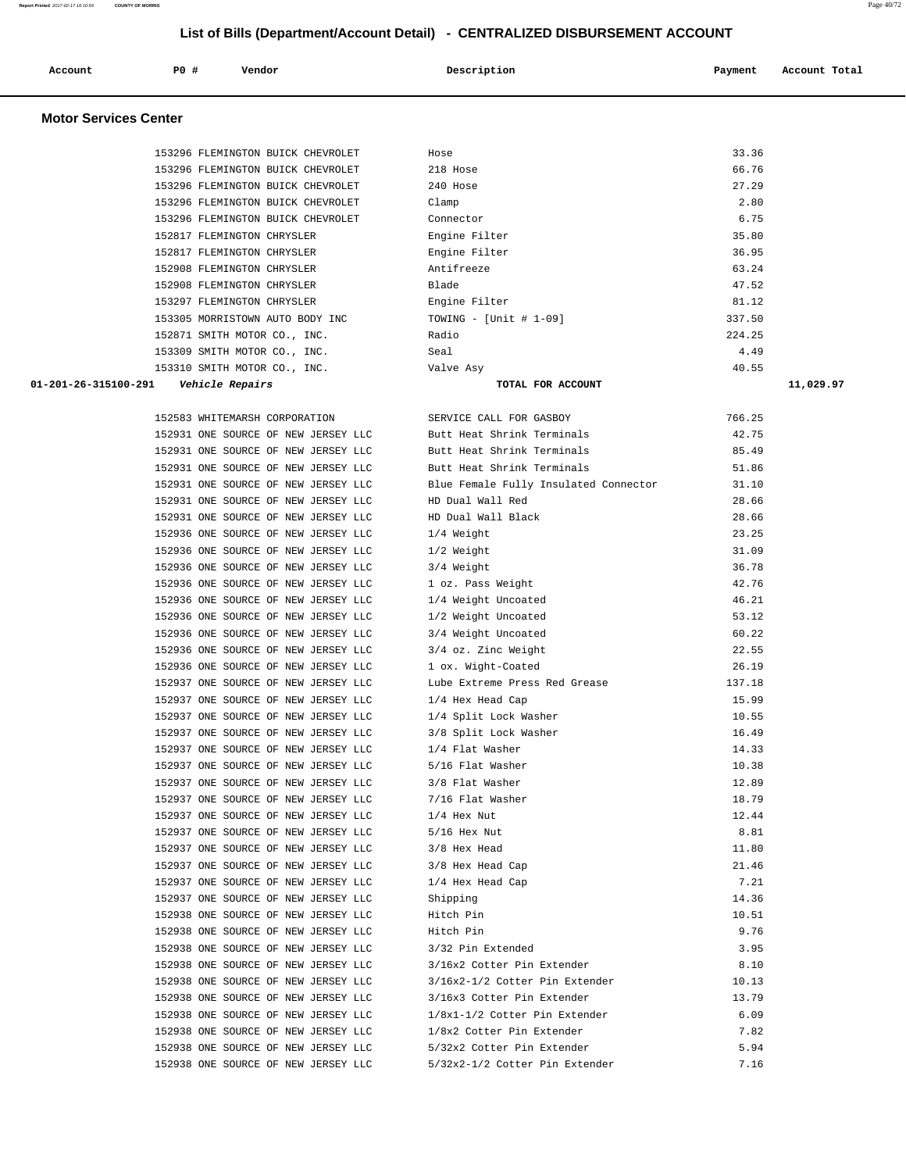#### **Report Printed** 2017-02-17 16:10:59 **COUNTY OF MORRIS** Page 40/72

 **List of Bills (Department/Account Detail) - CENTRALIZED DISBURSEMENT ACCOUNT**

| Account                      | PO#<br>Vendor                     | Description   | Account Total<br>Payment |
|------------------------------|-----------------------------------|---------------|--------------------------|
| <b>Motor Services Center</b> |                                   |               |                          |
|                              | 153296 FLEMINGTON BUICK CHEVROLET | Hose          | 33.36                    |
|                              | 153296 FLEMINGTON BUICK CHEVROLET | 218 Hose      | 66.76                    |
|                              | 153296 FLEMINGTON BUICK CHEVROLET | 240 Hose      | 27.29                    |
|                              | 153296 FLEMINGTON BUICK CHEVROLET | Clamp         | 2.80                     |
|                              | 153296 FLEMINGTON BUICK CHEVROLET | Connector     | 6.75                     |
|                              | 152817 FLEMINGTON CHRYSLER        | Engine Filter | 35.80                    |

 152817 FLEMINGTON CHRYSLER Engine Filter 36.95 152908 FLEMINGTON CHRYSLER Antifreeze 63.24 152908 FLEMINGTON CHRYSLER Blade 47.52 153297 FLEMINGTON CHRYSLER Engine Filter (153297 FLEMINGTON CHRYSLER Engine Filter (153305 MORRISTOWN AUTO BODY INC 153305 MORRISTOWN AUTO BODY INC TOWING - [Unit # 1-09] 337.50<br>152871 SMITH MOTOR CO., INC. Radio Radio 224.25 152871 SMITH MOTOR CO., INC. Radio 224.25 153309 SMITH MOTOR CO., INC. Seal Seal 4.49<br>153310 SMITH MOTOR CO., INC. Seal State Asy 30.55 153310 SMITH MOTOR CO., INC. Valve Asy 40.55  **01-201-26-315100-291 Vehicle Repairs TOTAL FOR ACCOUNT 11,029.97**

|            |            | 152583 WHITEMARSH CORPORATION |    |        |               |       | S            |
|------------|------------|-------------------------------|----|--------|---------------|-------|--------------|
| 152931     | ONE        | SOURCE                        |    |        | OF NEW JERSEY | LLC   | B            |
| 152931     | ONE        | SOURCE                        | OF |        | NEW JERSEY    | LLC   | B            |
| 152931     | ONE.       | SOURCE                        |    |        | OF NEW JERSEY | T.T.C | B            |
| 152931     | ONE        | SOURCE                        | ΟF |        | NEW JERSEY    | LLC   | B            |
| 152931     | ONE        | SOURCE                        | OF | NEW    | JERSEY        | LLC   | Н            |
| 152931     | ONE        | SOURCE                        | OF | NEW    | <b>JERSEY</b> | LLC   | H            |
| 152936     | ONE        | SOURCE                        | OF |        | NEW JERSEY    | LLC   | 1            |
| 152936     | ONE        | SOURCE                        |    | OF NEW | JERSEY        | LLC   | 1            |
| 152936     | ONE        | SOURCE                        |    | OF NEW | <b>JERSEY</b> | LLC   | 3            |
| 152936     | ONE        | SOURCE                        | OF |        | NEW JERSEY    | LLC   | 1            |
| 152936     | ONE        | SOURCE                        |    | OF NEW | JERSEY        | LLC   | 1            |
| 152936     | ONE        | SOURCE                        |    |        | OF NEW JERSEY | LLC   | 1            |
| 152936     | ONE        | SOURCE                        |    |        | OF NEW JERSEY | LLC   | 3            |
| 152936     | ONE        | SOURCE                        |    | OF NEW | JERSEY        | LLC   | 3            |
| 152936     | ONE        | SOURCE                        | ΟF | NEW    | <b>JERSEY</b> | LLC   | 1            |
| 152937     | ONE.       | SOURCE                        | OF |        | NEW JERSEY    | T.T.C | L            |
| 152937     | ONE        | SOURCE                        | OF | NEW    | JERSEY        | LLC   | 1            |
| 152937     | ONE        | SOURCE                        | ΟF | NEW    | <b>JERSEY</b> | LLC   | 1            |
| 152937     | ONE.       | SOURCE                        | OF | NEW    | <b>JERSEY</b> | LLC   | 3            |
| 152937     | ONE        | SOURCE                        |    | OF NEW | JERSEY        | LLC   | 1            |
| 152937     | ONE        | SOURCE                        | OF | NEW    | <b>JERSEY</b> | LLC   | 5            |
| 152937     | <b>ONE</b> | SOURCE                        |    |        | OF NEW JERSEY | LLC   | 3            |
| 152937 ONE |            | SOURCE                        |    |        | OF NEW JERSEY | LLC   | 7            |
| 152937 ONE |            | SOURCE                        |    |        | OF NEW JERSEY | LLC   | 1            |
| 152937     | ONE        | SOURCE                        |    | OF NEW | <b>JERSEY</b> | LLC   | 5            |
| 152937     | ONE.       | SOURCE                        | OF | NEW    | <b>JERSEY</b> | LLC   | 3            |
| 152937     | ONE        | SOURCE                        | ΟF |        | NEW JERSEY    | LLC   | 3            |
| 152937     | ONE        | SOURCE                        |    | OF NEW | <b>JERSEY</b> | LLC   | $\mathbf{1}$ |
| 152937     | ONE.       | SOURCE                        | OF |        | NEW JERSEY    | T.T.C | S            |
| 152938     | ONE        | SOURCE                        | ΟF | NEW    | JERSEY        | LLC   | Η            |
| 152938     | ONE        | SOURCE                        |    | OF NEW | JERSEY        | LLC   | Η            |
| 152938     | ONE        | SOURCE                        | OF | NEW    | <b>JERSEY</b> | LLC   | 3            |
| 152938     | ONE        | SOURCE                        | OF |        | NEW JERSEY    | LLC   | 3            |
| 152938     | ONE        | SOURCE                        |    | OF NEW | <b>JERSEY</b> | LLC   | 3            |
| 152938     | ONE        | SOURCE                        |    | OF NEW | JERSEY        | LLC   | 3            |
| 152938     | ONE        | SOURCE                        | OF | NEW    | <b>JERSEY</b> | LLC   | 1            |
| 152938     | ONE        | SOURCE                        |    | OF NEW | JERSEY        | LLC   | 1            |
| 152938     | ONE        | SOURCE                        | ΟF | NEW    | JERSEY        | LLC   | 5            |
| 152938     | ONE        | SOURCE                        | OF |        | NEW JERSEY    | LLC   | 5            |
|            |            |                               |    |        |               |       |              |

| 152583 WHITEMARSH CORPORATION                                  | SERVICE CALL FOR GASBOY               | 766.25 |
|----------------------------------------------------------------|---------------------------------------|--------|
| 152931 ONE SOURCE OF NEW JERSEY LLC Butt Heat Shrink Terminals |                                       | 42.75  |
| 152931 ONE SOURCE OF NEW JERSEY LLC                            | Butt Heat Shrink Terminals            | 85.49  |
| 152931 ONE SOURCE OF NEW JERSEY LLC                            | Butt Heat Shrink Terminals            | 51.86  |
| 152931 ONE SOURCE OF NEW JERSEY LLC                            | Blue Female Fully Insulated Connector | 31.10  |
| 152931 ONE SOURCE OF NEW JERSEY LLC                            | HD Dual Wall Red                      | 28.66  |
| 152931 ONE SOURCE OF NEW JERSEY LLC                            | HD Dual Wall Black                    | 28.66  |
| 152936 ONE SOURCE OF NEW JERSEY LLC                            | 1/4 Weight                            | 23.25  |
| 152936 ONE SOURCE OF NEW JERSEY LLC                            | 1/2 Weight                            | 31.09  |
| 152936 ONE SOURCE OF NEW JERSEY LLC                            | 3/4 Weight                            | 36.78  |
| 152936 ONE SOURCE OF NEW JERSEY LLC                            | 1 oz. Pass Weight                     | 42.76  |
| 152936 ONE SOURCE OF NEW JERSEY LLC                            | 1/4 Weight Uncoated                   | 46.21  |
| 152936 ONE SOURCE OF NEW JERSEY LLC                            | 1/2 Weight Uncoated                   | 53.12  |
| 152936 ONE SOURCE OF NEW JERSEY LLC                            | 3/4 Weight Uncoated                   | 60.22  |
| 152936 ONE SOURCE OF NEW JERSEY LLC                            | 3/4 oz. Zinc Weight                   | 22.55  |
| 152936 ONE SOURCE OF NEW JERSEY LLC                            | 1 ox. Wight-Coated                    | 26.19  |
| 152937 ONE SOURCE OF NEW JERSEY LLC                            | Lube Extreme Press Red Grease         | 137.18 |
| 152937 ONE SOURCE OF NEW JERSEY LLC                            | 1/4 Hex Head Cap                      | 15.99  |
| 152937 ONE SOURCE OF NEW JERSEY LLC                            | 1/4 Split Lock Washer                 | 10.55  |
| 152937 ONE SOURCE OF NEW JERSEY LLC                            | 3/8 Split Lock Washer                 | 16.49  |
| 152937 ONE SOURCE OF NEW JERSEY LLC                            | 1/4 Flat Washer                       | 14.33  |
| 152937 ONE SOURCE OF NEW JERSEY LLC                            | 5/16 Flat Washer                      | 10.38  |
| 152937 ONE SOURCE OF NEW JERSEY LLC                            | 3/8 Flat Washer                       | 12.89  |
| 152937 ONE SOURCE OF NEW JERSEY LLC                            | 7/16 Flat Washer                      | 18.79  |
| 152937 ONE SOURCE OF NEW JERSEY LLC                            | $1/4$ Hex Nut                         | 12.44  |
| 152937 ONE SOURCE OF NEW JERSEY LLC                            | $5/16$ Hex Nut                        | 8.81   |
| 152937 ONE SOURCE OF NEW JERSEY LLC                            | 3/8 Hex Head                          | 11.80  |
| 152937 ONE SOURCE OF NEW JERSEY LLC                            | 3/8 Hex Head Cap                      | 21.46  |
| 152937 ONE SOURCE OF NEW JERSEY LLC                            | 1/4 Hex Head Cap                      | 7.21   |
| 152937 ONE SOURCE OF NEW JERSEY LLC                            | Shipping                              | 14.36  |
| 152938 ONE SOURCE OF NEW JERSEY LLC                            | Hitch Pin                             | 10.51  |
| 152938 ONE SOURCE OF NEW JERSEY LLC                            | Hitch Pin                             | 9.76   |
| 152938 ONE SOURCE OF NEW JERSEY LLC                            | 3/32 Pin Extended                     | 3.95   |
| 152938 ONE SOURCE OF NEW JERSEY LLC                            | 3/16x2 Cotter Pin Extender            | 8.10   |
| 152938 ONE SOURCE OF NEW JERSEY LLC                            | 3/16x2-1/2 Cotter Pin Extender        | 10.13  |
| 152938 ONE SOURCE OF NEW JERSEY LLC                            | 3/16x3 Cotter Pin Extender            | 13.79  |
| 152938 ONE SOURCE OF NEW JERSEY LLC                            | 1/8x1-1/2 Cotter Pin Extender         | 6.09   |
| 152938 ONE SOURCE OF NEW JERSEY LLC                            | 1/8x2 Cotter Pin Extender             | 7.82   |
| 152938 ONE SOURCE OF NEW JERSEY LLC 5/32x2 Cotter Pin Extender |                                       | 5.94   |
| 152938 ONE SOURCE OF NEW JERSEY LLC                            | 5/32x2-1/2 Cotter Pin Extender        | 7.16   |
|                                                                |                                       |        |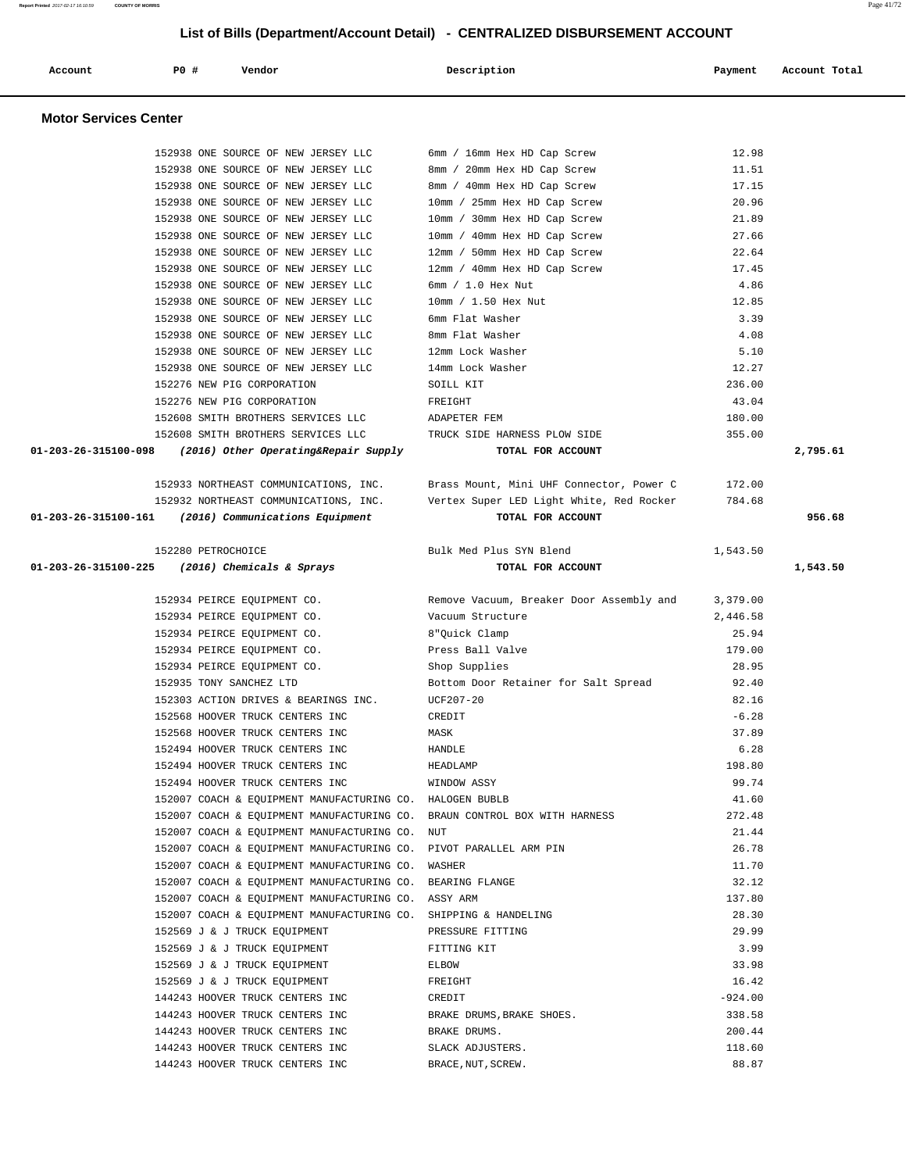| Account                      | PO#                | Vendor                                                                                          | Description                                                               | Payment         | Account Total |
|------------------------------|--------------------|-------------------------------------------------------------------------------------------------|---------------------------------------------------------------------------|-----------------|---------------|
| <b>Motor Services Center</b> |                    |                                                                                                 |                                                                           |                 |               |
|                              |                    | 152938 ONE SOURCE OF NEW JERSEY LLC                                                             | 6mm / 16mm Hex HD Cap Screw                                               | 12.98           |               |
|                              |                    | 152938 ONE SOURCE OF NEW JERSEY LLC                                                             | 8mm / 20mm Hex HD Cap Screw                                               | 11.51           |               |
|                              |                    | 152938 ONE SOURCE OF NEW JERSEY LLC                                                             | 8mm / 40mm Hex HD Cap Screw                                               | 17.15           |               |
|                              |                    | 152938 ONE SOURCE OF NEW JERSEY LLC                                                             | 10mm / 25mm Hex HD Cap Screw                                              | 20.96           |               |
|                              |                    | 152938 ONE SOURCE OF NEW JERSEY LLC                                                             | 10mm / 30mm Hex HD Cap Screw                                              | 21.89           |               |
|                              |                    | 152938 ONE SOURCE OF NEW JERSEY LLC                                                             | 10mm / 40mm Hex HD Cap Screw                                              | 27.66           |               |
|                              |                    | 152938 ONE SOURCE OF NEW JERSEY LLC                                                             | 12mm / 50mm Hex HD Cap Screw                                              | 22.64           |               |
|                              |                    | 152938 ONE SOURCE OF NEW JERSEY LLC                                                             | 12mm / 40mm Hex HD Cap Screw                                              | 17.45           |               |
|                              |                    | 152938 ONE SOURCE OF NEW JERSEY LLC                                                             | $6mm / 1.0$ Hex Nut                                                       | 4.86            |               |
|                              |                    | 152938 ONE SOURCE OF NEW JERSEY LLC                                                             | 10mm / 1.50 Hex Nut                                                       | 12.85           |               |
|                              |                    | 152938 ONE SOURCE OF NEW JERSEY LLC                                                             | 6mm Flat Washer                                                           | 3.39            |               |
|                              |                    | 152938 ONE SOURCE OF NEW JERSEY LLC                                                             | 8mm Flat Washer                                                           | 4.08            |               |
|                              |                    | 152938 ONE SOURCE OF NEW JERSEY LLC                                                             | 12mm Lock Washer                                                          | 5.10            |               |
|                              |                    | 152938 ONE SOURCE OF NEW JERSEY LLC                                                             | 14mm Lock Washer                                                          | 12.27           |               |
|                              |                    | 152276 NEW PIG CORPORATION                                                                      | SOILL KIT                                                                 | 236.00          |               |
|                              |                    | 152276 NEW PIG CORPORATION                                                                      | FREIGHT                                                                   | 43.04           |               |
|                              |                    | 152608 SMITH BROTHERS SERVICES LLC                                                              | ADAPETER FEM                                                              | 180.00          |               |
|                              |                    | 152608 SMITH BROTHERS SERVICES LLC                                                              | TRUCK SIDE HARNESS PLOW SIDE                                              | 355.00          |               |
| 01-203-26-315100-098         |                    | (2016) Other Operating&Repair Supply                                                            | TOTAL FOR ACCOUNT                                                         |                 | 2,795.61      |
|                              |                    | 152933 NORTHEAST COMMUNICATIONS, INC.                                                           | Brass Mount, Mini UHF Connector, Power C                                  | 172.00          |               |
|                              |                    | 152932 NORTHEAST COMMUNICATIONS, INC.                                                           | Vertex Super LED Light White, Red Rocker                                  | 784.68          |               |
| 01-203-26-315100-161         |                    | (2016) Communications Equipment                                                                 | TOTAL FOR ACCOUNT                                                         |                 | 956.68        |
|                              | 152280 PETROCHOICE |                                                                                                 | Bulk Med Plus SYN Blend                                                   | 1,543.50        |               |
| 01-203-26-315100-225         |                    | (2016) Chemicals & Sprays                                                                       | TOTAL FOR ACCOUNT                                                         |                 | 1,543.50      |
|                              |                    | 152934 PEIRCE EQUIPMENT CO.                                                                     | Remove Vacuum, Breaker Door Assembly and                                  | 3,379.00        |               |
|                              |                    | 152934 PEIRCE EQUIPMENT CO.                                                                     | Vacuum Structure                                                          | 2,446.58        |               |
|                              |                    | 152934 PEIRCE EQUIPMENT CO.                                                                     | 8"Quick Clamp                                                             | 25.94           |               |
|                              |                    | 152934 PEIRCE EQUIPMENT CO.                                                                     | Press Ball Valve                                                          | 179.00          |               |
|                              |                    | 152934 PEIRCE EQUIPMENT CO.                                                                     | Shop Supplies                                                             | 28.95           |               |
|                              |                    | 152935 TONY SANCHEZ LTD                                                                         | Bottom Door Retainer for Salt Spread                                      | 92.40           |               |
|                              |                    | 152303 ACTION DRIVES & BEARINGS INC.                                                            | $UCF207-20$                                                               | 82.16           |               |
|                              |                    | 152568 HOOVER TRUCK CENTERS INC                                                                 | CREDIT                                                                    | $-6.28$         |               |
|                              |                    | 152568 HOOVER TRUCK CENTERS INC                                                                 | MASK                                                                      | 37.89           |               |
|                              |                    | 152494 HOOVER TRUCK CENTERS INC                                                                 | HANDLE                                                                    | 6.28            |               |
|                              |                    | 152494 HOOVER TRUCK CENTERS INC                                                                 | HEADLAMP                                                                  | 198.80          |               |
|                              |                    | 152494 HOOVER TRUCK CENTERS INC                                                                 | WINDOW ASSY                                                               | 99.74           |               |
|                              |                    | 152007 COACH & EQUIPMENT MANUFACTURING CO. HALOGEN BUBLB                                        |                                                                           | 41.60           |               |
|                              |                    |                                                                                                 | 152007 COACH & EQUIPMENT MANUFACTURING CO. BRAUN CONTROL BOX WITH HARNESS | 272.48          |               |
|                              |                    | 152007 COACH & EQUIPMENT MANUFACTURING CO. NUT                                                  |                                                                           | 21.44           |               |
|                              |                    | 152007 COACH & EQUIPMENT MANUFACTURING CO. PIVOT PARALLEL ARM PIN                               |                                                                           | 26.78           |               |
|                              |                    | 152007 COACH & EQUIPMENT MANUFACTURING CO. WASHER                                               |                                                                           | 11.70           |               |
|                              |                    | 152007 COACH & EQUIPMENT MANUFACTURING CO. BEARING FLANGE                                       |                                                                           | 32.12           |               |
|                              |                    | 152007 COACH & EQUIPMENT MANUFACTURING CO. ASSY ARM                                             |                                                                           | 137.80<br>28.30 |               |
|                              |                    | 152007 COACH & EQUIPMENT MANUFACTURING CO. SHIPPING & HANDELING<br>152569 J & J TRUCK EQUIPMENT | PRESSURE FITTING                                                          | 29.99           |               |
|                              |                    | 152569 J & J TRUCK EQUIPMENT                                                                    | FITTING KIT                                                               | 3.99            |               |
|                              |                    | 152569 J & J TRUCK EQUIPMENT                                                                    | ELBOW                                                                     | 33.98           |               |
|                              |                    | 152569 J & J TRUCK EQUIPMENT                                                                    | FREIGHT                                                                   | 16.42           |               |
|                              |                    | 144243 HOOVER TRUCK CENTERS INC                                                                 | CREDIT                                                                    | $-924.00$       |               |
|                              |                    | 144243 HOOVER TRUCK CENTERS INC                                                                 | BRAKE DRUMS, BRAKE SHOES.                                                 | 338.58          |               |
|                              |                    | 144243 HOOVER TRUCK CENTERS INC                                                                 | BRAKE DRUMS.                                                              | 200.44          |               |
|                              |                    | 144243 HOOVER TRUCK CENTERS INC                                                                 | SLACK ADJUSTERS.                                                          | 118.60          |               |
|                              |                    | 144243 HOOVER TRUCK CENTERS INC                                                                 | BRACE, NUT, SCREW.                                                        | 88.87           |               |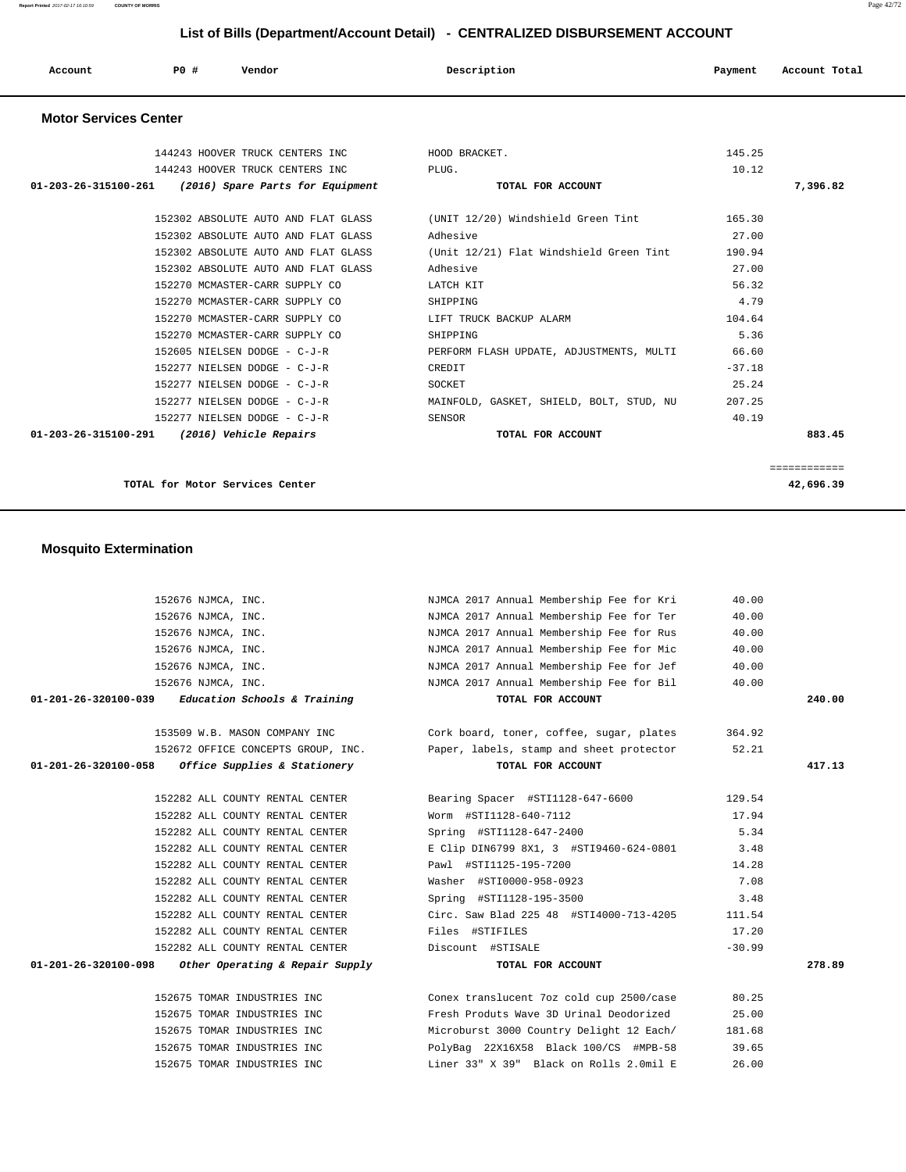**Report Printed** 2017-02-17 16:10:59 **COUNTY OF MORRIS** Page 42/72

# **List of Bills (Department/Account Detail) - CENTRALIZED DISBURSEMENT ACCOUNT**

| Account | P0 # | Vendor | Description | Payment | Account Total |
|---------|------|--------|-------------|---------|---------------|
|         |      |        |             |         |               |

#### **Motor Services Center**

| 144243 HOOVER TRUCK CENTERS INC                       | HOOD BRACKET.                                  | 145.25   |              |
|-------------------------------------------------------|------------------------------------------------|----------|--------------|
| 144243 HOOVER TRUCK CENTERS INC                       | PLUG.                                          | 10.12    |              |
| 01-203-26-315100-261 (2016) Spare Parts for Equipment | TOTAL FOR ACCOUNT                              |          | 7,396.82     |
| 152302 ABSOLUTE AUTO AND FLAT GLASS                   | (UNIT 12/20) Windshield Green Tint             | 165.30   |              |
|                                                       |                                                |          |              |
| 152302 ABSOLUTE AUTO AND FLAT GLASS                   | Adhesive                                       | 27.00    |              |
| 152302 ABSOLUTE AUTO AND FLAT GLASS                   | (Unit 12/21) Flat Windshield Green Tint 190.94 |          |              |
| 152302 ABSOLUTE AUTO AND FLAT GLASS                   | Adhesive                                       | 27.00    |              |
| 152270 MCMASTER-CARR SUPPLY CO                        | LATCH KIT                                      | 56.32    |              |
| 152270 MCMASTER-CARR SUPPLY CO                        | SHIPPING                                       | 4.79     |              |
| 152270 MCMASTER-CARR SUPPLY CO                        | LIFT TRUCK BACKUP ALARM                        | 104.64   |              |
| 152270 MCMASTER-CARR SUPPLY CO                        | SHIPPING                                       | 5.36     |              |
| 152605 NIELSEN DODGE - C-J-R                          | PERFORM FLASH UPDATE, ADJUSTMENTS, MULTI       | 66.60    |              |
| 152277 NIELSEN DODGE - C-J-R                          | CREDIT                                         | $-37.18$ |              |
| 152277 NIELSEN DODGE - C-J-R                          | SOCKET                                         | 25.24    |              |
| 152277 NIELSEN DODGE - C-J-R                          | MAINFOLD, GASKET, SHIELD, BOLT, STUD, NU       | 207.25   |              |
| 152277 NIELSEN DODGE - C-J-R                          | SENSOR                                         | 40.19    |              |
| 01-203-26-315100-291 (2016) Vehicle Repairs           | TOTAL FOR ACCOUNT                              |          | 883.45       |
|                                                       |                                                |          |              |
|                                                       |                                                |          | ============ |

**TOTAL for Motor Services Center 42,696.39**

### **Mosquito Extermination**

| 152676 NJMCA, INC.                                     | NJMCA 2017 Annual Membership Fee for Kri                                    | 40.00    |        |
|--------------------------------------------------------|-----------------------------------------------------------------------------|----------|--------|
| 152676 NJMCA, INC.                                     | NJMCA 2017 Annual Membership Fee for Ter                                    | 40.00    |        |
| 152676 NJMCA, INC.                                     | NJMCA 2017 Annual Membership Fee for Rus                                    | 40.00    |        |
| 152676 NJMCA, INC.                                     | NJMCA 2017 Annual Membership Fee for Mic                                    | 40.00    |        |
| 152676 NJMCA, INC.                                     | NJMCA 2017 Annual Membership Fee for Jef                                    | 40.00    |        |
| 152676 NJMCA, INC.                                     | NJMCA 2017 Annual Membership Fee for Bil                                    | 40.00    |        |
| $01-201-26-320100-039$ Education Schools & Training    | TOTAL FOR ACCOUNT                                                           |          | 240.00 |
| 153509 W.B. MASON COMPANY INC                          | Cork board, toner, coffee, sugar, plates                                    | 364.92   |        |
|                                                        | 152672 OFFICE CONCEPTS GROUP, INC. Paper, labels, stamp and sheet protector | 52.21    |        |
| $01-201-26-320100-058$ Office Supplies & Stationery    | TOTAL FOR ACCOUNT                                                           |          | 417.13 |
| 152282 ALL COUNTY RENTAL CENTER                        | Bearing Spacer #STI1128-647-6600                                            | 129.54   |        |
| 152282 ALL COUNTY RENTAL CENTER                        | Worm #STI1128-640-7112                                                      | 17.94    |        |
| 152282 ALL COUNTY RENTAL CENTER                        | Spring #STI1128-647-2400                                                    | 5.34     |        |
| 152282 ALL COUNTY RENTAL CENTER                        | E Clip DIN6799 8X1, 3 #STI9460-624-0801                                     | 3.48     |        |
| 152282 ALL COUNTY RENTAL CENTER                        | Pawl #STI1125-195-7200                                                      | 14.28    |        |
| 152282 ALL COUNTY RENTAL CENTER                        | Washer #STI0000-958-0923                                                    | 7.08     |        |
| 152282 ALL COUNTY RENTAL CENTER                        | Spring #STI1128-195-3500                                                    | 3.48     |        |
| 152282 ALL COUNTY RENTAL CENTER                        | Circ. Saw Blad 225 48 #STI4000-713-4205                                     | 111.54   |        |
| 152282 ALL COUNTY RENTAL CENTER                        | Files #STIFILES                                                             | 17.20    |        |
| 152282 ALL COUNTY RENTAL CENTER                        | Discount #STISALE                                                           | $-30.99$ |        |
| $01-201-26-320100-098$ Other Operating & Repair Supply | TOTAL FOR ACCOUNT                                                           |          | 278.89 |
| 152675 TOMAR INDUSTRIES INC                            | Conex translucent 7oz cold cup 2500/case                                    | 80.25    |        |
| 152675 TOMAR INDUSTRIES INC                            | Fresh Produts Wave 3D Urinal Deodorized                                     | 25.00    |        |
| 152675 TOMAR INDUSTRIES INC                            | Microburst 3000 Country Delight 12 Each/                                    | 181.68   |        |
| 152675 TOMAR INDUSTRIES INC                            | PolyBag 22X16X58 Black 100/CS #MPB-58                                       | 39.65    |        |
| 152675 TOMAR INDUSTRIES INC                            | Liner 33" X 39" Black on Rolls 2.0mil E                                     | 26.00    |        |
|                                                        |                                                                             |          |        |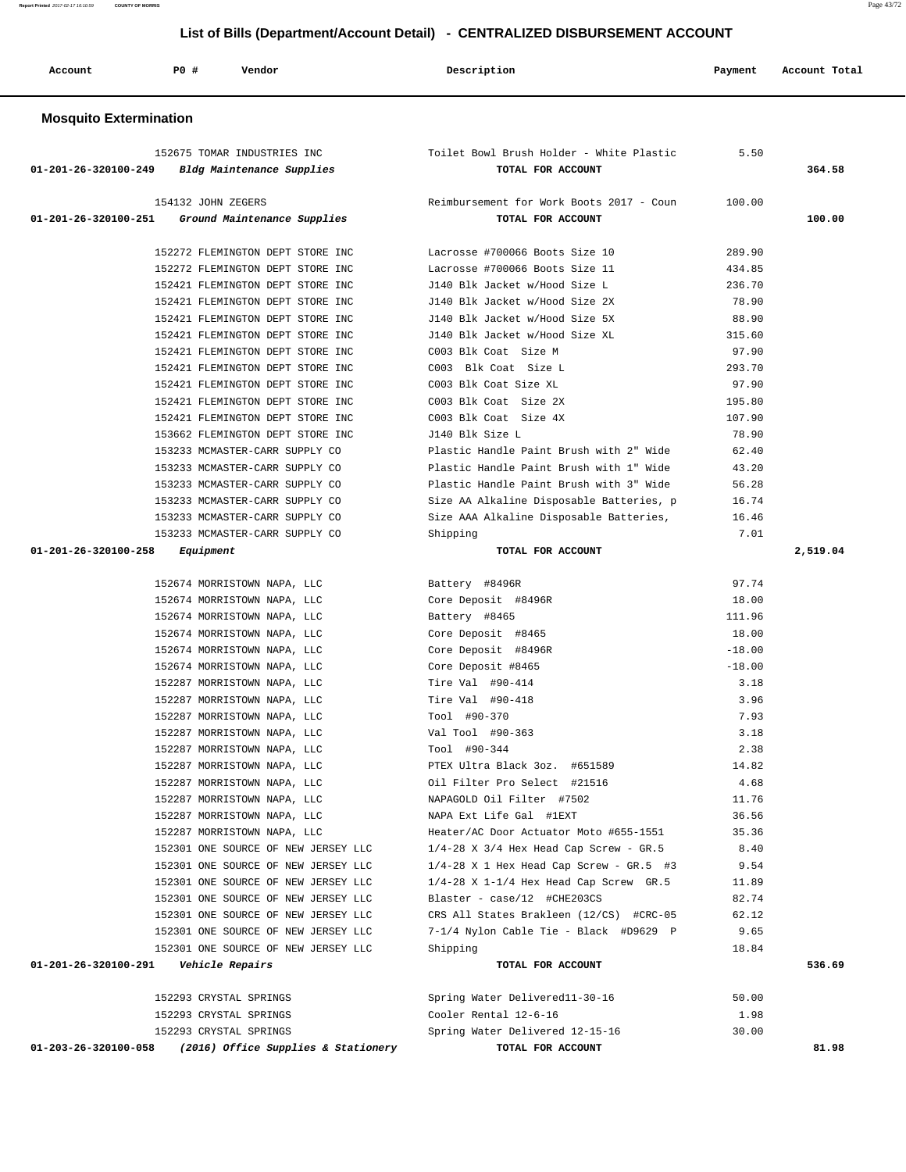**Report Printed** 2017-02-17 16:10:59 **COUNTY OF MORRIS** Page 43/72

# **List of Bills (Department/Account Detail) - CENTRALIZED DISBURSEMENT ACCOUNT**

| Account                       | P0 #<br>Vendor                                             | Description                                                   | Payment      | Account Total |
|-------------------------------|------------------------------------------------------------|---------------------------------------------------------------|--------------|---------------|
| <b>Mosquito Extermination</b> |                                                            |                                                               |              |               |
| 01-201-26-320100-249          | 152675 TOMAR INDUSTRIES INC<br>Bldg Maintenance Supplies   | Toilet Bowl Brush Holder - White Plastic<br>TOTAL FOR ACCOUNT | 5.50         | 364.58        |
|                               | 154132 JOHN ZEGERS                                         | Reimbursement for Work Boots 2017 - Coun                      | 100.00       |               |
| 01-201-26-320100-251          | Ground Maintenance Supplies                                | TOTAL FOR ACCOUNT                                             |              | 100.00        |
|                               | 152272 FLEMINGTON DEPT STORE INC                           | Lacrosse #700066 Boots Size 10                                | 289.90       |               |
|                               | 152272 FLEMINGTON DEPT STORE INC                           | Lacrosse #700066 Boots Size 11                                | 434.85       |               |
|                               | 152421 FLEMINGTON DEPT STORE INC                           | J140 Blk Jacket w/Hood Size L                                 | 236.70       |               |
|                               | 152421 FLEMINGTON DEPT STORE INC                           | J140 Blk Jacket w/Hood Size 2X                                | 78.90        |               |
|                               | 152421 FLEMINGTON DEPT STORE INC                           | J140 Blk Jacket w/Hood Size 5X                                | 88.90        |               |
|                               | 152421 FLEMINGTON DEPT STORE INC                           | J140 Blk Jacket w/Hood Size XL                                | 315.60       |               |
|                               | 152421 FLEMINGTON DEPT STORE INC                           | C003 Blk Coat Size M                                          | 97.90        |               |
|                               | 152421 FLEMINGTON DEPT STORE INC                           | C003 Blk Coat Size L                                          | 293.70       |               |
|                               | 152421 FLEMINGTON DEPT STORE INC                           | C003 Blk Coat Size XL                                         | 97.90        |               |
|                               | 152421 FLEMINGTON DEPT STORE INC                           | C003 Blk Coat Size 2X                                         | 195.80       |               |
|                               | 152421 FLEMINGTON DEPT STORE INC                           | C003 Blk Coat Size 4X                                         | 107.90       |               |
|                               | 153662 FLEMINGTON DEPT STORE INC                           | J140 Blk Size L                                               | 78.90        |               |
|                               | 153233 MCMASTER-CARR SUPPLY CO                             | Plastic Handle Paint Brush with 2" Wide                       | 62.40        |               |
|                               | 153233 MCMASTER-CARR SUPPLY CO                             | Plastic Handle Paint Brush with 1" Wide                       | 43.20        |               |
|                               | 153233 MCMASTER-CARR SUPPLY CO                             | Plastic Handle Paint Brush with 3" Wide                       | 56.28        |               |
|                               | 153233 MCMASTER-CARR SUPPLY CO                             | Size AA Alkaline Disposable Batteries, p                      | 16.74        |               |
|                               | 153233 MCMASTER-CARR SUPPLY CO                             | Size AAA Alkaline Disposable Batteries,                       | 16.46        |               |
|                               | 153233 MCMASTER-CARR SUPPLY CO                             | Shipping                                                      | 7.01         |               |
| 01-201-26-320100-258          | Equipment                                                  | TOTAL FOR ACCOUNT                                             |              | 2,519.04      |
|                               |                                                            |                                                               |              |               |
|                               | 152674 MORRISTOWN NAPA, LLC                                | Battery #8496R                                                | 97.74        |               |
|                               | 152674 MORRISTOWN NAPA, LLC                                | Core Deposit #8496R                                           | 18.00        |               |
|                               | 152674 MORRISTOWN NAPA, LLC                                | Battery #8465                                                 | 111.96       |               |
|                               | 152674 MORRISTOWN NAPA, LLC                                | Core Deposit #8465                                            | 18.00        |               |
|                               | 152674 MORRISTOWN NAPA, LLC                                | Core Deposit #8496R                                           | $-18.00$     |               |
|                               | 152674 MORRISTOWN NAPA, LLC                                | Core Deposit #8465<br>Tire Val #90-414                        | $-18.00$     |               |
|                               | 152287 MORRISTOWN NAPA, LLC                                |                                                               | 3.18<br>3.96 |               |
|                               | 152287 MORRISTOWN NAPA, LLC<br>152287 MORRISTOWN NAPA, LLC | Tire Val #90-418                                              |              |               |
|                               | 152287 MORRISTOWN NAPA, LLC                                | Tool #90-370<br>Val Tool #90-363                              | 7.93<br>3.18 |               |
|                               | 152287 MORRISTOWN NAPA, LLC                                | Tool #90-344                                                  | 2.38         |               |
|                               | 152287 MORRISTOWN NAPA, LLC                                | PTEX Ultra Black 3oz. #651589                                 | 14.82        |               |
|                               | 152287 MORRISTOWN NAPA, LLC                                | Oil Filter Pro Select #21516                                  | 4.68         |               |
|                               | 152287 MORRISTOWN NAPA, LLC                                | NAPAGOLD Oil Filter #7502                                     | 11.76        |               |
|                               | 152287 MORRISTOWN NAPA, LLC                                | NAPA Ext Life Gal #1EXT                                       | 36.56        |               |
|                               | 152287 MORRISTOWN NAPA, LLC                                | Heater/AC Door Actuator Moto #655-1551                        | 35.36        |               |
|                               | 152301 ONE SOURCE OF NEW JERSEY LLC                        | $1/4-28$ X 3/4 Hex Head Cap Screw - GR.5                      | 8.40         |               |
|                               | 152301 ONE SOURCE OF NEW JERSEY LLC                        | $1/4-28$ X 1 Hex Head Cap Screw - GR.5 #3                     | 9.54         |               |
|                               | 152301 ONE SOURCE OF NEW JERSEY LLC                        | $1/4-28$ X 1-1/4 Hex Head Cap Screw GR.5                      | 11.89        |               |
|                               | 152301 ONE SOURCE OF NEW JERSEY LLC                        | Blaster - case/12 #CHE203CS                                   | 82.74        |               |
|                               | 152301 ONE SOURCE OF NEW JERSEY LLC                        | CRS All States Brakleen (12/CS) #CRC-05                       | 62.12        |               |
|                               | 152301 ONE SOURCE OF NEW JERSEY LLC                        | 7-1/4 Nylon Cable Tie - Black #D9629 P                        | 9.65         |               |
|                               | 152301 ONE SOURCE OF NEW JERSEY LLC                        | Shipping                                                      | 18.84        |               |
| 01-201-26-320100-291          | Vehicle Repairs                                            | TOTAL FOR ACCOUNT                                             |              | 536.69        |
|                               |                                                            |                                                               |              |               |
|                               | 152293 CRYSTAL SPRINGS                                     | Spring Water Delivered11-30-16                                | 50.00        |               |
|                               | 152293 CRYSTAL SPRINGS                                     | Cooler Rental 12-6-16                                         | 1.98         |               |
|                               | 152293 CRYSTAL SPRINGS                                     | Spring Water Delivered 12-15-16                               | 30.00        |               |
|                               | 01-203-26-320100-058 (2016) Office Supplies & Stationery   | TOTAL FOR ACCOUNT                                             |              | 81.98         |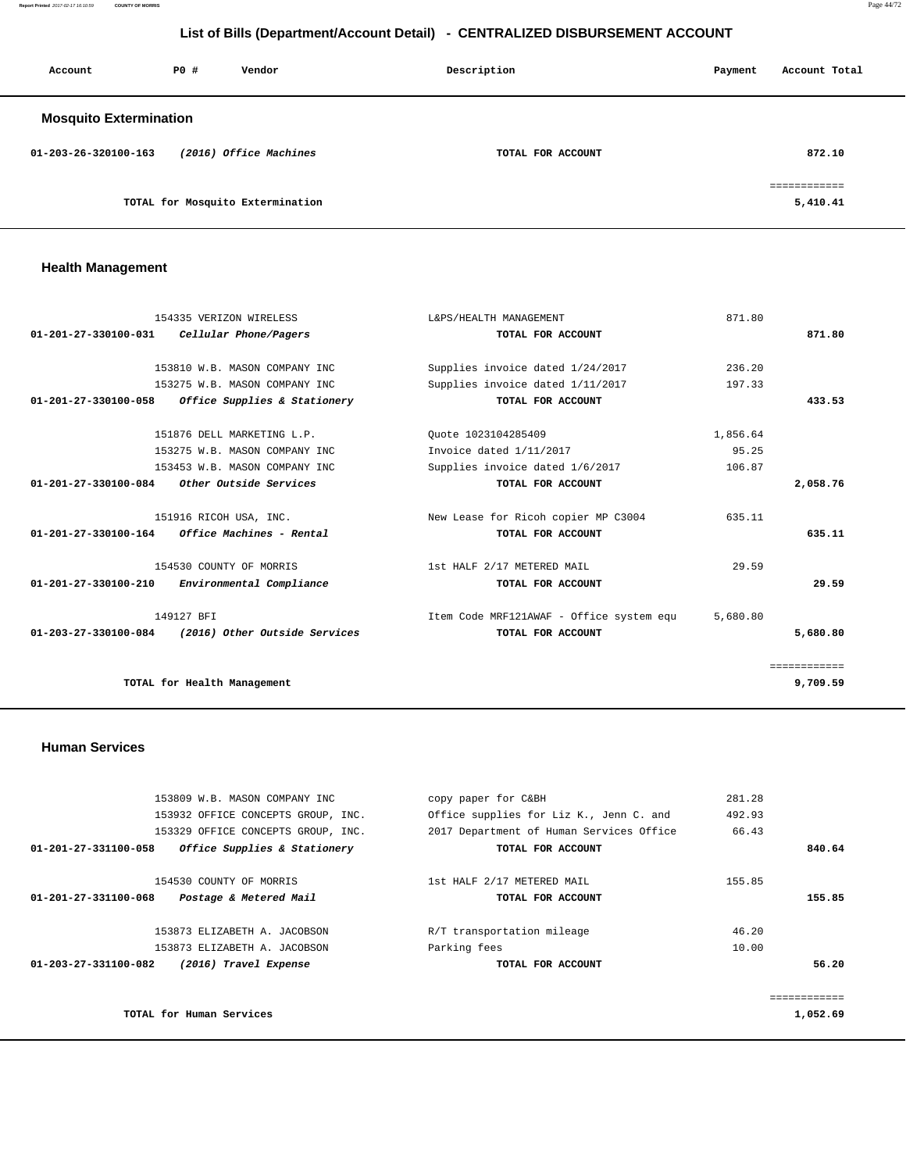**Report Printed** 2017-02-17 16:10:59 **COUNTY OF MORRIS** Page 44/72

# **List of Bills (Department/Account Detail) - CENTRALIZED DISBURSEMENT ACCOUNT**

| Account                       | PO# | Vendor                           | Description       | Payment | Account Total           |
|-------------------------------|-----|----------------------------------|-------------------|---------|-------------------------|
| <b>Mosquito Extermination</b> |     |                                  |                   |         |                         |
| 01-203-26-320100-163          |     | (2016) Office Machines           | TOTAL FOR ACCOUNT |         | 872.10                  |
|                               |     | TOTAL for Mosquito Extermination |                   |         | ===========<br>5,410.41 |

# **Health Management**

|                                | 154335 VERIZON WIRELESS       | L&PS/HEALTH MANAGEMENT                   | 871.80   |              |
|--------------------------------|-------------------------------|------------------------------------------|----------|--------------|
| 01-201-27-330100-031           | Cellular Phone/Pagers         | TOTAL FOR ACCOUNT                        |          | 871.80       |
|                                |                               |                                          |          |              |
|                                | 153810 W.B. MASON COMPANY INC | Supplies invoice dated 1/24/2017         | 236.20   |              |
|                                | 153275 W.B. MASON COMPANY INC | Supplies invoice dated 1/11/2017         | 197.33   |              |
| 01-201-27-330100-058           | Office Supplies & Stationery  | TOTAL FOR ACCOUNT                        |          | 433.53       |
|                                | 151876 DELL MARKETING L.P.    | Quote 1023104285409                      | 1,856.64 |              |
|                                | 153275 W.B. MASON COMPANY INC | Invoice dated 1/11/2017                  | 95.25    |              |
|                                | 153453 W.B. MASON COMPANY INC | Supplies invoice dated 1/6/2017          | 106.87   |              |
| 01-201-27-330100-084           | Other Outside Services        | TOTAL FOR ACCOUNT                        |          | 2,058.76     |
|                                | 151916 RICOH USA, INC.        | New Lease for Ricoh copier MP C3004      | 635.11   |              |
| $01 - 201 - 27 - 330100 - 164$ | Office Machines - Rental      | TOTAL FOR ACCOUNT                        |          | 635.11       |
|                                | 154530 COUNTY OF MORRIS       | 1st HALF 2/17 METERED MAIL               | 29.59    |              |
| $01 - 201 - 27 - 330100 - 210$ | Environmental Compliance      | TOTAL FOR ACCOUNT                        |          | 29.59        |
|                                | 149127 BFI                    | Item Code MRF121AWAF - Office system equ | 5,680.80 |              |
| 01-203-27-330100-084           | (2016) Other Outside Services | TOTAL FOR ACCOUNT                        |          | 5,680.80     |
|                                |                               |                                          |          | ============ |
|                                | TOTAL for Health Management   |                                          |          | 9,709.59     |
|                                |                               |                                          |          |              |

### **Human Services**

| 153809 W.B. MASON COMPANY INC                        | copy paper for C&BH                      | 281.28   |
|------------------------------------------------------|------------------------------------------|----------|
| 153932 OFFICE CONCEPTS GROUP, INC.                   | Office supplies for Liz K., Jenn C. and  | 492.93   |
| 153329 OFFICE CONCEPTS GROUP, INC.                   | 2017 Department of Human Services Office | 66.43    |
| Office Supplies & Stationery<br>01-201-27-331100-058 | TOTAL FOR ACCOUNT                        | 840.64   |
| 154530 COUNTY OF MORRIS                              | 1st HALF 2/17 METERED MAIL               | 155.85   |
| 01-201-27-331100-068<br>Postage & Metered Mail       | TOTAL FOR ACCOUNT                        | 155.85   |
| 153873 ELIZABETH A. JACOBSON                         | R/T transportation mileage               | 46.20    |
| 153873 ELIZABETH A. JACOBSON                         | Parking fees                             | 10.00    |
| 01-203-27-331100-082<br>(2016) Travel Expense        | TOTAL FOR ACCOUNT                        | 56.20    |
|                                                      |                                          |          |
| TOTAL for Human Services                             |                                          | 1,052.69 |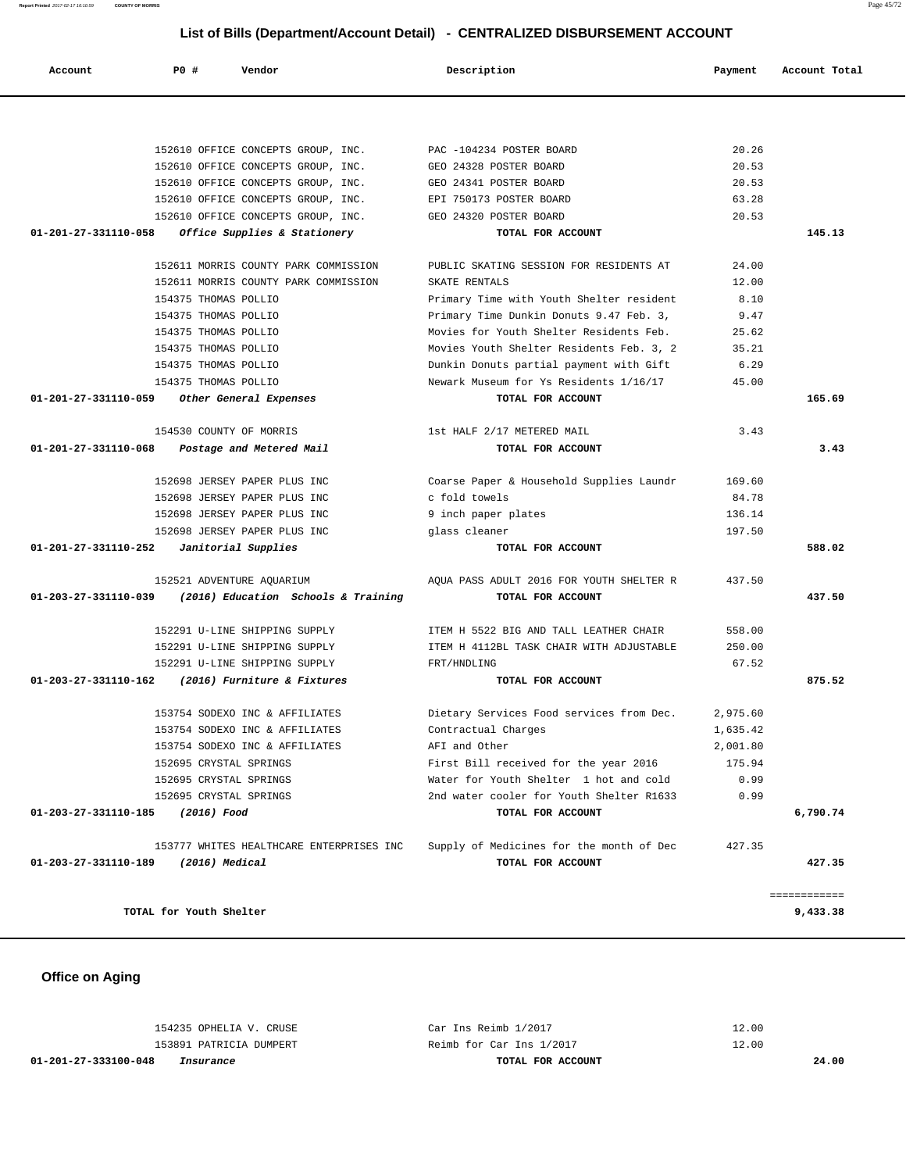| 153754 SODEXO INC & AFFILIATES | Dietary Services Food services from Dec. | 2,975.60 |
|--------------------------------|------------------------------------------|----------|
| 153754 SODEXO INC & AFFILIATES | Contractual Charges                      | 1,635.42 |
| 153754 SODEXO INC & AFFILIATES | AFI and Other                            | 2,001.80 |
| 152695 CRYSTAL SPRINGS         | First Bill received for the year 2016    | 175.94   |
| 152695 CRYSTAL SPRINGS         | Water for Youth Shelter 1 hot and cold   | 0.99     |

| 01-201-27-331110-058 Office Supplies & Stationery          | TOTAL FOR ACCOUNT                                                   |        | 145.13 |
|------------------------------------------------------------|---------------------------------------------------------------------|--------|--------|
| 152611 MORRIS COUNTY PARK COMMISSION                       | PUBLIC SKATING SESSION FOR RESIDENTS AT                             | 24.00  |        |
| 152611 MORRIS COUNTY PARK COMMISSION                       | SKATE RENTALS                                                       | 12.00  |        |
| 154375 THOMAS POLLIO                                       | Primary Time with Youth Shelter resident                            | 8.10   |        |
| 154375 THOMAS POLLIO                                       | Primary Time Dunkin Donuts 9.47 Feb. 3,                             | 9.47   |        |
| 154375 THOMAS POLLIO                                       | Movies for Youth Shelter Residents Feb.                             | 25.62  |        |
| 154375 THOMAS POLLIO                                       | Movies Youth Shelter Residents Feb. 3, 2                            | 35.21  |        |
| 154375 THOMAS POLLIO                                       | Dunkin Donuts partial payment with Gift                             | 6.29   |        |
| 154375 THOMAS POLLIO                                       | Newark Museum for Ys Residents 1/16/17                              | 45.00  |        |
| 01-201-27-331110-059 Other General Expenses                | TOTAL FOR ACCOUNT                                                   |        | 165.69 |
| 154530 COUNTY OF MORRIS                                    | 1st HALF 2/17 METERED MAIL                                          | 3.43   |        |
| $01-201-27-331110-068$ Postage and Metered Mail            | TOTAL FOR ACCOUNT                                                   |        | 3.43   |
| 152698 JERSEY PAPER PLUS INC                               | Coarse Paper & Household Supplies Laundr                            | 169.60 |        |
| 152698 JERSEY PAPER PLUS INC                               | c fold towels                                                       | 84.78  |        |
| 152698 JERSEY PAPER PLUS INC                               | 9 inch paper plates                                                 | 136.14 |        |
| 152698 JERSEY PAPER PLUS INC                               | glass cleaner                                                       | 197.50 |        |
| $01-201-27-331110-252$ Janitorial Supplies                 | TOTAL FOR ACCOUNT                                                   |        | 588.02 |
| 152521 ADVENTURE AQUARIUM                                  | AOUA PASS ADULT 2016 FOR YOUTH SHELTER R                            | 437.50 |        |
| $01-203-27-331110-039$ (2016) Education Schools & Training | TOTAL FOR ACCOUNT                                                   |        | 437.50 |
|                                                            |                                                                     |        |        |
|                                                            | 152291 U-LINE SHIPPING SUPPLY TEM H 5522 BIG AND TALL LEATHER CHAIR | 558.00 |        |
| 152291 U-LINE SHIPPING SUPPLY                              | ITEM H 4112BL TASK CHAIR WITH ADJUSTABLE                            | 250.00 |        |
| 152291 U-LINE SHIPPING SUPPLY                              | FRT/HNDLING                                                         | 67.52  |        |

# 152610 OFFICE CONCEPTS GROUP, INC. GEO 24341 POSTER BOARD 20.53 152610 OFFICE CONCEPTS GROUP, INC. EPI 750173 POSTER BOARD 63.28 152610 OFFICE CONCEPTS GROUP, INC. GEO 24320 POSTER BOARD 20.53  **01-201-27-331110-058 Office Supplies & Stationery TOTAL FOR ACCOUNT 145.13 01-201-27-331110-059 Other General Expenses TOTAL FOR ACCOUNT 165.69 01-201-27-331110-068 Postage and Metered Mail TOTAL FOR ACCOUNT 3.43**

 **01-203-27-331110-189 (2016) Medical TOTAL FOR ACCOUNT 427.35** ============ **TOTAL for Youth Shelter 9,433.38**

#### **Office on Aging**

| 01-201-27-333100-048<br>Insurance | TOTAL FOR ACCOUNT        | 24.00 |
|-----------------------------------|--------------------------|-------|
| 153891 PATRICIA DUMPERT           | Reimb for Car Ins 1/2017 | 12.00 |
| 154235 OPHELIA V. CRUSE           | Car Ins Reimb 1/2017     | 12.00 |

 152695 CRYSTAL SPRINGS 2nd water cooler for Youth Shelter R1633 0.99  **01-203-27-331110-185 (2016) Food TOTAL FOR ACCOUNT 6,790.74**

153777 WHITES HEALTHCARE ENTERPRISES INC Supply of Medicines for the month of Dec 427.35

 152610 OFFICE CONCEPTS GROUP, INC. PAC -104234 POSTER BOARD 20.26 152610 OFFICE CONCEPTS GROUP, INC. GEO 24328 POSTER BOARD 20.53

 **Account P0 # Vendor Description Payment Account Total**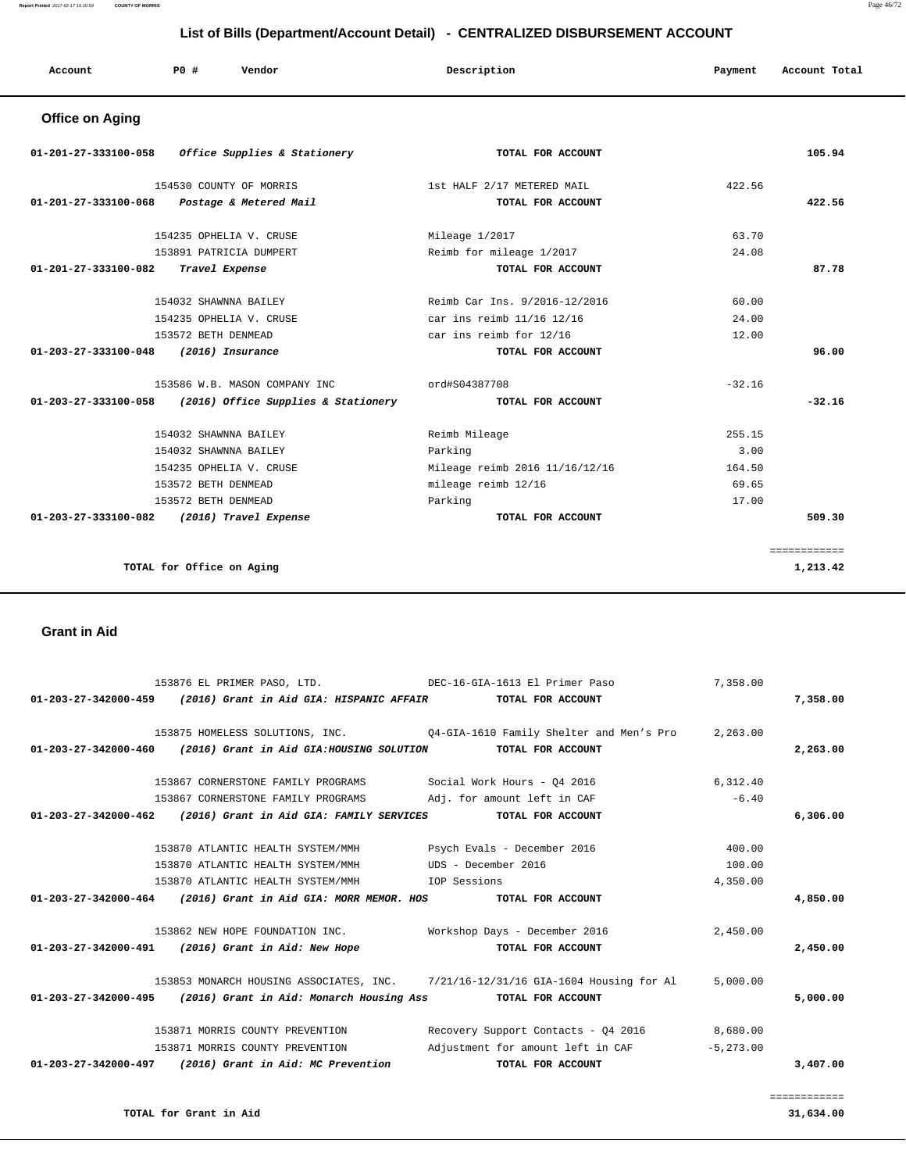| Account | $P0$ # | Vendor | Description | Payment | Account Total |
|---------|--------|--------|-------------|---------|---------------|
|         |        |        |             |         |               |

# **Office on Aging**

| $01-201-27-333100-058$ Office Supplies & Stationery      | TOTAL FOR ACCOUNT              | 105.94       |
|----------------------------------------------------------|--------------------------------|--------------|
| 154530 COUNTY OF MORRIS                                  | 1st HALF 2/17 METERED MAIL     | 422.56       |
| 01-201-27-333100-068<br>Postage & Metered Mail           | TOTAL FOR ACCOUNT              | 422.56       |
| 154235 OPHELIA V. CRUSE                                  | Mileage 1/2017                 | 63.70        |
| 153891 PATRICIA DUMPERT                                  | Reimb for mileage 1/2017       | 24.08        |
| 01-201-27-333100-082<br>Travel Expense                   | TOTAL FOR ACCOUNT              | 87.78        |
| 154032 SHAWNNA BAILEY                                    | Reimb Car Ins. 9/2016-12/2016  | 60.00        |
| 154235 OPHELIA V. CRUSE                                  | car ins reimb 11/16 12/16      | 24.00        |
| 153572 BETH DENMEAD                                      | car ins reimb for 12/16        | 12.00        |
| 01-203-27-333100-048 (2016) Insurance                    | TOTAL FOR ACCOUNT              | 96.00        |
| 153586 W.B. MASON COMPANY INC                            | ord#S04387708                  | $-32.16$     |
| 01-203-27-333100-058 (2016) Office Supplies & Stationery | TOTAL FOR ACCOUNT              | $-32.16$     |
| 154032 SHAWNNA BAILEY                                    | Reimb Mileage                  | 255.15       |
| 154032 SHAWNNA BAILEY                                    | Parking                        | 3.00         |
| 154235 OPHELIA V. CRUSE                                  | Mileage reimb 2016 11/16/12/16 | 164.50       |
| 153572 BETH DENMEAD                                      | mileage reimb 12/16            | 69.65        |
| 153572 BETH DENMEAD                                      | Parking                        | 17.00        |
| 01-203-27-333100-082 (2016) Travel Expense               | TOTAL FOR ACCOUNT              | 509.30       |
|                                                          |                                | ============ |
| TOTAL for Office on Aging                                |                                | 1,213.42     |

#### **Grant in Aid**

|                      | 153876 EL PRIMER PASO, LTD. DEC-16-GIA-1613 El Primer Paso    |                                                                                   | 7,358.00     |          |
|----------------------|---------------------------------------------------------------|-----------------------------------------------------------------------------------|--------------|----------|
|                      | 01-203-27-342000-459 (2016) Grant in Aid GIA: HISPANIC AFFAIR | TOTAL FOR ACCOUNT                                                                 |              | 7,358.00 |
|                      |                                                               | 153875 HOMELESS SOLUTIONS, INC. 04-GIA-1610 Family Shelter and Men's Pro 2,263.00 |              |          |
| 01-203-27-342000-460 | (2016) Grant in Aid GIA:HOUSING SOLUTION                      | TOTAL FOR ACCOUNT                                                                 |              | 2,263.00 |
|                      |                                                               |                                                                                   |              |          |
|                      | 153867 CORNERSTONE FAMILY PROGRAMS                            | Social Work Hours - 04 2016                                                       | 6,312.40     |          |
|                      | 153867 CORNERSTONE FAMILY PROGRAMS                            | Adj. for amount left in CAF                                                       | $-6.40$      |          |
|                      | 01-203-27-342000-462 (2016) Grant in Aid GIA: FAMILY SERVICES | TOTAL FOR ACCOUNT                                                                 |              | 6,306.00 |
|                      |                                                               |                                                                                   |              |          |
|                      | 153870 ATLANTIC HEALTH SYSTEM/MMH                             | Psych Evals - December 2016                                                       | 400.00       |          |
|                      | 153870 ATLANTIC HEALTH SYSTEM/MMH                             | UDS - December 2016                                                               | 100.00       |          |
|                      | 153870 ATLANTIC HEALTH SYSTEM/MMH                             | IOP Sessions                                                                      | 4,350.00     |          |
|                      | 01-203-27-342000-464 (2016) Grant in Aid GIA: MORR MEMOR. HOS | TOTAL FOR ACCOUNT                                                                 |              | 4,850.00 |
|                      |                                                               |                                                                                   |              |          |
|                      | 153862 NEW HOPE FOUNDATION INC. Workshop Days - December 2016 |                                                                                   | 2,450.00     |          |
|                      | 01-203-27-342000-491 (2016) Grant in Aid: New Hope            | TOTAL FOR ACCOUNT                                                                 |              | 2,450.00 |
|                      |                                                               | 153853 MONARCH HOUSING ASSOCIATES, INC. 7/21/16-12/31/16 GIA-1604 Housing for Al  | 5,000.00     |          |
|                      | 01-203-27-342000-495 (2016) Grant in Aid: Monarch Housing Ass | TOTAL FOR ACCOUNT                                                                 |              | 5,000.00 |
|                      |                                                               |                                                                                   |              |          |
|                      | 153871 MORRIS COUNTY PREVENTION                               | Recovery Support Contacts - Q4 2016 8,680.00                                      |              |          |
|                      | 153871 MORRIS COUNTY PREVENTION                               | Adjustment for amount left in CAF                                                 | $-5, 273.00$ |          |
|                      | 01-203-27-342000-497 (2016) Grant in Aid: MC Prevention       | TOTAL FOR ACCOUNT                                                                 |              | 3,407.00 |
|                      |                                                               |                                                                                   |              |          |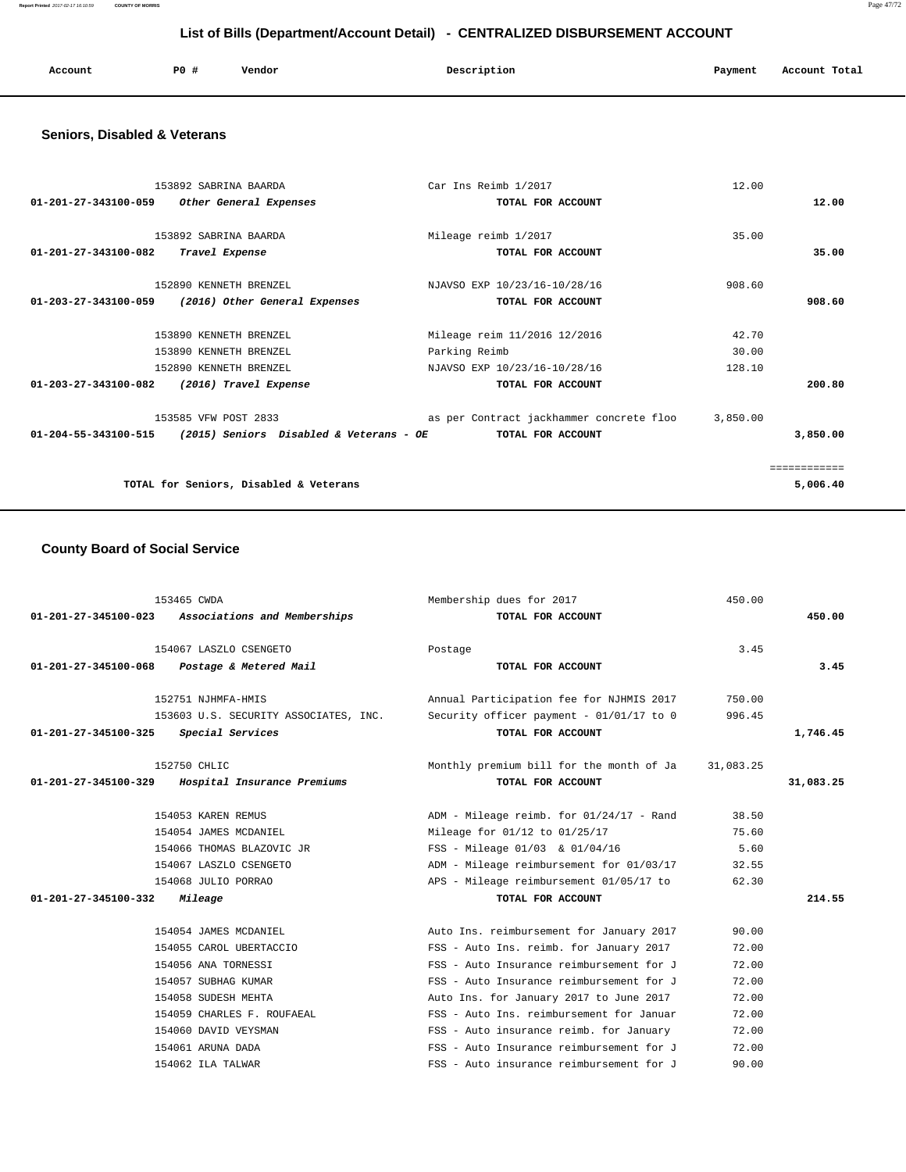**Report Printed** 2017-02-17 16:10:59 **COUNTY OF MORRIS** Page 47/72

# **List of Bills (Department/Account Detail) - CENTRALIZED DISBURSEMENT ACCOUNT**

| Account | P <sub>0</sub> | Vendor<br>. | Description | Payment<br>$\sim$ $\sim$ | Account Total |
|---------|----------------|-------------|-------------|--------------------------|---------------|
|         |                |             |             |                          |               |

### **Seniors, Disabled & Veterans**

| 153892 SABRINA BAARDA<br>01-201-27-343100-059<br>Other General Expenses                   | Car Ins Reimb 1/2017<br>TOTAL FOR ACCOUNT                                     | 12.00                    | 12.00        |
|-------------------------------------------------------------------------------------------|-------------------------------------------------------------------------------|--------------------------|--------------|
| 153892 SABRINA BAARDA<br>$01 - 201 - 27 - 343100 - 082$<br>Travel Expense                 | Mileage reimb 1/2017<br>TOTAL FOR ACCOUNT                                     | 35.00                    | 35.00        |
| 152890 KENNETH BRENZEL<br>$01 - 203 - 27 - 343100 - 059$<br>(2016) Other General Expenses | NJAVSO EXP 10/23/16-10/28/16<br>TOTAL FOR ACCOUNT                             | 908.60                   | 908.60       |
| 153890 KENNETH BRENZEL<br>153890 KENNETH BRENZEL<br>152890 KENNETH BRENZEL                | Mileage reim 11/2016 12/2016<br>Parking Reimb<br>NJAVSO EXP 10/23/16-10/28/16 | 42.70<br>30.00<br>128.10 |              |
| 01-203-27-343100-082<br>(2016) Travel Expense<br>153585 VFW POST 2833                     | TOTAL FOR ACCOUNT<br>as per Contract jackhammer concrete floo                 | 3,850.00                 | 200.80       |
| $01-204-55-343100-515$ (2015) Seniors Disabled & Veterans - OE                            | TOTAL FOR ACCOUNT                                                             |                          | 3,850.00     |
|                                                                                           |                                                                               |                          | ============ |
| TOTAL for Seniors, Disabled & Veterans                                                    |                                                                               |                          | 5,006.40     |

### **County Board of Social Service**

| $01 - 201 - 27 - 345100 - 023$ | 153465 CWDA<br>Associations and Memberships | Membership dues for 2017<br>TOTAL FOR ACCOUNT | 450.00    | 450.00    |
|--------------------------------|---------------------------------------------|-----------------------------------------------|-----------|-----------|
|                                |                                             |                                               |           |           |
|                                | 154067 LASZLO CSENGETO                      | Postage                                       | 3.45      |           |
| 01-201-27-345100-068           | Postage & Metered Mail                      | TOTAL FOR ACCOUNT                             |           | 3.45      |
|                                | 152751 NJHMFA-HMIS                          | Annual Participation fee for NJHMIS 2017      | 750.00    |           |
|                                | 153603 U.S. SECURITY ASSOCIATES, INC.       | Security officer payment - 01/01/17 to 0      | 996.45    |           |
| 01-201-27-345100-325           | Special Services                            | TOTAL FOR ACCOUNT                             |           | 1,746.45  |
|                                |                                             |                                               |           |           |
|                                | 152750 CHLIC                                | Monthly premium bill for the month of Ja      | 31,083.25 |           |
| 01-201-27-345100-329           | Hospital Insurance Premiums                 | TOTAL FOR ACCOUNT                             |           | 31,083.25 |
|                                |                                             |                                               |           |           |
|                                | 154053 KAREN REMUS                          | ADM - Mileage reimb. for 01/24/17 - Rand      | 38.50     |           |
|                                | 154054 JAMES MCDANIEL                       | Mileage for 01/12 to 01/25/17                 | 75.60     |           |
|                                | 154066 THOMAS BLAZOVIC JR                   | FSS - Mileage 01/03 & 01/04/16                | 5.60      |           |
|                                | 154067 LASZLO CSENGETO                      | ADM - Mileage reimbursement for 01/03/17      | 32.55     |           |
|                                | 154068 JULIO PORRAO                         | APS - Mileage reimbursement 01/05/17 to       | 62.30     |           |
| 01-201-27-345100-332           | Mileage                                     | TOTAL FOR ACCOUNT                             |           | 214.55    |
|                                | 154054 JAMES MCDANIEL                       | Auto Ins. reimbursement for January 2017      | 90.00     |           |
|                                | 154055 CAROL UBERTACCIO                     | FSS - Auto Ins. reimb. for January 2017       | 72.00     |           |
|                                | 154056 ANA TORNESSI                         | FSS - Auto Insurance reimbursement for J      | 72.00     |           |
|                                | 154057 SUBHAG KUMAR                         | FSS - Auto Insurance reimbursement for J      | 72.00     |           |
|                                |                                             |                                               |           |           |
|                                | 154058 SUDESH MEHTA                         | Auto Ins. for January 2017 to June 2017       | 72.00     |           |
|                                | 154059 CHARLES F. ROUFAEAL                  | FSS - Auto Ins. reimbursement for Januar      | 72.00     |           |
|                                | 154060 DAVID VEYSMAN                        | FSS - Auto insurance reimb. for January       | 72.00     |           |
|                                | 154061 ARUNA DADA                           | FSS - Auto Insurance reimbursement for J      | 72.00     |           |
|                                | 154062 ILA TALWAR                           | FSS - Auto insurance reimbursement for J      | 90.00     |           |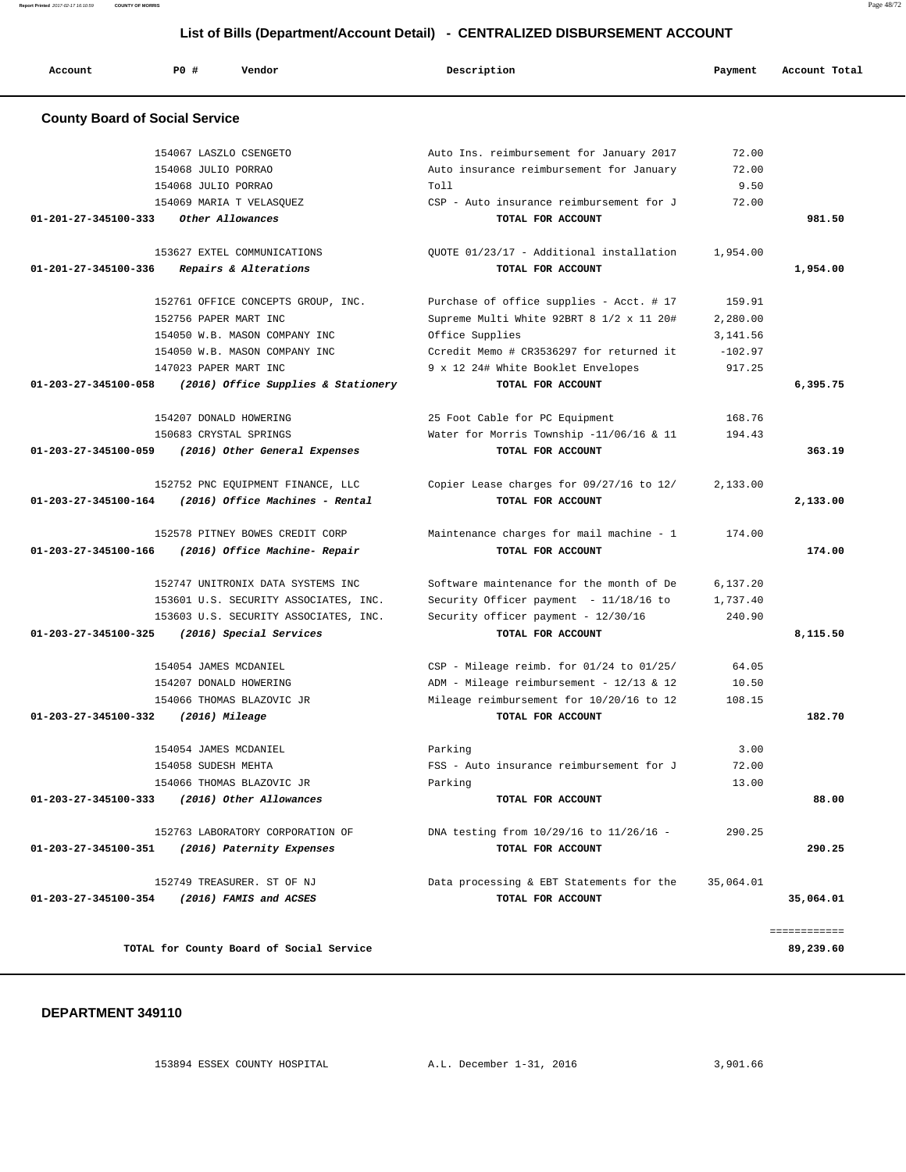**Report Printed** 2017-02-17 16:10:59 **COUNTY OF MORRIS** Page 48/72

# **List of Bills (Department/Account Detail) - CENTRALIZED DISBURSEMENT ACCOUNT**

| Account                                        | PO#                    | Vendor                                   | Description                              | Payment   | Account Total |
|------------------------------------------------|------------------------|------------------------------------------|------------------------------------------|-----------|---------------|
| <b>County Board of Social Service</b>          |                        |                                          |                                          |           |               |
|                                                | 154067 LASZLO CSENGETO |                                          | Auto Ins. reimbursement for January 2017 | 72.00     |               |
|                                                | 154068 JULIO PORRAO    |                                          | Auto insurance reimbursement for January | 72.00     |               |
|                                                | 154068 JULIO PORRAO    |                                          | Toll                                     | 9.50      |               |
|                                                |                        | 154069 MARIA T VELASQUEZ                 | CSP - Auto insurance reimbursement for J | 72.00     |               |
| 01-201-27-345100-333                           |                        | Other Allowances                         | TOTAL FOR ACCOUNT                        |           | 981.50        |
|                                                |                        | 153627 EXTEL COMMUNICATIONS              | OUOTE 01/23/17 - Additional installation | 1,954.00  |               |
| 01-201-27-345100-336                           |                        | Repairs & Alterations                    | TOTAL FOR ACCOUNT                        |           | 1,954.00      |
|                                                |                        | 152761 OFFICE CONCEPTS GROUP, INC.       | Purchase of office supplies - Acct. # 17 | 159.91    |               |
|                                                | 152756 PAPER MART INC  |                                          | Supreme Multi White 92BRT 8 1/2 x 11 20# | 2,280.00  |               |
|                                                |                        | 154050 W.B. MASON COMPANY INC            | Office Supplies                          | 3, 141.56 |               |
|                                                |                        | 154050 W.B. MASON COMPANY INC            | Ccredit Memo # CR3536297 for returned it | $-102.97$ |               |
|                                                | 147023 PAPER MART INC  |                                          | 9 x 12 24# White Booklet Envelopes       | 917.25    |               |
| $01 - 203 - 27 - 345100 - 058$                 |                        | (2016) Office Supplies & Stationery      | TOTAL FOR ACCOUNT                        |           | 6,395.75      |
|                                                | 154207 DONALD HOWERING |                                          | 25 Foot Cable for PC Equipment           | 168.76    |               |
|                                                | 150683 CRYSTAL SPRINGS |                                          | Water for Morris Township -11/06/16 & 11 | 194.43    |               |
| 01-203-27-345100-059                           |                        | (2016) Other General Expenses            | TOTAL FOR ACCOUNT                        |           | 363.19        |
|                                                |                        | 152752 PNC EQUIPMENT FINANCE, LLC        | Copier Lease charges for 09/27/16 to 12/ | 2,133.00  |               |
| 01-203-27-345100-164                           |                        | (2016) Office Machines - Rental          | TOTAL FOR ACCOUNT                        |           | 2,133.00      |
|                                                |                        | 152578 PITNEY BOWES CREDIT CORP          | Maintenance charges for mail machine - 1 | 174.00    |               |
| 01-203-27-345100-166                           |                        | (2016) Office Machine- Repair            | TOTAL FOR ACCOUNT                        |           | 174.00        |
|                                                |                        | 152747 UNITRONIX DATA SYSTEMS INC        | Software maintenance for the month of De | 6,137.20  |               |
|                                                |                        | 153601 U.S. SECURITY ASSOCIATES, INC.    | Security Officer payment - 11/18/16 to   | 1,737.40  |               |
|                                                |                        | 153603 U.S. SECURITY ASSOCIATES, INC.    | Security officer payment - 12/30/16      | 240.90    |               |
| 01-203-27-345100-325                           |                        | (2016) Special Services                  | TOTAL FOR ACCOUNT                        |           | 8,115.50      |
|                                                | 154054 JAMES MCDANIEL  |                                          | CSP - Mileage reimb. for 01/24 to 01/25/ | 64.05     |               |
|                                                | 154207 DONALD HOWERING |                                          | ADM - Mileage reimbursement - 12/13 & 12 | 10.50     |               |
|                                                |                        | 154066 THOMAS BLAZOVIC JR                | Mileage reimbursement for 10/20/16 to 12 | 108.15    |               |
| 01-203-27-345100-332                           | $(2016)$ Mileage       |                                          | TOTAL FOR ACCOUNT                        |           | 182.70        |
|                                                | 154054 JAMES MCDANIEL  |                                          | Parking                                  | 3.00      |               |
|                                                | 154058 SUDESH MEHTA    |                                          | FSS - Auto insurance reimbursement for J | 72.00     |               |
|                                                |                        | 154066 THOMAS BLAZOVIC JR                | Parking                                  | 13.00     |               |
| 01-203-27-345100-333                           |                        | (2016) Other Allowances                  | TOTAL FOR ACCOUNT                        |           | 88.00         |
|                                                |                        | 152763 LABORATORY CORPORATION OF         | DNA testing from 10/29/16 to 11/26/16 -  | 290.25    |               |
| 01-203-27-345100-351 (2016) Paternity Expenses |                        |                                          | TOTAL FOR ACCOUNT                        |           | 290.25        |
|                                                |                        | 152749 TREASURER. ST OF NJ               | Data processing & EBT Statements for the | 35,064.01 |               |
| 01-203-27-345100-354                           |                        | (2016) FAMIS and ACSES                   | TOTAL FOR ACCOUNT                        |           | 35,064.01     |
|                                                |                        |                                          |                                          |           | ============  |
|                                                |                        | TOTAL for County Board of Social Service |                                          |           | 89,239.60     |

#### **DEPARTMENT 349110**

153894 ESSEX COUNTY HOSPITAL A.L. December 1-31, 2016 3,901.66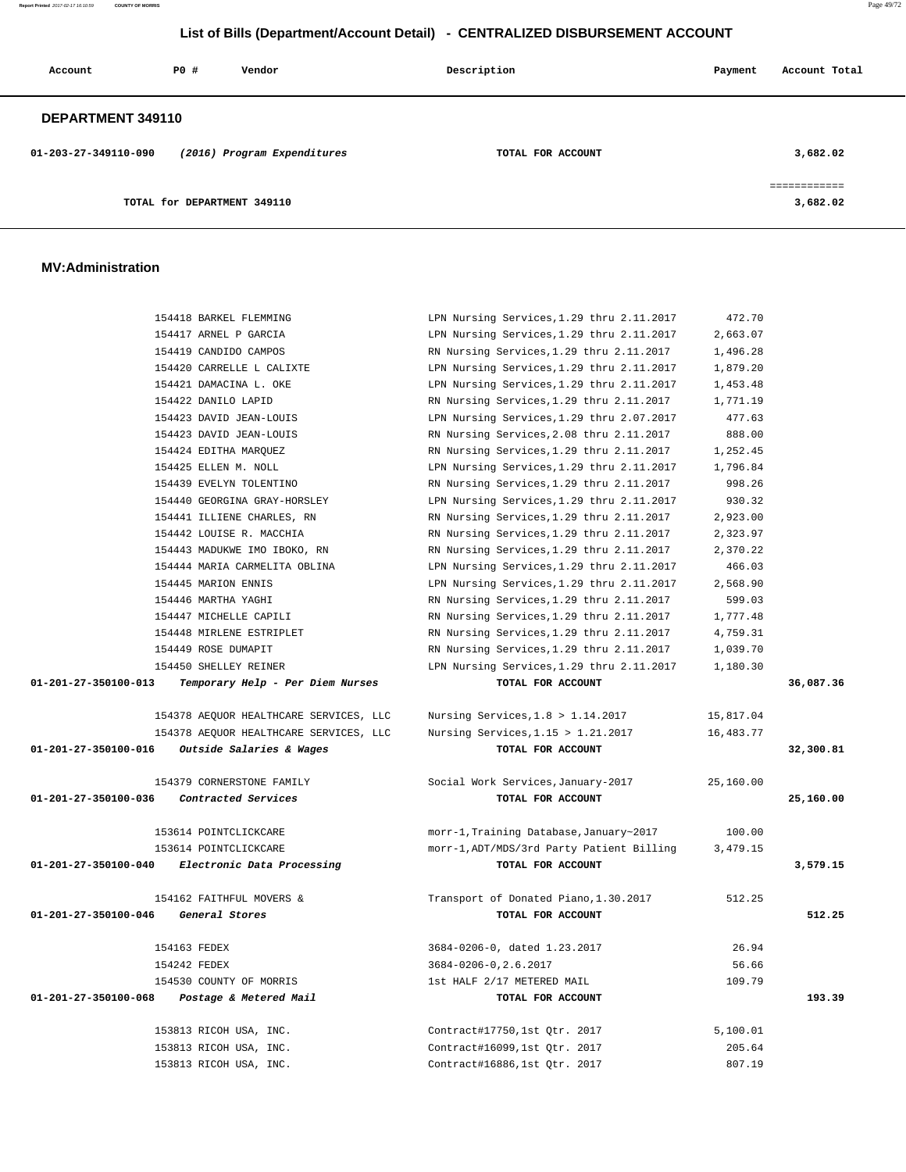**Report Printed** 2017-02-17 16:10:59 **COUNTY OF MORRIS** Page 49/72

# **List of Bills (Department/Account Detail) - CENTRALIZED DISBURSEMENT ACCOUNT**

| Account              | P0 #                        | Vendor                      | Description       | Payment | Account Total            |
|----------------------|-----------------------------|-----------------------------|-------------------|---------|--------------------------|
| DEPARTMENT 349110    |                             |                             |                   |         |                          |
| 01-203-27-349110-090 |                             | (2016) Program Expenditures | TOTAL FOR ACCOUNT |         | 3,682.02                 |
|                      | TOTAL for DEPARTMENT 349110 |                             |                   |         | ============<br>3,682.02 |

#### **MV:Administration**

| 154418 BARKEL FLEMMING                                   | LPN Nursing Services, 1.29 thru 2.11.2017 | 472.70    |           |
|----------------------------------------------------------|-------------------------------------------|-----------|-----------|
| 154417 ARNEL P GARCIA                                    | LPN Nursing Services, 1.29 thru 2.11.2017 | 2,663.07  |           |
| 154419 CANDIDO CAMPOS                                    | RN Nursing Services, 1.29 thru 2.11.2017  | 1,496.28  |           |
| 154420 CARRELLE L CALIXTE                                | LPN Nursing Services, 1.29 thru 2.11.2017 | 1,879.20  |           |
| 154421 DAMACINA L. OKE                                   | LPN Nursing Services, 1.29 thru 2.11.2017 | 1,453.48  |           |
| 154422 DANILO LAPID                                      | RN Nursing Services, 1.29 thru 2.11.2017  | 1,771.19  |           |
| 154423 DAVID JEAN-LOUIS                                  | LPN Nursing Services, 1.29 thru 2.07.2017 | 477.63    |           |
| 154423 DAVID JEAN-LOUIS                                  | RN Nursing Services, 2.08 thru 2.11.2017  | 888.00    |           |
| 154424 EDITHA MARQUEZ                                    | RN Nursing Services, 1.29 thru 2.11.2017  | 1,252.45  |           |
| 154425 ELLEN M. NOLL                                     | LPN Nursing Services, 1.29 thru 2.11.2017 | 1,796.84  |           |
| 154439 EVELYN TOLENTINO                                  | RN Nursing Services, 1.29 thru 2.11.2017  | 998.26    |           |
| 154440 GEORGINA GRAY-HORSLEY                             | LPN Nursing Services, 1.29 thru 2.11.2017 | 930.32    |           |
| 154441 ILLIENE CHARLES, RN                               | RN Nursing Services, 1.29 thru 2.11.2017  | 2,923.00  |           |
| 154442 LOUISE R. MACCHIA                                 | RN Nursing Services, 1.29 thru 2.11.2017  | 2,323.97  |           |
| 154443 MADUKWE IMO IBOKO, RN                             | RN Nursing Services, 1.29 thru 2.11.2017  | 2,370.22  |           |
| 154444 MARIA CARMELITA OBLINA                            | LPN Nursing Services, 1.29 thru 2.11.2017 | 466.03    |           |
| 154445 MARION ENNIS                                      | LPN Nursing Services, 1.29 thru 2.11.2017 | 2,568.90  |           |
| 154446 MARTHA YAGHI                                      | RN Nursing Services, 1.29 thru 2.11.2017  | 599.03    |           |
| 154447 MICHELLE CAPILI                                   | RN Nursing Services, 1.29 thru 2.11.2017  | 1,777.48  |           |
| 154448 MIRLENE ESTRIPLET                                 | RN Nursing Services, 1.29 thru 2.11.2017  | 4,759.31  |           |
| 154449 ROSE DUMAPIT                                      | RN Nursing Services, 1.29 thru 2.11.2017  | 1,039.70  |           |
| 154450 SHELLEY REINER                                    | LPN Nursing Services, 1.29 thru 2.11.2017 | 1,180.30  |           |
| 01-201-27-350100-013<br>Temporary Help - Per Diem Nurses | TOTAL FOR ACCOUNT                         |           | 36,087.36 |
|                                                          |                                           |           |           |
| 154378 AEQUOR HEALTHCARE SERVICES, LLC                   | Nursing Services, $1.8 > 1.14.2017$       | 15,817.04 |           |
| 154378 AEQUOR HEALTHCARE SERVICES, LLC                   | Nursing Services, $1.15 > 1.21.2017$      | 16,483.77 |           |
| 01-201-27-350100-016<br>Outside Salaries & Wages         | TOTAL FOR ACCOUNT                         |           | 32,300.81 |
|                                                          |                                           |           |           |
| 154379 CORNERSTONE FAMILY                                | Social Work Services, January-2017        | 25,160.00 |           |
| 01-201-27-350100-036<br>Contracted Services              | TOTAL FOR ACCOUNT                         |           | 25,160.00 |
|                                                          |                                           |           |           |
| 153614 POINTCLICKCARE                                    | morr-1, Training Database, January~2017   | 100.00    |           |
| 153614 POINTCLICKCARE                                    | morr-1, ADT/MDS/3rd Party Patient Billing | 3,479.15  |           |
| 01-201-27-350100-040<br>Electronic Data Processing       | TOTAL FOR ACCOUNT                         |           | 3,579.15  |
|                                                          |                                           |           |           |
| 154162 FAITHFUL MOVERS &                                 | Transport of Donated Piano, 1.30.2017     | 512.25    |           |
| 01-201-27-350100-046<br>General Stores                   | TOTAL FOR ACCOUNT                         |           | 512.25    |
|                                                          |                                           |           |           |
| 154163 FEDEX                                             | 3684-0206-0, dated 1.23.2017              | 26.94     |           |
| 154242 FEDEX                                             | 3684-0206-0, 2.6.2017                     | 56.66     |           |
| 154530 COUNTY OF MORRIS                                  | 1st HALF 2/17 METERED MAIL                | 109.79    |           |
| 01-201-27-350100-068<br>Postage & Metered Mail           | TOTAL FOR ACCOUNT                         |           | 193.39    |
|                                                          |                                           |           |           |
| 153813 RICOH USA, INC.                                   | Contract#17750,1st Qtr. 2017              | 5,100.01  |           |
| 153813 RICOH USA, INC.                                   | Contract#16099,1st Qtr. 2017              | 205.64    |           |
|                                                          |                                           |           |           |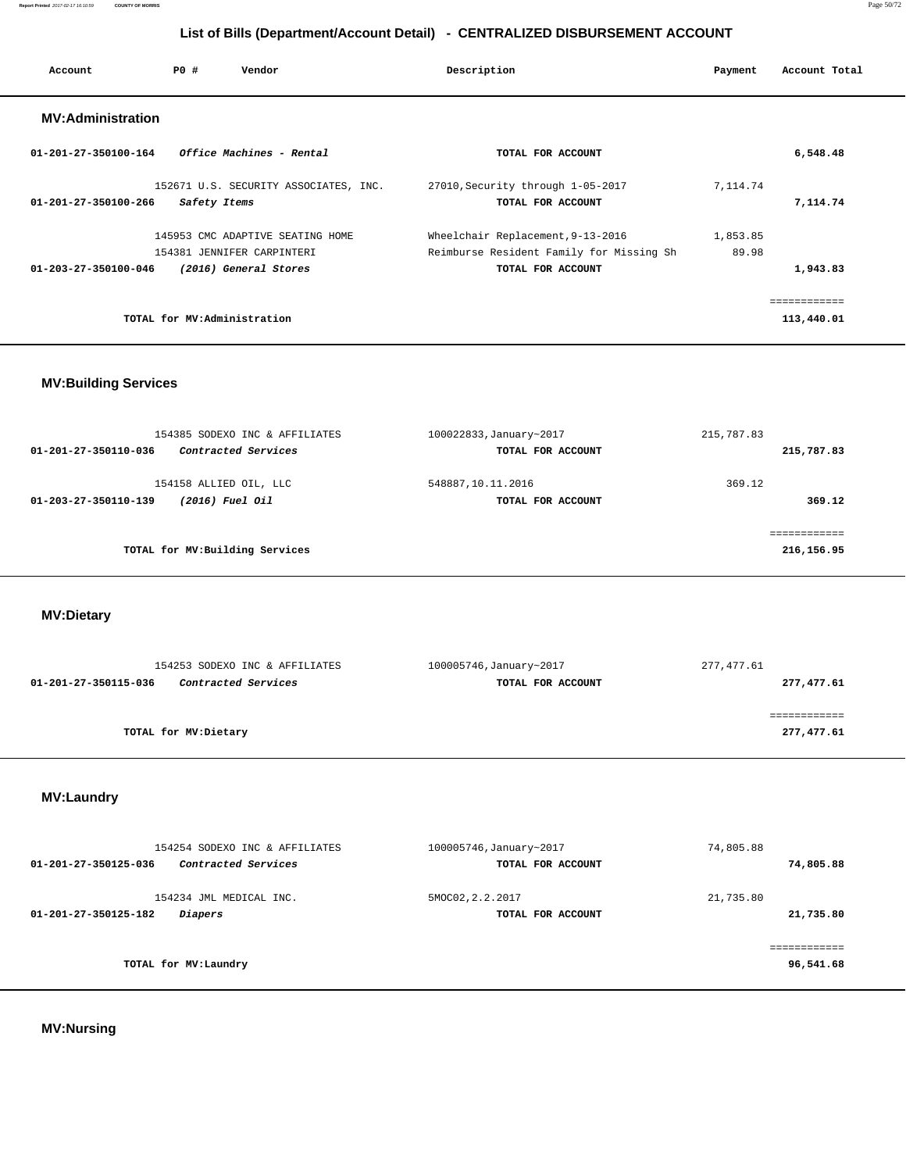**Report Printed** 2017-02-17 16:10:59 **COUNTY OF MORRIS** Page 50/72

# **List of Bills (Department/Account Detail) - CENTRALIZED DISBURSEMENT ACCOUNT**

| Account                  | PO# | Vendor                                | Description                              | Payment   | Account Total |
|--------------------------|-----|---------------------------------------|------------------------------------------|-----------|---------------|
| <b>MV:Administration</b> |     |                                       |                                          |           |               |
| 01-201-27-350100-164     |     | Office Machines - Rental              | TOTAL FOR ACCOUNT                        |           | 6,548.48      |
|                          |     | 152671 U.S. SECURITY ASSOCIATES, INC. | 27010, Security through 1-05-2017        | 7, 114.74 |               |
| 01-201-27-350100-266     |     | Safety Items                          | TOTAL FOR ACCOUNT                        |           | 7,114.74      |
|                          |     | 145953 CMC ADAPTIVE SEATING HOME      | Wheelchair Replacement, 9-13-2016        | 1,853.85  |               |
|                          |     | 154381 JENNIFER CARPINTERI            | Reimburse Resident Family for Missing Sh | 89.98     |               |
| 01-203-27-350100-046     |     | (2016) General Stores                 | TOTAL FOR ACCOUNT                        |           | 1,943.83      |
|                          |     |                                       |                                          |           | ============  |
|                          |     | TOTAL for MV:Administration           |                                          |           | 113,440.01    |

# **MV:Building Services**

| 154385 SODEXO INC & AFFILIATES                                    | 100022833, January~2017                | 215,787.83                |
|-------------------------------------------------------------------|----------------------------------------|---------------------------|
| Contracted Services<br>01-201-27-350110-036                       | TOTAL FOR ACCOUNT                      | 215,787.83                |
| 154158 ALLIED OIL, LLC<br>(2016) Fuel Oil<br>01-203-27-350110-139 | 548887,10.11.2016<br>TOTAL FOR ACCOUNT | 369.12<br>369.12          |
| TOTAL for MV: Building Services                                   |                                        | ===========<br>216,156.95 |

 **MV:Dietary** 

| 154253 SODEXO INC & AFFILIATES                     | 100005746, January~2017 | 277,477.61 |
|----------------------------------------------------|-------------------------|------------|
| <i>Contracted Services</i><br>01-201-27-350115-036 | TOTAL FOR ACCOUNT       | 277,477.61 |
|                                                    |                         |            |
|                                                    |                         |            |
| TOTAL for MV:Dietary                               |                         | 277,477.61 |
|                                                    |                         |            |

# **MV:Laundry**

| 154254 SODEXO INC & AFFILIATES              | 100005746, January~2017 | 74,805.88 |
|---------------------------------------------|-------------------------|-----------|
| Contracted Services<br>01-201-27-350125-036 | TOTAL FOR ACCOUNT       | 74,805.88 |
| 154234 JML MEDICAL INC.                     | 5MOC02, 2.2.2017        | 21,735.80 |
| <i>Diapers</i><br>01-201-27-350125-182      | TOTAL FOR ACCOUNT       | 21,735.80 |
|                                             |                         |           |
| TOTAL for MV:Laundry                        |                         | 96,541.68 |
|                                             |                         |           |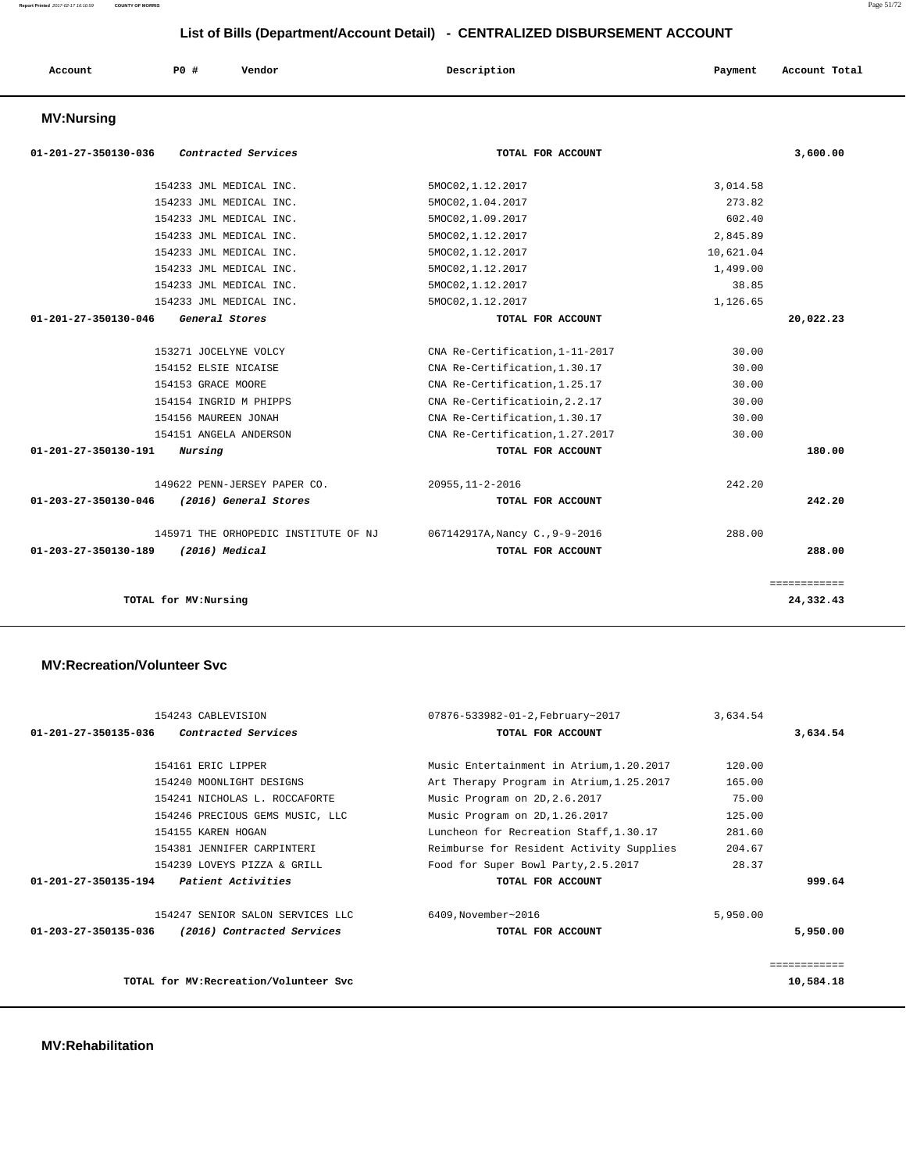| Account | P0 # | Vendor | Description | Payment | Account Total |
|---------|------|--------|-------------|---------|---------------|
|         |      |        |             |         |               |

### **MV:Nursing**

| 01-201-27-350130-036<br><i>Contracted Services</i> | TOTAL FOR ACCOUNT               | 3,600.00     |
|----------------------------------------------------|---------------------------------|--------------|
| 154233 JML MEDICAL INC.                            | 5MOC02, 1.12.2017               | 3,014.58     |
| 154233 JML MEDICAL INC.                            | 5MOC02, 1.04.2017               | 273.82       |
| 154233 JML MEDICAL INC.                            | 5MOC02, 1.09.2017               | 602.40       |
| 154233 JML MEDICAL INC.                            | 5MOC02, 1.12.2017               | 2,845.89     |
| 154233 JML MEDICAL INC.                            | 5MOC02, 1.12.2017               | 10,621.04    |
| 154233 JML MEDICAL INC.                            | 5MOC02, 1.12.2017               | 1,499.00     |
| 154233 JML MEDICAL INC.                            | 5MOC02, 1.12.2017               | 38.85        |
| 154233 JML MEDICAL INC.                            | 5MOC02, 1.12.2017               | 1,126.65     |
| 01-201-27-350130-046<br>General Stores             | TOTAL FOR ACCOUNT               | 20,022.23    |
| 153271 JOCELYNE VOLCY                              | CNA Re-Certification, 1-11-2017 | 30.00        |
| 154152 ELSIE NICAISE                               | CNA Re-Certification, 1.30.17   | 30.00        |
| 154153 GRACE MOORE                                 | CNA Re-Certification, 1.25.17   | 30.00        |
| 154154 INGRID M PHIPPS                             | CNA Re-Certificatioin, 2.2.17   | 30.00        |
| 154156 MAUREEN JONAH                               | CNA Re-Certification, 1.30.17   | 30.00        |
| 154151 ANGELA ANDERSON                             | CNA Re-Certification, 1.27.2017 | 30.00        |
| 01-201-27-350130-191<br>Nursing                    | TOTAL FOR ACCOUNT               | 180.00       |
| 149622 PENN-JERSEY PAPER CO.                       | 20955, 11-2-2016                | 242.20       |
| 01-203-27-350130-046<br>(2016) General Stores      | TOTAL FOR ACCOUNT               | 242.20       |
| 145971 THE ORHOPEDIC INSTITUTE OF NJ               | 067142917A, Nancy C., 9-9-2016  | 288.00       |
| 01-203-27-350130-189<br>(2016) Medical             | TOTAL FOR ACCOUNT               | 288.00       |
|                                                    |                                 | ============ |
| TOTAL for MV:Nursing                               |                                 | 24,332.43    |

### **MV:Recreation/Volunteer Svc**

| 154243 CABLEVISION                                          | 07876-533982-01-2, February~2017         | 3,634.54 |              |
|-------------------------------------------------------------|------------------------------------------|----------|--------------|
| Contracted Services<br>01-201-27-350135-036                 | TOTAL FOR ACCOUNT                        |          | 3,634.54     |
| 154161 ERIC LIPPER                                          | Music Entertainment in Atrium, 1.20.2017 | 120.00   |              |
| 154240 MOONLIGHT DESIGNS                                    | Art Therapy Program in Atrium, 1.25.2017 | 165.00   |              |
| 154241 NICHOLAS L. ROCCAFORTE                               | Music Program on 2D, 2.6.2017            | 75.00    |              |
| 154246 PRECIOUS GEMS MUSIC, LLC                             | Music Program on 2D, 1.26.2017           | 125.00   |              |
| 154155 KAREN HOGAN                                          | Luncheon for Recreation Staff.1.30.17    | 281.60   |              |
| 154381 JENNIFER CARPINTERI                                  | Reimburse for Resident Activity Supplies | 204.67   |              |
| 154239 LOVEYS PIZZA & GRILL                                 | Food for Super Bowl Party, 2.5.2017      | 28.37    |              |
| $01 - 201 - 27 - 350135 - 194$<br><i>Patient Activities</i> | TOTAL FOR ACCOUNT                        |          | 999.64       |
| 154247 SENIOR SALON SERVICES LLC                            | 6409, November~2016                      | 5,950.00 |              |
| 01-203-27-350135-036<br>(2016) Contracted Services          | TOTAL FOR ACCOUNT                        |          | 5,950.00     |
|                                                             |                                          |          | ------------ |
| TOTAL for MV: Recreation/Volunteer Svc                      |                                          |          | 10,584.18    |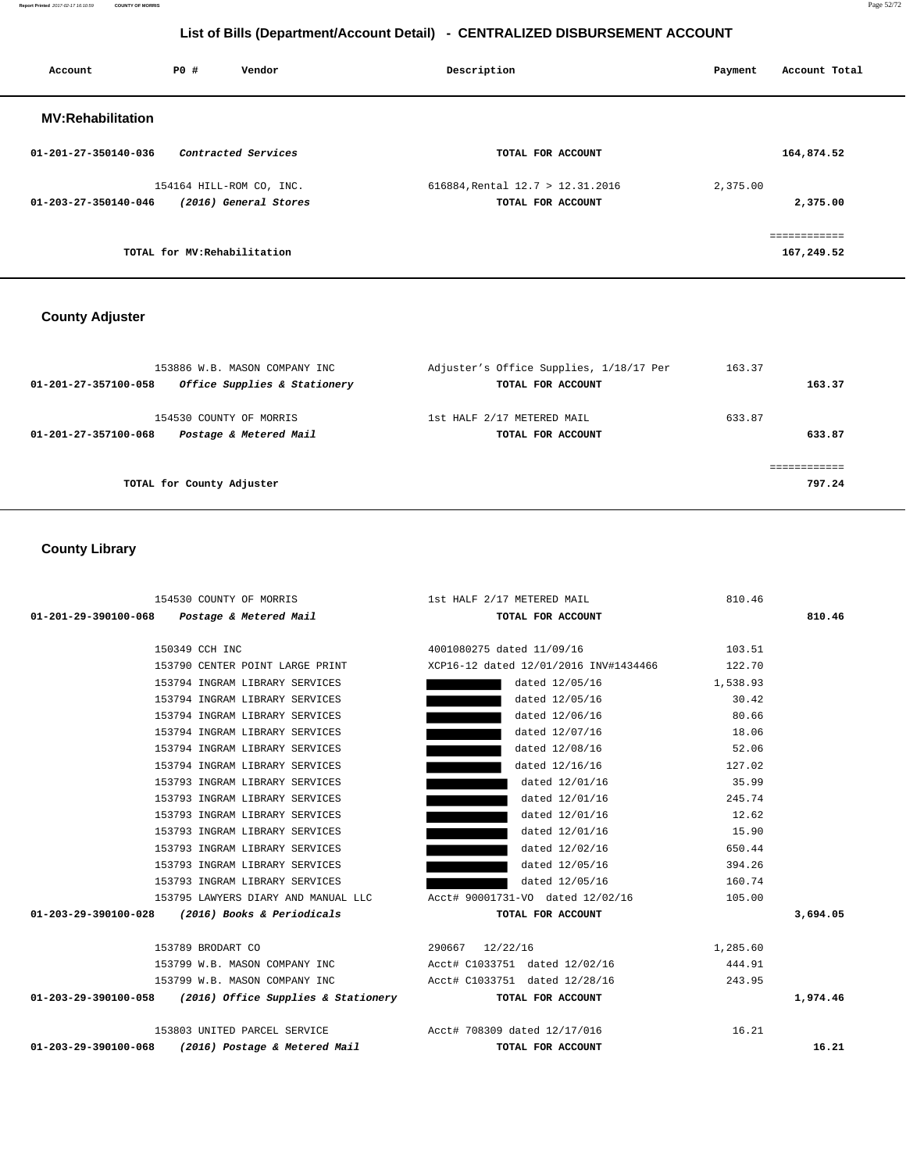**Report Printed** 2017-02-17 16:10:59 **COUNTY OF MORRIS** Page 52/72

# **List of Bills (Department/Account Detail) - CENTRALIZED DISBURSEMENT ACCOUNT**

| Account                  | PO#                          | Vendor                                            | Description                                           | Payment  | Account Total              |
|--------------------------|------------------------------|---------------------------------------------------|-------------------------------------------------------|----------|----------------------------|
| <b>MV:Rehabilitation</b> |                              |                                                   |                                                       |          |                            |
| 01-201-27-350140-036     |                              | Contracted Services                               | TOTAL FOR ACCOUNT                                     |          | 164,874.52                 |
| 01-203-27-350140-046     |                              | 154164 HILL-ROM CO, INC.<br>(2016) General Stores | 616884, Rental 12.7 > 12.31.2016<br>TOTAL FOR ACCOUNT | 2,375.00 | 2,375.00                   |
|                          | TOTAL for MV: Rehabilitation |                                                   |                                                       |          | ------------<br>167,249.52 |

### **County Adjuster**

| 153886 W.B. MASON COMPANY INC<br>Office Supplies & Stationery<br>01-201-27-357100-058 | Adjuster's Office Supplies, 1/18/17 Per<br>TOTAL FOR ACCOUNT | 163.37<br>163.37 |
|---------------------------------------------------------------------------------------|--------------------------------------------------------------|------------------|
| 154530 COUNTY OF MORRIS<br>Postage & Metered Mail<br>01-201-27-357100-068             | 1st HALF 2/17 METERED MAIL<br>TOTAL FOR ACCOUNT              | 633.87<br>633.87 |
| TOTAL for County Adjuster                                                             |                                                              | 797.24           |

### **County Library**

|                                                                            | 154530 COUNTY OF MORRIS 15t HALF 2/17 METERED MAIL                                                                     | 810.46   |          |
|----------------------------------------------------------------------------|------------------------------------------------------------------------------------------------------------------------|----------|----------|
| 01-201-29-390100-068    Postage & Metered Mail                             | TOTAL FOR ACCOUNT                                                                                                      |          | 810.46   |
|                                                                            |                                                                                                                        |          |          |
| 150349 CCH INC                                                             | 4001080275 dated 11/09/16                                                                                              | 103.51   |          |
|                                                                            | 153790 CENTER POINT LARGE PRINT XCP16-12 dated 12/01/2016 INV#1434466 122.70                                           |          |          |
| 153794 INGRAM LIBRARY SERVICES                                             | dated 12/05/16 1,538.93                                                                                                |          |          |
| 153794 INGRAM LIBRARY SERVICES                                             | dated 12/05/16                                                                                                         | 30.42    |          |
| 153794 INGRAM LIBRARY SERVICES                                             | dated 12/06/16                                                                                                         | 80.66    |          |
| 153794 INGRAM LIBRARY SERVICES                                             | dated 12/07/16                                                                                                         | 18.06    |          |
| 153794 INGRAM LIBRARY SERVICES                                             | dated 12/08/16                                                                                                         | 52.06    |          |
| 153794 INGRAM LIBRARY SERVICES                                             | dated 12/16/16                                                                                                         | 127.02   |          |
| 153793 INGRAM LIBRARY SERVICES                                             | dated 12/01/16                                                                                                         | 35.99    |          |
| 153793 INGRAM LIBRARY SERVICES                                             | dated 12/01/16                                                                                                         | 245.74   |          |
| 153793 INGRAM LIBRARY SERVICES                                             | dated 12/01/16                                                                                                         | 12.62    |          |
| 153793 INGRAM LIBRARY SERVICES                                             | dated 12/01/16                                                                                                         | 15.90    |          |
| 153793 INGRAM LIBRARY SERVICES                                             | dated 12/02/16                                                                                                         | 650.44   |          |
| 153793 INGRAM LIBRARY SERVICES                                             | dated 12/05/16 394.26                                                                                                  |          |          |
| 153793 INGRAM LIBRARY SERVICES                                             | dated 12/05/16 160.74                                                                                                  |          |          |
|                                                                            | 105.00 153795 LAWYERS DIARY AND MANUAL LLC Acct# 90001731-VO dated 12/02/16                                            |          |          |
| 01-203-29-390100-028 (2016) Books & Periodicals                            | TOTAL FOR ACCOUNT                                                                                                      |          | 3,694.05 |
|                                                                            |                                                                                                                        |          |          |
| 290667 12/22/16<br>153789 BRODART CO                                       |                                                                                                                        | 1,285.60 |          |
|                                                                            | 153799 W.B. MASON COMPANY INC <a>&gt;&gt;&gt;&gt;&gt;&gt;&gt; Acct# C1033751 dated <math>12/02/16</math></a> >> 444.91 |          |          |
| 153799 W.B. MASON COMPANY INC                                              | Acct# C1033751 dated 12/28/16 243.95                                                                                   |          |          |
| 01-203-29-390100-058 (2016) Office Supplies & Stationery TOTAL FOR ACCOUNT |                                                                                                                        |          | 1,974.46 |
|                                                                            |                                                                                                                        |          |          |
|                                                                            |                                                                                                                        | 16.21    |          |
| 01-203-29-390100-068 (2016) Postage & Metered Mail                         | TOTAL FOR ACCOUNT                                                                                                      |          | 16.21    |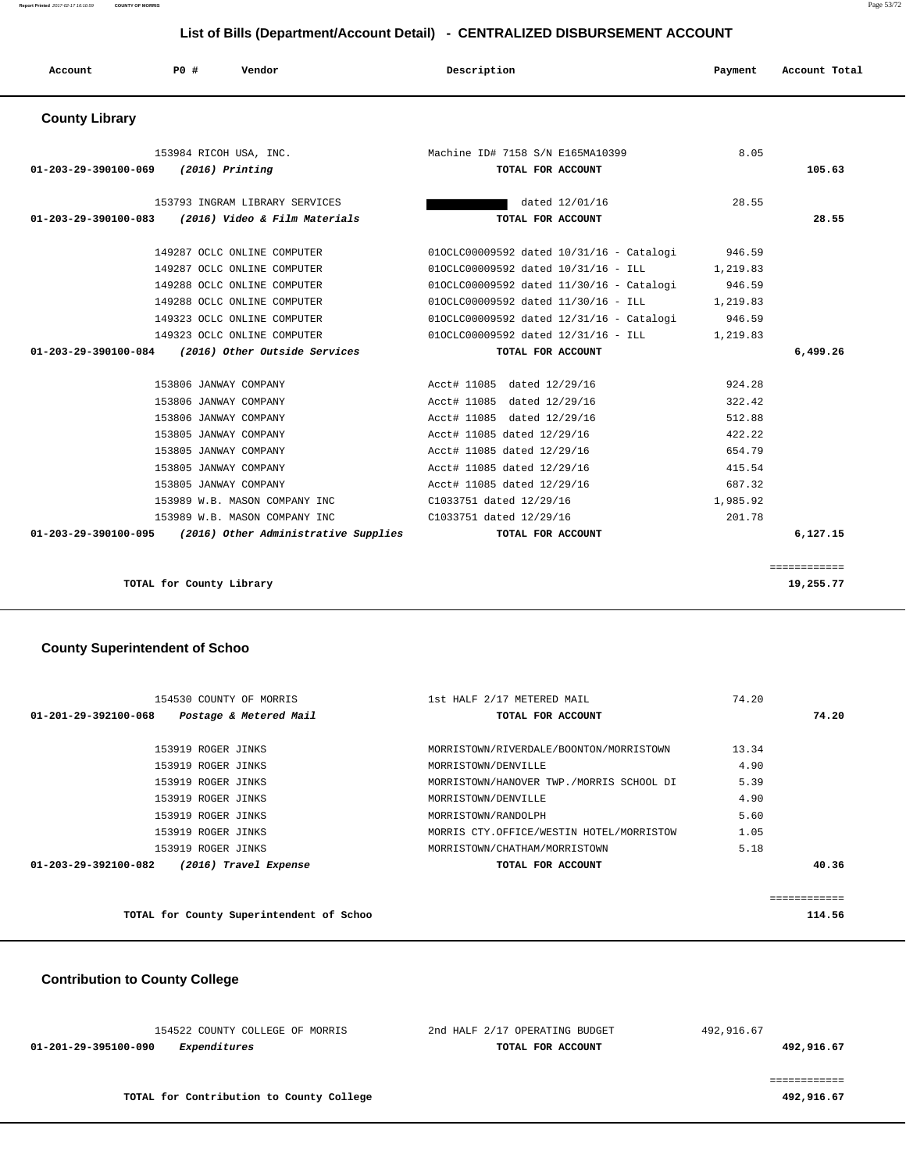| Account               | PO#                            | Vendor                               | Description                         |                                          | Payment  | Account Total |
|-----------------------|--------------------------------|--------------------------------------|-------------------------------------|------------------------------------------|----------|---------------|
| <b>County Library</b> |                                |                                      |                                     |                                          |          |               |
|                       | 153984 RICOH USA, INC.         |                                      | Machine ID# 7158 S/N E165MA10399    |                                          | 8.05     |               |
| 01-203-29-390100-069  | $(2016)$ Printing              |                                      |                                     | TOTAL FOR ACCOUNT                        |          | 105.63        |
|                       |                                |                                      |                                     |                                          |          |               |
|                       | 153793 INGRAM LIBRARY SERVICES |                                      |                                     | dated 12/01/16                           | 28.55    |               |
| 01-203-29-390100-083  |                                | (2016) Video & Film Materials        |                                     | TOTAL FOR ACCOUNT                        |          | 28.55         |
|                       | 149287 OCLC ONLINE COMPUTER    |                                      |                                     | 010CLC00009592 dated 10/31/16 - Catalogi | 946.59   |               |
|                       | 149287 OCLC ONLINE COMPUTER    |                                      | 010CLC00009592 dated 10/31/16 - ILL |                                          | 1,219.83 |               |
|                       | 149288 OCLC ONLINE COMPUTER    |                                      |                                     | 010CLC00009592 dated 11/30/16 - Catalogi | 946.59   |               |
|                       | 149288 OCLC ONLINE COMPUTER    |                                      | 010CLC00009592 dated 11/30/16 - ILL |                                          | 1,219.83 |               |
|                       | 149323 OCLC ONLINE COMPUTER    |                                      |                                     | 010CLC00009592 dated 12/31/16 - Catalogi | 946.59   |               |
|                       | 149323 OCLC ONLINE COMPUTER    |                                      | 010CLC00009592 dated 12/31/16 - ILL |                                          | 1,219.83 |               |
| 01-203-29-390100-084  |                                | (2016) Other Outside Services        |                                     | TOTAL FOR ACCOUNT                        |          | 6,499.26      |
|                       | 153806 JANWAY COMPANY          |                                      | Acct# 11085 dated 12/29/16          |                                          | 924.28   |               |
|                       | 153806 JANWAY COMPANY          |                                      | Acct# 11085 dated 12/29/16          |                                          | 322.42   |               |
|                       | 153806 JANWAY COMPANY          |                                      | Acct# 11085 dated 12/29/16          |                                          | 512.88   |               |
|                       | 153805 JANWAY COMPANY          |                                      | Acct# 11085 dated 12/29/16          |                                          | 422.22   |               |
|                       | 153805 JANWAY COMPANY          |                                      | Acct# 11085 dated 12/29/16          |                                          | 654.79   |               |
|                       | 153805 JANWAY COMPANY          |                                      | Acct# 11085 dated 12/29/16          |                                          | 415.54   |               |
|                       | 153805 JANWAY COMPANY          |                                      | Acct# 11085 dated 12/29/16          |                                          | 687.32   |               |
|                       | 153989 W.B. MASON COMPANY INC  |                                      | C1033751 dated 12/29/16             |                                          | 1,985.92 |               |
|                       | 153989 W.B. MASON COMPANY INC  |                                      | C1033751 dated 12/29/16             |                                          | 201.78   |               |
| 01-203-29-390100-095  |                                | (2016) Other Administrative Supplies |                                     | TOTAL FOR ACCOUNT                        |          | 6.127.15      |
|                       |                                |                                      |                                     |                                          |          |               |

**TOTAL for County Library 19,255.77**

#### **County Superintendent of Schoo**

| 154530 COUNTY OF MORRIS                                  | 1st HALF 2/17 METERED MAIL               | 74.20 |             |
|----------------------------------------------------------|------------------------------------------|-------|-------------|
| $01 - 201 - 29 - 392100 - 068$<br>Postage & Metered Mail | TOTAL FOR ACCOUNT                        |       | 74.20       |
|                                                          |                                          |       |             |
| 153919 ROGER JINKS                                       | MORRISTOWN/RIVERDALE/BOONTON/MORRISTOWN  | 13.34 |             |
| 153919 ROGER JINKS                                       | MORRISTOWN/DENVILLE                      | 4.90  |             |
| 153919 ROGER JINKS                                       | MORRISTOWN/HANOVER TWP./MORRIS SCHOOL DI | 5.39  |             |
| 153919 ROGER JINKS                                       | MORRISTOWN/DENVILLE                      | 4.90  |             |
| 153919 ROGER JINKS                                       | MORRISTOWN/RANDOLPH                      | 5.60  |             |
| 153919 ROGER JINKS                                       | MORRIS CTY.OFFICE/WESTIN HOTEL/MORRISTOW | 1.05  |             |
| 153919 ROGER JINKS                                       | MORRISTOWN/CHATHAM/MORRISTOWN            | 5.18  |             |
| (2016) Travel Expense<br>$01 - 203 - 29 - 392100 - 082$  | TOTAL FOR ACCOUNT                        |       | 40.36       |
|                                                          |                                          |       | =========== |
| TOTAL for County Superintendent of Schoo                 |                                          |       | 114.56      |

============

 **Contribution to County College**

| 492,916.67 | 2nd HALF 2/17 OPERATING BUDGET | 154522 COUNTY COLLEGE OF MORRIS      |
|------------|--------------------------------|--------------------------------------|
| 492,916.67 | TOTAL FOR ACCOUNT              | 01-201-29-395100-090<br>Expenditures |
|            |                                |                                      |
|            |                                |                                      |

**TOTAL for Contribution to County College 492,916.67**

**Report Printed** 2017-02-17 16:10:59 **COUNTY OF MORRIS** Page 53/72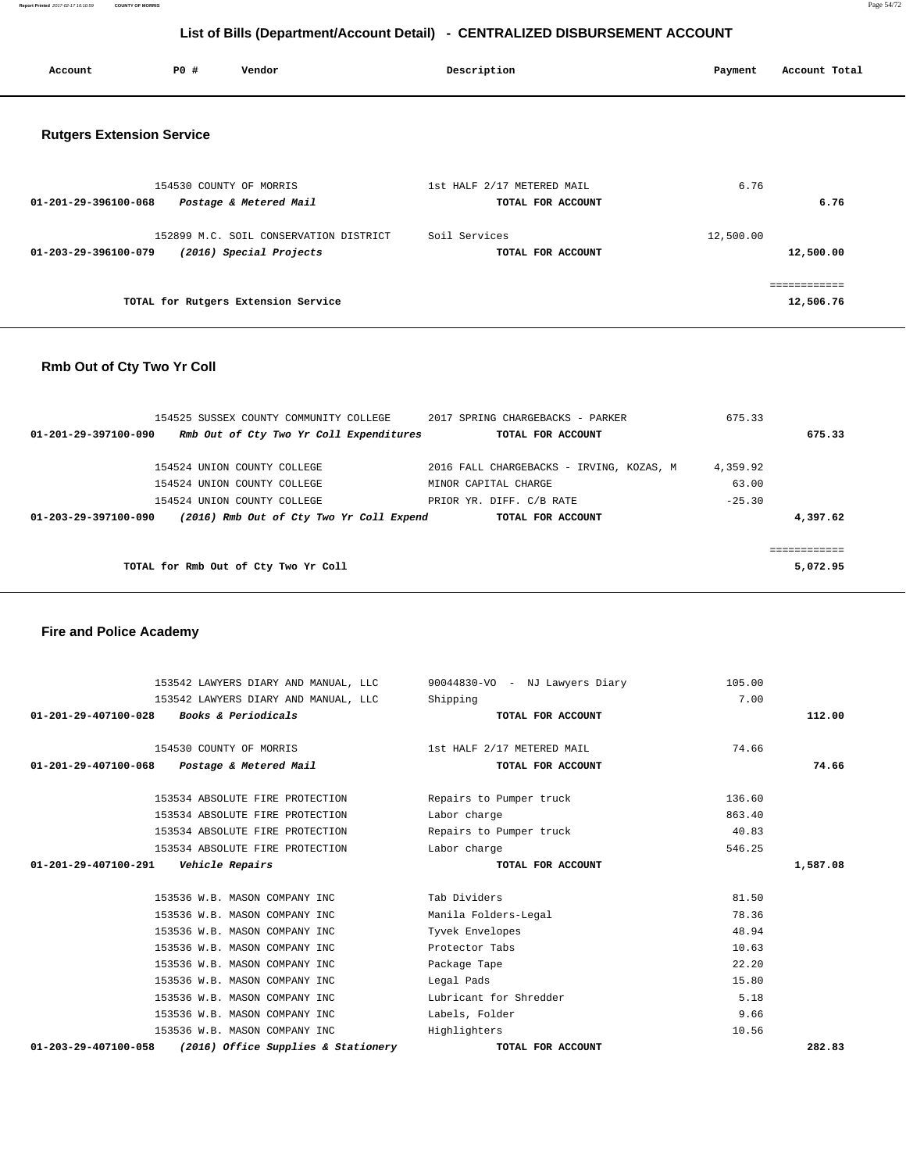**Report Printed** 2017-02-17 16:10:59 **COUNTY OF MORRIS** Page 54/72

# **List of Bills (Department/Account Detail) - CENTRALIZED DISBURSEMENT ACCOUNT**

| Account                          | P0 #                    | Vendor                 | Description                                     | Account Total<br>Payment |
|----------------------------------|-------------------------|------------------------|-------------------------------------------------|--------------------------|
| <b>Rutgers Extension Service</b> |                         |                        |                                                 |                          |
| 01-201-29-396100-068             | 154530 COUNTY OF MORRIS | Postage & Metered Mail | 1st HALF 2/17 METERED MAIL<br>TOTAL FOR ACCOUNT | 6.76<br>6.76             |

| 152899 M.C. SOIL CONSERVATION DISTRICT          | Soil Services     | 12,500.00 |
|-------------------------------------------------|-------------------|-----------|
| (2016) Special Projects<br>01-203-29-396100-079 | TOTAL FOR ACCOUNT | 12,500.00 |
|                                                 |                   |           |
| TOTAL for Rutgers Extension Service             |                   | 12,506.76 |

### **Rmb Out of Cty Two Yr Coll**

| 154525 SUSSEX COUNTY COMMUNITY COLLEGE |                                          | 2017 SPRING CHARGEBACKS - PARKER         | 675.33   |          |
|----------------------------------------|------------------------------------------|------------------------------------------|----------|----------|
| 01-201-29-397100-090                   | Rmb Out of Cty Two Yr Coll Expenditures  | TOTAL FOR ACCOUNT                        |          | 675.33   |
|                                        |                                          |                                          |          |          |
| 154524 UNION COUNTY COLLEGE            |                                          | 2016 FALL CHARGEBACKS - IRVING, KOZAS, M | 4,359.92 |          |
| 154524 UNION COUNTY COLLEGE            |                                          | MINOR CAPITAL CHARGE                     | 63.00    |          |
| 154524 UNION COUNTY COLLEGE            |                                          | PRIOR YR. DIFF. C/B RATE                 | $-25.30$ |          |
| 01-203-29-397100-090                   | (2016) Rmb Out of Cty Two Yr Coll Expend | TOTAL FOR ACCOUNT                        |          | 4,397.62 |
|                                        |                                          |                                          |          |          |
|                                        |                                          |                                          |          |          |
| TOTAL for Rmb Out of Cty Two Yr Coll   |                                          |                                          |          | 5,072.95 |
|                                        |                                          |                                          |          |          |

### **Fire and Police Academy**

| $01 - 203 - 29 - 407100 - 058$<br>(2016) Office Supplies & Stationery | TOTAL FOR ACCOUNT              |        | 282.83   |
|-----------------------------------------------------------------------|--------------------------------|--------|----------|
| 153536 W.B. MASON COMPANY INC                                         | Highlighters                   | 10.56  |          |
| 153536 W.B. MASON COMPANY INC                                         | Labels, Folder                 | 9.66   |          |
| 153536 W.B. MASON COMPANY INC                                         | Lubricant for Shredder         | 5.18   |          |
| 153536 W.B. MASON COMPANY INC                                         | Legal Pads                     | 15.80  |          |
| 153536 W.B. MASON COMPANY INC                                         | Package Tape                   | 22.20  |          |
| 153536 W.B. MASON COMPANY INC                                         | Protector Tabs                 | 10.63  |          |
| 153536 W.B. MASON COMPANY INC                                         | Tyvek Envelopes                | 48.94  |          |
| 153536 W.B. MASON COMPANY INC                                         | Manila Folders-Legal           | 78.36  |          |
| 153536 W.B. MASON COMPANY INC                                         | Tab Dividers                   | 81.50  |          |
| $01 - 201 - 29 - 407100 - 291$<br>Vehicle Repairs                     | TOTAL FOR ACCOUNT              |        | 1,587.08 |
| 153534 ABSOLUTE FIRE PROTECTION                                       | Labor charge                   | 546.25 |          |
| 153534 ABSOLUTE FIRE PROTECTION                                       | Repairs to Pumper truck        | 40.83  |          |
| 153534 ABSOLUTE FIRE PROTECTION                                       | Labor charge                   | 863.40 |          |
| 153534 ABSOLUTE FIRE PROTECTION                                       | Repairs to Pumper truck        | 136.60 |          |
| 01-201-29-407100-068<br>Postage & Metered Mail                        | TOTAL FOR ACCOUNT              |        | 74.66    |
| 154530 COUNTY OF MORRIS                                               | 1st HALF 2/17 METERED MAIL     | 74.66  |          |
| $01 - 201 - 29 - 407100 - 028$<br><b>Books &amp; Periodicals</b>      | TOTAL FOR ACCOUNT              |        | 112.00   |
| 153542 LAWYERS DIARY AND MANUAL, LLC                                  | Shipping                       | 7.00   |          |
| 153542 LAWYERS DIARY AND MANUAL, LLC                                  | 90044830-VO - NJ Lawyers Diary | 105.00 |          |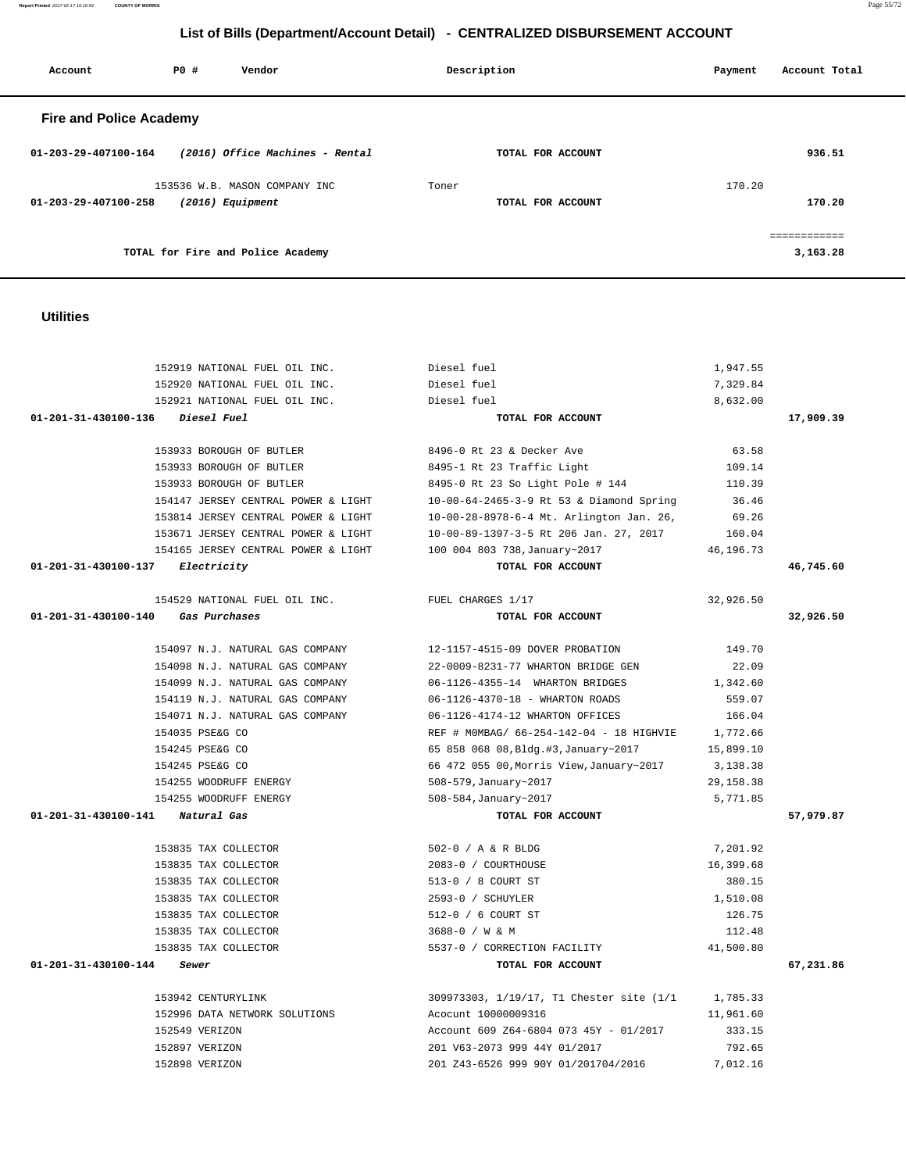**Report Printed** 2017-02-17 16:10:59 **COUNTY OF MORRIS** Page 55/72

# **List of Bills (Department/Account Detail) - CENTRALIZED DISBURSEMENT ACCOUNT**

| Account                        | PO# | Vendor                                              | Description |                   | Payment | Account Total            |
|--------------------------------|-----|-----------------------------------------------------|-------------|-------------------|---------|--------------------------|
| <b>Fire and Police Academy</b> |     |                                                     |             |                   |         |                          |
| $01 - 203 - 29 - 407100 - 164$ |     | (2016) Office Machines - Rental                     |             | TOTAL FOR ACCOUNT |         | 936.51                   |
| 01-203-29-407100-258           |     | 153536 W.B. MASON COMPANY INC<br>$(2016)$ Equipment | Toner       | TOTAL FOR ACCOUNT | 170.20  | 170.20                   |
|                                |     | TOTAL for Fire and Police Academy                   |             |                   |         | ------------<br>3,163.28 |

# **Utilities**

| 152919 NATIONAL FUEL OIL INC.                                     | Diesel fuel                                       | 1,947.55   |           |
|-------------------------------------------------------------------|---------------------------------------------------|------------|-----------|
| 152920 NATIONAL FUEL OIL INC.                                     | Diesel fuel                                       | 7,329.84   |           |
| 152921 NATIONAL FUEL OIL INC.                                     | Diesel fuel                                       | 8,632.00   |           |
| 01-201-31-430100-136<br><i>Diesel Fuel</i>                        | TOTAL FOR ACCOUNT                                 |            | 17,909.39 |
|                                                                   |                                                   |            |           |
| 153933 BOROUGH OF BUTLER                                          | 8496-0 Rt 23 & Decker Ave                         | 63.58      |           |
| 153933 BOROUGH OF BUTLER                                          | 8495-1 Rt 23 Traffic Light                        | 109.14     |           |
| 153933 BOROUGH OF BUTLER                                          | 8495-0 Rt 23 So Light Pole # 144                  | 110.39     |           |
| 154147 JERSEY CENTRAL POWER & LIGHT                               | 10-00-64-2465-3-9 Rt 53 & Diamond Spring          | 36.46      |           |
| 153814 JERSEY CENTRAL POWER & LIGHT                               | 10-00-28-8978-6-4 Mt. Arlington Jan. 26,          | 69.26      |           |
| 153671 JERSEY CENTRAL POWER & LIGHT                               | 10-00-89-1397-3-5 Rt 206 Jan. 27, 2017 160.04     |            |           |
| 154165 JERSEY CENTRAL POWER & LIGHT 100 004 803 738, January~2017 |                                                   | 46,196.73  |           |
| 01-201-31-430100-137 Electricity                                  | TOTAL FOR ACCOUNT                                 |            | 46,745.60 |
| 154529 NATIONAL FUEL OIL INC.                                     | FUEL CHARGES 1/17                                 | 32,926.50  |           |
| 01-201-31-430100-140 Gas Purchases                                | TOTAL FOR ACCOUNT                                 |            | 32,926.50 |
|                                                                   |                                                   |            |           |
| 154097 N.J. NATURAL GAS COMPANY                                   | 12-1157-4515-09 DOVER PROBATION                   | 149.70     |           |
| 154098 N.J. NATURAL GAS COMPANY                                   | 22-0009-8231-77 WHARTON BRIDGE GEN                | 22.09      |           |
| 154099 N.J. NATURAL GAS COMPANY                                   | 06-1126-4355-14 WHARTON BRIDGES                   | 1,342.60   |           |
| 154119 N.J. NATURAL GAS COMPANY                                   | 06-1126-4370-18 - WHARTON ROADS                   | 559.07     |           |
| 154071 N.J. NATURAL GAS COMPANY                                   | 06-1126-4174-12 WHARTON OFFICES                   | 166.04     |           |
| 154035 PSE&G CO                                                   | REF # MOMBAG/ 66-254-142-04 - 18 HIGHVIE 1,772.66 |            |           |
| 154245 PSE&G CO                                                   | 65 858 068 08, Bldg.#3, January~2017              | 15,899.10  |           |
| 154245 PSE&G CO                                                   | 66 472 055 00, Morris View, January~2017          | 3,138.38   |           |
| 154255 WOODRUFF ENERGY                                            | 508-579, January~2017                             | 29, 158.38 |           |
| 154255 WOODRUFF ENERGY                                            | 508-584, January~2017                             | 5,771.85   |           |
| 01-201-31-430100-141 Natural Gas                                  | TOTAL FOR ACCOUNT                                 |            | 57,979.87 |
|                                                                   |                                                   |            |           |
| 153835 TAX COLLECTOR                                              | 502-0 / A & R BLDG                                | 7,201.92   |           |
| 153835 TAX COLLECTOR                                              | 2083-0 / COURTHOUSE                               | 16,399.68  |           |
| 153835 TAX COLLECTOR                                              | 513-0 / 8 COURT ST                                | 380.15     |           |
| 153835 TAX COLLECTOR                                              | 2593-0 / SCHUYLER                                 | 1,510.08   |           |
| 153835 TAX COLLECTOR                                              | 512-0 / 6 COURT ST                                | 126.75     |           |
| 153835 TAX COLLECTOR                                              | 3688-0 / W & M                                    | 112.48     |           |
| 153835 TAX COLLECTOR                                              | 5537-0 / CORRECTION FACILITY                      | 41,500.80  |           |
| 01-201-31-430100-144<br>Sewer                                     | TOTAL FOR ACCOUNT                                 |            | 67,231.86 |
| 153942 CENTURYLINK                                                | 309973303, 1/19/17, T1 Chester site (1/1          | 1,785.33   |           |
| 152996 DATA NETWORK SOLUTIONS                                     | Acocunt 10000009316                               | 11,961.60  |           |
| 152549 VERIZON                                                    | Account 609 Z64-6804 073 45Y - 01/2017            | 333.15     |           |
| 152897 VERIZON                                                    | 201 V63-2073 999 44Y 01/2017                      | 792.65     |           |
| 152898 VERIZON                                                    | 201 Z43-6526 999 90Y 01/201704/2016               | 7,012.16   |           |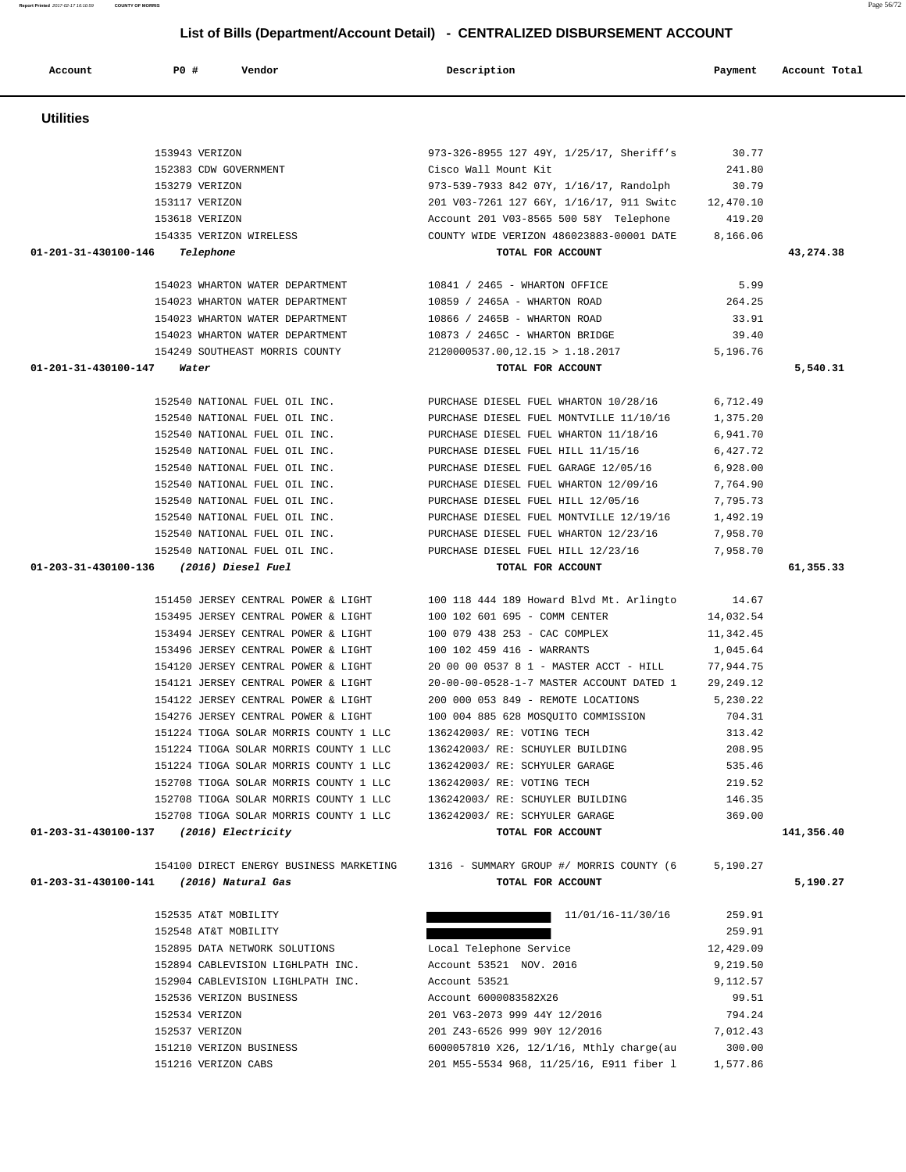|                                                                        | 973-326-8955 127 49Y, 1/25/17, Sheriff's                                           | 30.77     |            |
|------------------------------------------------------------------------|------------------------------------------------------------------------------------|-----------|------------|
| 153943 VERIZON<br>152383 CDW GOVERNMENT<br>------                      | Cisco Wall Mount Kit                                                               | 241.80    |            |
|                                                                        | 973-539-7933 842 07Y, 1/16/17, Randolph                                            | 30.79     |            |
| 153117 VERIZON                                                         | 201 V03-7261 127 66Y, 1/16/17, 911 Switc 12,470.10                                 |           |            |
| 153618 VERIZON                                                         | Account 201 V03-8565 500 58Y Telephone                                             | 419.20    |            |
| 154335 VERIZON WIRELESS                                                | COUNTY WIDE VERIZON 486023883-00001 DATE 8,166.06                                  |           |            |
| 01-201-31-430100-146 Telephone                                         | TOTAL FOR ACCOUNT                                                                  |           | 43,274.38  |
|                                                                        |                                                                                    |           |            |
| 154023 WHARTON WATER DEPARTMENT                                        | 10841 / 2465 - WHARTON OFFICE                                                      | 5.99      |            |
| 154023 WHARTON WATER DEPARTMENT                                        | 10859 / 2465A - WHARTON ROAD                                                       | 264.25    |            |
| 154023 WHARTON WATER DEPARTMENT                                        | 10866 / 2465B - WHARTON ROAD                                                       | 33.91     |            |
|                                                                        | 154023 WHARTON WATER DEPARTMENT 10873 / 2465C - WHARTON BRIDGE                     | 39.40     |            |
|                                                                        | 154249 SOUTHEAST MORRIS COUNTY 2120000537.00, 12.15 > 1.18.2017 5,196.76           |           |            |
| 01-201-31-430100-147 Water                                             | TOTAL FOR ACCOUNT                                                                  |           | 5,540.31   |
| 152540 NATIONAL FUEL OIL INC.                                          | PURCHASE DIESEL FUEL WHARTON 10/28/16                                              | 6,712.49  |            |
| 152540 NATIONAL FUEL OIL INC.                                          | PURCHASE DIESEL FUEL MONTVILLE 11/10/16                                            | 1,375.20  |            |
| 152540 NATIONAL FUEL OIL INC.                                          | PURCHASE DIESEL FUEL WHARTON 11/18/16                                              | 6,941.70  |            |
| 152540 NATIONAL FUEL OIL INC. PURCHASE DIESEL FUEL HILL 11/15/16       |                                                                                    | 6,427.72  |            |
|                                                                        | 152540 NATIONAL FUEL OIL INC. PURCHASE DIESEL FUEL GARAGE 12/05/16                 | 6,928.00  |            |
|                                                                        | 152540 NATIONAL FUEL OIL INC. PURCHASE DIESEL FUEL WHARTON 12/09/16                | 7,764.90  |            |
|                                                                        | 152540 NATIONAL FUEL OIL INC. PURCHASE DIESEL FUEL HILL 12/05/16                   | 7,795.73  |            |
|                                                                        |                                                                                    | 1,492.19  |            |
| 152540 NATIONAL FUEL OIL INC.                                          | 152540 NATIONAL FUEL OIL INC. PURCHASE DIESEL FUEL MONTVILLE 12/19/16              | 7,958.70  |            |
| 152540 NATIONAL FUEL OIL INC.                                          | PURCHASE DIESEL FUEL WHARTON 12/23/16<br>PURCHASE DIESEL FUEL HILL 12/23/16        | 7,958.70  |            |
| 01-203-31-430100-136 (2016) Diesel Fuel                                | TOTAL FOR ACCOUNT                                                                  |           | 61,355.33  |
|                                                                        |                                                                                    |           |            |
|                                                                        | 151450 JERSEY CENTRAL POWER & LIGHT 100 118 444 189 Howard Blvd Mt. Arlingto 14.67 |           |            |
|                                                                        | 153495 JERSEY CENTRAL POWER & LIGHT 100 102 601 695 - COMM CENTER 14,032.54        |           |            |
|                                                                        | 153494 JERSEY CENTRAL POWER & LIGHT 100 079 438 253 - CAC COMPLEX                  | 11,342.45 |            |
| 153496 JERSEY CENTRAL POWER & LIGHT                                    | 100 102 459 416 - WARRANTS                                                         | 1,045.64  |            |
| 154120 JERSEY CENTRAL POWER & LIGHT                                    | 20 00 00 0537 8 1 - MASTER ACCT - HILL                                             | 77,944.75 |            |
| 154121 JERSEY CENTRAL POWER & LIGHT                                    | 20-00-00-0528-1-7 MASTER ACCOUNT DATED 1                                           | 29,249.12 |            |
| 154122 JERSEY CENTRAL POWER & LIGHT 200 000 053 849 - REMOTE LOCATIONS |                                                                                    | 5,230.22  |            |
|                                                                        | 154276 JERSEY CENTRAL POWER & LIGHT 100 004 885 628 MOSQUITO COMMISSION            | 704.31    |            |
|                                                                        | 151224 TIOGA SOLAR MORRIS COUNTY 1 LLC 136242003/RE: VOTING TECH                   | 313.42    |            |
| 151224 TIOGA SOLAR MORRIS COUNTY 1 LLC                                 | 136242003/ RE: SCHUYLER BUILDING                                                   | 208.95    |            |
| 151224 TIOGA SOLAR MORRIS COUNTY 1 LLC                                 | 136242003/ RE: SCHYULER GARAGE                                                     | 535.46    |            |
| 152708 TIOGA SOLAR MORRIS COUNTY 1 LLC                                 | 136242003/ RE: VOTING TECH                                                         | 219.52    |            |
| 152708 TIOGA SOLAR MORRIS COUNTY 1 LLC                                 | 136242003/ RE: SCHUYLER BUILDING                                                   | 146.35    |            |
| 152708 TIOGA SOLAR MORRIS COUNTY 1 LLC                                 | 136242003/ RE: SCHYULER GARAGE                                                     | 369.00    |            |
| (2016) Electricity<br>01-203-31-430100-137                             | TOTAL FOR ACCOUNT                                                                  |           | 141,356.40 |
| 154100 DIRECT ENERGY BUSINESS MARKETING                                | 1316 - SUMMARY GROUP #/ MORRIS COUNTY (6                                           | 5,190.27  |            |
| 01-203-31-430100-141<br>(2016) Natural Gas                             | TOTAL FOR ACCOUNT                                                                  |           | 5,190.27   |
|                                                                        |                                                                                    |           |            |
| 152535 AT&T MOBILITY                                                   | 11/01/16-11/30/16                                                                  | 259.91    |            |
| 152548 AT&T MOBILITY                                                   |                                                                                    | 259.91    |            |
| 152895 DATA NETWORK SOLUTIONS                                          | Local Telephone Service                                                            | 12,429.09 |            |
| 152894 CABLEVISION LIGHLPATH INC.                                      | Account 53521 NOV. 2016                                                            | 9,219.50  |            |
| 152904 CABLEVISION LIGHLPATH INC.                                      | Account 53521                                                                      | 9,112.57  |            |
| 152536 VERIZON BUSINESS                                                | Account 6000083582X26                                                              | 99.51     |            |
| 152534 VERIZON                                                         | 201 V63-2073 999 44Y 12/2016                                                       | 794.24    |            |
| 152537 VERIZON                                                         | 201 Z43-6526 999 90Y 12/2016                                                       | 7,012.43  |            |
| 151210 VERIZON BUSINESS                                                | 6000057810 X26, 12/1/16, Mthly charge(au)                                          | 300.00    |            |
| 151216 VERIZON CABS                                                    | 201 M55-5534 968, 11/25/16, E911 fiber 1                                           | 1,577.86  |            |

- **Utilities**
- **List of Bills (Department/Account Detail) CENTRALIZED DISBURSEMENT ACCOUNT**

 **Account P0 # Vendor Description Payment Account Total**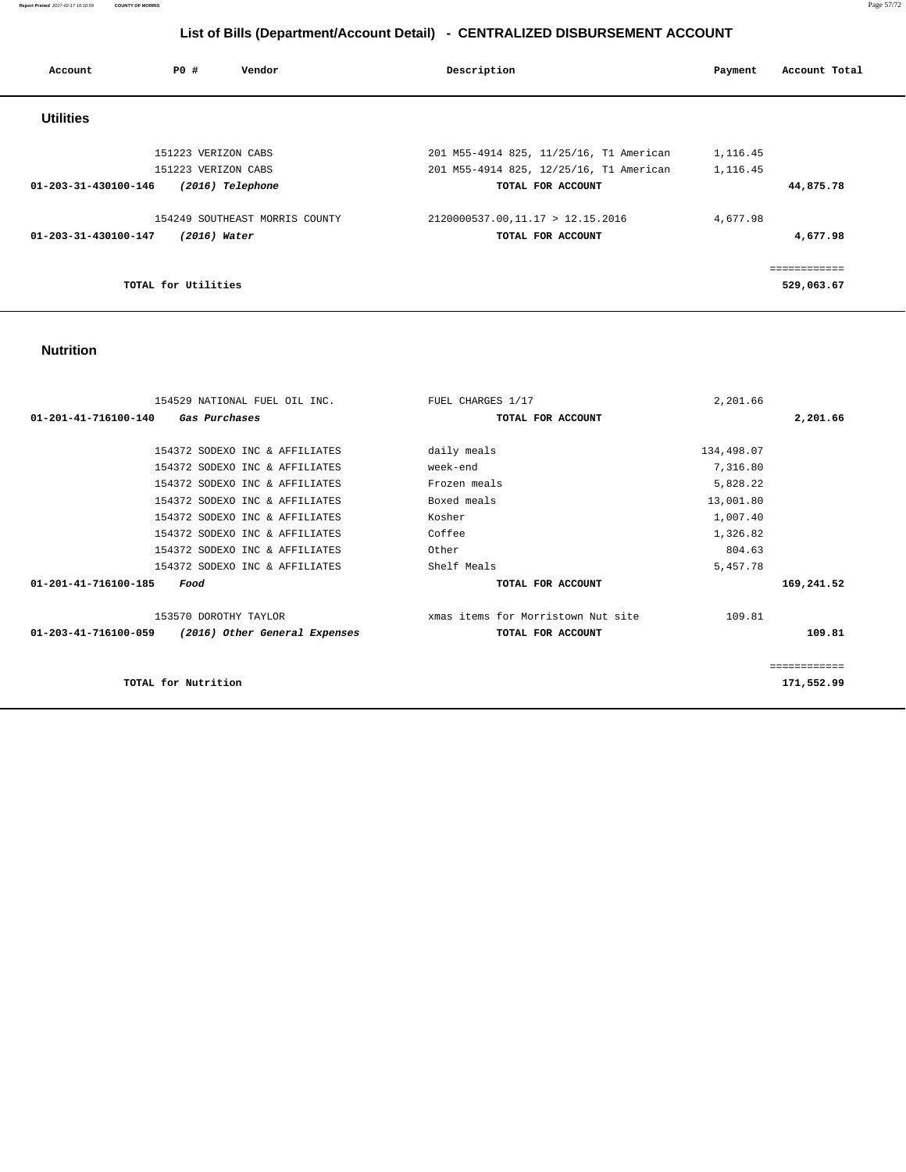**Report Printed** 2017-02-17 16:10:59 **COUNTY OF MORRIS** Page 57/72

# **List of Bills (Department/Account Detail) - CENTRALIZED DISBURSEMENT ACCOUNT**

| Account                        | PO#                 | Vendor                         | Description                             | Payment  | Account Total |
|--------------------------------|---------------------|--------------------------------|-----------------------------------------|----------|---------------|
| <b>Utilities</b>               |                     |                                |                                         |          |               |
|                                | 151223 VERIZON CABS |                                | 201 M55-4914 825, 11/25/16, T1 American | 1,116.45 |               |
|                                | 151223 VERIZON CABS |                                | 201 M55-4914 825, 12/25/16, T1 American | 1,116.45 |               |
| $01 - 203 - 31 - 430100 - 146$ |                     | (2016) Telephone               | TOTAL FOR ACCOUNT                       |          | 44,875.78     |
|                                |                     | 154249 SOUTHEAST MORRIS COUNTY | 2120000537.00,11.17 > 12.15.2016        | 4,677.98 |               |
| 01-203-31-430100-147           |                     | $(2016)$ Water                 | TOTAL FOR ACCOUNT                       |          | 4,677.98      |
|                                |                     |                                |                                         |          |               |
|                                | TOTAL for Utilities |                                |                                         |          | 529,063.67    |

#### **Nutrition**

| FUEL CHARGES 1/17                  | 2,201.66    |            |
|------------------------------------|-------------|------------|
| TOTAL FOR ACCOUNT                  |             | 2,201.66   |
|                                    |             |            |
|                                    |             |            |
| week-end                           | 7,316.80    |            |
| Frozen meals                       | 5,828.22    |            |
| Boxed meals                        | 13,001.80   |            |
| Kosher                             | 1,007.40    |            |
| Coffee                             | 1,326.82    |            |
| Other                              | 804.63      |            |
| Shelf Meals                        | 5,457.78    |            |
| TOTAL FOR ACCOUNT                  |             | 169,241.52 |
| xmas items for Morristown Nut site | 109.81      |            |
| TOTAL FOR ACCOUNT                  |             | 109.81     |
|                                    |             |            |
|                                    |             | 171,552.99 |
|                                    | daily meals | 134,498.07 |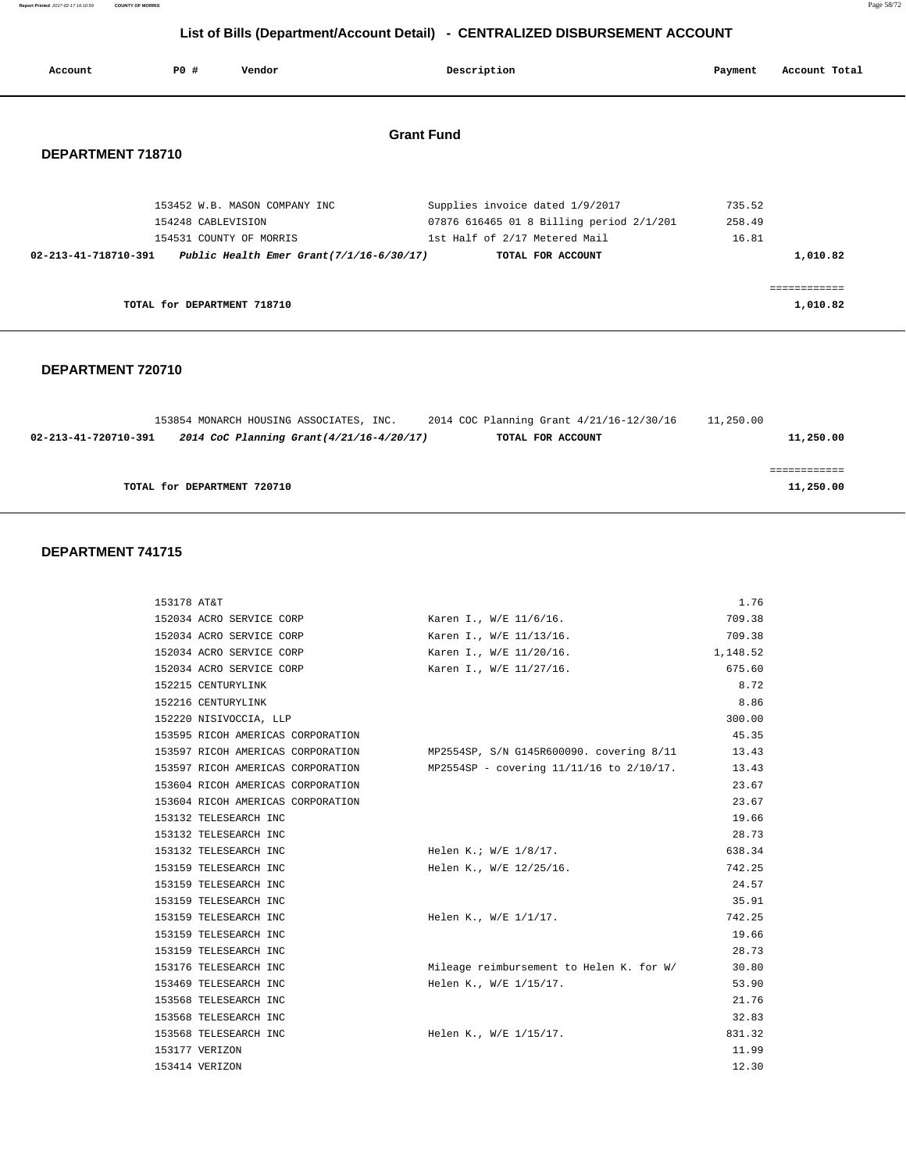| Account              | <b>PO #</b>                 | Vendor                                                                 | Description                                                                 | Payment          | Account Total           |
|----------------------|-----------------------------|------------------------------------------------------------------------|-----------------------------------------------------------------------------|------------------|-------------------------|
| DEPARTMENT 718710    |                             |                                                                        | <b>Grant Fund</b>                                                           |                  |                         |
|                      | 154248 CABLEVISION          | 153452 W.B. MASON COMPANY INC                                          | Supplies invoice dated 1/9/2017<br>07876 616465 01 8 Billing period 2/1/201 | 735.52<br>258.49 |                         |
| 02-213-41-718710-391 |                             | 154531 COUNTY OF MORRIS<br>Public Health Emer Grant $(7/1/16-6/30/17)$ | 1st Half of 2/17 Metered Mail<br>TOTAL FOR ACCOUNT                          | 16.81            | 1,010.82                |
|                      | TOTAL for DEPARTMENT 718710 |                                                                        |                                                                             |                  | ===========<br>1,010.82 |

#### **DEPARTMENT 720710**

|                      | 153854 MONARCH HOUSING ASSOCIATES, INC. |                                           | 2014 COC Planning Grant 4/21/16-12/30/16 | 11,250.00 |           |
|----------------------|-----------------------------------------|-------------------------------------------|------------------------------------------|-----------|-----------|
| 02-213-41-720710-391 |                                         | 2014 CoC Planning Grant (4/21/16-4/20/17) | TOTAL FOR ACCOUNT                        |           | 11,250.00 |
|                      |                                         |                                           |                                          |           |           |
|                      |                                         |                                           |                                          |           |           |
|                      |                                         |                                           |                                          |           |           |
|                      | TOTAL for DEPARTMENT 720710             |                                           |                                          |           | 11,250.00 |
|                      |                                         |                                           |                                          |           |           |

#### **DEPARTMENT 741715**

| 153178 AT&T                       |                                          | 1.76     |
|-----------------------------------|------------------------------------------|----------|
| 152034 ACRO SERVICE CORP          | Karen I., W/E 11/6/16.                   | 709.38   |
| 152034 ACRO SERVICE CORP          | Karen I., W/E 11/13/16.                  | 709.38   |
| 152034 ACRO SERVICE CORP          | Karen I., W/E 11/20/16.                  | 1,148.52 |
| 152034 ACRO SERVICE CORP          | Karen I., W/E 11/27/16.                  | 675.60   |
| 152215 CENTURYLINK                |                                          | 8.72     |
| 152216 CENTURYLINK                |                                          | 8.86     |
| 152220 NISIVOCCIA, LLP            |                                          | 300.00   |
| 153595 RICOH AMERICAS CORPORATION |                                          | 45.35    |
| 153597 RICOH AMERICAS CORPORATION | MP2554SP, S/N G145R600090. covering 8/11 | 13.43    |
| 153597 RICOH AMERICAS CORPORATION | MP2554SP - covering 11/11/16 to 2/10/17. | 13.43    |
| 153604 RICOH AMERICAS CORPORATION |                                          | 23.67    |
| 153604 RICOH AMERICAS CORPORATION |                                          | 23.67    |
| 153132 TELESEARCH INC             |                                          | 19.66    |
| 153132 TELESEARCH INC             |                                          | 28.73    |
| 153132 TELESEARCH INC             | Helen K.; W/E 1/8/17.                    | 638.34   |
| 153159 TELESEARCH INC             | Helen K., W/E 12/25/16.                  | 742.25   |
| 153159 TELESEARCH INC             |                                          | 24.57    |
| 153159 TELESEARCH INC             |                                          | 35.91    |
| 153159 TELESEARCH INC             | Helen K., W/E 1/1/17.                    | 742.25   |
| 153159 TELESEARCH INC             |                                          | 19.66    |
| 153159 TELESEARCH INC             |                                          | 28.73    |
| 153176 TELESEARCH INC             | Mileage reimbursement to Helen K. for W/ | 30.80    |
| 153469 TELESEARCH INC             | Helen K., W/E 1/15/17.                   | 53.90    |
| 153568 TELESEARCH INC             |                                          | 21.76    |
| 153568 TELESEARCH INC             |                                          | 32.83    |
| 153568 TELESEARCH INC             | Helen K., W/E 1/15/17.                   | 831.32   |
| 153177 VERIZON                    |                                          | 11.99    |
| 153414 VERIZON                    |                                          | 12.30    |

**Report Printed** 2017-02-17 16:10:59 **COUNTY OF MORRIS** Page 58/72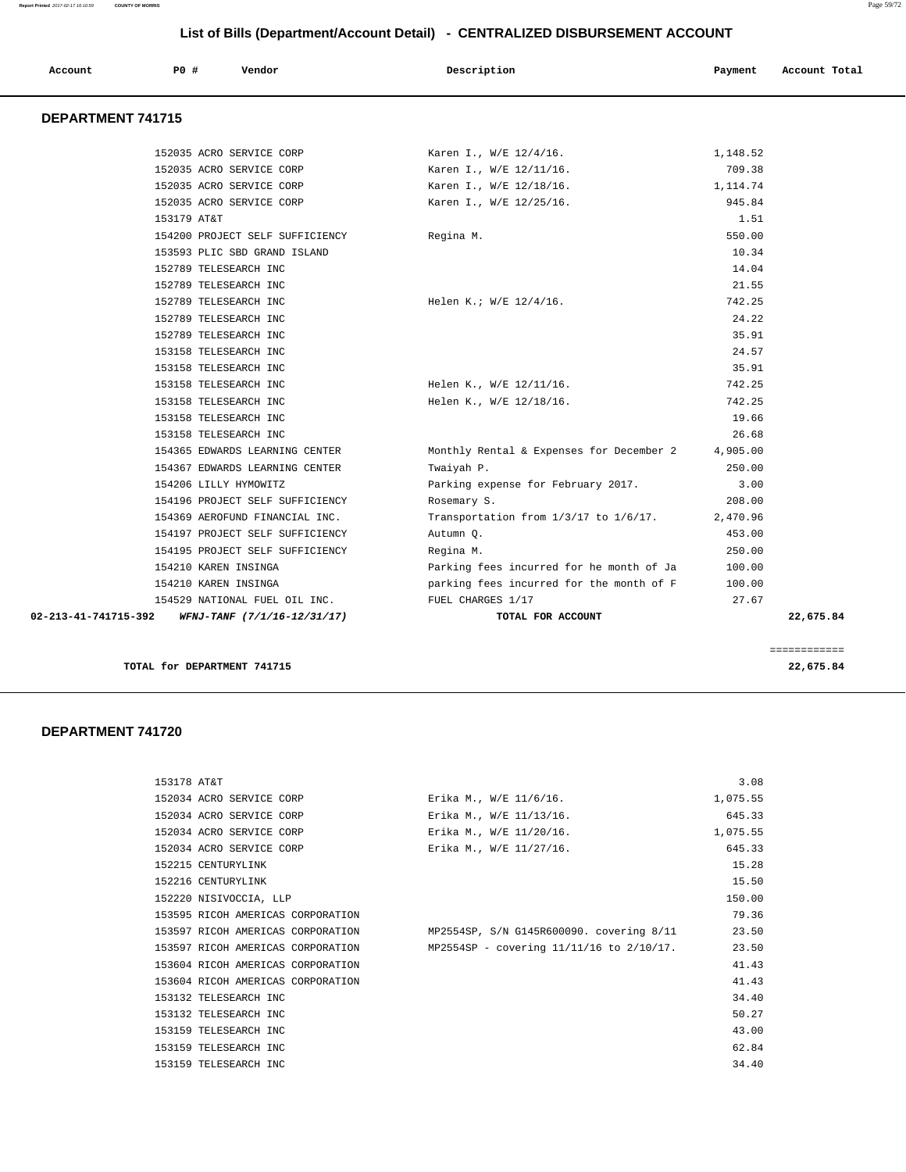| Account                  | PO#                  | Vendor                          | Description                              | Payment  | Account Total |
|--------------------------|----------------------|---------------------------------|------------------------------------------|----------|---------------|
| <b>DEPARTMENT 741715</b> |                      |                                 |                                          |          |               |
|                          |                      | 152035 ACRO SERVICE CORP        | Karen I., W/E 12/4/16.                   | 1,148.52 |               |
|                          |                      | 152035 ACRO SERVICE CORP        | Karen I., W/E 12/11/16.                  | 709.38   |               |
|                          |                      | 152035 ACRO SERVICE CORP        | Karen I., W/E 12/18/16.                  | 1,114.74 |               |
|                          |                      | 152035 ACRO SERVICE CORP        | Karen I., W/E 12/25/16.                  | 945.84   |               |
|                          | 153179 AT&T          |                                 |                                          | 1.51     |               |
|                          |                      | 154200 PROJECT SELF SUFFICIENCY | Regina M.                                | 550.00   |               |
|                          |                      | 153593 PLIC SBD GRAND ISLAND    |                                          | 10.34    |               |
|                          |                      | 152789 TELESEARCH INC           |                                          | 14.04    |               |
|                          |                      | 152789 TELESEARCH INC           |                                          | 21.55    |               |
|                          |                      | 152789 TELESEARCH INC           | Helen K.; W/E 12/4/16.                   | 742.25   |               |
|                          |                      | 152789 TELESEARCH INC           |                                          | 24.22    |               |
|                          |                      | 152789 TELESEARCH INC           |                                          | 35.91    |               |
|                          |                      | 153158 TELESEARCH INC           |                                          | 24.57    |               |
|                          |                      | 153158 TELESEARCH INC           |                                          | 35.91    |               |
|                          |                      | 153158 TELESEARCH INC           | Helen K., W/E 12/11/16.                  | 742.25   |               |
|                          |                      | 153158 TELESEARCH INC           | Helen K., W/E 12/18/16.                  | 742.25   |               |
|                          |                      | 153158 TELESEARCH INC           |                                          | 19.66    |               |
|                          |                      | 153158 TELESEARCH INC           |                                          | 26.68    |               |
|                          |                      | 154365 EDWARDS LEARNING CENTER  | Monthly Rental & Expenses for December 2 | 4,905.00 |               |
|                          |                      | 154367 EDWARDS LEARNING CENTER  | Twaiyah P.                               | 250.00   |               |
|                          |                      | 154206 LILLY HYMOWITZ           | Parking expense for February 2017.       | 3.00     |               |
|                          |                      | 154196 PROJECT SELF SUFFICIENCY | Rosemary S.                              | 208.00   |               |
|                          |                      | 154369 AEROFUND FINANCIAL INC.  | Transportation from 1/3/17 to 1/6/17.    | 2,470.96 |               |
|                          |                      | 154197 PROJECT SELF SUFFICIENCY | Autumn Q.                                | 453.00   |               |
|                          |                      | 154195 PROJECT SELF SUFFICIENCY | Regina M.                                | 250.00   |               |
|                          | 154210 KAREN INSINGA |                                 | Parking fees incurred for he month of Ja | 100.00   |               |
|                          | 154210 KAREN INSINGA |                                 | parking fees incurred for the month of F | 100.00   |               |
|                          |                      | 154529 NATIONAL FUEL OIL INC.   | FUEL CHARGES 1/17                        | 27.67    |               |
| 02-213-41-741715-392     |                      | WFNJ-TANF (7/1/16-12/31/17)     | TOTAL FOR ACCOUNT                        |          | 22,675.84     |

**TOTAL for DEPARTMENT 741715 22,675.84**

============

| 153178 AT&T                       |                                          | 3.08     |
|-----------------------------------|------------------------------------------|----------|
| 152034 ACRO SERVICE CORP          | Erika M., W/E 11/6/16.                   | 1,075.55 |
| 152034 ACRO SERVICE CORP          | Erika M., W/E 11/13/16.                  | 645.33   |
| 152034 ACRO SERVICE CORP          | Erika M., W/E 11/20/16.                  | 1,075.55 |
| 152034 ACRO SERVICE CORP          | Erika M., W/E 11/27/16.                  | 645.33   |
| 152215 CENTURYLINK                |                                          | 15.28    |
| 152216 CENTURYLINK                |                                          | 15.50    |
| 152220 NISIVOCCIA, LLP            |                                          | 150.00   |
| 153595 RICOH AMERICAS CORPORATION |                                          | 79.36    |
| 153597 RICOH AMERICAS CORPORATION | MP2554SP, S/N G145R600090. covering 8/11 | 23.50    |
| 153597 RICOH AMERICAS CORPORATION | MP2554SP - covering 11/11/16 to 2/10/17. | 23.50    |
| 153604 RICOH AMERICAS CORPORATION |                                          | 41.43    |
| 153604 RICOH AMERICAS CORPORATION |                                          | 41.43    |
| 153132 TELESEARCH INC             |                                          | 34.40    |
| 153132 TELESEARCH INC             |                                          | 50.27    |
| 153159 TELESEARCH INC             |                                          | 43.00    |
| 153159 TELESEARCH INC             |                                          | 62.84    |
| 153159 TELESEARCH INC             |                                          | 34.40    |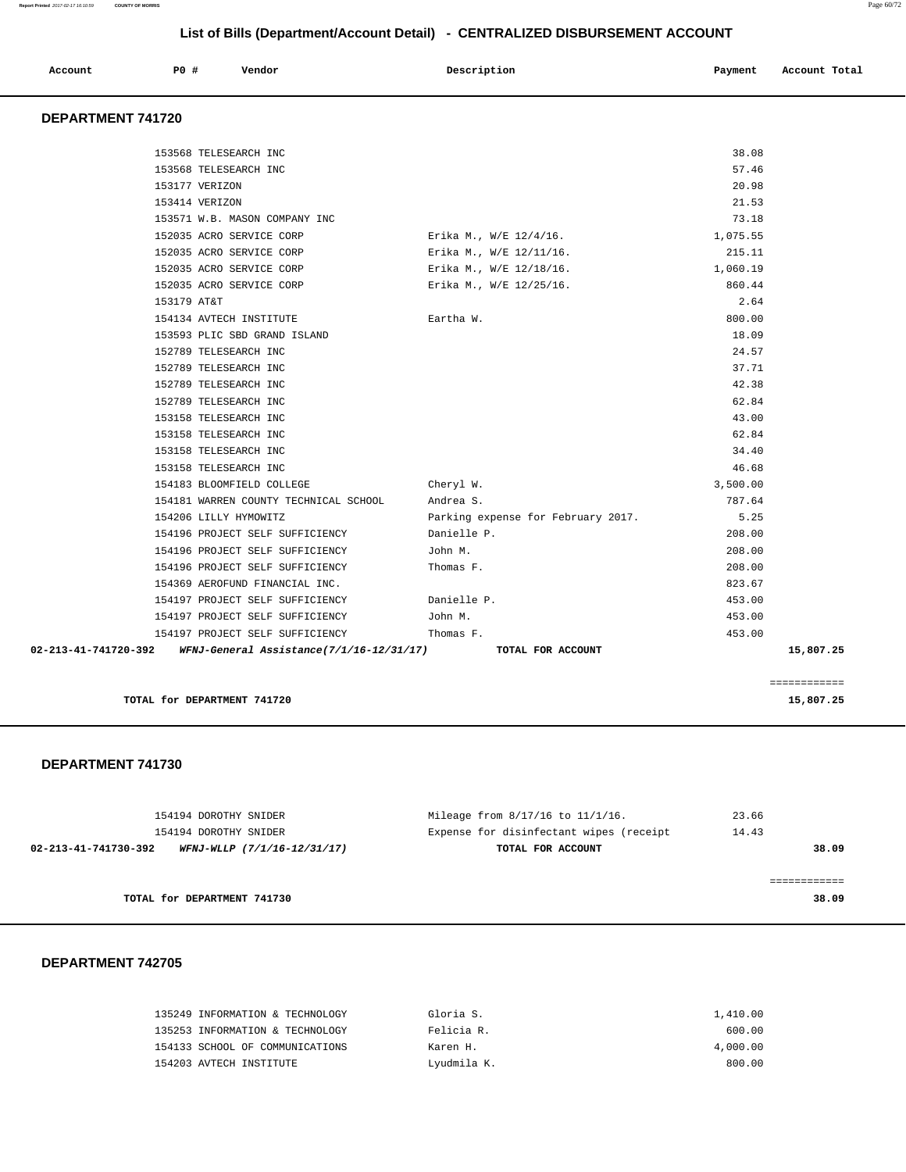| Account | <b>PO #</b> | Vendor | Description | Payment | Account Total |
|---------|-------------|--------|-------------|---------|---------------|
|         |             |        |             |         |               |

# **DEPARTMENT 741720**

| 02-213-41-741720-392 WFNJ-General Assistance(7/1/16-12/31/17) TOTAL FOR ACCOUNT |                                    |          | 15,807.25 |
|---------------------------------------------------------------------------------|------------------------------------|----------|-----------|
| 154197 PROJECT SELF SUFFICIENCY Thomas F.                                       |                                    | 453.00   |           |
| 154197 PROJECT SELF SUFFICIENCY                                                 | John M.                            | 453.00   |           |
| 154197 PROJECT SELF SUFFICIENCY                                                 | Danielle P.                        | 453.00   |           |
| 154369 AEROFUND FINANCIAL INC.                                                  |                                    | 823.67   |           |
| 154196 PROJECT SELF SUFFICIENCY                                                 | Thomas F.                          | 208.00   |           |
| 154196 PROJECT SELF SUFFICIENCY                                                 | John M.                            | 208.00   |           |
| 154196 PROJECT SELF SUFFICIENCY                                                 | Danielle P.                        | 208.00   |           |
| 154206 LILLY HYMOWITZ                                                           | Parking expense for February 2017. | 5.25     |           |
| 154181 WARREN COUNTY TECHNICAL SCHOOL Andrea S.                                 |                                    | 787.64   |           |
| 154183 BLOOMFIELD COLLEGE                                                       | Cheryl W.                          | 3,500.00 |           |
| 153158 TELESEARCH INC                                                           |                                    | 46.68    |           |
| 153158 TELESEARCH INC                                                           |                                    | 34.40    |           |
| 153158 TELESEARCH INC                                                           |                                    | 62.84    |           |
| 153158 TELESEARCH INC                                                           |                                    | 43.00    |           |
| 152789 TELESEARCH INC                                                           |                                    | 62.84    |           |
| 152789 TELESEARCH INC                                                           |                                    | 42.38    |           |
| 152789 TELESEARCH INC                                                           |                                    | 37.71    |           |
| 152789 TELESEARCH INC                                                           |                                    | 24.57    |           |
| 153593 PLIC SBD GRAND ISLAND                                                    |                                    | 18.09    |           |
| 154134 AVTECH INSTITUTE                                                         | Eartha W.                          | 800.00   |           |
| 153179 AT&T                                                                     |                                    | 2.64     |           |
| 152035 ACRO SERVICE CORP                                                        | Erika M., W/E 12/25/16.            | 860.44   |           |
| 152035 ACRO SERVICE CORP                                                        | Erika M., W/E 12/18/16.            | 1,060.19 |           |
| 152035 ACRO SERVICE CORP                                                        | Erika M., W/E 12/11/16.            | 215.11   |           |
| 152035 ACRO SERVICE CORP                                                        | Erika M., W/E 12/4/16.             | 1,075.55 |           |
| 153571 W.B. MASON COMPANY INC                                                   |                                    | 73.18    |           |
| 153414 VERIZON                                                                  |                                    | 21.53    |           |
| 153177 VERIZON                                                                  |                                    | 20.98    |           |
| 153568 TELESEARCH INC                                                           |                                    | 57.46    |           |

**TOTAL for DEPARTMENT 741720** 15,807.25

#### **DEPARTMENT 741730**

| 154194 DOROTHY SNIDER                               | Mileage from 8/17/16 to 11/1/16.        | 23.66 |
|-----------------------------------------------------|-----------------------------------------|-------|
| 154194 DOROTHY SNIDER                               | Expense for disinfectant wipes (receipt | 14.43 |
| 02-213-41-741730-392<br>WFNJ-WLLP (7/1/16-12/31/17) | TOTAL FOR ACCOUNT                       | 38.09 |
|                                                     |                                         |       |
|                                                     |                                         |       |
| TOTAL for DEPARTMENT 741730                         |                                         | 38.09 |
|                                                     |                                         |       |

| 135249 INFORMATION & TECHNOLOGY | Gloria S.   | 1,410.00 |
|---------------------------------|-------------|----------|
| 135253 INFORMATION & TECHNOLOGY | Felicia R.  | 600.00   |
| 154133 SCHOOL OF COMMUNICATIONS | Karen H.    | 4,000.00 |
| 154203 AVTECH INSTITUTE         | Lyudmila K. | 800.00   |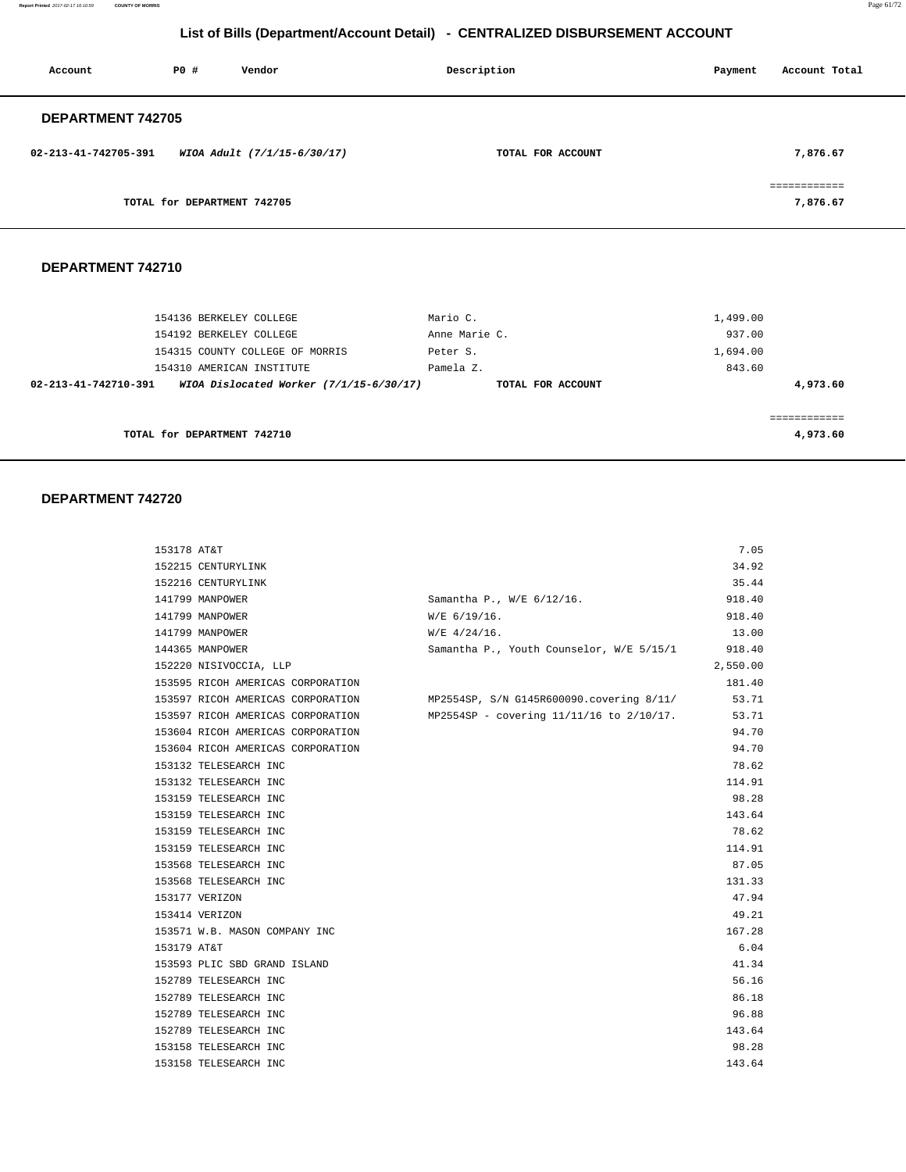**Report Printed** 2017-02-17 16:10:59 **COUNTY OF MORRIS** Page 61/72

# **List of Bills (Department/Account Detail) - CENTRALIZED DISBURSEMENT ACCOUNT**

| Account                  | PO#                         | Vendor                      | Description       | Payment | Account Total                           |
|--------------------------|-----------------------------|-----------------------------|-------------------|---------|-----------------------------------------|
| <b>DEPARTMENT 742705</b> |                             |                             |                   |         |                                         |
| 02-213-41-742705-391     |                             | WIOA Adult (7/1/15-6/30/17) | TOTAL FOR ACCOUNT |         | 7,876.67                                |
|                          | TOTAL for DEPARTMENT 742705 |                             |                   |         | ------------<br>___________<br>7,876.67 |

#### **DEPARTMENT 742710**

| 154136 BERKELEY COLLEGE                                         | Mario C.          | 1,499.00 |
|-----------------------------------------------------------------|-------------------|----------|
| 154192 BERKELEY COLLEGE                                         | Anne Marie C.     | 937.00   |
| 154315 COUNTY COLLEGE OF MORRIS                                 | Peter S.          | 1,694.00 |
| 154310 AMERICAN INSTITUTE                                       | Pamela Z.         | 843.60   |
| WIOA Dislocated Worker (7/1/15-6/30/17)<br>02-213-41-742710-391 | TOTAL FOR ACCOUNT | 4,973.60 |
|                                                                 |                   |          |
|                                                                 |                   |          |
| TOTAL for DEPARTMENT 742710                                     |                   | 4,973.60 |

| 153178 AT&T                       |                                          | 7.05     |
|-----------------------------------|------------------------------------------|----------|
| 152215 CENTURYLINK                |                                          | 34.92    |
| 152216 CENTURYLINK                |                                          | 35.44    |
| 141799 MANPOWER                   | Samantha P., W/E 6/12/16.                | 918.40   |
| 141799 MANPOWER                   | $W/E$ 6/19/16.                           | 918.40   |
| 141799 MANPOWER                   | $W/E$ 4/24/16.                           | 13.00    |
| 144365 MANPOWER                   | Samantha P., Youth Counselor, W/E 5/15/1 | 918.40   |
| 152220 NISIVOCCIA, LLP            |                                          | 2,550.00 |
| 153595 RICOH AMERICAS CORPORATION |                                          | 181.40   |
| 153597 RICOH AMERICAS CORPORATION | MP2554SP, S/N G145R600090.covering 8/11/ | 53.71    |
| 153597 RICOH AMERICAS CORPORATION | MP2554SP - covering 11/11/16 to 2/10/17. | 53.71    |
| 153604 RICOH AMERICAS CORPORATION |                                          | 94.70    |
| 153604 RICOH AMERICAS CORPORATION |                                          | 94.70    |
| 153132 TELESEARCH INC             |                                          | 78.62    |
| 153132 TELESEARCH INC             |                                          | 114.91   |
| 153159 TELESEARCH INC             |                                          | 98.28    |
| 153159 TELESEARCH INC             |                                          | 143.64   |
| 153159 TELESEARCH INC             |                                          | 78.62    |
| 153159 TELESEARCH INC             |                                          | 114.91   |
| 153568 TELESEARCH INC             |                                          | 87.05    |
| 153568 TELESEARCH INC             |                                          | 131.33   |
| 153177 VERIZON                    |                                          | 47.94    |
| 153414 VERIZON                    |                                          | 49.21    |
| 153571 W.B. MASON COMPANY INC     |                                          | 167.28   |
| 153179 AT&T                       |                                          | 6.04     |
| 153593 PLIC SBD GRAND ISLAND      |                                          | 41.34    |
| 152789 TELESEARCH INC             |                                          | 56.16    |
| 152789 TELESEARCH INC             |                                          | 86.18    |
| 152789 TELESEARCH INC             |                                          | 96.88    |
| 152789 TELESEARCH INC             |                                          | 143.64   |
| 153158 TELESEARCH INC             |                                          | 98.28    |
| 153158 TELESEARCH INC             |                                          | 143.64   |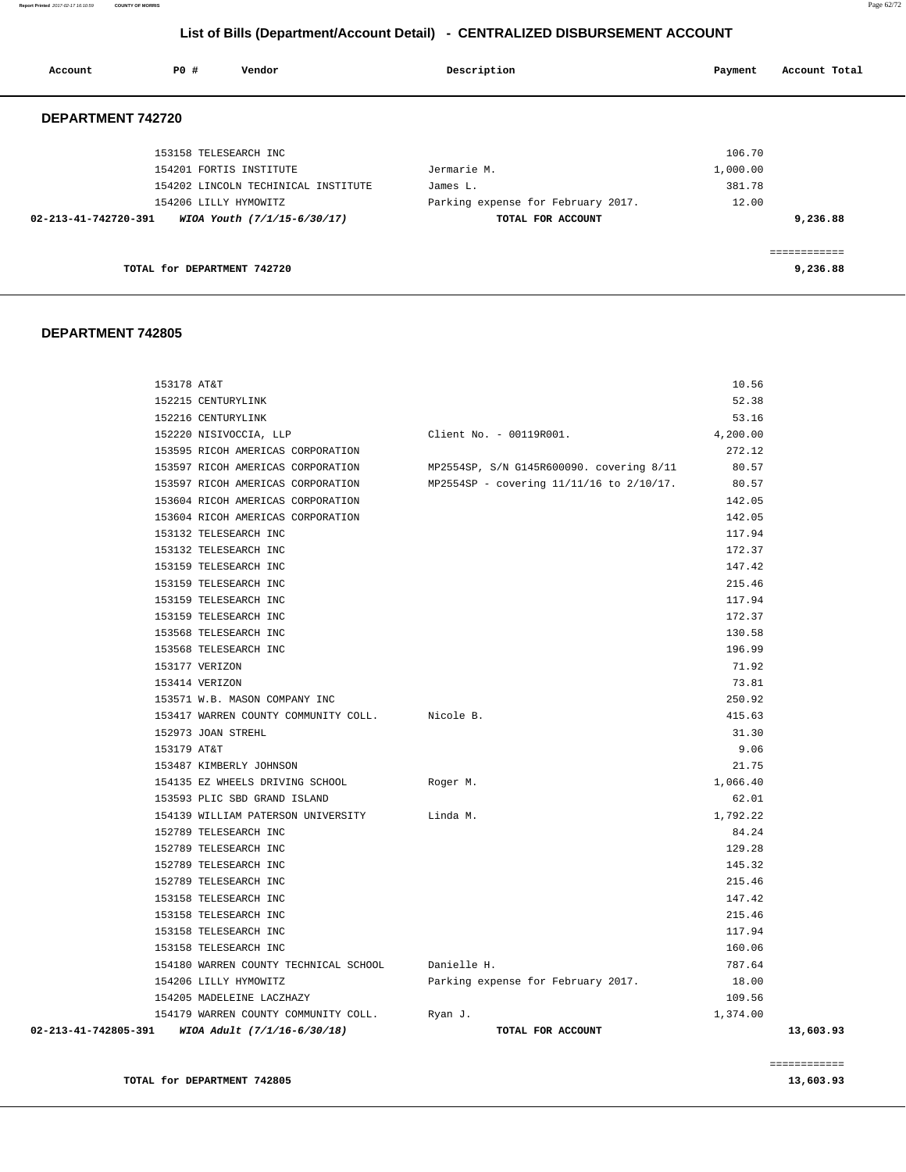**Report Printed** 2017-02-17 16:10:59 **COUNTY OF MORRIS** Page 62/72

# **List of Bills (Department/Account Detail) - CENTRALIZED DISBURSEMENT ACCOUNT**

| Account                        | PO#<br>Vendor                       | Description                        | Account Total<br>Payment |  |
|--------------------------------|-------------------------------------|------------------------------------|--------------------------|--|
| DEPARTMENT 742720              |                                     |                                    |                          |  |
|                                | 153158 TELESEARCH INC               |                                    | 106.70                   |  |
|                                | 154201 FORTIS INSTITUTE             | Jermarie M.                        | 1,000.00                 |  |
|                                | 154202 LINCOLN TECHINICAL INSTITUTE | James L.                           | 381.78                   |  |
|                                | 154206 LILLY HYMOWITZ               | Parking expense for February 2017. | 12.00                    |  |
| $02 - 213 - 41 - 742720 - 391$ | WIOA Youth (7/1/15-6/30/17)         | TOTAL FOR ACCOUNT                  | 9,236.88                 |  |
|                                |                                     |                                    | ------------             |  |
|                                | TOTAL for DEPARTMENT 742720         |                                    | 9,236.88                 |  |

#### **DEPARTMENT 742805**

| 02-213-41-742805-391 | WIOA Adult (7/1/16-6/30/18)                    | TOTAL FOR ACCOUNT                        |          | 13,603.93 |
|----------------------|------------------------------------------------|------------------------------------------|----------|-----------|
|                      | 154179 WARREN COUNTY COMMUNITY COLL.           | Ryan J.                                  | 1,374.00 |           |
|                      | 154205 MADELEINE LACZHAZY                      |                                          | 109.56   |           |
|                      | 154206 LILLY HYMOWITZ                          | Parking expense for February 2017.       | 18.00    |           |
|                      | 154180 WARREN COUNTY TECHNICAL SCHOOL          | Danielle H.                              | 787.64   |           |
|                      | 153158 TELESEARCH INC                          |                                          | 160.06   |           |
|                      | 153158 TELESEARCH INC                          |                                          | 117.94   |           |
|                      | 153158 TELESEARCH INC                          |                                          | 215.46   |           |
|                      | 153158 TELESEARCH INC                          |                                          | 147.42   |           |
|                      | 152789 TELESEARCH INC                          |                                          | 215.46   |           |
|                      | 152789 TELESEARCH INC                          |                                          | 145.32   |           |
|                      | 152789 TELESEARCH INC                          |                                          | 129.28   |           |
|                      | 152789 TELESEARCH INC                          |                                          | 84.24    |           |
|                      | 154139 WILLIAM PATERSON UNIVERSITY             | Linda M.                                 | 1,792.22 |           |
|                      | 153593 PLIC SBD GRAND ISLAND                   |                                          | 62.01    |           |
|                      | 154135 EZ WHEELS DRIVING SCHOOL                | Roger M.                                 | 1,066.40 |           |
|                      | 153487 KIMBERLY JOHNSON                        |                                          | 21.75    |           |
|                      | 153179 AT&T                                    |                                          | 9.06     |           |
|                      | 152973 JOAN STREHL                             |                                          | 31.30    |           |
|                      | 153417 WARREN COUNTY COMMUNITY COLL. Nicole B. |                                          | 415.63   |           |
|                      | 153571 W.B. MASON COMPANY INC                  |                                          | 250.92   |           |
|                      | 153414 VERIZON                                 |                                          | 73.81    |           |
|                      | 153177 VERIZON                                 |                                          | 71.92    |           |
|                      | 153568 TELESEARCH INC                          |                                          | 196.99   |           |
|                      | 153568 TELESEARCH INC                          |                                          | 130.58   |           |
|                      | 153159 TELESEARCH INC                          |                                          | 172.37   |           |
|                      | 153159 TELESEARCH INC                          |                                          | 117.94   |           |
|                      | 153159 TELESEARCH INC                          |                                          | 215.46   |           |
|                      | 153159 TELESEARCH INC                          |                                          | 147.42   |           |
|                      | 153132 TELESEARCH INC                          |                                          | 172.37   |           |
|                      | 153132 TELESEARCH INC                          |                                          | 117.94   |           |
|                      | 153604 RICOH AMERICAS CORPORATION              |                                          | 142.05   |           |
|                      | 153604 RICOH AMERICAS CORPORATION              |                                          | 142.05   |           |
|                      | 153597 RICOH AMERICAS CORPORATION              | MP2554SP - covering 11/11/16 to 2/10/17. | 80.57    |           |
|                      | 153597 RICOH AMERICAS CORPORATION              | MP2554SP, S/N G145R600090. covering 8/11 | 80.57    |           |
|                      | 153595 RICOH AMERICAS CORPORATION              |                                          | 272.12   |           |
|                      | 152220 NISIVOCCIA, LLP                         | Client No. - 00119R001.                  | 4,200.00 |           |
|                      | 152216 CENTURYLINK                             |                                          | 53.16    |           |
|                      | 152215 CENTURYLINK                             |                                          | 52.38    |           |
|                      | 153178 AT&T                                    |                                          | 10.56    |           |

============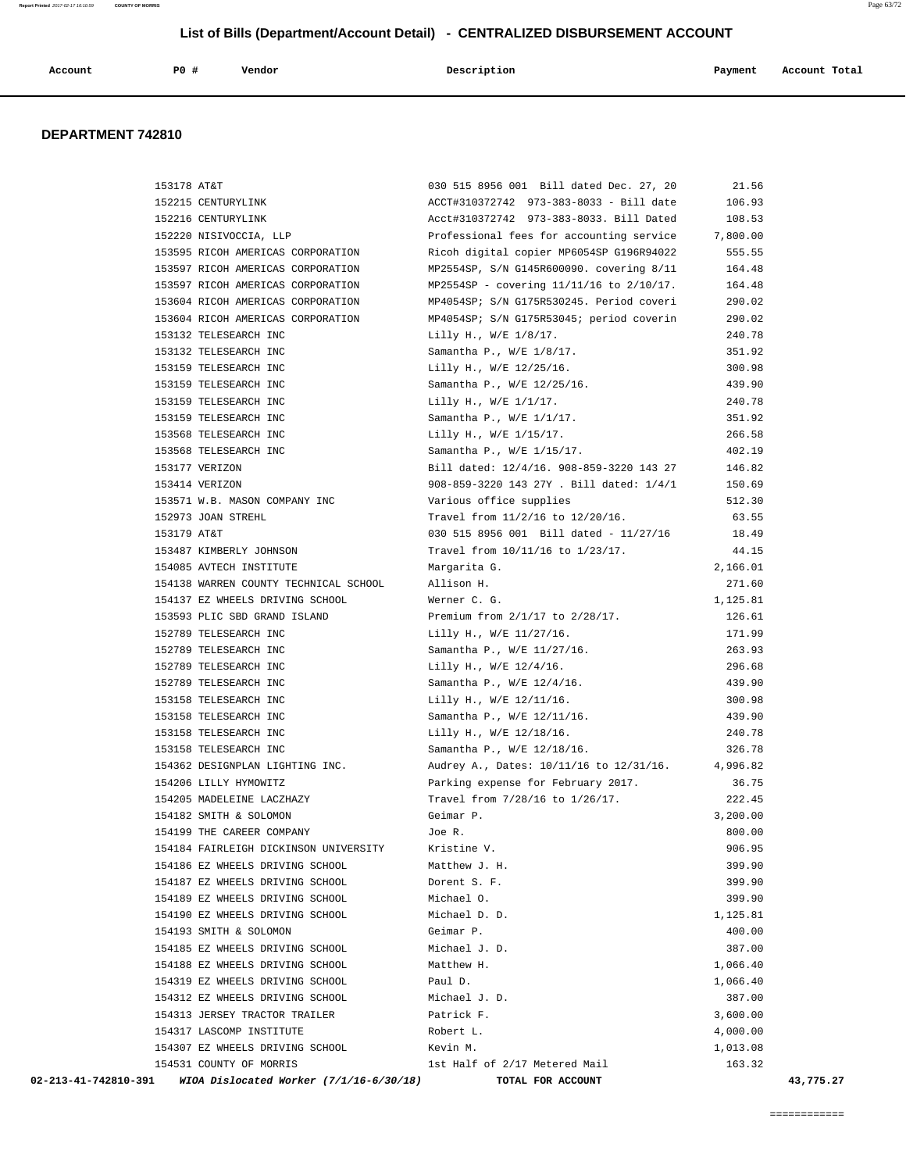| Account<br>. | P <sub>0</sub> | Vendor<br>. | Description | Payment | Account Total |
|--------------|----------------|-------------|-------------|---------|---------------|

#### **DEPARTMENT 742810**

| 153178 AT&T                                                       | 030 515 8956 001 Bill dated Dec. 27, 20       | 21.56     |
|-------------------------------------------------------------------|-----------------------------------------------|-----------|
| 152215 CENTURYLINK                                                | ACCT#310372742 973-383-8033 - Bill date       | 106.93    |
| 152216 CENTURYLINK                                                | Acct#310372742 973-383-8033. Bill Dated       | 108.53    |
| 152220 NISIVOCCIA, LLP                                            | Professional fees for accounting service      | 7,800.00  |
| 153595 RICOH AMERICAS CORPORATION                                 | Ricoh digital copier MP6054SP G196R94022      | 555.55    |
| 153597 RICOH AMERICAS CORPORATION                                 | MP2554SP, S/N G145R600090. covering 8/11      | 164.48    |
| 153597 RICOH AMERICAS CORPORATION                                 | MP2554SP - covering $11/11/16$ to $2/10/17$ . | 164.48    |
| 153604 RICOH AMERICAS CORPORATION                                 | MP4054SP; S/N G175R530245. Period coveri      | 290.02    |
| 153604 RICOH AMERICAS CORPORATION                                 | MP4054SP; S/N G175R53045; period coverin      | 290.02    |
| 153132 TELESEARCH INC                                             | Lilly H., W/E 1/8/17.                         | 240.78    |
| 153132 TELESEARCH INC                                             | Samantha P., W/E 1/8/17.                      | 351.92    |
| 153159 TELESEARCH INC                                             | Lilly H., W/E 12/25/16.                       | 300.98    |
| 153159 TELESEARCH INC                                             | Samantha P., W/E 12/25/16.                    | 439.90    |
| 153159 TELESEARCH INC                                             | Lilly H., W/E 1/1/17.                         | 240.78    |
| 153159 TELESEARCH INC                                             | Samantha P., W/E 1/1/17.                      | 351.92    |
| 153568 TELESEARCH INC                                             | Lilly H., W/E 1/15/17.                        | 266.58    |
| 153568 TELESEARCH INC                                             | Samantha P., W/E 1/15/17.                     | 402.19    |
| 153177 VERIZON                                                    | Bill dated: 12/4/16. 908-859-3220 143 27      | 146.82    |
| 153414 VERIZON                                                    | 908-859-3220 143 27Y . Bill dated: 1/4/1      | 150.69    |
| 153571 W.B. MASON COMPANY INC                                     | Various office supplies                       | 512.30    |
| 152973 JOAN STREHL                                                | Travel from 11/2/16 to 12/20/16.              | 63.55     |
| 153179 AT&T                                                       | 030 515 8956 001 Bill dated - 11/27/16        | 18.49     |
| 153487 KIMBERLY JOHNSON                                           | Travel from 10/11/16 to 1/23/17.              | 44.15     |
| 154085 AVTECH INSTITUTE                                           | Margarita G.                                  | 2,166.01  |
| 154138 WARREN COUNTY TECHNICAL SCHOOL                             | Allison H.                                    | 271.60    |
| 154137 EZ WHEELS DRIVING SCHOOL                                   | Werner C. G.                                  | 1,125.81  |
| 153593 PLIC SBD GRAND ISLAND                                      | Premium from 2/1/17 to 2/28/17.               | 126.61    |
| 152789 TELESEARCH INC                                             | Lilly H., W/E 11/27/16.                       | 171.99    |
| 152789 TELESEARCH INC                                             | Samantha P., W/E 11/27/16.                    | 263.93    |
| 152789 TELESEARCH INC                                             | Lilly H., W/E 12/4/16.                        | 296.68    |
| 152789 TELESEARCH INC                                             | Samantha P., W/E 12/4/16.                     | 439.90    |
| 153158 TELESEARCH INC                                             | Lilly H., W/E 12/11/16.                       | 300.98    |
| 153158 TELESEARCH INC                                             | Samantha P., W/E 12/11/16.                    | 439.90    |
| 153158 TELESEARCH INC                                             | Lilly H., W/E 12/18/16.                       | 240.78    |
| 153158 TELESEARCH INC                                             | Samantha P., W/E 12/18/16.                    | 326.78    |
| 154362 DESIGNPLAN LIGHTING INC.                                   | Audrey A., Dates: 10/11/16 to 12/31/16.       | 4,996.82  |
| 154206 LILLY HYMOWITZ                                             | Parking expense for February 2017.            | 36.75     |
| 154205 MADELEINE LACZHAZY                                         | Travel from 7/28/16 to 1/26/17.               | 222.45    |
| 154182 SMITH & SOLOMON                                            | Geimar P.                                     | 3,200.00  |
| 154199 THE CAREER COMPANY                                         | Joe R.                                        | 800.00    |
| 154184 FAIRLEIGH DICKINSON UNIVERSITY                             | Kristine V.                                   | 906.95    |
| 154186 EZ WHEELS DRIVING SCHOOL                                   | Matthew J. H.                                 | 399.90    |
| 154187 EZ WHEELS DRIVING SCHOOL                                   | Dorent S. F.                                  | 399.90    |
| 154189 EZ WHEELS DRIVING SCHOOL                                   | Michael O.                                    | 399.90    |
| 154190 EZ WHEELS DRIVING SCHOOL                                   | Michael D. D.                                 | 1,125.81  |
| 154193 SMITH & SOLOMON                                            | Geimar P.                                     | 400.00    |
| 154185 EZ WHEELS DRIVING SCHOOL                                   | Michael J. D.                                 | 387.00    |
| 154188 EZ WHEELS DRIVING SCHOOL                                   | Matthew H.                                    | 1,066.40  |
| 154319 EZ WHEELS DRIVING SCHOOL                                   | Paul D.                                       | 1,066.40  |
| 154312 EZ WHEELS DRIVING SCHOOL                                   | Michael J. D.                                 | 387.00    |
| 154313 JERSEY TRACTOR TRAILER                                     | Patrick F.                                    | 3,600.00  |
| 154317 LASCOMP INSTITUTE                                          | Robert L.                                     | 4,000.00  |
| 154307 EZ WHEELS DRIVING SCHOOL                                   | Kevin M.                                      | 1,013.08  |
| 154531 COUNTY OF MORRIS                                           | 1st Half of 2/17 Metered Mail                 | 163.32    |
| 02-213-41-742810-391<br>WIOA Dislocated Worker $(7/1/16-6/30/18)$ | TOTAL FOR ACCOUNT                             | 43,775.27 |

============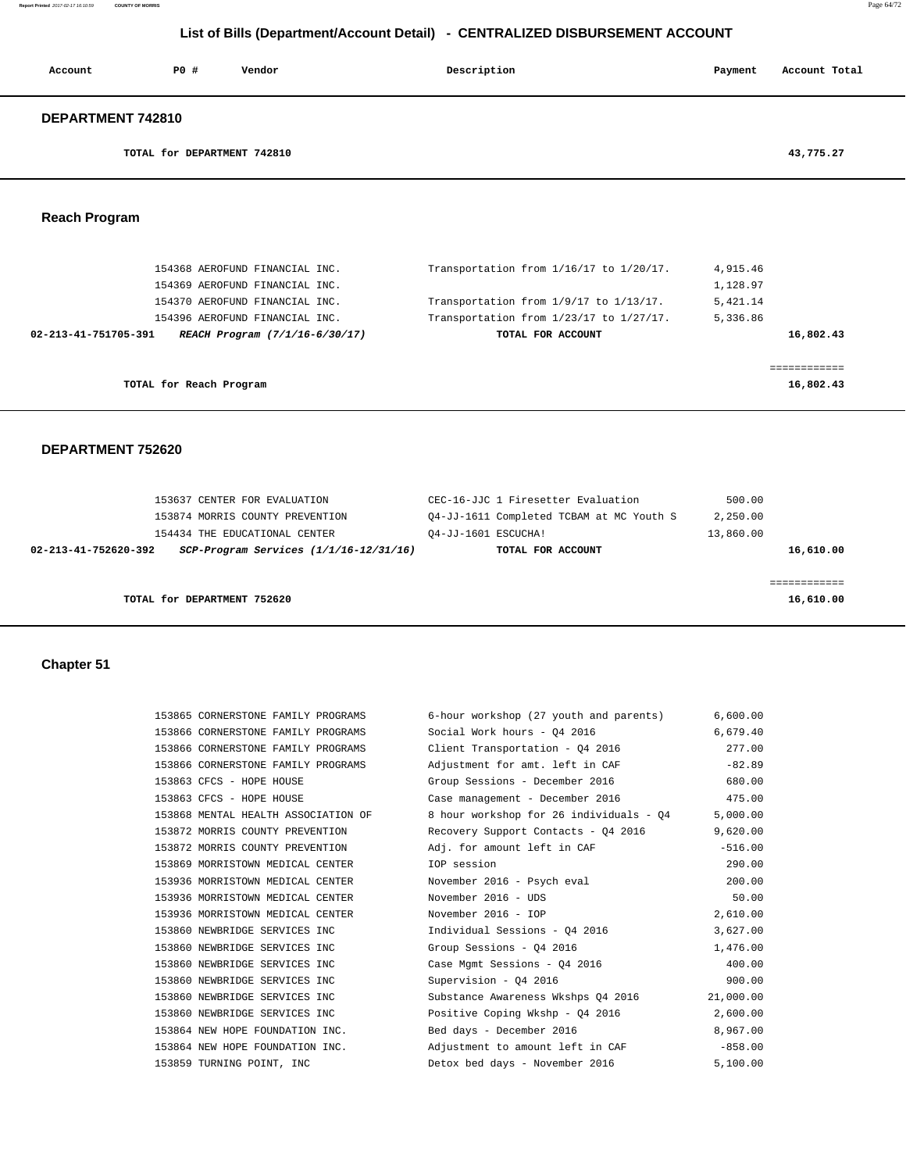| Account           | P0#                         | Vendor | Description | Payment | Account Total |
|-------------------|-----------------------------|--------|-------------|---------|---------------|
| DEPARTMENT 742810 |                             |        |             |         |               |
|                   | TOTAL for DEPARTMENT 742810 |        |             |         | 43,775.27     |

# **Reach Program**

|                      | 154368 AEROFUND FINANCIAL INC.<br>154369 AEROFUND FINANCIAL INC. | Transportation from 1/16/17 to 1/20/17.      | 4,915.46<br>1,128.97 |
|----------------------|------------------------------------------------------------------|----------------------------------------------|----------------------|
|                      |                                                                  |                                              |                      |
|                      | 154370 AEROFUND FINANCIAL INC.                                   | Transportation from 1/9/17 to 1/13/17.       | 5,421.14             |
|                      | 154396 AEROFUND FINANCIAL INC.                                   | Transportation from $1/23/17$ to $1/27/17$ . | 5,336.86             |
|                      |                                                                  |                                              |                      |
| 02-213-41-751705-391 | REACH Program (7/1/16-6/30/17)                                   | TOTAL FOR ACCOUNT                            | 16,802.43            |
|                      |                                                                  |                                              |                      |
|                      |                                                                  |                                              |                      |
|                      |                                                                  |                                              |                      |

#### **DEPARTMENT 752620**

|                      | 153637 CENTER FOR EVALUATION               | CEC-16-JJC 1 Firesetter Evaluation       | 500.00    |
|----------------------|--------------------------------------------|------------------------------------------|-----------|
|                      | 153874 MORRIS COUNTY PREVENTION            | 04-JJ-1611 Completed TCBAM at MC Youth S | 2,250.00  |
|                      | 154434 THE EDUCATIONAL CENTER              | 04-JJ-1601 ESCUCHA!                      | 13,860.00 |
| 02-213-41-752620-392 | $SCP-Program$ Services $(1/1/16-12/31/16)$ | TOTAL FOR ACCOUNT                        | 16,610.00 |
|                      |                                            |                                          |           |
|                      |                                            |                                          |           |
|                      | TOTAL for DEPARTMENT 752620                |                                          | 16,610.00 |
|                      |                                            |                                          |           |

# **Chapter 51**

| 153865 CORNERSTONE FAMILY PROGRAMS  | 6-hour workshop (27 youth and parents)                   | 6,600.00  |
|-------------------------------------|----------------------------------------------------------|-----------|
| 153866 CORNERSTONE FAMILY PROGRAMS  | Social Work hours - Q4 2016                              | 6,679.40  |
| 153866 CORNERSTONE FAMILY PROGRAMS  | Client Transportation - Q4 2016                          | 277.00    |
| 153866 CORNERSTONE FAMILY PROGRAMS  | Adjustment for amt. left in CAF                          | $-82.89$  |
| 153863 CFCS - HOPE HOUSE            | Group Sessions - December 2016                           | 680.00    |
| 153863 CFCS - HOPE HOUSE            | Case management - December 2016 175.00                   |           |
| 153868 MENTAL HEALTH ASSOCIATION OF | 8 hour workshop for 26 individuals - Q4                  | 5,000.00  |
| 153872 MORRIS COUNTY PREVENTION     | Recovery Support Contacts - 04 2016                      | 9,620.00  |
| 153872 MORRIS COUNTY PREVENTION     | Adj. for amount left in CAF                              | $-516.00$ |
| 153869 MORRISTOWN MEDICAL CENTER    | IOP session                                              | 290.00    |
| 153936 MORRISTOWN MEDICAL CENTER    | November 2016 - Psych eval                               | 200.00    |
| 153936 MORRISTOWN MEDICAL CENTER    | November 2016 - UDS                                      | 50.00     |
| 153936 MORRISTOWN MEDICAL CENTER    | November 2016 - IOP                                      | 2,610.00  |
| 153860 NEWBRIDGE SERVICES INC       | Individual Sessions - Q4 2016                            | 3,627.00  |
| 153860 NEWBRIDGE SERVICES INC       | Group Sessions - 04 2016                                 | 1,476.00  |
| 153860 NEWBRIDGE SERVICES INC       | Case Mgmt Sessions - Q4 2016                             | 400.00    |
| 153860 NEWBRIDGE SERVICES INC       | Supervision - 04 2016                                    | 900.00    |
| 153860 NEWBRIDGE SERVICES INC       | Substance Awareness Wkshps Q4 2016                       | 21,000.00 |
| 153860 NEWBRIDGE SERVICES INC       | Positive Coping Wkshp - 04 2016                          | 2,600.00  |
|                                     | 153864 NEW HOPE FOUNDATION INC. Bed days - December 2016 | 8,967.00  |
| 153864 NEW HOPE FOUNDATION INC.     | Adjustment to amount left in CAF                         | $-858.00$ |
| 153859 TURNING POINT, INC           | Detox bed days - November 2016                           | 5,100.00  |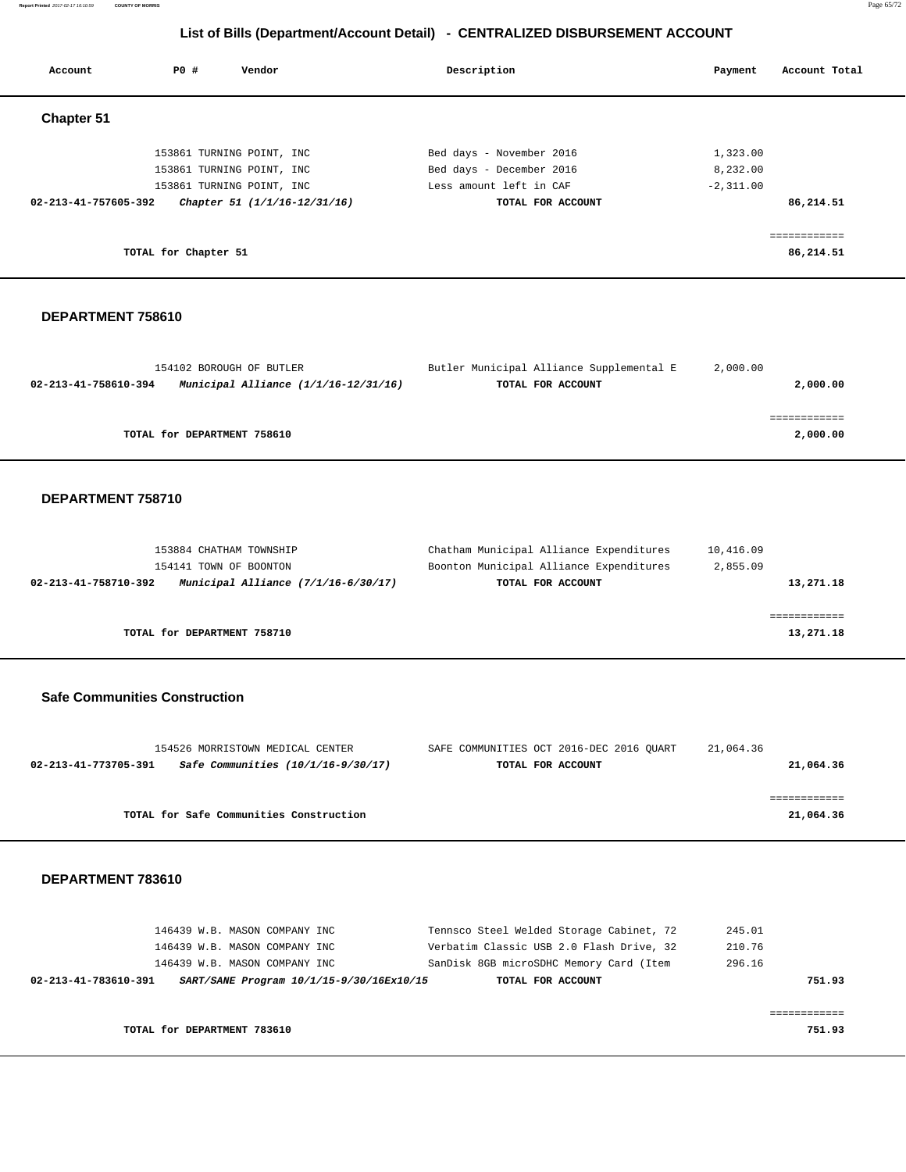**Report Printed** 2017-02-17 16:10:59 **COUNTY OF MORRIS** Page 65/72

# **List of Bills (Department/Account Detail) - CENTRALIZED DISBURSEMENT ACCOUNT**

| Account              | PO#                  | Vendor                       | Description              | Account Total<br>Payment |
|----------------------|----------------------|------------------------------|--------------------------|--------------------------|
| <b>Chapter 51</b>    |                      |                              |                          |                          |
|                      |                      | 153861 TURNING POINT, INC    | Bed days - November 2016 | 1,323.00                 |
|                      |                      | 153861 TURNING POINT, INC    | Bed days - December 2016 | 8,232.00                 |
|                      |                      | 153861 TURNING POINT, INC    | Less amount left in CAF  | $-2,311.00$              |
| 02-213-41-757605-392 |                      | Chapter 51 (1/1/16-12/31/16) | TOTAL FOR ACCOUNT        | 86,214.51                |
|                      |                      |                              |                          | ============             |
|                      | TOTAL for Chapter 51 |                              |                          | 86,214.51                |

#### **DEPARTMENT 758610**

| 154102 BOROUGH OF BUTLER                                         | Butler Municipal Alliance Supplemental E | 2,000.00 |
|------------------------------------------------------------------|------------------------------------------|----------|
| Municipal Alliance $(1/1/16 - 12/31/16)$<br>02-213-41-758610-394 | TOTAL FOR ACCOUNT                        | 2,000.00 |
|                                                                  |                                          |          |
|                                                                  |                                          |          |
| TOTAL for DEPARTMENT 758610                                      |                                          | 2,000.00 |
|                                                                  |                                          |          |

#### **DEPARTMENT 758710**

| 153884 CHATHAM TOWNSHIP                                       | Chatham Municipal Alliance Expenditures | 10,416.09 |
|---------------------------------------------------------------|-----------------------------------------|-----------|
| 154141 TOWN OF BOONTON                                        | Boonton Municipal Alliance Expenditures | 2,855.09  |
| Municipal Alliance $(7/1/16-6/30/17)$<br>02-213-41-758710-392 | TOTAL FOR ACCOUNT                       | 13,271.18 |
|                                                               |                                         |           |
|                                                               |                                         |           |
| TOTAL for DEPARTMENT 758710                                   |                                         | 13,271.18 |
|                                                               |                                         |           |

#### **Safe Communities Construction**

|                      | 154526 MORRISTOWN MEDICAL CENTER        |                   | SAFE COMMUNITIES OCT 2016-DEC 2016 OUART | 21,064.36 |
|----------------------|-----------------------------------------|-------------------|------------------------------------------|-----------|
| 02-213-41-773705-391 | Safe Communities (10/1/16-9/30/17)      | TOTAL FOR ACCOUNT |                                          | 21,064.36 |
|                      |                                         |                   |                                          |           |
|                      |                                         |                   |                                          |           |
|                      | TOTAL for Safe Communities Construction |                   |                                          | 21,064.36 |
|                      |                                         |                   |                                          |           |

| TOTAL for DEPARTMENT 783610                                      |                                          | 751.93 |
|------------------------------------------------------------------|------------------------------------------|--------|
|                                                                  |                                          |        |
| SART/SANE Program 10/1/15-9/30/16Ex10/15<br>02-213-41-783610-391 | TOTAL FOR ACCOUNT                        | 751.93 |
| 146439 W.B. MASON COMPANY INC                                    | SanDisk 8GB microSDHC Memory Card (Item  | 296.16 |
| 146439 W.B. MASON COMPANY INC                                    | Verbatim Classic USB 2.0 Flash Drive, 32 | 210.76 |
| 146439 W.B. MASON COMPANY INC                                    | Tennsco Steel Welded Storage Cabinet, 72 | 245.01 |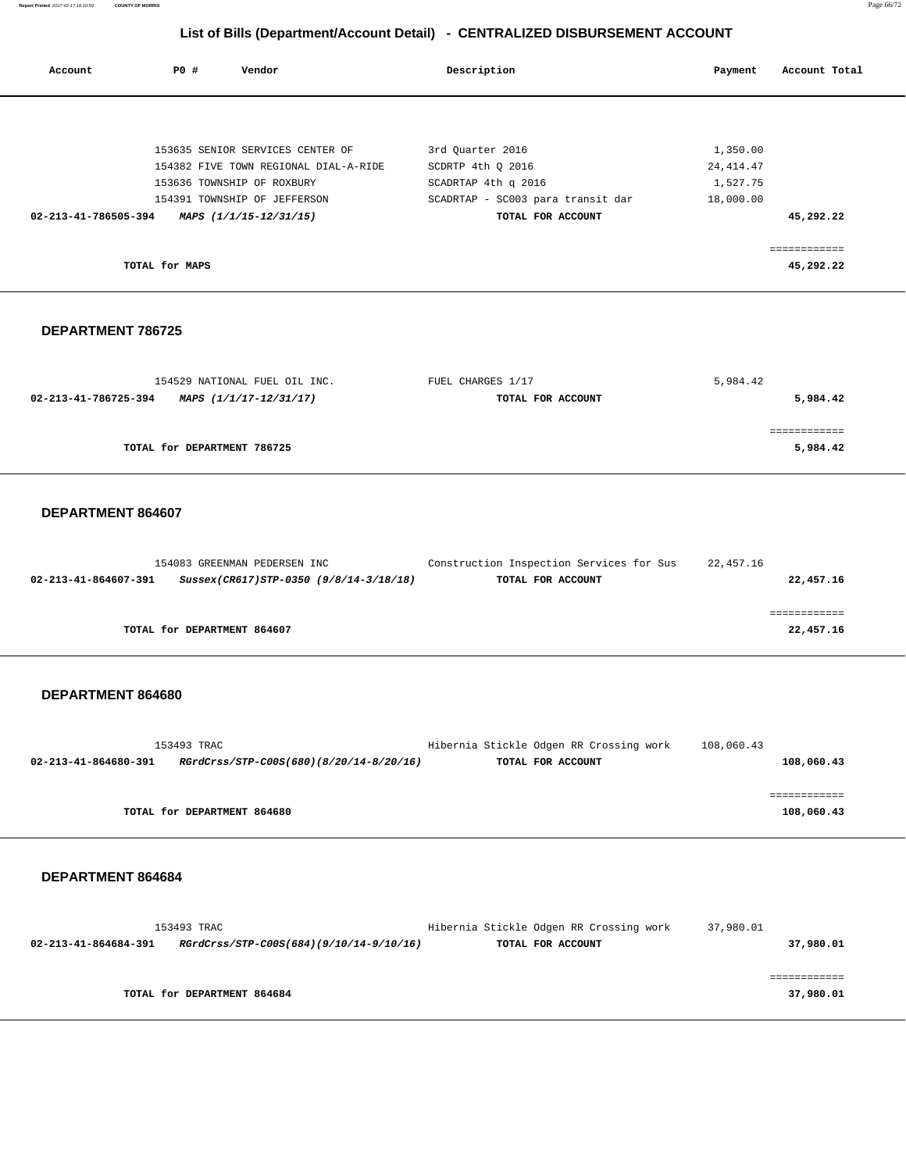**Report Printed** 2017-02-17 16:10:59 **COUNTY OF MORRIS** Page 66/72

# **List of Bills (Department/Account Detail) - CENTRALIZED DISBURSEMENT ACCOUNT**

| Account              | PO #           | Vendor                                | Description                       | Payment    | Account Total |
|----------------------|----------------|---------------------------------------|-----------------------------------|------------|---------------|
|                      |                |                                       |                                   |            |               |
|                      |                | 153635 SENIOR SERVICES CENTER OF      | 3rd Quarter 2016                  | 1,350.00   |               |
|                      |                | 154382 FIVE TOWN REGIONAL DIAL-A-RIDE | SCDRTP 4th 0 2016                 | 24, 414.47 |               |
|                      |                | 153636 TOWNSHIP OF ROXBURY            | SCADRTAP 4th q 2016               | 1,527.75   |               |
|                      |                | 154391 TOWNSHIP OF JEFFERSON          | SCADRTAP - SC003 para transit dar | 18,000.00  |               |
| 02-213-41-786505-394 |                | MAPS (1/1/15-12/31/15)                | TOTAL FOR ACCOUNT                 |            | 45,292.22     |
|                      |                |                                       |                                   |            | ============  |
|                      | TOTAL for MAPS |                                       |                                   |            | 45,292.22     |
|                      |                |                                       |                                   |            |               |

#### **DEPARTMENT 786725**

| 154529 NATIONAL FUEL OIL INC.                  | FUEL CHARGES 1/17 | 5,984.42 |
|------------------------------------------------|-------------------|----------|
| 02-213-41-786725-394<br>MAPS (1/1/17-12/31/17) | TOTAL FOR ACCOUNT | 5,984.42 |
|                                                |                   |          |
|                                                |                   |          |
| TOTAL for DEPARTMENT 786725                    |                   | 5,984.42 |
|                                                |                   |          |

### **DEPARTMENT 864607**

|                      | 154083 GREENMAN PEDERSEN INC           | Construction Inspection Services for Sus | 22,457.16 |
|----------------------|----------------------------------------|------------------------------------------|-----------|
| 02-213-41-864607-391 | Sussex(CR617)STP-0350 (9/8/14-3/18/18) | TOTAL FOR ACCOUNT                        | 22,457.16 |
|                      |                                        |                                          |           |
|                      |                                        |                                          |           |
|                      | TOTAL for DEPARTMENT 864607            |                                          | 22,457.16 |

#### **DEPARTMENT 864680**

| 153493 TRAC          |                                         | Hibernia Stickle Odgen RR Crossing work | 108,060.43 |            |
|----------------------|-----------------------------------------|-----------------------------------------|------------|------------|
| 02-213-41-864680-391 | RGrdCrss/STP-C00S(680)(8/20/14-8/20/16) | TOTAL FOR ACCOUNT                       |            | 108,060.43 |
|                      |                                         |                                         |            |            |
|                      |                                         |                                         |            |            |
|                      | TOTAL for DEPARTMENT 864680             |                                         |            | 108,060.43 |
|                      |                                         |                                         |            |            |

| 153493 TRAC          |  |                                         | Hibernia Stickle Odgen RR Crossing work | 37,980.01 |
|----------------------|--|-----------------------------------------|-----------------------------------------|-----------|
| 02-213-41-864684-391 |  | RGrdCrss/STP-C00S(684)(9/10/14-9/10/16) | TOTAL FOR ACCOUNT                       | 37,980.01 |
|                      |  |                                         |                                         |           |
|                      |  |                                         |                                         |           |
|                      |  | TOTAL for DEPARTMENT 864684             |                                         | 37,980.01 |
|                      |  |                                         |                                         |           |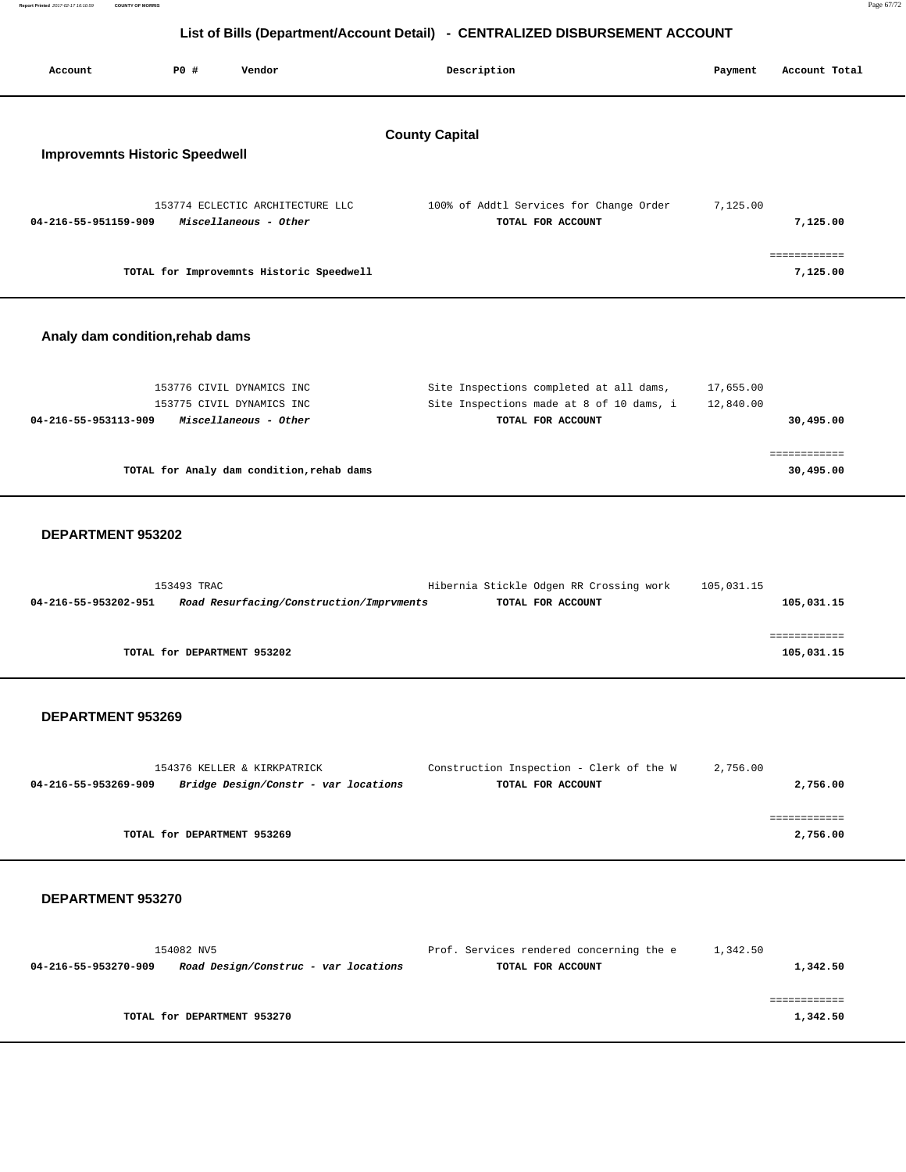| Report Printed 2017-02-17 16:10:59 | <b>COUNTY OF MORRIS</b> | Page 67/72 |
|------------------------------------|-------------------------|------------|
|                                    |                         |            |

| List of Bills (Department/Account Detail) - CENTRALIZED DISBURSEMENT ACCOUNT |                             |                                                                                 |                                                                                                          |                        |                            |
|------------------------------------------------------------------------------|-----------------------------|---------------------------------------------------------------------------------|----------------------------------------------------------------------------------------------------------|------------------------|----------------------------|
| Account                                                                      | <b>PO #</b>                 | Vendor                                                                          | Description                                                                                              | Payment                | Account Total              |
| <b>Improvemnts Historic Speedwell</b>                                        |                             |                                                                                 | <b>County Capital</b>                                                                                    |                        |                            |
| 04-216-55-951159-909                                                         |                             | 153774 ECLECTIC ARCHITECTURE LLC<br>Miscellaneous - Other                       | 100% of Addtl Services for Change Order<br>TOTAL FOR ACCOUNT                                             | 7,125.00               | 7,125.00                   |
|                                                                              |                             | TOTAL for Improvemnts Historic Speedwell                                        |                                                                                                          |                        | ============<br>7,125.00   |
| Analy dam condition, rehab dams                                              |                             |                                                                                 |                                                                                                          |                        |                            |
| 04-216-55-953113-909                                                         |                             | 153776 CIVIL DYNAMICS INC<br>153775 CIVIL DYNAMICS INC<br>Miscellaneous - Other | Site Inspections completed at all dams,<br>Site Inspections made at 8 of 10 dams, i<br>TOTAL FOR ACCOUNT | 17,655.00<br>12,840.00 | 30,495.00                  |
|                                                                              |                             | TOTAL for Analy dam condition, rehab dams                                       |                                                                                                          |                        | ============<br>30,495.00  |
| DEPARTMENT 953202                                                            |                             |                                                                                 |                                                                                                          |                        |                            |
| 04-216-55-953202-951                                                         | 153493 TRAC                 | Road Resurfacing/Construction/Imprvments                                        | Hibernia Stickle Odgen RR Crossing work<br>TOTAL FOR ACCOUNT                                             | 105,031.15             | 105,031.15                 |
|                                                                              | TOTAL for DEPARTMENT 953202 |                                                                                 |                                                                                                          |                        | ============<br>105,031.15 |
| <b>DEPARTMENT 953269</b>                                                     |                             |                                                                                 |                                                                                                          |                        |                            |
| 04-216-55-953269-909                                                         |                             | 154376 KELLER & KIRKPATRICK<br>Bridge Design/Constr - var locations             | Construction Inspection - Clerk of the W<br>TOTAL FOR ACCOUNT                                            | 2,756.00               | 2,756.00                   |
|                                                                              | TOTAL for DEPARTMENT 953269 |                                                                                 |                                                                                                          |                        | ============<br>2,756.00   |
| <b>DEPARTMENT 953270</b>                                                     |                             |                                                                                 |                                                                                                          |                        |                            |
| 04-216-55-953270-909                                                         | 154082 NV5                  | Road Design/Construc - var locations                                            | Prof. Services rendered concerning the e<br>TOTAL FOR ACCOUNT                                            | 1,342.50               | 1,342.50                   |
|                                                                              | TOTAL for DEPARTMENT 953270 |                                                                                 |                                                                                                          |                        | ============<br>1,342.50   |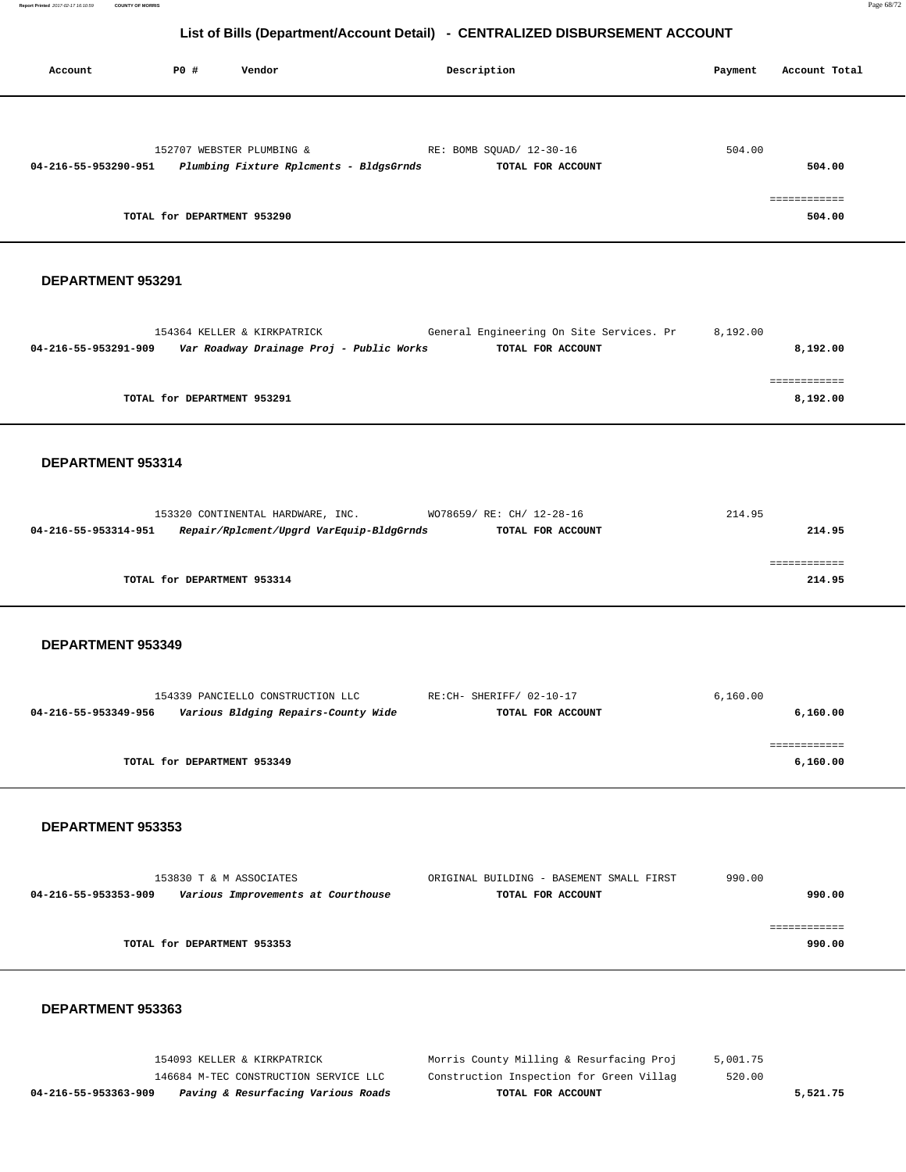**Report Printed** 2017-02-17 16:10:59 **COUNTY OF MORRIS** Page 68/72

# **List of Bills (Department/Account Detail) - CENTRALIZED DISBURSEMENT ACCOUNT**

| Account              | PO#                         | Vendor                                  | Description              | Account Total<br>Payment |
|----------------------|-----------------------------|-----------------------------------------|--------------------------|--------------------------|
|                      |                             |                                         |                          |                          |
|                      |                             | 152707 WEBSTER PLUMBING &               | RE: BOMB SQUAD/ 12-30-16 | 504.00                   |
| 04-216-55-953290-951 |                             | Plumbing Fixture Rplcments - BldgsGrnds | TOTAL FOR ACCOUNT        | 504.00                   |
|                      |                             |                                         |                          |                          |
|                      |                             |                                         |                          | ===========              |
|                      | TOTAL for DEPARTMENT 953290 |                                         |                          | 504.00                   |

#### **DEPARTMENT 953291**

| 154364 KELLER & KIRKPATRICK                                      | General Engineering On Site Services. Pr | 8,192.00 |
|------------------------------------------------------------------|------------------------------------------|----------|
| Var Roadway Drainage Proj - Public Works<br>04-216-55-953291-909 | TOTAL FOR ACCOUNT                        | 8,192.00 |
|                                                                  |                                          |          |
|                                                                  |                                          |          |
| TOTAL for DEPARTMENT 953291                                      |                                          | 8,192.00 |
|                                                                  |                                          |          |

#### **DEPARTMENT 953314**

| 153320 CONTINENTAL HARDWARE, INC. |                                          | WO78659/ RE: CH/ 12-28-16 |                   | 214.95 |  |
|-----------------------------------|------------------------------------------|---------------------------|-------------------|--------|--|
| 04-216-55-953314-951              | Repair/Rplcment/Upgrd VarEquip-BldgGrnds |                           | TOTAL FOR ACCOUNT | 214.95 |  |
|                                   |                                          |                           |                   |        |  |
|                                   |                                          |                           |                   |        |  |
| TOTAL for DEPARTMENT 953314       |                                          |                           |                   | 214.95 |  |
|                                   |                                          |                           |                   |        |  |

#### **DEPARTMENT 953349**

|                      | 154339 PANCIELLO CONSTRUCTION LLC   | RE:CH- SHERIFF/ 02-10-17 | 6,160.00 |
|----------------------|-------------------------------------|--------------------------|----------|
| 04-216-55-953349-956 | Various Bldging Repairs-County Wide | TOTAL FOR ACCOUNT        | 6,160.00 |
|                      |                                     |                          |          |
|                      |                                     |                          |          |
|                      | TOTAL for DEPARTMENT 953349         |                          | 6,160.00 |
|                      |                                     |                          |          |

#### **DEPARTMENT 953353**

|                      | 153830 T & M ASSOCIATES            | ORIGINAL BUILDING - BASEMENT SMALL FIRST | 990.00 |        |
|----------------------|------------------------------------|------------------------------------------|--------|--------|
| 04-216-55-953353-909 | Various Improvements at Courthouse | TOTAL FOR ACCOUNT                        |        | 990.00 |
|                      |                                    |                                          |        |        |
|                      |                                    |                                          |        |        |
|                      | TOTAL for DEPARTMENT 953353        |                                          |        | 990.00 |
|                      |                                    |                                          |        |        |

| 5,521.75 |
|----------|
|          |
|          |
|          |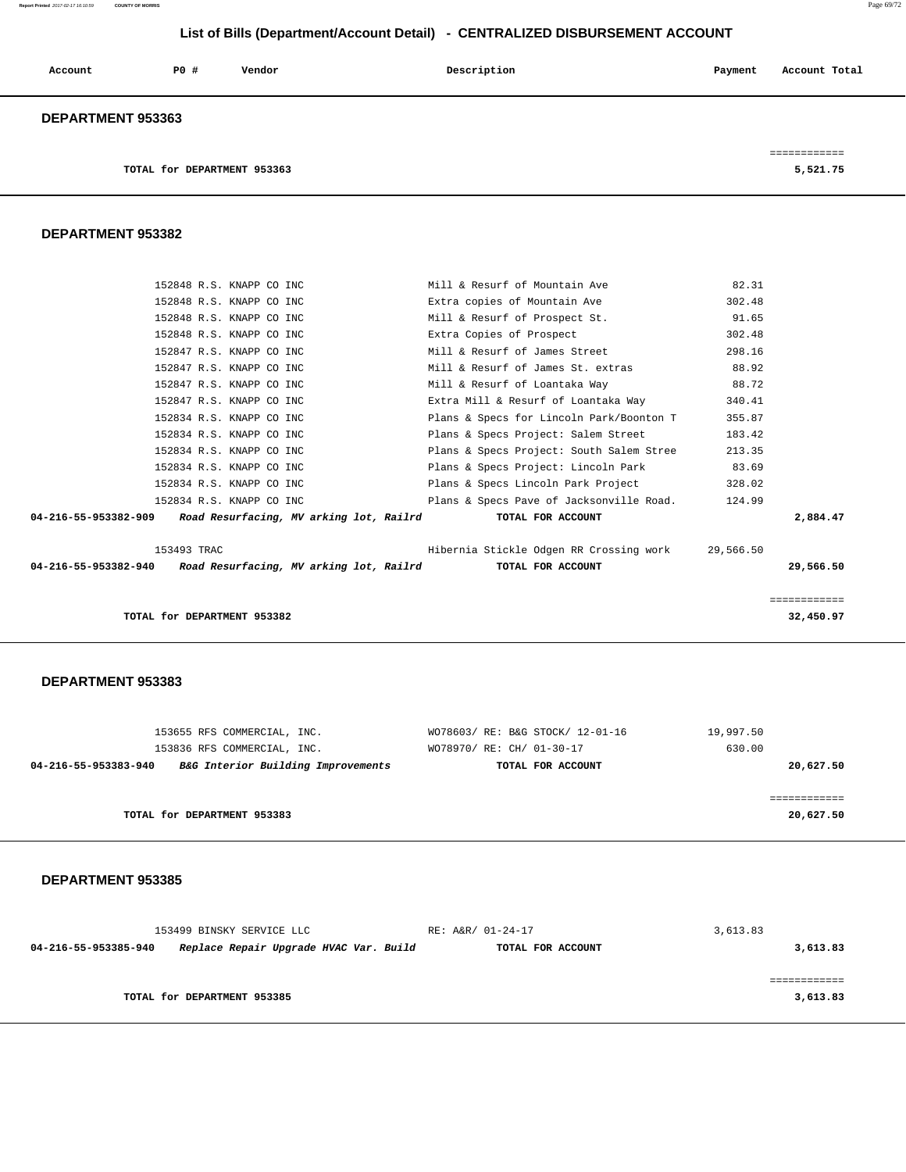**Report Printed** 2017-02-17 16:10:59 **COUNTY OF MORRIS** Page 69/72

# **List of Bills (Department/Account Detail) - CENTRALIZED DISBURSEMENT ACCOUNT**

| Account                  | PO# | Vendor | Description | Payment | Account Total |
|--------------------------|-----|--------|-------------|---------|---------------|
| <b>DEPARTMENT 953363</b> |     |        |             |         |               |

**TOTAL for DEPARTMENT 953363** 5,521.75

============

#### **DEPARTMENT 953382**

|                                                                                | 152848 R.S. KNAPP CO INC | Mill & Resurf of Mountain Ave            | 82.31     |              |
|--------------------------------------------------------------------------------|--------------------------|------------------------------------------|-----------|--------------|
|                                                                                | 152848 R.S. KNAPP CO INC | Extra copies of Mountain Ave             | 302.48    |              |
|                                                                                | 152848 R.S. KNAPP CO INC | Mill & Resurf of Prospect St.            | 91.65     |              |
|                                                                                | 152848 R.S. KNAPP CO INC | Extra Copies of Prospect                 | 302.48    |              |
|                                                                                | 152847 R.S. KNAPP CO INC | Mill & Resurf of James Street            | 298.16    |              |
| 152847 R.S. KNAPP CO INC                                                       |                          | Mill & Resurf of James St. extras        | 88.92     |              |
|                                                                                | 152847 R.S. KNAPP CO INC | Mill & Resurf of Loantaka Way            | 88.72     |              |
| 152847 R.S. KNAPP CO INC                                                       |                          | Extra Mill & Resurf of Loantaka Way      | 340.41    |              |
|                                                                                | 152834 R.S. KNAPP CO INC | Plans & Specs for Lincoln Park/Boonton T | 355.87    |              |
|                                                                                | 152834 R.S. KNAPP CO INC | Plans & Specs Project: Salem Street      | 183.42    |              |
| 152834 R.S. KNAPP CO INC                                                       |                          | Plans & Specs Project: South Salem Stree | 213.35    |              |
| 152834 R.S. KNAPP CO INC                                                       |                          | Plans & Specs Project: Lincoln Park      | 83.69     |              |
|                                                                                | 152834 R.S. KNAPP CO INC | Plans & Specs Lincoln Park Project       | 328.02    |              |
|                                                                                | 152834 R.S. KNAPP CO INC | Plans & Specs Pave of Jacksonville Road. | 124.99    |              |
| 04-216-55-953382-909 Road Resurfacing, MV arking lot, Railrd                   |                          | TOTAL FOR ACCOUNT                        |           | 2,884.47     |
| 153493 TRAC                                                                    |                          | Hibernia Stickle Odgen RR Crossing work  | 29,566.50 |              |
| 04-216-55-953382-940 Road Resurfacing, MV arking lot, Railrd TOTAL FOR ACCOUNT |                          |                                          |           | 29,566.50    |
|                                                                                |                          |                                          |           | ============ |
| TOTAL for DEPARTMENT 953382                                                    |                          |                                          |           | 32,450.97    |

#### **DEPARTMENT 953383**

| 153655 RFS COMMERCIAL, INC.                                | WO78603/ RE: B&G STOCK/ 12-01-16 | 19,997.50 |
|------------------------------------------------------------|----------------------------------|-----------|
| 153836 RFS COMMERCIAL, INC.                                | WO78970/ RE: CH/ 01-30-17        | 630.00    |
| B&G Interior Building Improvements<br>04-216-55-953383-940 | TOTAL FOR ACCOUNT                | 20,627.50 |
|                                                            |                                  |           |
|                                                            |                                  |           |
| TOTAL for DEPARTMENT 953383                                |                                  | 20,627.50 |
|                                                            |                                  |           |

| 153499 BINSKY SERVICE LLC                                      | RE: A&R/ 01-24-17 | 3,613.83 |
|----------------------------------------------------------------|-------------------|----------|
| Replace Repair Upgrade HVAC Var. Build<br>04-216-55-953385-940 | TOTAL FOR ACCOUNT | 3,613.83 |
|                                                                |                   |          |
|                                                                |                   |          |
| TOTAL for DEPARTMENT 953385                                    |                   | 3,613.83 |
|                                                                |                   |          |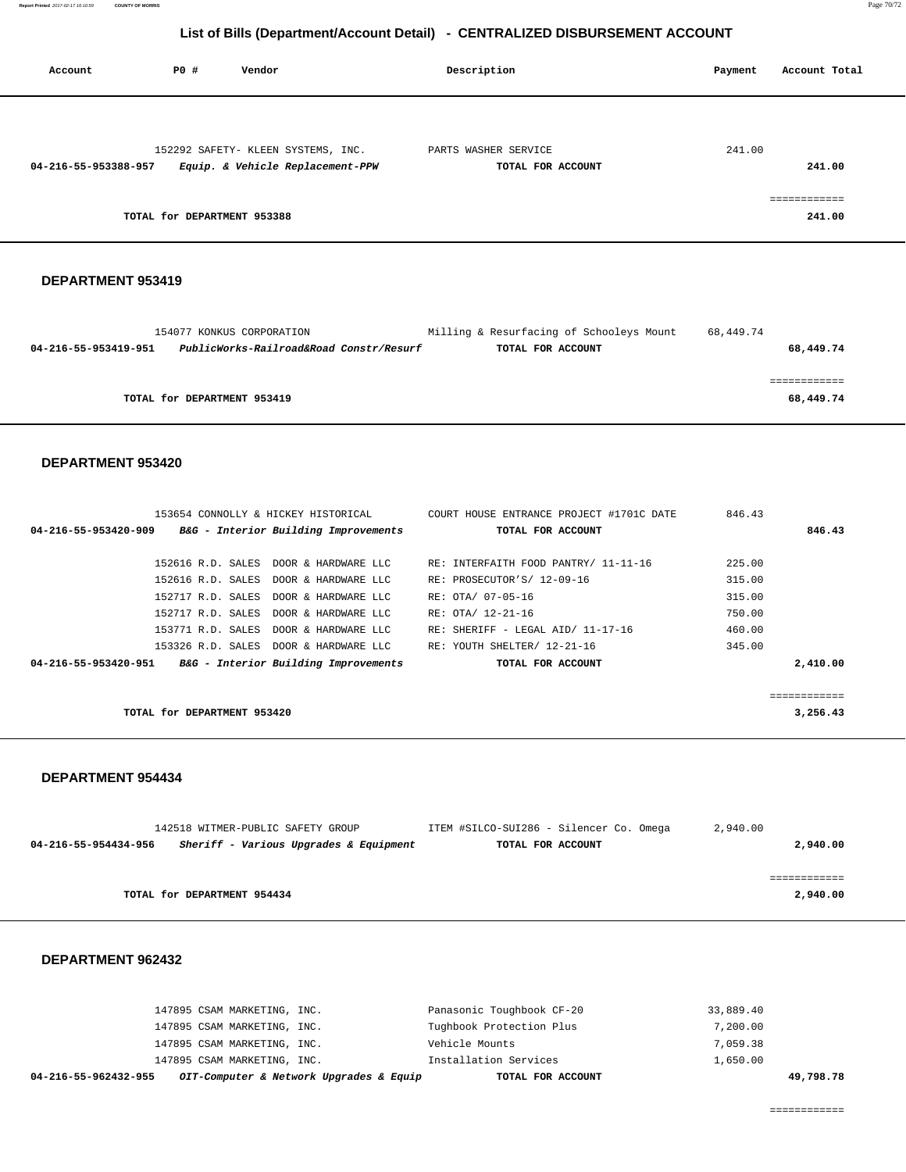| Account              | P0 #                        | Vendor                                                                 | Description                               | Account Total<br>Payment |
|----------------------|-----------------------------|------------------------------------------------------------------------|-------------------------------------------|--------------------------|
|                      |                             |                                                                        |                                           |                          |
| 04-216-55-953388-957 |                             | 152292 SAFETY- KLEEN SYSTEMS, INC.<br>Equip. & Vehicle Replacement-PPW | PARTS WASHER SERVICE<br>TOTAL FOR ACCOUNT | 241.00<br>241.00         |
|                      | TOTAL for DEPARTMENT 953388 |                                                                        |                                           | ============<br>241.00   |

#### **DEPARTMENT 953419**

|                      | 154077 KONKUS CORPORATION               | Milling & Resurfacing of Schooleys Mount | 68,449.74 |
|----------------------|-----------------------------------------|------------------------------------------|-----------|
| 04-216-55-953419-951 | PublicWorks-Railroad&Road Constr/Resurf | TOTAL FOR ACCOUNT                        | 68,449.74 |
|                      |                                         |                                          |           |
|                      |                                         |                                          |           |
|                      | TOTAL for DEPARTMENT 953419             |                                          | 68,449.74 |
|                      |                                         |                                          |           |

#### **DEPARTMENT 953420**

| 153654 CONNOLLY & HICKEY HISTORICAL                          | COURT HOUSE ENTRANCE PROJECT #1701C DATE | 846.43                |
|--------------------------------------------------------------|------------------------------------------|-----------------------|
| B&G - Interior Building Improvements<br>04-216-55-953420-909 | TOTAL FOR ACCOUNT                        | 846.43                |
|                                                              |                                          |                       |
| 152616 R.D. SALES DOOR & HARDWARE LLC                        | RE: INTERFAITH FOOD PANTRY/ 11-11-16     | 225.00                |
| 152616 R.D. SALES DOOR & HARDWARE LLC                        | RE: PROSECUTOR'S/ 12-09-16               | 315.00                |
| 152717 R.D. SALES DOOR & HARDWARE LLC                        | RE: OTA/ 07-05-16                        | 315.00                |
| 152717 R.D. SALES DOOR & HARDWARE LLC                        | RE: OTA/ 12-21-16                        | 750.00                |
| 153771 R.D. SALES DOOR & HARDWARE LLC                        | RE: SHERIFF - LEGAL AID/ 11-17-16        | 460.00                |
| 153326 R.D. SALES DOOR & HARDWARE LLC                        | RE: YOUTH SHELTER/ 12-21-16              | 345.00                |
| B&G - Interior Building Improvements<br>04-216-55-953420-951 | TOTAL FOR ACCOUNT                        | 2,410.00              |
|                                                              |                                          |                       |
|                                                              |                                          | . = = = = = = = = = = |
| TOTAL for DEPARTMENT 953420                                  |                                          | 3,256.43              |
|                                                              |                                          |                       |

#### **DEPARTMENT 954434**

|                      | 142518 WITMER-PUBLIC SAFETY GROUP      | ITEM #SILCO-SUI286 - Silencer Co. Omega | 2,940.00 |
|----------------------|----------------------------------------|-----------------------------------------|----------|
| 04-216-55-954434-956 | Sheriff - Various Upgrades & Equipment | TOTAL FOR ACCOUNT                       | 2,940.00 |
|                      |                                        |                                         |          |
|                      |                                        |                                         |          |
|                      | TOTAL for DEPARTMENT 954434            |                                         | 2,940.00 |

| 04-216-55-962432-955        | OIT-Computer & Network Upgrades & Equip | TOTAL FOR ACCOUNT         |           | 49,798.78 |
|-----------------------------|-----------------------------------------|---------------------------|-----------|-----------|
| 147895 CSAM MARKETING, INC. |                                         | Installation Services     | 1,650.00  |           |
| 147895 CSAM MARKETING, INC. |                                         | Vehicle Mounts            | 7,059.38  |           |
| 147895 CSAM MARKETING, INC. |                                         | Tughbook Protection Plus  | 7,200.00  |           |
| 147895 CSAM MARKETING, INC. |                                         | Panasonic Toughbook CF-20 | 33,889.40 |           |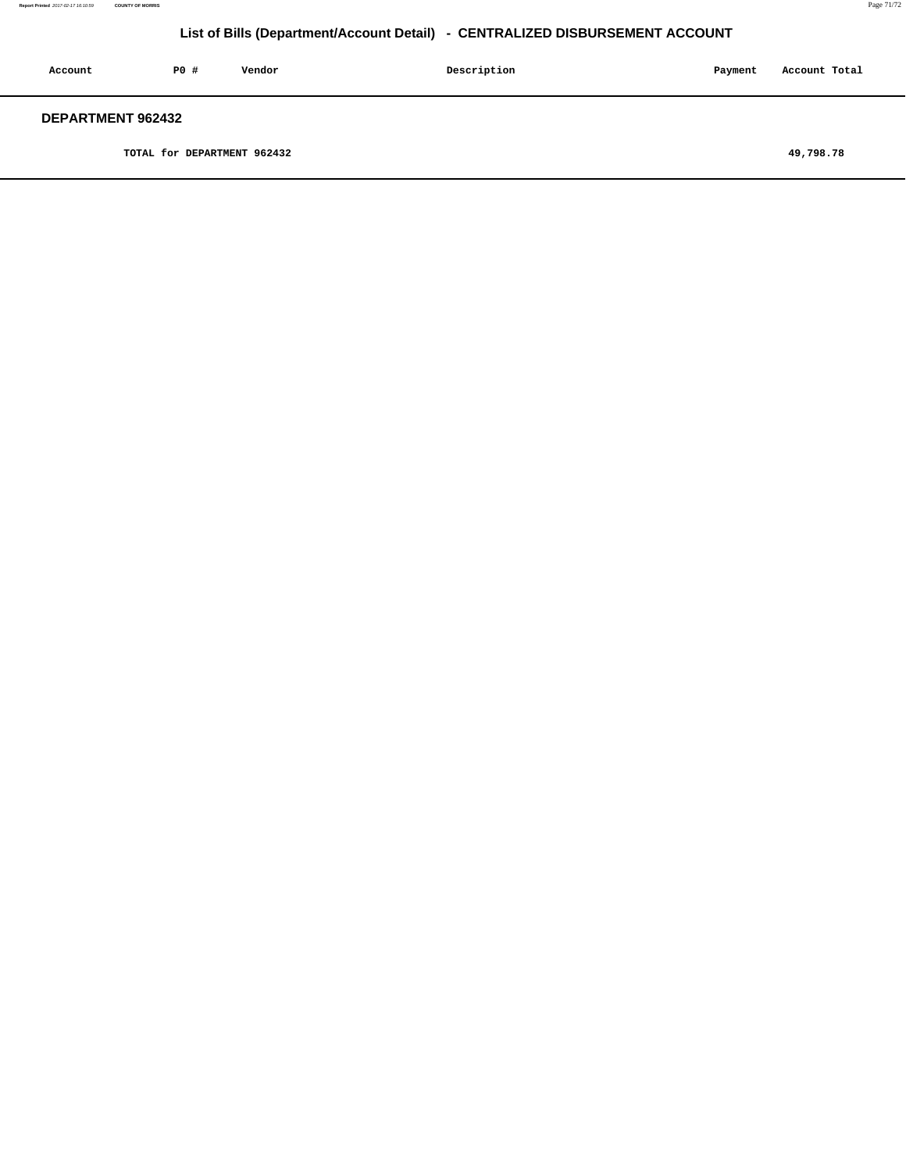| Account                  | PO# | Vendor | Description | Payment | Account Total |
|--------------------------|-----|--------|-------------|---------|---------------|
| <b>DEPARTMENT 962432</b> |     |        |             |         |               |

**TOTAL for DEPARTMENT 962432 49,798.78**